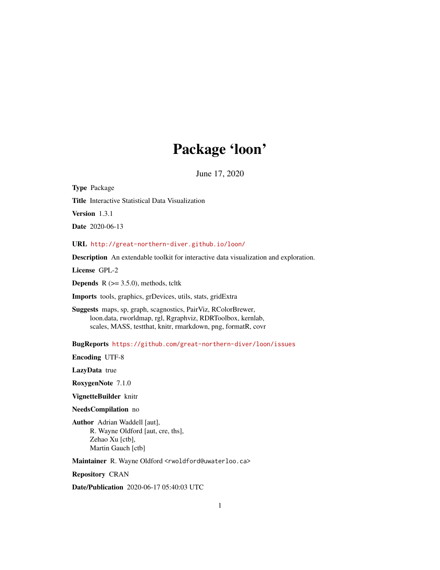# Package 'loon'

June 17, 2020

<span id="page-0-0"></span>Type Package Title Interactive Statistical Data Visualization Version 1.3.1 Date 2020-06-13 URL <http://great-northern-diver.github.io/loon/> Description An extendable toolkit for interactive data visualization and exploration. License GPL-2 **Depends**  $R$  ( $>= 3.5.0$ ), methods, tcltk Imports tools, graphics, grDevices, utils, stats, gridExtra Suggests maps, sp, graph, scagnostics, PairViz, RColorBrewer, loon.data, rworldmap, rgl, Rgraphviz, RDRToolbox, kernlab, scales, MASS, testthat, knitr, rmarkdown, png, formatR, covr BugReports <https://github.com/great-northern-diver/loon/issues> Encoding UTF-8

LazyData true

RoxygenNote 7.1.0

VignetteBuilder knitr

NeedsCompilation no

Author Adrian Waddell [aut], R. Wayne Oldford [aut, cre, ths], Zehao Xu [ctb], Martin Gauch [ctb]

Maintainer R. Wayne Oldford <rwoldford@uwaterloo.ca>

Repository CRAN

Date/Publication 2020-06-17 05:40:03 UTC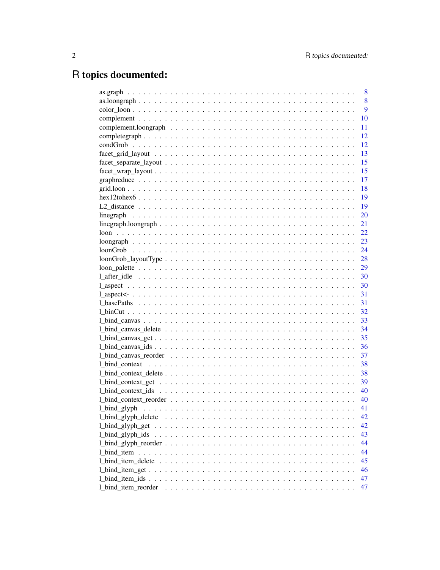# R topics documented:

|                                                                                                                  | 8  |
|------------------------------------------------------------------------------------------------------------------|----|
|                                                                                                                  | 8  |
|                                                                                                                  | 9  |
|                                                                                                                  | 10 |
|                                                                                                                  | 11 |
|                                                                                                                  | 12 |
|                                                                                                                  | 12 |
|                                                                                                                  | 13 |
|                                                                                                                  | 15 |
| $facet_wrap_layout \dots \dots \dots \dots \dots \dots \dots \dots \dots \dots \dots \dots \dots \dots \dots$    | 15 |
|                                                                                                                  | 17 |
|                                                                                                                  | 18 |
|                                                                                                                  | 19 |
|                                                                                                                  | 19 |
|                                                                                                                  | 20 |
| linegraph.loongraph $\ldots \ldots \ldots \ldots \ldots \ldots \ldots \ldots \ldots \ldots \ldots \ldots \ldots$ | 21 |
|                                                                                                                  | 22 |
|                                                                                                                  | 23 |
|                                                                                                                  | 24 |
|                                                                                                                  |    |
|                                                                                                                  | 29 |
|                                                                                                                  |    |
|                                                                                                                  |    |
| - 31                                                                                                             |    |
|                                                                                                                  | 31 |
|                                                                                                                  | 32 |
|                                                                                                                  | 33 |
|                                                                                                                  | 34 |
|                                                                                                                  | 35 |
|                                                                                                                  | 36 |
|                                                                                                                  | 37 |
|                                                                                                                  | 38 |
|                                                                                                                  | 38 |
|                                                                                                                  | 39 |
| 40                                                                                                               |    |
| 40                                                                                                               |    |
|                                                                                                                  | 41 |
|                                                                                                                  | 42 |
|                                                                                                                  | 42 |
|                                                                                                                  | 43 |
|                                                                                                                  | 44 |
|                                                                                                                  | 44 |
|                                                                                                                  | 45 |
|                                                                                                                  | 46 |
|                                                                                                                  | 47 |
| 1_bind_item_reorder                                                                                              | 47 |
|                                                                                                                  |    |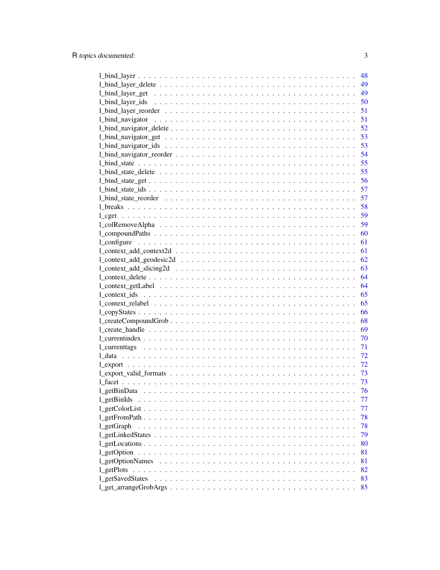|                  | 48 |
|------------------|----|
|                  | 49 |
|                  | 49 |
|                  | 50 |
|                  | 51 |
|                  | 51 |
|                  | 52 |
|                  | 53 |
|                  | 53 |
|                  | 54 |
|                  | 55 |
|                  | 55 |
|                  | 56 |
|                  |    |
|                  | 57 |
|                  | 58 |
|                  | 59 |
|                  | 59 |
|                  | 60 |
|                  | 61 |
|                  | 61 |
|                  | 62 |
|                  | 63 |
|                  | 64 |
|                  | 64 |
|                  | 65 |
|                  | 65 |
|                  | 66 |
|                  | 68 |
|                  | 69 |
|                  | 70 |
|                  | 71 |
|                  | 72 |
|                  | 72 |
|                  | 73 |
|                  | 73 |
|                  | 76 |
| 1_getBinIds      | 77 |
|                  | 77 |
|                  | 78 |
| 1_getGraph       | 78 |
|                  | 79 |
|                  | 80 |
| 1 getOption      | 81 |
| 1 getOptionNames | 81 |
|                  | 82 |
|                  | 83 |
|                  | 85 |
|                  |    |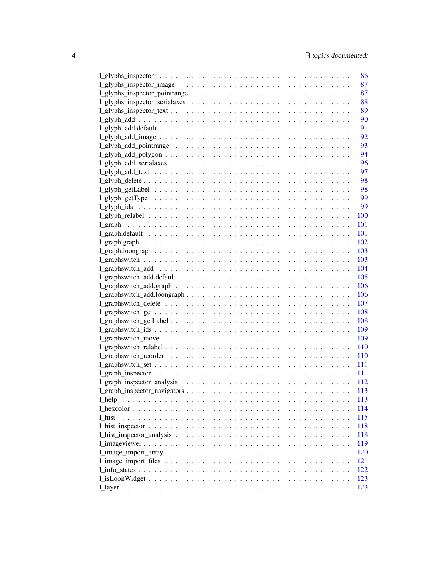|         | 86   |
|---------|------|
|         | 87   |
|         | 87   |
|         | 88   |
|         | 89   |
|         | 90   |
|         | 91   |
|         | 92   |
|         | 93   |
|         | 94   |
|         | 96   |
|         | 97   |
|         | 98   |
|         | - 98 |
|         |      |
|         |      |
|         |      |
| 1 graph |      |
|         |      |
|         |      |
|         |      |
|         |      |
|         |      |
|         |      |
|         |      |
|         |      |
|         |      |
|         |      |
|         |      |
|         |      |
|         |      |
|         |      |
|         |      |
|         |      |
|         |      |
|         |      |
|         |      |
|         |      |
|         |      |
|         |      |
| 1 hist  |      |
|         |      |
|         |      |
|         |      |
|         |      |
|         |      |
|         |      |
|         |      |
|         |      |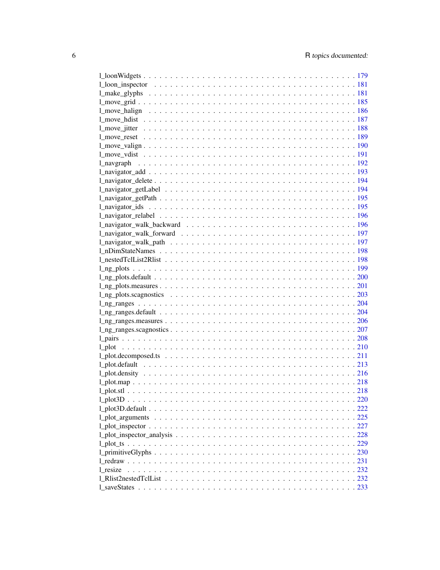| 1 resize |  |
|----------|--|
|          |  |
|          |  |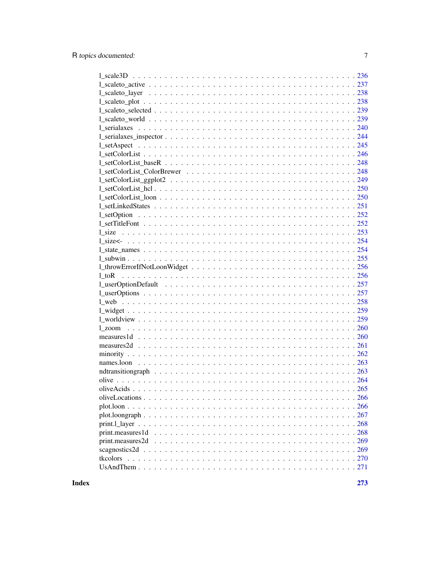| 266      |
|----------|
|          |
|          |
|          |
|          |
|          |
|          |
| tkcolors |
|          |
|          |

**Index**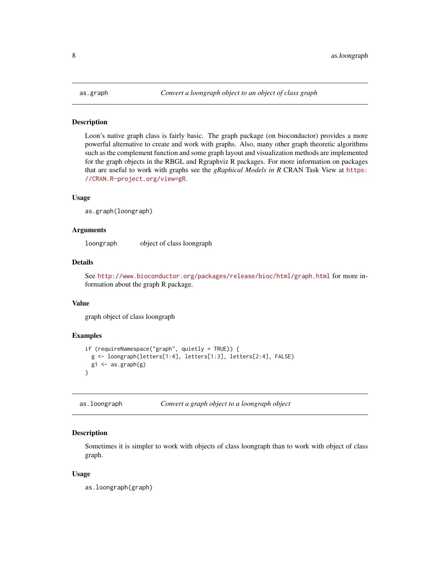<span id="page-7-1"></span><span id="page-7-0"></span>

Loon's native graph class is fairly basic. The graph package (on bioconductor) provides a more powerful alternative to create and work with graphs. Also, many other graph theoretic algorithms such as the complement function and some graph layout and visualization methods are implemented for the graph objects in the RBGL and Rgraphviz R packages. For more information on packages that are useful to work with graphs see the *gRaphical Models in R* CRAN Task View at [https:](https://CRAN.R-project.org/view=gR) [//CRAN.R-project.org/view=gR](https://CRAN.R-project.org/view=gR).

### Usage

as.graph(loongraph)

# Arguments

loongraph object of class loongraph

# Details

See <http://www.bioconductor.org/packages/release/bioc/html/graph.html> for more information about the graph R package.

### Value

graph object of class loongraph

# Examples

```
if (requireNamespace("graph", quietly = TRUE)) {
 g <- loongraph(letters[1:4], letters[1:3], letters[2:4], FALSE)
 g1 \leftarrow as.graph(g)}
```
as.loongraph *Convert a graph object to a loongraph object*

### **Description**

Sometimes it is simpler to work with objects of class loongraph than to work with object of class graph.

### Usage

as.loongraph(graph)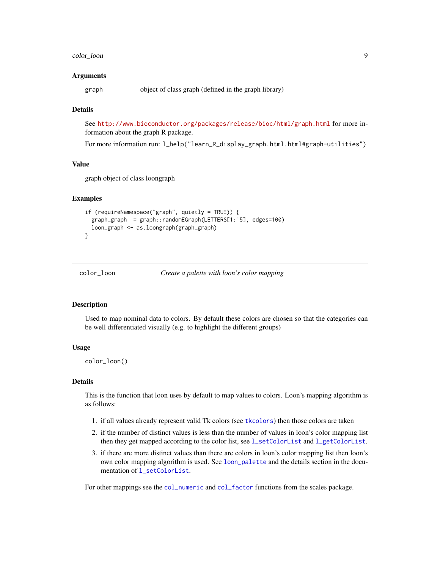### <span id="page-8-0"></span>color\_loon 9

### Arguments

graph object of class graph (defined in the graph library)

### Details

See <http://www.bioconductor.org/packages/release/bioc/html/graph.html> for more information about the graph R package.

For more information run: l\_help("learn\_R\_display\_graph.html.html#graph-utilities")

# Value

graph object of class loongraph

### Examples

```
if (requireNamespace("graph", quietly = TRUE)) {
 graph_graph = graph::randomEGraph(LETTERS[1:15], edges=100)
 loon_graph <- as.loongraph(graph_graph)
}
```
color\_loon *Create a palette with loon's color mapping*

# Description

Used to map nominal data to colors. By default these colors are chosen so that the categories can be well differentiated visually (e.g. to highlight the different groups)

### Usage

color\_loon()

### Details

This is the function that loon uses by default to map values to colors. Loon's mapping algorithm is as follows:

- 1. if all values already represent valid Tk colors (see [tkcolors](#page-269-1)) then those colors are taken
- 2. if the number of distinct values is less than the number of values in loon's color mapping list then they get mapped according to the color list, see [l\\_setColorList](#page-245-1) and [l\\_getColorList](#page-76-1).
- 3. if there are more distinct values than there are colors in loon's color mapping list then loon's own color mapping algorithm is used. See [loon\\_palette](#page-28-1) and the details section in the documentation of [l\\_setColorList](#page-245-1).

For other mappings see the [col\\_numeric](#page-0-0) and [col\\_factor](#page-0-0) functions from the scales package.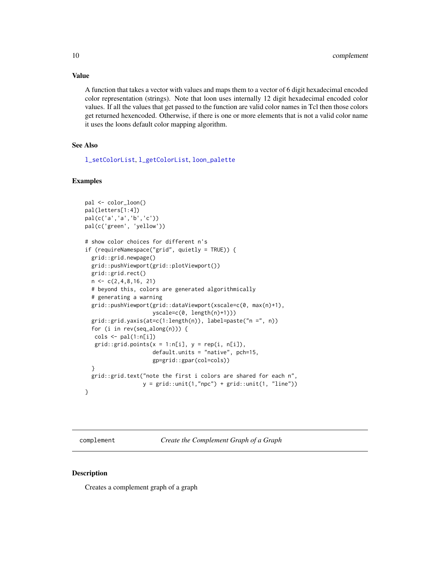A function that takes a vector with values and maps them to a vector of 6 digit hexadecimal encoded color representation (strings). Note that loon uses internally 12 digit hexadecimal encoded color values. If all the values that get passed to the function are valid color names in Tcl then those colors get returned hexencoded. Otherwise, if there is one or more elements that is not a valid color name it uses the loons default color mapping algorithm.

# See Also

[l\\_setColorList](#page-245-1), [l\\_getColorList](#page-76-1), [loon\\_palette](#page-28-1)

# Examples

```
pal <- color_loon()
pal(letters[1:4])
pal(c('a','a','b','c'))
pal(c('green', 'yellow'))
# show color choices for different n's
if (requireNamespace("grid", quietly = TRUE)) {
 grid::grid.newpage()
 grid::pushViewport(grid::plotViewport())
 grid::grid.rect()
 n \leq c(2, 4, 8, 16, 21)# beyond this, colors are generated algorithmically
 # generating a warning
 grid::pushViewport(grid::dataViewport(xscale=c(0, max(n)+1),
                     yscale=c(0, length(n)+1)))
 grid::grid.yaxis(at=c(1:length(n)), label=paste("n =", n))
 for (i in rev(seq_along(n))) {
  \text{cols} \leq \text{pal}(1:\text{n[i]})grid:grid.points(x = 1:n[i], y = rep(i, n[i]),default.units = "native", pch=15,
                     gp=grid::gpar(col=cols))
 }
 grid::grid.text("note the first i colors are shared for each n",
                  y = grid::unit(1,"npc") + grid::unit(1, "line"))}
```
<span id="page-9-1"></span>complement *Create the Complement Graph of a Graph*

### **Description**

Creates a complement graph of a graph

# <span id="page-9-0"></span>Value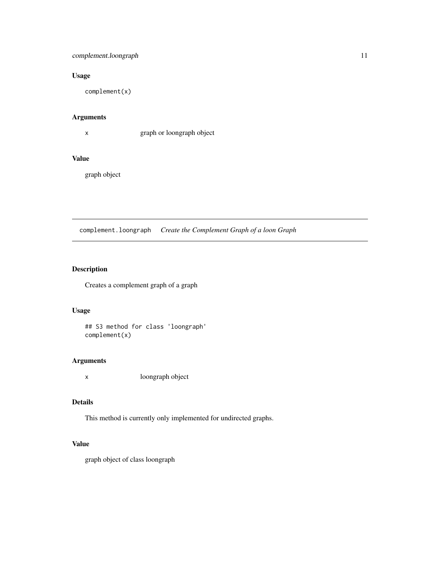# <span id="page-10-0"></span>complement.loongraph 11

# Usage

complement(x)

# Arguments

x graph or loongraph object

# Value

graph object

complement.loongraph *Create the Complement Graph of a loon Graph*

# Description

Creates a complement graph of a graph

# Usage

## S3 method for class 'loongraph' complement(x)

# Arguments

x loongraph object

# Details

This method is currently only implemented for undirected graphs.

# Value

graph object of class loongraph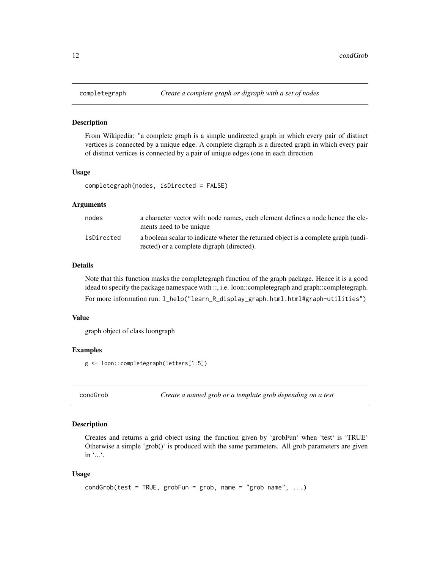<span id="page-11-1"></span><span id="page-11-0"></span>

From Wikipedia: "a complete graph is a simple undirected graph in which every pair of distinct vertices is connected by a unique edge. A complete digraph is a directed graph in which every pair of distinct vertices is connected by a pair of unique edges (one in each direction

### Usage

completegraph(nodes, isDirected = FALSE)

### Arguments

| nodes      | a character vector with node names, each element defines a node hence the ele-<br>ments need to be unique                       |
|------------|---------------------------------------------------------------------------------------------------------------------------------|
| isDirected | a boolean scalar to indicate wheter the returned object is a complete graph (undi-<br>rected) or a complete digraph (directed). |

# Details

Note that this function masks the completegraph function of the graph package. Hence it is a good idead to specify the package namespace with ::, i.e. loon::completegraph and graph::completegraph. For more information run: l\_help("learn\_R\_display\_graph.html.html#graph-utilities")

# Value

graph object of class loongraph

### Examples

g <- loon::completegraph(letters[1:5])

condGrob *Create a named grob or a template grob depending on a test*

# **Description**

Creates and returns a grid object using the function given by 'grobFun' when 'test' is 'TRUE' Otherwise a simple 'grob $()$ ' is produced with the same parameters. All grob parameters are given in '...'.

### Usage

```
condGrob(test = TRUE, grobFun = grob, name = "grob name", \ldots)
```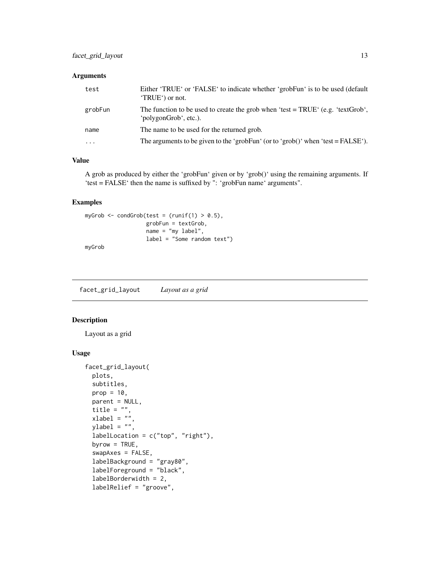# <span id="page-12-0"></span>facet\_grid\_layout 13

# Arguments

| test     | Either 'TRUE' or 'FALSE' to indicate whether 'grobFun' is to be used (default<br>'TRUE') or not.           |
|----------|------------------------------------------------------------------------------------------------------------|
| grobFun  | The function to be used to create the grob when 'test = $TRUE'$ (e.g. 'textGrob',<br>'polygonGrob', etc.). |
| name     | The name to be used for the returned grob.                                                                 |
| $\cdots$ | The arguments to be given to the 'grobFun' (or to 'grob()' when 'test = $FALSE$ ').                        |

# Value

A grob as produced by either the 'grobFun' given or by 'grob()' using the remaining arguments. If 'test = FALSE' then the name is suffixed by ": 'grobFun name' arguments".

# Examples

```
myGrob \le condGrob(test = (runif(1) > 0.5),
                   grobFun = textGrob,
                   name = "my label",
                   label = "Some random text")
```
myGrob

facet\_grid\_layout *Layout as a grid*

# Description

Layout as a grid

# Usage

```
facet_grid_layout(
 plots,
 subtitles,
 prop = 10,
 parent = NULL,
  title = ",
  xlabel = <math>""</math>,ylabel = "",
  labelLocation = c("top", "right"),
  byrow = TRUE,
  swapAxes = FALSE,
  labelBackground = "gray80",
  labelForeground = "black",
  labelBorderwidth = 2,
  labelRelief = "groove",
```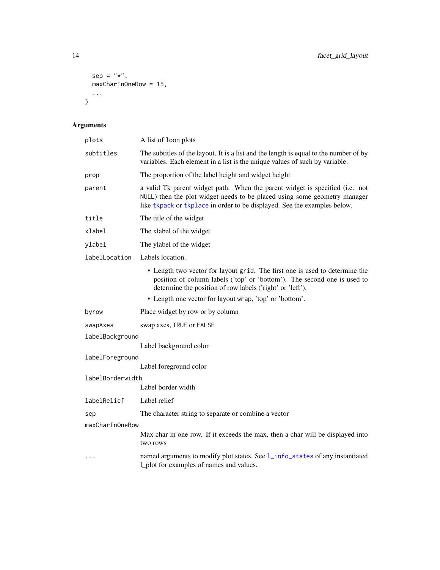```
sep = "*",maxCharInOneRow = 15,
  ...
\mathcal{L}
```
# Arguments

| plots            | A list of loon plots                                                                                                                                                                                                                  |  |
|------------------|---------------------------------------------------------------------------------------------------------------------------------------------------------------------------------------------------------------------------------------|--|
| subtitles        | The subtitles of the layout. It is a list and the length is equal to the number of by<br>variables. Each element in a list is the unique values of such by variable.                                                                  |  |
| prop             | The proportion of the label height and widget height                                                                                                                                                                                  |  |
| parent           | a valid Tk parent widget path. When the parent widget is specified (i.e. not<br>NULL) then the plot widget needs to be placed using some geometry manager<br>like tkpack or tkplace in order to be displayed. See the examples below. |  |
| title            | The title of the widget                                                                                                                                                                                                               |  |
| xlabel           | The xlabel of the widget                                                                                                                                                                                                              |  |
| ylabel           | The ylabel of the widget                                                                                                                                                                                                              |  |
| labelLocation    | Labels location.                                                                                                                                                                                                                      |  |
|                  | • Length two vector for layout grid. The first one is used to determine the<br>position of column labels ('top' or 'bottom'). The second one is used to<br>determine the position of row labels ('right' or 'left').                  |  |
|                  | • Length one vector for layout wrap, 'top' or 'bottom'.                                                                                                                                                                               |  |
| byrow            | Place widget by row or by column                                                                                                                                                                                                      |  |
| swapAxes         | swap axes, TRUE or FALSE                                                                                                                                                                                                              |  |
| labelBackground  |                                                                                                                                                                                                                                       |  |
|                  | Label background color                                                                                                                                                                                                                |  |
| labelForeground  |                                                                                                                                                                                                                                       |  |
|                  | Label foreground color                                                                                                                                                                                                                |  |
| labelBorderwidth | Label border width                                                                                                                                                                                                                    |  |
|                  |                                                                                                                                                                                                                                       |  |
| labelRelief      | Label relief                                                                                                                                                                                                                          |  |
| sep              | The character string to separate or combine a vector                                                                                                                                                                                  |  |
| maxCharInOneRow  | Max char in one row. If it exceeds the max, then a char will be displayed into<br>two rows                                                                                                                                            |  |
| $\ddotsc$        | named arguments to modify plot states. See l_info_states of any instantiated<br>1_plot for examples of names and values.                                                                                                              |  |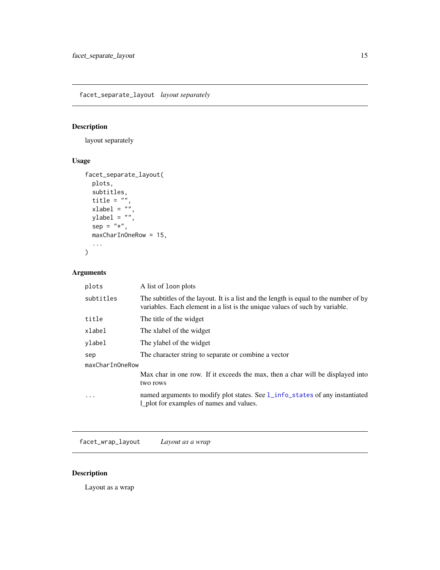<span id="page-14-0"></span>facet\_separate\_layout *layout separately*

# Description

layout separately

# Usage

```
facet_separate_layout(
  plots,
  subtitles,
  title = ",
  xlabel = <math>""</math>,ylabel = "",
  sep = "*",maxCharInOneRow = 15,
  ...
\mathcal{L}
```
# Arguments

| plots           | A list of loon plots                                                                                                                                                 |  |
|-----------------|----------------------------------------------------------------------------------------------------------------------------------------------------------------------|--|
| subtitles       | The subtities of the layout. It is a list and the length is equal to the number of by<br>variables. Each element in a list is the unique values of such by variable. |  |
| title           | The title of the widget                                                                                                                                              |  |
| xlabel          | The xlabel of the widget                                                                                                                                             |  |
| vlabel          | The ylabel of the widget                                                                                                                                             |  |
| sep             | The character string to separate or combine a vector                                                                                                                 |  |
| maxCharInOneRow |                                                                                                                                                                      |  |
|                 | Max char in one row. If it exceeds the max, then a char will be displayed into<br>two rows                                                                           |  |
| $\cdots$        | named arguments to modify plot states. See 1_info_states of any instantiated<br>1_plot for examples of names and values.                                             |  |

facet\_wrap\_layout *Layout as a wrap*

# Description

Layout as a wrap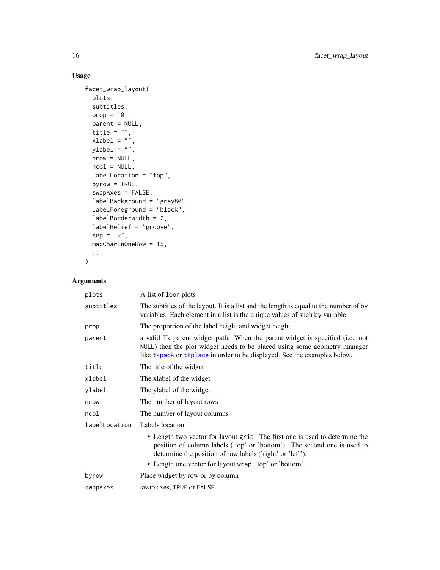# Usage

```
facet_wrap_layout(
  plots,
  subtitles,
  prop = 10,
  parent = NULL,
  title = ",
  xlabel = <math>""</math>xlabel = "",<br>ylabel = "",
  nrow = NULL,ncol = NULL,
  labelLocation = "top",
  byrow = TRUE,
  swapAxes = FALSE,labelBackground = "gray80",
  labelForeground = "black",
  labelBorderwidth = 2,
  labelRelief = "groove",
  sep = "*",maxCharInOneRow = 15,
  ...
\mathcal{L}
```
# Arguments

| plots         | A list of loon plots                                                                                                                                                                                                                          |
|---------------|-----------------------------------------------------------------------------------------------------------------------------------------------------------------------------------------------------------------------------------------------|
| subtitles     | The subtitles of the layout. It is a list and the length is equal to the number of by<br>variables. Each element in a list is the unique values of such by variable.                                                                          |
| prop          | The proportion of the label height and widget height                                                                                                                                                                                          |
| parent        | a valid Tk parent widget path. When the parent widget is specified ( <i>i.e.</i> not<br>NULL) then the plot widget needs to be placed using some geometry manager<br>like tkpack or tkplace in order to be displayed. See the examples below. |
| title         | The title of the widget                                                                                                                                                                                                                       |
| xlabel        | The xlabel of the widget                                                                                                                                                                                                                      |
| ylabel        | The ylabel of the widget                                                                                                                                                                                                                      |
| nrow          | The number of layout rows                                                                                                                                                                                                                     |
| ncol          | The number of layout columns                                                                                                                                                                                                                  |
| labelLocation | Labels location.                                                                                                                                                                                                                              |
|               | • Length two vector for layout grid. The first one is used to determine the<br>position of column labels ('top' or 'bottom'). The second one is used to<br>determine the position of row labels ('right' or 'left').                          |
|               | • Length one vector for layout wrap, 'top' or 'bottom'.                                                                                                                                                                                       |
| byrow         | Place widget by row or by column                                                                                                                                                                                                              |
| swapAxes      | swap axes, TRUE or FALSE                                                                                                                                                                                                                      |
|               |                                                                                                                                                                                                                                               |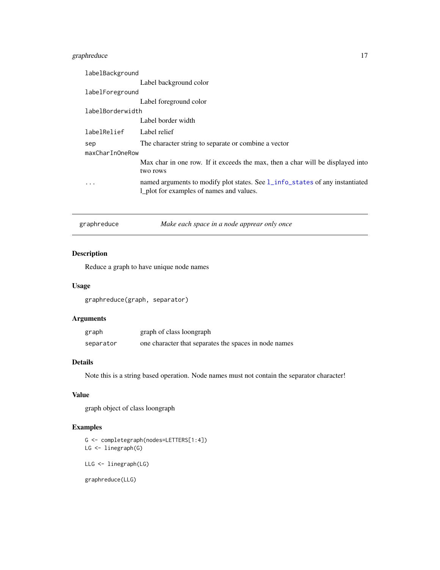# <span id="page-16-0"></span>graphreduce 17

| labelBackground  |                                                                                                                          |  |
|------------------|--------------------------------------------------------------------------------------------------------------------------|--|
|                  | Label background color                                                                                                   |  |
| labelForeground  |                                                                                                                          |  |
|                  | Label foreground color                                                                                                   |  |
| labelBorderwidth |                                                                                                                          |  |
|                  | Label border width                                                                                                       |  |
| labelRelief      | Label relief                                                                                                             |  |
| sep              | The character string to separate or combine a vector                                                                     |  |
| maxCharInOneRow  |                                                                                                                          |  |
|                  | Max char in one row. If it exceeds the max, then a char will be displayed into<br>two rows                               |  |
| .                | named arguments to modify plot states. See 1_info_states of any instantiated<br>1_plot for examples of names and values. |  |
|                  |                                                                                                                          |  |

graphreduce *Make each space in a node apprear only once*

# Description

Reduce a graph to have unique node names

# Usage

graphreduce(graph, separator)

# Arguments

| graph     | graph of class loongraph                              |
|-----------|-------------------------------------------------------|
| separator | one character that separates the spaces in node names |

# Details

Note this is a string based operation. Node names must not contain the separator character!

# Value

graph object of class loongraph

# Examples

```
G <- completegraph(nodes=LETTERS[1:4])
LG <- linegraph(G)
```
LLG <- linegraph(LG)

graphreduce(LLG)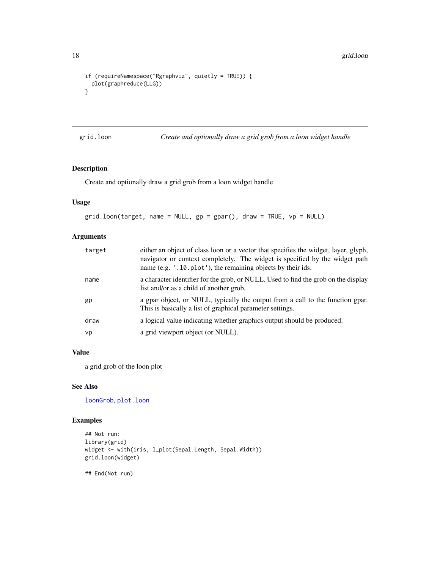```
if (requireNamespace("Rgraphviz", quietly = TRUE)) {
  plot(graphreduce(LLG))
}
```
<span id="page-17-1"></span>grid.loon *Create and optionally draw a grid grob from a loon widget handle*

# Description

Create and optionally draw a grid grob from a loon widget handle

# Usage

```
grid.loon(target, name = NULL, gp = gpar(), draw = TRUE, vp = NULL)
```
# Arguments

| target    | either an object of class loon or a vector that specifies the widget, layer, glyph,<br>navigator or context completely. The widget is specified by the widget path<br>name (e.g. '.10.plot'), the remaining objects by their ids. |
|-----------|-----------------------------------------------------------------------------------------------------------------------------------------------------------------------------------------------------------------------------------|
| name      | a character identifier for the grob, or NULL. Used to find the grob on the display<br>list and/or as a child of another grob.                                                                                                     |
| gp        | a gpar object, or NULL, typically the output from a call to the function gpar.<br>This is basically a list of graphical parameter settings.                                                                                       |
| draw      | a logical value indicating whether graphics output should be produced.                                                                                                                                                            |
| <b>VD</b> | a grid viewport object (or NULL).                                                                                                                                                                                                 |

# Value

a grid grob of the loon plot

# See Also

[loonGrob](#page-23-1), [plot.loon](#page-265-1)

# Examples

```
## Not run:
library(grid)
widget <- with(iris, l_plot(Sepal.Length, Sepal.Width))
grid.loon(widget)
```
## End(Not run)

<span id="page-17-0"></span>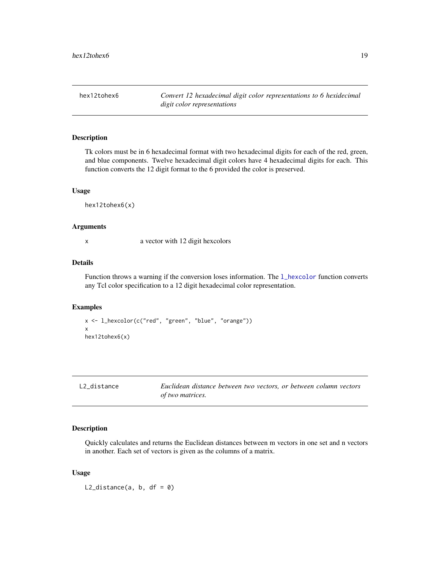<span id="page-18-0"></span>hex12tohex6 *Convert 12 hexadecimal digit color representations to 6 hexidecimal digit color representations*

# Description

Tk colors must be in 6 hexadecimal format with two hexadecimal digits for each of the red, green, and blue components. Twelve hexadecimal digit colors have 4 hexadecimal digits for each. This function converts the 12 digit format to the 6 provided the color is preserved.

# Usage

hex12tohex6(x)

# Arguments

x a vector with 12 digit hexcolors

### Details

Function throws a warning if the conversion loses information. The 1\_hexcolor function converts any Tcl color specification to a 12 digit hexadecimal color representation.

### Examples

```
x <- l_hexcolor(c("red", "green", "blue", "orange"))
x
hex12tohex6(x)
```

|  | L2_distance |  |
|--|-------------|--|
|--|-------------|--|

L2\_distance *Euclidean distance between two vectors, or between column vectors of two matrices.*

# Description

Quickly calculates and returns the Euclidean distances between m vectors in one set and n vectors in another. Each set of vectors is given as the columns of a matrix.

### Usage

L2\_distance(a, b,  $df = 0$ )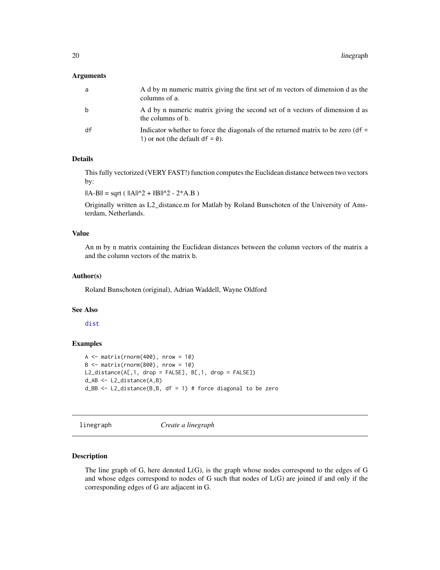# <span id="page-19-0"></span>Arguments

| a  | A d by m numeric matrix giving the first set of m vectors of dimension d as the<br>columns of a.                          |
|----|---------------------------------------------------------------------------------------------------------------------------|
| b  | A d by n numeric matrix giving the second set of n vectors of dimension d as<br>the columns of b.                         |
| df | Indicator whether to force the diagonals of the returned matrix to be zero ( $df =$<br>1) or not (the default $df = 0$ ). |

# Details

This fully vectorized (VERY FAST!) function computes the Euclidean distance between two vectors by:

 $||A-B|| = sqrt (||A||^2 + ||B||^2 - 2*A.B)$ 

Originally written as L2\_distance.m for Matlab by Roland Bunschoten of the University of Amsterdam, Netherlands.

# Value

An m by n matrix containing the Euclidean distances between the column vectors of the matrix a and the column vectors of the matrix b.

### Author(s)

Roland Bunschoten (original), Adrian Waddell, Wayne Oldford

### See Also

[dist](#page-0-0)

# Examples

```
A \leq - matrix(rnorm(400), nrow = 10)
B \le - matrix(rnorm(800), nrow = 10)
L2_distance(A[,1, drop = FALSE], B[,1, drop = FALSE])
d_AB <- L2_distance(A,B)
d_BB \le - L2_distance(B,B, df = 1) # force diagonal to be zero
```
<span id="page-19-1"></span>linegraph *Create a linegraph*

### Description

The line graph of G, here denoted L(G), is the graph whose nodes correspond to the edges of G and whose edges correspond to nodes of G such that nodes of L(G) are joined if and only if the corresponding edges of G are adjacent in G.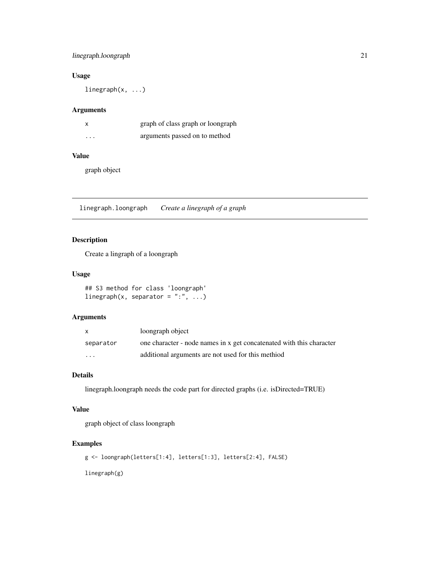# <span id="page-20-0"></span>linegraph.loongraph 21

# Usage

linegraph(x, ...)

### Arguments

|          | graph of class graph or loongraph |
|----------|-----------------------------------|
| $\cdots$ | arguments passed on to method     |

# Value

graph object

linegraph.loongraph *Create a linegraph of a graph*

# Description

Create a lingraph of a loongraph

# Usage

```
## S3 method for class 'loongraph'
linegraph(x, separator = ":", ...)
```
# Arguments

|                         | loongraph object                                                     |
|-------------------------|----------------------------------------------------------------------|
| separator               | one character - node names in x get concatenated with this character |
| $\cdot$ $\cdot$ $\cdot$ | additional arguments are not used for this method                    |

# Details

linegraph.loongraph needs the code part for directed graphs (i.e. isDirected=TRUE)

# Value

graph object of class loongraph

# Examples

```
g <- loongraph(letters[1:4], letters[1:3], letters[2:4], FALSE)
```
linegraph(g)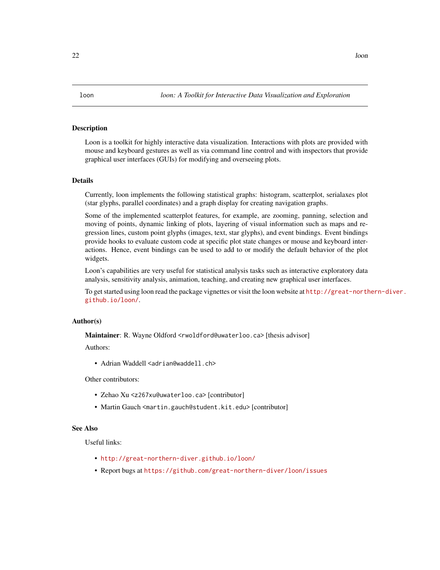<span id="page-21-0"></span>Loon is a toolkit for highly interactive data visualization. Interactions with plots are provided with mouse and keyboard gestures as well as via command line control and with inspectors that provide graphical user interfaces (GUIs) for modifying and overseeing plots.

### Details

Currently, loon implements the following statistical graphs: histogram, scatterplot, serialaxes plot (star glyphs, parallel coordinates) and a graph display for creating navigation graphs.

Some of the implemented scatterplot features, for example, are zooming, panning, selection and moving of points, dynamic linking of plots, layering of visual information such as maps and regression lines, custom point glyphs (images, text, star glyphs), and event bindings. Event bindings provide hooks to evaluate custom code at specific plot state changes or mouse and keyboard interactions. Hence, event bindings can be used to add to or modify the default behavior of the plot widgets.

Loon's capabilities are very useful for statistical analysis tasks such as interactive exploratory data analysis, sensitivity analysis, animation, teaching, and creating new graphical user interfaces.

To get started using loon read the package vignettes or visit the loon website at [http://great-north](http://great-northern-diver.github.io/loon/)ern-diver. [github.io/loon/](http://great-northern-diver.github.io/loon/).

### Author(s)

Maintainer: R. Wayne Oldford <rwoldford@uwaterloo.ca> [thesis advisor]

Authors:

• Adrian Waddell <adrian@waddell.ch>

Other contributors:

- Zehao Xu <z267xu@uwaterloo.ca> [contributor]
- Martin Gauch <martin.gauch@student.kit.edu> [contributor]

### See Also

Useful links:

- <http://great-northern-diver.github.io/loon/>
- Report bugs at <https://github.com/great-northern-diver/loon/issues>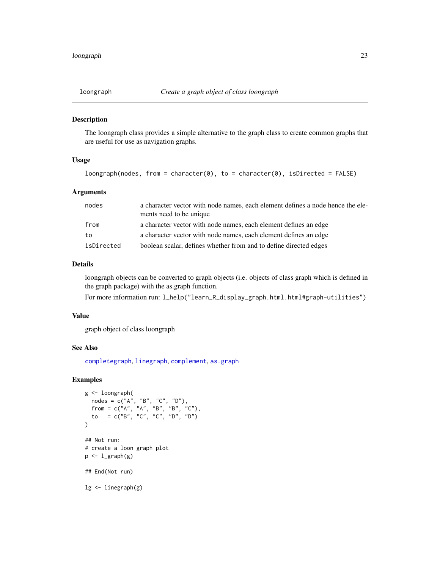<span id="page-22-0"></span>

The loongraph class provides a simple alternative to the graph class to create common graphs that are useful for use as navigation graphs.

# Usage

```
loongraph(node, from = character(0), to = character(0), isDirected = FALSE)
```
### Arguments

| nodes      | a character vector with node names, each element defines a node hence the ele-<br>ments need to be unique. |
|------------|------------------------------------------------------------------------------------------------------------|
| from       | a character vector with node names, each element defines an edge                                           |
| to         | a character vector with node names, each element defines an edge                                           |
| isDirected | boolean scalar, defines whether from and to define directed edges                                          |

### Details

loongraph objects can be converted to graph objects (i.e. objects of class graph which is defined in the graph package) with the as.graph function.

For more information run: l\_help("learn\_R\_display\_graph.html.html#graph-utilities")

### Value

graph object of class loongraph

# See Also

[completegraph](#page-11-1), [linegraph](#page-19-1), [complement](#page-9-1), [as.graph](#page-7-1)

# Examples

```
g <- loongraph(
  nodes = c("A", "B", "C", "D"),
  from = c("A", "A", "B", "B", "C"),
  to = c("B", "C", "C", "D", "D")\overline{\phantom{a}}## Not run:
# create a loon graph plot
p \leftarrow 1_graph(g)
## End(Not run)
lg <- linegraph(g)
```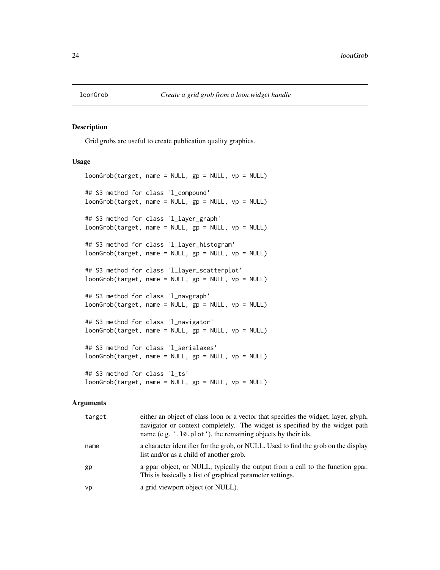<span id="page-23-1"></span><span id="page-23-0"></span>

Grid grobs are useful to create publication quality graphics.

# Usage

```
loonGrob(target, name = NULL, gp = NULL, vp = NULL)
## S3 method for class 'l_compound'
loonGrob(target, name = NULL, gp = NULL, vp = NULL)
## S3 method for class 'l_layer_graph'
loonGrob(target, name = NULL, gp = NULL, vp = NULL)
## S3 method for class 'l_layer_histogram'
loonGrob(target, name = NULL, gp = NULL, vp = NULL)
## S3 method for class 'l_layer_scatterplot'
loonGrob(target, name = NULL, gp = NULL, vp = NULL)
## S3 method for class 'l_navgraph'
loonGrob(target, name = NULL, gp = NULL, vp = NULL)
## S3 method for class 'l_navigator'
loonGrob(target, name = NULL, gp = NULL, vp = NULL)
## S3 method for class 'l_serialaxes'
loonGrob(target, name = NULL, gp = NULL, vp = NULL)
## S3 method for class 'l_ts'
loonGrob(target, name = NULL, gp = NULL, vp = NULL)
```
# Arguments

| target | either an object of class loon or a vector that specifies the widget, layer, glyph,<br>navigator or context completely. The widget is specified by the widget path<br>name (e.g. '.10.plot'), the remaining objects by their ids. |
|--------|-----------------------------------------------------------------------------------------------------------------------------------------------------------------------------------------------------------------------------------|
| name   | a character identifier for the grob, or NULL. Used to find the grob on the display<br>list and/or as a child of another grob.                                                                                                     |
| gp     | a gpar object, or NULL, typically the output from a call to the function gpar.<br>This is basically a list of graphical parameter settings.                                                                                       |
| vp     | a grid viewport object (or NULL).                                                                                                                                                                                                 |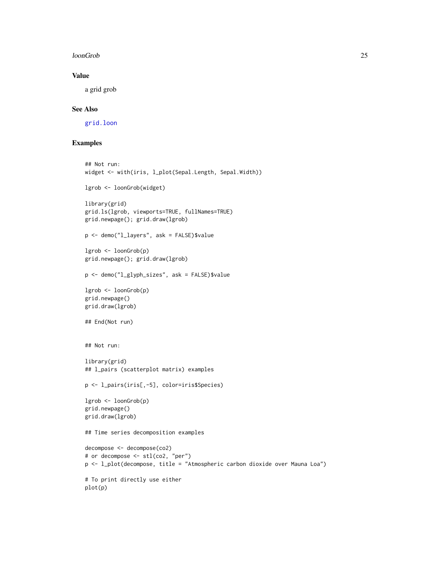### loonGrob 25

# Value

a grid grob

# See Also

[grid.loon](#page-17-1)

# Examples

```
## Not run:
widget <- with(iris, l_plot(Sepal.Length, Sepal.Width))
lgrob <- loonGrob(widget)
library(grid)
grid.ls(lgrob, viewports=TRUE, fullNames=TRUE)
grid.newpage(); grid.draw(lgrob)
p <- demo("l_layers", ask = FALSE)$value
lgrob <- loonGrob(p)
grid.newpage(); grid.draw(lgrob)
p <- demo("l_glyph_sizes", ask = FALSE)$value
lgrob <- loonGrob(p)
grid.newpage()
grid.draw(lgrob)
## End(Not run)
## Not run:
library(grid)
## l_pairs (scatterplot matrix) examples
p <- l_pairs(iris[,-5], color=iris$Species)
lgrob <- loonGrob(p)
grid.newpage()
grid.draw(lgrob)
## Time series decomposition examples
decompose <- decompose(co2)
# or decompose <- stl(co2, "per")
p <- l_plot(decompose, title = "Atmospheric carbon dioxide over Mauna Loa")
# To print directly use either
plot(p)
```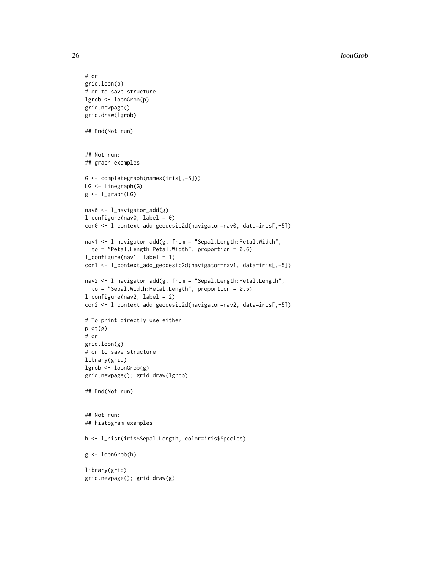```
# or
grid.loon(p)
# or to save structure
lgrob <- loonGrob(p)
grid.newpage()
grid.draw(lgrob)
## End(Not run)
## Not run:
## graph examples
G <- completegraph(names(iris[,-5]))
LG <- linegraph(G)
g \leftarrow 1_graph(LG)
nav0 <- l_navigator_add(g)
l_configure(nav0, label = 0)
con0 <- l_context_add_geodesic2d(navigator=nav0, data=iris[,-5])
nav1 <- l_navigator_add(g, from = "Sepal.Length:Petal.Width",
 to = "Petal.Length:Petal.Width", proportion = 0.6)
l_configure(nav1, label = 1)
con1 <- l_context_add_geodesic2d(navigator=nav1, data=iris[,-5])
nav2 <- l_navigator_add(g, from = "Sepal.Length:Petal.Length",
 to = "Sepal.Width:Petal.Length", proportion = 0.5)
l_configure(nav2, label = 2)
con2 <- l_context_add_geodesic2d(navigator=nav2, data=iris[,-5])
# To print directly use either
plot(g)
# or
grid.loon(g)
# or to save structure
library(grid)
lgrob <- loonGrob(g)
grid.newpage(); grid.draw(lgrob)
## End(Not run)
## Not run:
## histogram examples
h <- l_hist(iris$Sepal.Length, color=iris$Species)
g <- loonGrob(h)
library(grid)
grid.newpage(); grid.draw(g)
```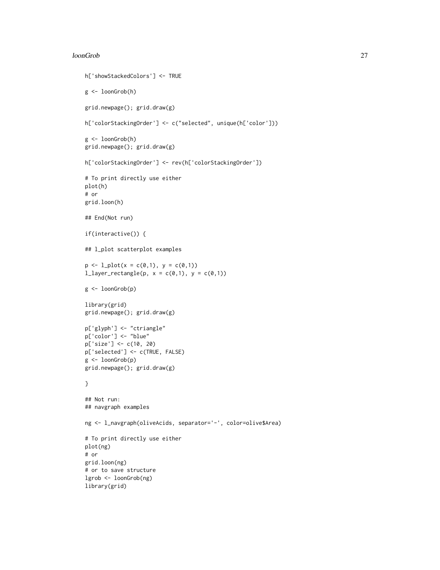### loonGrob 27

```
h['showStackedColors'] <- TRUE
g <- loonGrob(h)
grid.newpage(); grid.draw(g)
h['colorStackingOrder'] <- c("selected", unique(h['color']))
g <- loonGrob(h)
grid.newpage(); grid.draw(g)
h['colorStackingOrder'] <- rev(h['colorStackingOrder'])
# To print directly use either
plot(h)
# or
grid.loon(h)
## End(Not run)
if(interactive()) {
## l_plot scatterplot examples
p \leftarrow 1\_plot(x = c(0,1), y = c(0,1))l_layer_rectangle(p, x = c(0,1), y = c(0,1))
g <- loonGrob(p)
library(grid)
grid.newpage(); grid.draw(g)
p['glyph'] <- "ctriangle"
p['color'] <- "blue"
p['size'] <- c(10, 20)
p['selected'] <- c(TRUE, FALSE)
g <- loonGrob(p)
grid.newpage(); grid.draw(g)
}
## Not run:
## navgraph examples
ng <- l_navgraph(oliveAcids, separator='-', color=olive$Area)
# To print directly use either
plot(ng)
# or
grid.loon(ng)
# or to save structure
lgrob <- loonGrob(ng)
library(grid)
```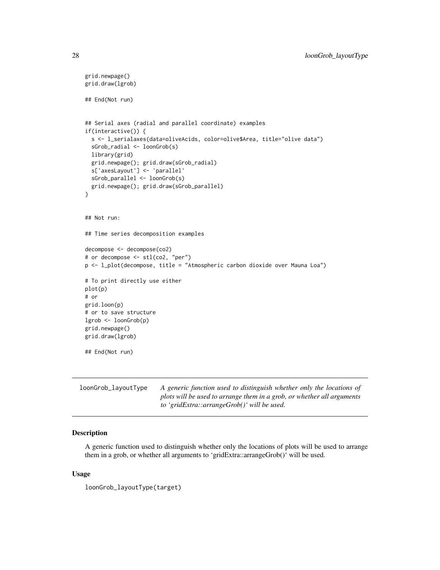```
grid.newpage()
grid.draw(lgrob)
## End(Not run)
## Serial axes (radial and parallel coordinate) examples
if(interactive()) {
  s <- l_serialaxes(data=oliveAcids, color=olive$Area, title="olive data")
  sGrob_radial <- loonGrob(s)
  library(grid)
  grid.newpage(); grid.draw(sGrob_radial)
  s['axesLayout'] <- 'parallel'
  sGrob_parallel <- loonGrob(s)
  grid.newpage(); grid.draw(sGrob_parallel)
}
## Not run:
## Time series decomposition examples
decompose <- decompose(co2)
# or decompose <- stl(co2, "per")
p <- l_plot(decompose, title = "Atmospheric carbon dioxide over Mauna Loa")
# To print directly use either
plot(p)
# or
grid.loon(p)
# or to save structure
lgrob <- loonGrob(p)
grid.newpage()
grid.draw(lgrob)
## End(Not run)
```

| LoonGrob_layoutType | A generic function used to distinguish whether only the locations of   |
|---------------------|------------------------------------------------------------------------|
|                     | plots will be used to arrange them in a grob, or whether all arguments |
|                     | to 'gridExtra::arrangeGrob()' will be used.                            |

A generic function used to distinguish whether only the locations of plots will be used to arrange them in a grob, or whether all arguments to 'gridExtra::arrangeGrob()' will be used.

# Usage

loonGrob\_layoutType(target)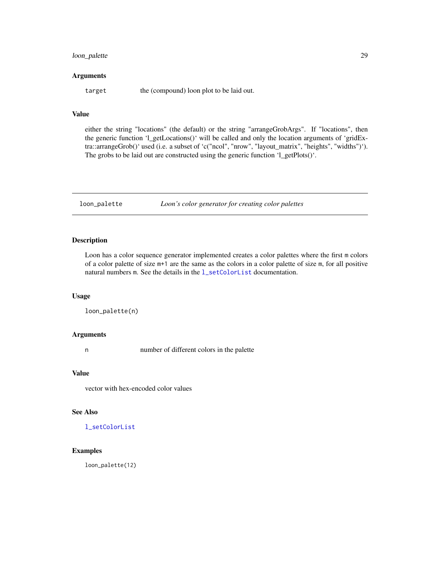# <span id="page-28-0"></span>loon\_palette 29

### Arguments

target the (compound) loon plot to be laid out.

# Value

either the string "locations" (the default) or the string "arrangeGrobArgs". If "locations", then the generic function 'l\_getLocations()' will be called and only the location arguments of 'gridExtra::arrangeGrob()' used (i.e. a subset of 'c("ncol", "nrow", "layout\_matrix", "heights", "widths")'). The grobs to be laid out are constructed using the generic function 'l\_getPlots()'.

<span id="page-28-1"></span>loon\_palette *Loon's color generator for creating color palettes*

### Description

Loon has a color sequence generator implemented creates a color palettes where the first m colors of a color palette of size m+1 are the same as the colors in a color palette of size m, for all positive natural numbers m. See the details in the [l\\_setColorList](#page-245-1) documentation.

### Usage

loon\_palette(n)

### Arguments

n number of different colors in the palette

# Value

vector with hex-encoded color values

# See Also

[l\\_setColorList](#page-245-1)

# Examples

loon\_palette(12)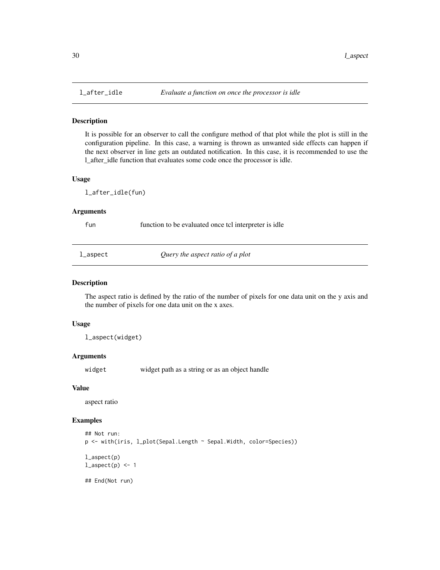<span id="page-29-0"></span>

It is possible for an observer to call the configure method of that plot while the plot is still in the configuration pipeline. In this case, a warning is thrown as unwanted side effects can happen if the next observer in line gets an outdated notification. In this case, it is recommended to use the l\_after\_idle function that evaluates some code once the processor is idle.

### Usage

l\_after\_idle(fun)

# Arguments

fun function to be evaluated once tcl interpreter is idle

l\_aspect *Query the aspect ratio of a plot*

### Description

The aspect ratio is defined by the ratio of the number of pixels for one data unit on the y axis and the number of pixels for one data unit on the x axes.

### Usage

l\_aspect(widget)

# Arguments

widget widget path as a string or as an object handle

### Value

aspect ratio

# Examples

```
## Not run:
p <- with(iris, l_plot(Sepal.Length ~ Sepal.Width, color=Species))
l_aspect(p)
l_aspect(p) <- 1
## End(Not run)
```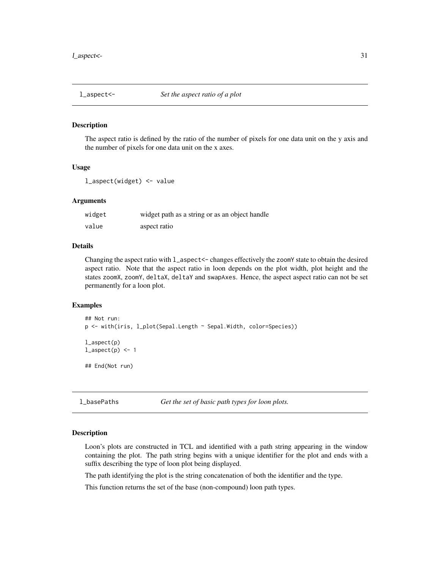<span id="page-30-0"></span>

The aspect ratio is defined by the ratio of the number of pixels for one data unit on the y axis and the number of pixels for one data unit on the x axes.

### Usage

l\_aspect(widget) <- value

### Arguments

| widget | widget path as a string or as an object handle |
|--------|------------------------------------------------|
| value  | aspect ratio                                   |

# Details

Changing the aspect ratio with l\_aspect<- changes effectively the zoomY state to obtain the desired aspect ratio. Note that the aspect ratio in loon depends on the plot width, plot height and the states zoomX, zoomY, deltaX, deltaY and swapAxes. Hence, the aspect aspect ratio can not be set permanently for a loon plot.

### Examples

```
## Not run:
p <- with(iris, l_plot(Sepal.Length ~ Sepal.Width, color=Species))
l_aspect(p)
l_aspect(p) <- 1
## End(Not run)
```
l\_basePaths *Get the set of basic path types for loon plots.*

### **Description**

Loon's plots are constructed in TCL and identified with a path string appearing in the window containing the plot. The path string begins with a unique identifier for the plot and ends with a suffix describing the type of loon plot being displayed.

The path identifying the plot is the string concatenation of both the identifier and the type.

This function returns the set of the base (non-compound) loon path types.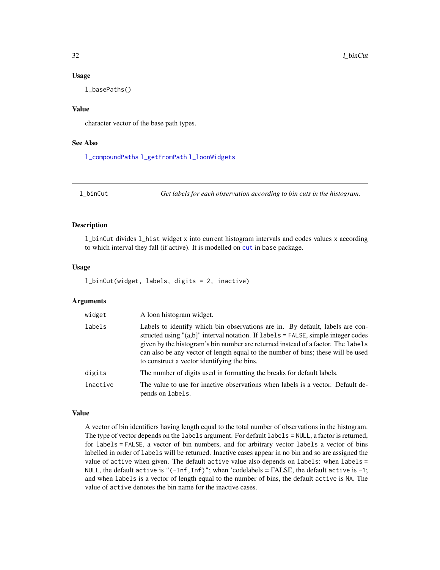### Usage

l\_basePaths()

# Value

character vector of the base path types.

# See Also

[l\\_compoundPaths](#page-59-1) [l\\_getFromPath](#page-77-1) [l\\_loonWidgets](#page-178-1)

l\_binCut *Get labels for each observation according to bin cuts in the histogram.*

# **Description**

l\_binCut divides l\_hist widget x into current histogram intervals and codes values x according to which interval they fall (if active). It is modelled on [cut](#page-0-0) in base package.

### Usage

l\_binCut(widget, labels, digits = 2, inactive)

# Arguments

| widget   | A loon histogram widget.                                                                                                                                                                                                                                                                                                                                                                      |
|----------|-----------------------------------------------------------------------------------------------------------------------------------------------------------------------------------------------------------------------------------------------------------------------------------------------------------------------------------------------------------------------------------------------|
| labels   | Labels to identify which bin observations are in. By default, labels are con-<br>structed using " $(a,b)$ " interval notation. If labels = FALSE, simple integer codes<br>given by the histogram's bin number are returned instead of a factor. The labels<br>can also be any vector of length equal to the number of bins; these will be used<br>to construct a vector identifying the bins. |
| digits   | The number of digits used in formatting the breaks for default labels.                                                                                                                                                                                                                                                                                                                        |
| inactive | The value to use for inactive observations when labels is a vector. Default de-<br>pends on labels.                                                                                                                                                                                                                                                                                           |

### Value

A vector of bin identifiers having length equal to the total number of observations in the histogram. The type of vector depends on the labels argument. For default labels = NULL, a factor is returned, for labels = FALSE, a vector of bin numbers, and for arbitrary vector labels a vector of bins labelled in order of labels will be returned. Inactive cases appear in no bin and so are assigned the value of active when given. The default active value also depends on labels: when labels = NULL, the default active is "(-Inf,Inf)"; when 'codelabels = FALSE, the default active is -1; and when labels is a vector of length equal to the number of bins, the default active is NA. The value of active denotes the bin name for the inactive cases.

<span id="page-31-0"></span>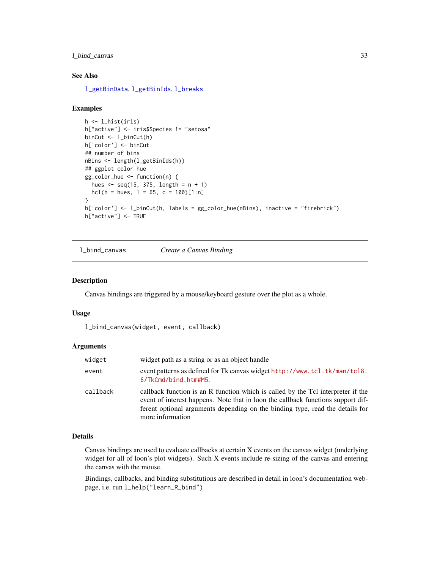# <span id="page-32-0"></span>l\_bind\_canvas 33

# See Also

[l\\_getBinData](#page-75-1), [l\\_getBinIds](#page-76-2), [l\\_breaks](#page-57-1)

### Examples

```
h \leftarrow l\_hist(iris)h["active"] <- iris$Species != "setosa"
binCut <- l_binCut(h)
h['color'] <- binCut
## number of bins
nBins <- length(l_getBinIds(h))
## ggplot color hue
gg_color_hue <- function(n) {
 hues \leq - seq(15, 375, length = n + 1)
 hcl(h = hues, 1 = 65, c = 100)[1:n]
}
h['color'] <- l_binCut(h, labels = gg_color_hue(nBins), inactive = "firebrick")
h["active"] <- TRUE
```
<span id="page-32-1"></span>l\_bind\_canvas *Create a Canvas Binding*

# Description

Canvas bindings are triggered by a mouse/keyboard gesture over the plot as a whole.

### Usage

```
l_bind_canvas(widget, event, callback)
```
# Arguments

| widget   | widget path as a string or as an object handle                                                                                                                                                                                                                            |
|----------|---------------------------------------------------------------------------------------------------------------------------------------------------------------------------------------------------------------------------------------------------------------------------|
| event    | event patterns as defined for Tk canvas widget http://www.tcl.tk/man/tcl8.<br>6/TkCmd/bind.htm#M5.                                                                                                                                                                        |
| callback | callback function is an R function which is called by the Tcl interpreter if the<br>event of interest happens. Note that in loon the callback functions support dif-<br>ferent optional arguments depending on the binding type, read the details for<br>more information |

### Details

Canvas bindings are used to evaluate callbacks at certain X events on the canvas widget (underlying widget for all of loon's plot widgets). Such X events include re-sizing of the canvas and entering the canvas with the mouse.

Bindings, callbacks, and binding substitutions are described in detail in loon's documentation webpage, i.e. run l\_help("learn\_R\_bind")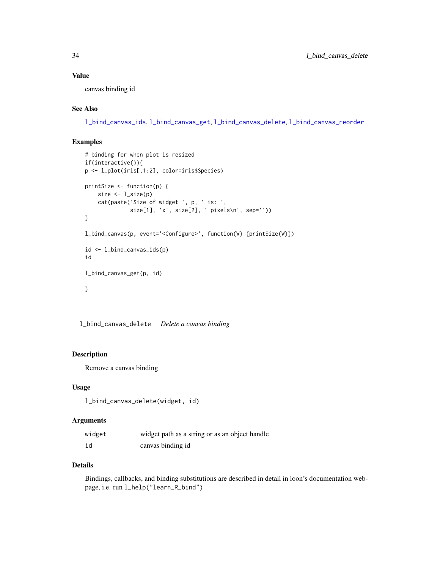# <span id="page-33-0"></span>Value

canvas binding id

# See Also

[l\\_bind\\_canvas\\_ids](#page-35-1), [l\\_bind\\_canvas\\_get](#page-34-1), [l\\_bind\\_canvas\\_delete](#page-33-1), [l\\_bind\\_canvas\\_reorder](#page-36-1)

# Examples

```
# binding for when plot is resized
if(interactive()){
p <- l_plot(iris[,1:2], color=iris$Species)
printSize <- function(p) {
    size <- l_size(p)
    cat(paste('Size of widget ', p, ' is: ',
              size[1], 'x', size[2], ' pixels\n', sep=''))
}
l_bind_canvas(p, event='<Configure>', function(W) {printSize(W)})
id <- l_bind_canvas_ids(p)
id
l_bind_canvas_get(p, id)
}
```
<span id="page-33-1"></span>l\_bind\_canvas\_delete *Delete a canvas binding*

# Description

Remove a canvas binding

# Usage

l\_bind\_canvas\_delete(widget, id)

# Arguments

| widget | widget path as a string or as an object handle |
|--------|------------------------------------------------|
| id     | canvas binding id                              |

# Details

Bindings, callbacks, and binding substitutions are described in detail in loon's documentation webpage, i.e. run l\_help("learn\_R\_bind")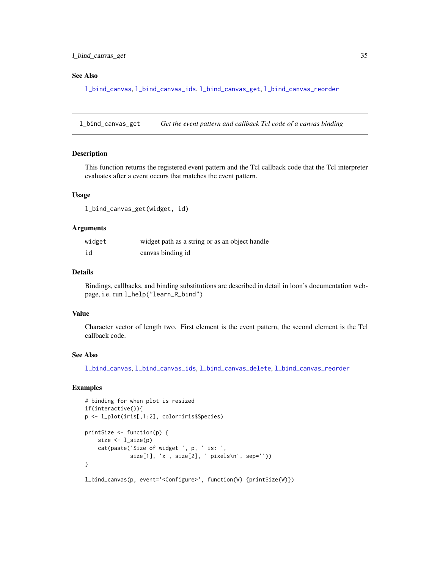# <span id="page-34-0"></span>l\_bind\_canvas\_get 35

# See Also

[l\\_bind\\_canvas](#page-32-1), [l\\_bind\\_canvas\\_ids](#page-35-1), [l\\_bind\\_canvas\\_get](#page-34-1), [l\\_bind\\_canvas\\_reorder](#page-36-1)

<span id="page-34-1"></span>l\_bind\_canvas\_get *Get the event pattern and callback Tcl code of a canvas binding*

### Description

This function returns the registered event pattern and the Tcl callback code that the Tcl interpreter evaluates after a event occurs that matches the event pattern.

### Usage

l\_bind\_canvas\_get(widget, id)

## Arguments

| widget | widget path as a string or as an object handle |
|--------|------------------------------------------------|
| id     | canvas binding id                              |

# Details

Bindings, callbacks, and binding substitutions are described in detail in loon's documentation webpage, i.e. run l\_help("learn\_R\_bind")

### Value

Character vector of length two. First element is the event pattern, the second element is the Tcl callback code.

### See Also

[l\\_bind\\_canvas](#page-32-1), [l\\_bind\\_canvas\\_ids](#page-35-1), [l\\_bind\\_canvas\\_delete](#page-33-1), [l\\_bind\\_canvas\\_reorder](#page-36-1)

# Examples

```
# binding for when plot is resized
if(interactive()){
p <- l_plot(iris[,1:2], color=iris$Species)
printSize <- function(p) {
   size <- l_size(p)
    cat(paste('Size of widget ', p, ' is: ',
              size[1], 'x', size[2], ' pixels\n', sep=''))
}
l_bind_canvas(p, event='<Configure>', function(W) {printSize(W)})
```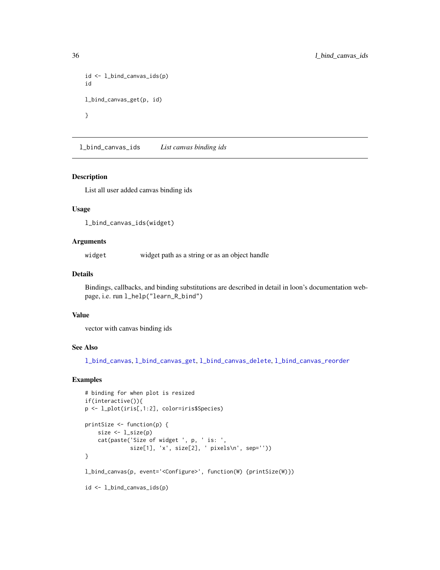```
id <- l_bind_canvas_ids(p)
id
l_bind_canvas_get(p, id)
}
```
<span id="page-35-1"></span>l\_bind\_canvas\_ids *List canvas binding ids*

### Description

List all user added canvas binding ids

# Usage

l\_bind\_canvas\_ids(widget)

# Arguments

widget widget path as a string or as an object handle

# Details

Bindings, callbacks, and binding substitutions are described in detail in loon's documentation webpage, i.e. run l\_help("learn\_R\_bind")

### Value

vector with canvas binding ids

# See Also

[l\\_bind\\_canvas](#page-32-1), [l\\_bind\\_canvas\\_get](#page-34-1), [l\\_bind\\_canvas\\_delete](#page-33-1), [l\\_bind\\_canvas\\_reorder](#page-36-1)

# Examples

```
# binding for when plot is resized
if(interactive()){
p <- l_plot(iris[,1:2], color=iris$Species)
```

```
printSize <- function(p) {
   size <- l_size(p)
   cat(paste('Size of widget ', p, ' is: ',
              size[1], 'x', size[2], ' pixels\n', sep=''))
}
```
l\_bind\_canvas(p, event='<Configure>', function(W) {printSize(W)})

id <- l\_bind\_canvas\_ids(p)

<span id="page-35-0"></span>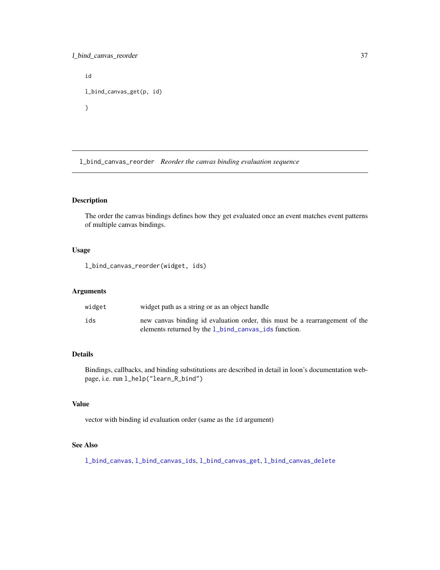# l\_bind\_canvas\_reorder 37

```
id
l_bind_canvas_get(p, id)
}
```
l\_bind\_canvas\_reorder *Reorder the canvas binding evaluation sequence*

# Description

The order the canvas bindings defines how they get evaluated once an event matches event patterns of multiple canvas bindings.

# Usage

l\_bind\_canvas\_reorder(widget, ids)

### Arguments

| widget | widget path as a string or as an object handle                                                                                      |
|--------|-------------------------------------------------------------------------------------------------------------------------------------|
| ids    | new canvas binding id evaluation order, this must be a rearrangement of the<br>elements returned by the 1_bind_canvas_ids function. |

# Details

Bindings, callbacks, and binding substitutions are described in detail in loon's documentation webpage, i.e. run l\_help("learn\_R\_bind")

### Value

vector with binding id evaluation order (same as the id argument)

# See Also

[l\\_bind\\_canvas](#page-32-0), [l\\_bind\\_canvas\\_ids](#page-35-0), [l\\_bind\\_canvas\\_get](#page-34-0), [l\\_bind\\_canvas\\_delete](#page-33-0)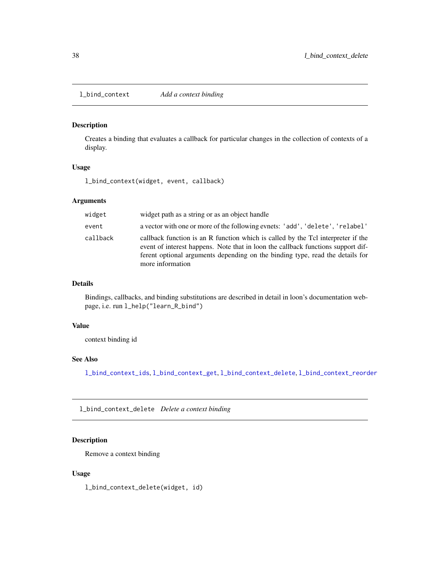<span id="page-37-1"></span>l\_bind\_context *Add a context binding*

### Description

Creates a binding that evaluates a callback for particular changes in the collection of contexts of a display.

#### Usage

l\_bind\_context(widget, event, callback)

### Arguments

| widget   | widget path as a string or as an object handle                                                                                                                                                                                                                            |
|----------|---------------------------------------------------------------------------------------------------------------------------------------------------------------------------------------------------------------------------------------------------------------------------|
| event    | a vector with one or more of the following evnets: 'add', 'delete', 'relabel'                                                                                                                                                                                             |
| callback | callback function is an R function which is called by the Tcl interpreter if the<br>event of interest happens. Note that in loon the callback functions support dif-<br>ferent optional arguments depending on the binding type, read the details for<br>more information |

## Details

Bindings, callbacks, and binding substitutions are described in detail in loon's documentation webpage, i.e. run l\_help("learn\_R\_bind")

# Value

context binding id

#### See Also

[l\\_bind\\_context\\_ids](#page-39-0), [l\\_bind\\_context\\_get](#page-38-0), [l\\_bind\\_context\\_delete](#page-37-0), [l\\_bind\\_context\\_reorder](#page-39-1)

<span id="page-37-0"></span>l\_bind\_context\_delete *Delete a context binding*

# Description

Remove a context binding

### Usage

l\_bind\_context\_delete(widget, id)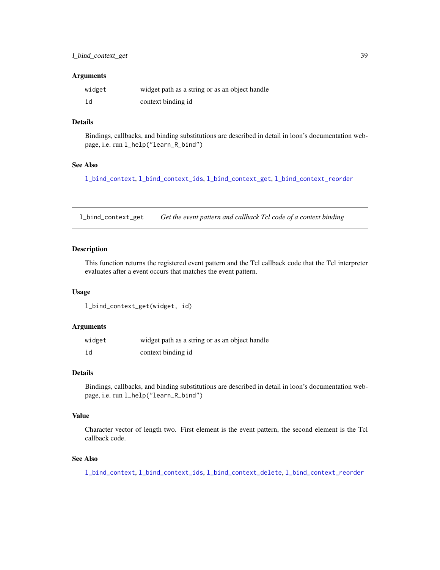# l\_bind\_context\_get 39

#### **Arguments**

| widget | widget path as a string or as an object handle |
|--------|------------------------------------------------|
| id     | context binding id                             |

### Details

Bindings, callbacks, and binding substitutions are described in detail in loon's documentation webpage, i.e. run l\_help("learn\_R\_bind")

### See Also

[l\\_bind\\_context](#page-37-1), [l\\_bind\\_context\\_ids](#page-39-0), [l\\_bind\\_context\\_get](#page-38-0), [l\\_bind\\_context\\_reorder](#page-39-1)

<span id="page-38-0"></span>l\_bind\_context\_get *Get the event pattern and callback Tcl code of a context binding*

# Description

This function returns the registered event pattern and the Tcl callback code that the Tcl interpreter evaluates after a event occurs that matches the event pattern.

#### Usage

l\_bind\_context\_get(widget, id)

### Arguments

| widget | widget path as a string or as an object handle |
|--------|------------------------------------------------|
| id     | context binding id                             |

## Details

Bindings, callbacks, and binding substitutions are described in detail in loon's documentation webpage, i.e. run l\_help("learn\_R\_bind")

### Value

Character vector of length two. First element is the event pattern, the second element is the Tcl callback code.

# See Also

[l\\_bind\\_context](#page-37-1), [l\\_bind\\_context\\_ids](#page-39-0), [l\\_bind\\_context\\_delete](#page-37-0), [l\\_bind\\_context\\_reorder](#page-39-1)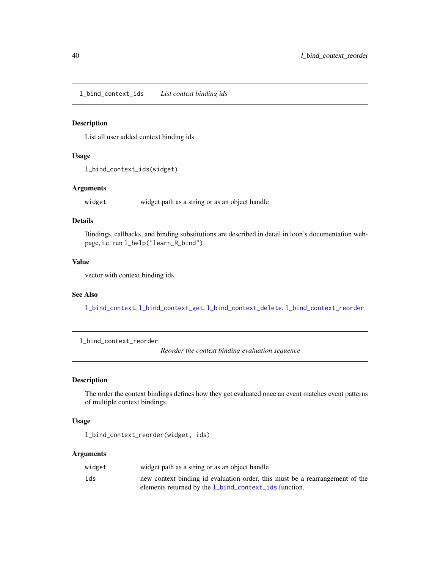<span id="page-39-0"></span>l\_bind\_context\_ids *List context binding ids*

### Description

List all user added context binding ids

### Usage

```
l_bind_context_ids(widget)
```
### Arguments

widget widget path as a string or as an object handle

### Details

Bindings, callbacks, and binding substitutions are described in detail in loon's documentation webpage, i.e. run l\_help("learn\_R\_bind")

# Value

vector with context binding ids

### See Also

[l\\_bind\\_context](#page-37-1), [l\\_bind\\_context\\_get](#page-38-0), [l\\_bind\\_context\\_delete](#page-37-0), [l\\_bind\\_context\\_reorder](#page-39-1)

<span id="page-39-1"></span>l\_bind\_context\_reorder

*Reorder the context binding evaluation sequence*

### Description

The order the context bindings defines how they get evaluated once an event matches event patterns of multiple context bindings.

### Usage

l\_bind\_context\_reorder(widget, ids)

#### Arguments

| widget | widget path as a string or as an object handle                               |
|--------|------------------------------------------------------------------------------|
| ids    | new context binding id evaluation order, this must be a rearrangement of the |
|        | elements returned by the 1_bind_context_ids function.                        |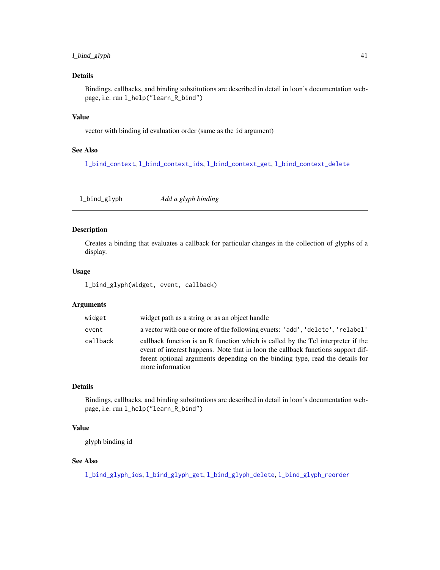# l\_bind\_glyph 41

# Details

Bindings, callbacks, and binding substitutions are described in detail in loon's documentation webpage, i.e. run l\_help("learn\_R\_bind")

#### Value

vector with binding id evaluation order (same as the id argument)

## See Also

[l\\_bind\\_context](#page-37-1), [l\\_bind\\_context\\_ids](#page-39-0), [l\\_bind\\_context\\_get](#page-38-0), [l\\_bind\\_context\\_delete](#page-37-0)

<span id="page-40-0"></span>l\_bind\_glyph *Add a glyph binding*

# Description

Creates a binding that evaluates a callback for particular changes in the collection of glyphs of a display.

### Usage

l\_bind\_glyph(widget, event, callback)

# Arguments

| widget   | widget path as a string or as an object handle                                                                                                                                                                                                                            |
|----------|---------------------------------------------------------------------------------------------------------------------------------------------------------------------------------------------------------------------------------------------------------------------------|
| event    | a vector with one or more of the following evnets: 'add', 'delete', 'relabel'                                                                                                                                                                                             |
| callback | callback function is an R function which is called by the Tcl interpreter if the<br>event of interest happens. Note that in loon the callback functions support dif-<br>ferent optional arguments depending on the binding type, read the details for<br>more information |

# Details

Bindings, callbacks, and binding substitutions are described in detail in loon's documentation webpage, i.e. run l\_help("learn\_R\_bind")

# Value

glyph binding id

# See Also

[l\\_bind\\_glyph\\_ids](#page-42-0), [l\\_bind\\_glyph\\_get](#page-41-0), [l\\_bind\\_glyph\\_delete](#page-41-1), [l\\_bind\\_glyph\\_reorder](#page-43-0)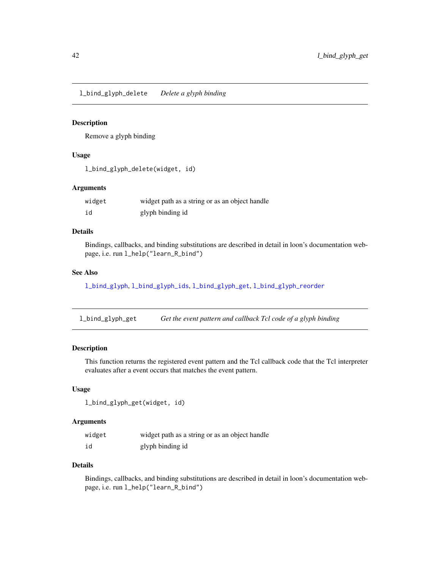<span id="page-41-1"></span>l\_bind\_glyph\_delete *Delete a glyph binding*

# Description

Remove a glyph binding

### Usage

l\_bind\_glyph\_delete(widget, id)

### Arguments

| widget | widget path as a string or as an object handle |
|--------|------------------------------------------------|
| id     | glyph binding id                               |

# Details

Bindings, callbacks, and binding substitutions are described in detail in loon's documentation webpage, i.e. run l\_help("learn\_R\_bind")

# See Also

[l\\_bind\\_glyph](#page-40-0), [l\\_bind\\_glyph\\_ids](#page-42-0), [l\\_bind\\_glyph\\_get](#page-41-0), [l\\_bind\\_glyph\\_reorder](#page-43-0)

<span id="page-41-0"></span>l\_bind\_glyph\_get *Get the event pattern and callback Tcl code of a glyph binding*

# Description

This function returns the registered event pattern and the Tcl callback code that the Tcl interpreter evaluates after a event occurs that matches the event pattern.

### Usage

l\_bind\_glyph\_get(widget, id)

### Arguments

| widget | widget path as a string or as an object handle |
|--------|------------------------------------------------|
| id     | glyph binding id                               |

### Details

Bindings, callbacks, and binding substitutions are described in detail in loon's documentation webpage, i.e. run l\_help("learn\_R\_bind")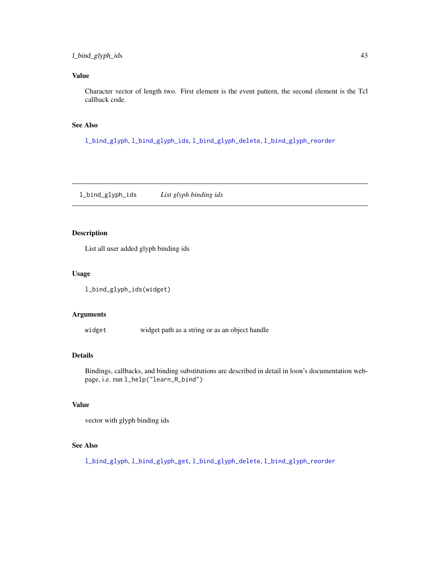# Value

Character vector of length two. First element is the event pattern, the second element is the Tcl callback code.

# See Also

[l\\_bind\\_glyph](#page-40-0), [l\\_bind\\_glyph\\_ids](#page-42-0), [l\\_bind\\_glyph\\_delete](#page-41-1), [l\\_bind\\_glyph\\_reorder](#page-43-0)

<span id="page-42-0"></span>l\_bind\_glyph\_ids *List glyph binding ids*

# Description

List all user added glyph binding ids

## Usage

l\_bind\_glyph\_ids(widget)

# Arguments

widget widget path as a string or as an object handle

# Details

Bindings, callbacks, and binding substitutions are described in detail in loon's documentation webpage, i.e. run l\_help("learn\_R\_bind")

### Value

```
vector with glyph binding ids
```
# See Also

[l\\_bind\\_glyph](#page-40-0), [l\\_bind\\_glyph\\_get](#page-41-0), [l\\_bind\\_glyph\\_delete](#page-41-1), [l\\_bind\\_glyph\\_reorder](#page-43-0)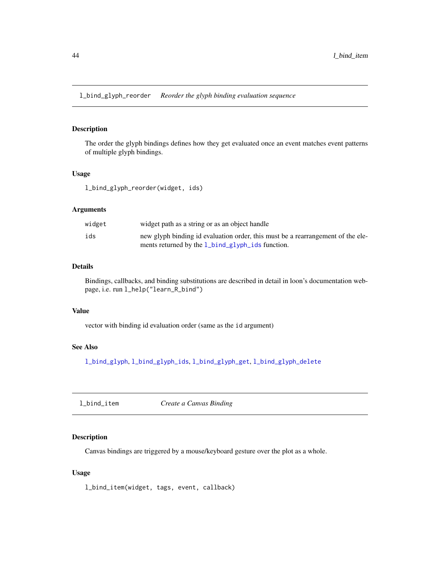<span id="page-43-0"></span>l\_bind\_glyph\_reorder *Reorder the glyph binding evaluation sequence*

### Description

The order the glyph bindings defines how they get evaluated once an event matches event patterns of multiple glyph bindings.

### Usage

l\_bind\_glyph\_reorder(widget, ids)

# Arguments

| widget | widget path as a string or as an object handle                                  |
|--------|---------------------------------------------------------------------------------|
| ids    | new glyph binding id evaluation order, this must be a rearrangement of the ele- |
|        | ments returned by the 1_bind_glyph_ids function.                                |

# Details

Bindings, callbacks, and binding substitutions are described in detail in loon's documentation webpage, i.e. run l\_help("learn\_R\_bind")

#### Value

vector with binding id evaluation order (same as the id argument)

# See Also

[l\\_bind\\_glyph](#page-40-0), [l\\_bind\\_glyph\\_ids](#page-42-0), [l\\_bind\\_glyph\\_get](#page-41-0), [l\\_bind\\_glyph\\_delete](#page-41-1)

<span id="page-43-1"></span>l\_bind\_item *Create a Canvas Binding*

### Description

Canvas bindings are triggered by a mouse/keyboard gesture over the plot as a whole.

#### Usage

l\_bind\_item(widget, tags, event, callback)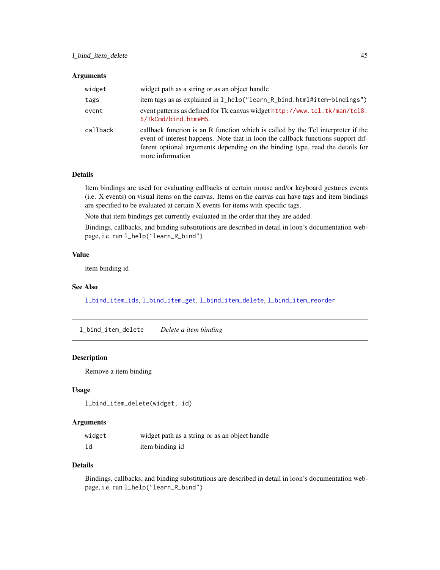#### **Arguments**

| widget   | widget path as a string or as an object handle                                                                                                                                                                                                                            |
|----------|---------------------------------------------------------------------------------------------------------------------------------------------------------------------------------------------------------------------------------------------------------------------------|
| tags     | item tags as as explained in 1_help("learn_R_bind.html#item-bindings")                                                                                                                                                                                                    |
| event    | event patterns as defined for Tk canvas widget http://www.tcl.tk/man/tcl8.<br>6/TkCmd/bind.htm#M5.                                                                                                                                                                        |
| callback | callback function is an R function which is called by the Tcl interpreter if the<br>event of interest happens. Note that in loon the callback functions support dif-<br>ferent optional arguments depending on the binding type, read the details for<br>more information |

# Details

Item bindings are used for evaluating callbacks at certain mouse and/or keyboard gestures events (i.e. X events) on visual items on the canvas. Items on the canvas can have tags and item bindings are specified to be evaluated at certain X events for items with specific tags.

Note that item bindings get currently evaluated in the order that they are added.

Bindings, callbacks, and binding substitutions are described in detail in loon's documentation webpage, i.e. run l\_help("learn\_R\_bind")

#### Value

item binding id

#### See Also

[l\\_bind\\_item\\_ids](#page-46-0), [l\\_bind\\_item\\_get](#page-45-0), [l\\_bind\\_item\\_delete](#page-44-0), [l\\_bind\\_item\\_reorder](#page-46-1)

<span id="page-44-0"></span>l\_bind\_item\_delete *Delete a item binding*

# Description

Remove a item binding

### Usage

l\_bind\_item\_delete(widget, id)

### Arguments

| widget | widget path as a string or as an object handle |
|--------|------------------------------------------------|
| id     | item binding id                                |

#### Details

Bindings, callbacks, and binding substitutions are described in detail in loon's documentation webpage, i.e. run l\_help("learn\_R\_bind")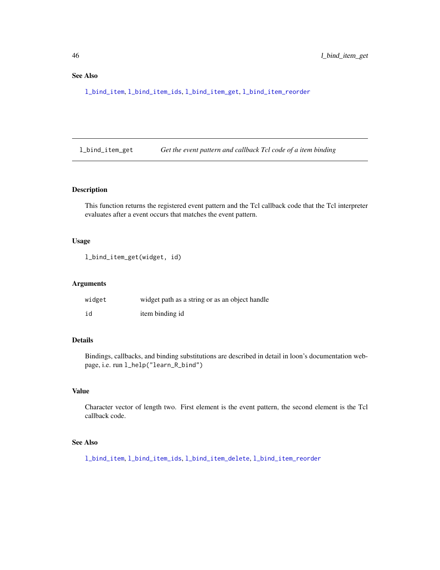# See Also

[l\\_bind\\_item](#page-43-1), [l\\_bind\\_item\\_ids](#page-46-0), [l\\_bind\\_item\\_get](#page-45-0), [l\\_bind\\_item\\_reorder](#page-46-1)

<span id="page-45-0"></span>l\_bind\_item\_get *Get the event pattern and callback Tcl code of a item binding*

# Description

This function returns the registered event pattern and the Tcl callback code that the Tcl interpreter evaluates after a event occurs that matches the event pattern.

# Usage

l\_bind\_item\_get(widget, id)

## Arguments

| widget | widget path as a string or as an object handle |
|--------|------------------------------------------------|
| id     | item binding id                                |

# Details

Bindings, callbacks, and binding substitutions are described in detail in loon's documentation webpage, i.e. run l\_help("learn\_R\_bind")

### Value

Character vector of length two. First element is the event pattern, the second element is the Tcl callback code.

#### See Also

[l\\_bind\\_item](#page-43-1), [l\\_bind\\_item\\_ids](#page-46-0), [l\\_bind\\_item\\_delete](#page-44-0), [l\\_bind\\_item\\_reorder](#page-46-1)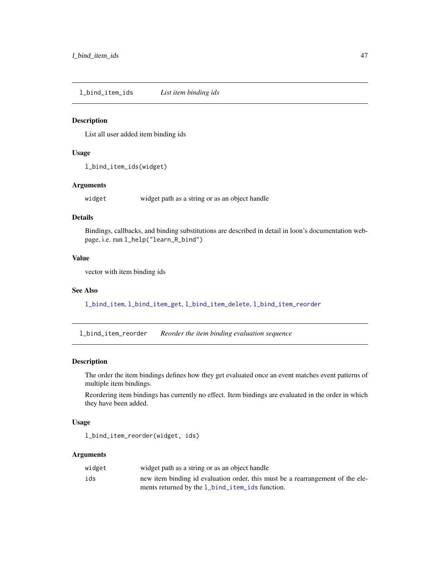<span id="page-46-0"></span>l\_bind\_item\_ids *List item binding ids*

#### Description

List all user added item binding ids

#### Usage

l\_bind\_item\_ids(widget)

### Arguments

widget widget path as a string or as an object handle

### Details

Bindings, callbacks, and binding substitutions are described in detail in loon's documentation webpage, i.e. run l\_help("learn\_R\_bind")

### Value

vector with item binding ids

#### See Also

[l\\_bind\\_item](#page-43-1), [l\\_bind\\_item\\_get](#page-45-0), [l\\_bind\\_item\\_delete](#page-44-0), [l\\_bind\\_item\\_reorder](#page-46-1)

<span id="page-46-1"></span>l\_bind\_item\_reorder *Reorder the item binding evaluation sequence*

### Description

The order the item bindings defines how they get evaluated once an event matches event patterns of multiple item bindings.

Reordering item bindings has currently no effect. Item bindings are evaluated in the order in which they have been added.

#### Usage

```
l_bind_item_reorder(widget, ids)
```
#### Arguments

| widget | widget path as a string or as an object handle                                 |
|--------|--------------------------------------------------------------------------------|
| ids    | new item binding id evaluation order, this must be a rearrangement of the ele- |
|        | ments returned by the 1_bind_item_ids function.                                |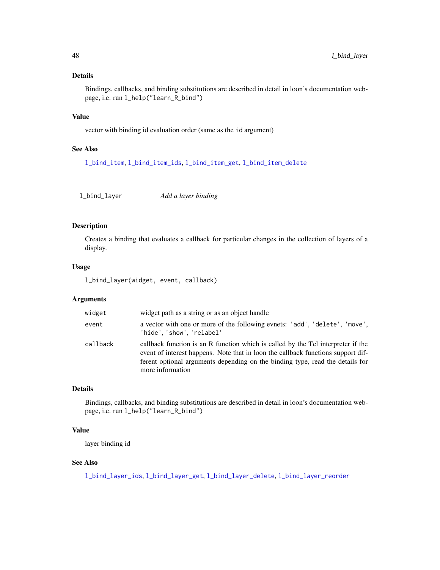# Details

Bindings, callbacks, and binding substitutions are described in detail in loon's documentation webpage, i.e. run l\_help("learn\_R\_bind")

### Value

vector with binding id evaluation order (same as the id argument)

### See Also

[l\\_bind\\_item](#page-43-1), [l\\_bind\\_item\\_ids](#page-46-0), [l\\_bind\\_item\\_get](#page-45-0), [l\\_bind\\_item\\_delete](#page-44-0)

<span id="page-47-0"></span>l\_bind\_layer *Add a layer binding*

# Description

Creates a binding that evaluates a callback for particular changes in the collection of layers of a display.

#### Usage

l\_bind\_layer(widget, event, callback)

## Arguments

| widget   | widget path as a string or as an object handle                                                                                                                                                                                                                            |
|----------|---------------------------------------------------------------------------------------------------------------------------------------------------------------------------------------------------------------------------------------------------------------------------|
| event    | a vector with one or more of the following evnets: 'add', 'delete', 'move',<br>'hide', 'show', 'relabel'                                                                                                                                                                  |
| callback | callback function is an R function which is called by the Tcl interpreter if the<br>event of interest happens. Note that in loon the callback functions support dif-<br>ferent optional arguments depending on the binding type, read the details for<br>more information |

# Details

Bindings, callbacks, and binding substitutions are described in detail in loon's documentation webpage, i.e. run l\_help("learn\_R\_bind")

# Value

layer binding id

# See Also

[l\\_bind\\_layer\\_ids](#page-49-0), [l\\_bind\\_layer\\_get](#page-48-0), [l\\_bind\\_layer\\_delete](#page-48-1), [l\\_bind\\_layer\\_reorder](#page-50-0)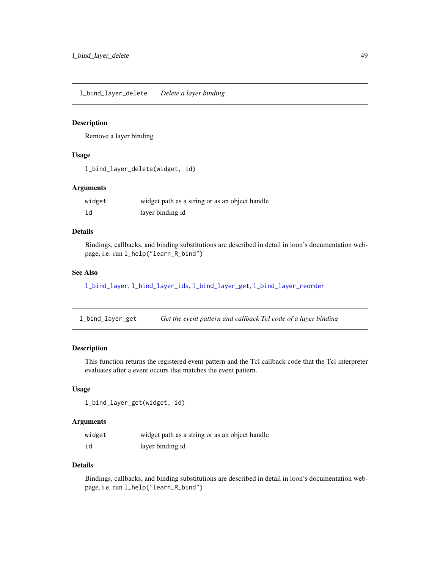<span id="page-48-1"></span>l\_bind\_layer\_delete *Delete a layer binding*

### Description

Remove a layer binding

### Usage

l\_bind\_layer\_delete(widget, id)

### Arguments

| widget | widget path as a string or as an object handle |
|--------|------------------------------------------------|
| id     | layer binding id                               |

# Details

Bindings, callbacks, and binding substitutions are described in detail in loon's documentation webpage, i.e. run l\_help("learn\_R\_bind")

# See Also

[l\\_bind\\_layer](#page-47-0), [l\\_bind\\_layer\\_ids](#page-49-0), [l\\_bind\\_layer\\_get](#page-48-0), [l\\_bind\\_layer\\_reorder](#page-50-0)

<span id="page-48-0"></span>l\_bind\_layer\_get *Get the event pattern and callback Tcl code of a layer binding*

# Description

This function returns the registered event pattern and the Tcl callback code that the Tcl interpreter evaluates after a event occurs that matches the event pattern.

### Usage

l\_bind\_layer\_get(widget, id)

### Arguments

| widget | widget path as a string or as an object handle |
|--------|------------------------------------------------|
| id     | layer binding id                               |

### Details

Bindings, callbacks, and binding substitutions are described in detail in loon's documentation webpage, i.e. run l\_help("learn\_R\_bind")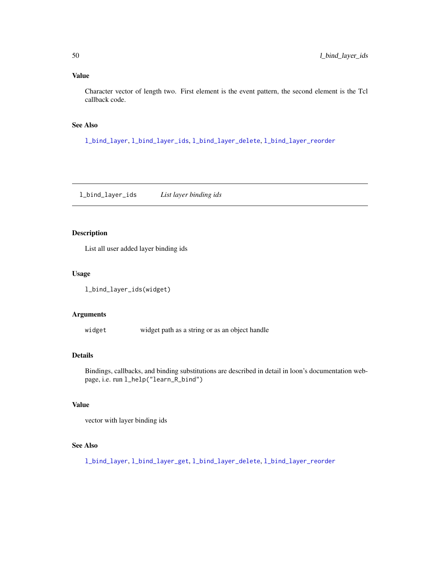# Value

Character vector of length two. First element is the event pattern, the second element is the Tcl callback code.

# See Also

[l\\_bind\\_layer](#page-47-0), [l\\_bind\\_layer\\_ids](#page-49-0), [l\\_bind\\_layer\\_delete](#page-48-1), [l\\_bind\\_layer\\_reorder](#page-50-0)

<span id="page-49-0"></span>l\_bind\_layer\_ids *List layer binding ids*

# Description

List all user added layer binding ids

## Usage

l\_bind\_layer\_ids(widget)

### Arguments

widget widget path as a string or as an object handle

### Details

Bindings, callbacks, and binding substitutions are described in detail in loon's documentation webpage, i.e. run l\_help("learn\_R\_bind")

### Value

```
vector with layer binding ids
```
# See Also

[l\\_bind\\_layer](#page-47-0), [l\\_bind\\_layer\\_get](#page-48-0), [l\\_bind\\_layer\\_delete](#page-48-1), [l\\_bind\\_layer\\_reorder](#page-50-0)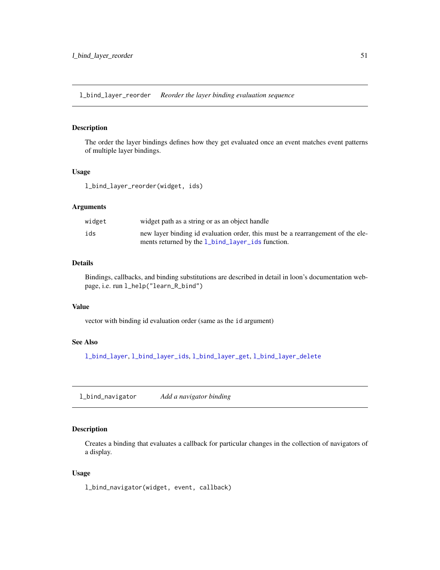<span id="page-50-0"></span>l\_bind\_layer\_reorder *Reorder the layer binding evaluation sequence*

### Description

The order the layer bindings defines how they get evaluated once an event matches event patterns of multiple layer bindings.

### Usage

l\_bind\_layer\_reorder(widget, ids)

### Arguments

| widget | widget path as a string or as an object handle                                  |
|--------|---------------------------------------------------------------------------------|
| ids    | new layer binding id evaluation order, this must be a rearrangement of the ele- |
|        | ments returned by the 1_bind_layer_ids function.                                |

# Details

Bindings, callbacks, and binding substitutions are described in detail in loon's documentation webpage, i.e. run l\_help("learn\_R\_bind")

# Value

vector with binding id evaluation order (same as the id argument)

### See Also

[l\\_bind\\_layer](#page-47-0), [l\\_bind\\_layer\\_ids](#page-49-0), [l\\_bind\\_layer\\_get](#page-48-0), [l\\_bind\\_layer\\_delete](#page-48-1)

<span id="page-50-1"></span>l\_bind\_navigator *Add a navigator binding*

# Description

Creates a binding that evaluates a callback for particular changes in the collection of navigators of a display.

### Usage

l\_bind\_navigator(widget, event, callback)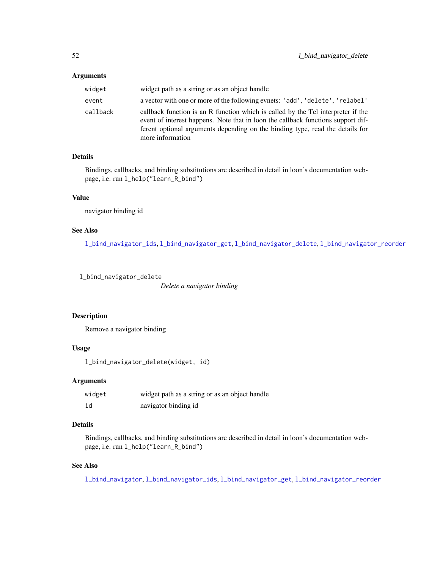### Arguments

| widget   | widget path as a string or as an object handle                                                                                                                                                                                                                            |
|----------|---------------------------------------------------------------------------------------------------------------------------------------------------------------------------------------------------------------------------------------------------------------------------|
| event    | a vector with one or more of the following evnets: 'add', 'delete', 'relabel'                                                                                                                                                                                             |
| callback | callback function is an R function which is called by the Tcl interpreter if the<br>event of interest happens. Note that in loon the callback functions support dif-<br>ferent optional arguments depending on the binding type, read the details for<br>more information |

# Details

Bindings, callbacks, and binding substitutions are described in detail in loon's documentation webpage, i.e. run l\_help("learn\_R\_bind")

# Value

navigator binding id

# See Also

[l\\_bind\\_navigator\\_ids](#page-52-0), [l\\_bind\\_navigator\\_get](#page-52-1), [l\\_bind\\_navigator\\_delete](#page-51-0), [l\\_bind\\_navigator\\_reorder](#page-53-0)

<span id="page-51-0"></span>l\_bind\_navigator\_delete

*Delete a navigator binding*

### Description

Remove a navigator binding

# Usage

l\_bind\_navigator\_delete(widget, id)

## Arguments

| widget | widget path as a string or as an object handle |
|--------|------------------------------------------------|
| id     | navigator binding id                           |

# Details

Bindings, callbacks, and binding substitutions are described in detail in loon's documentation webpage, i.e. run l\_help("learn\_R\_bind")

### See Also

[l\\_bind\\_navigator](#page-50-1), [l\\_bind\\_navigator\\_ids](#page-52-0), [l\\_bind\\_navigator\\_get](#page-52-1), [l\\_bind\\_navigator\\_reorder](#page-53-0)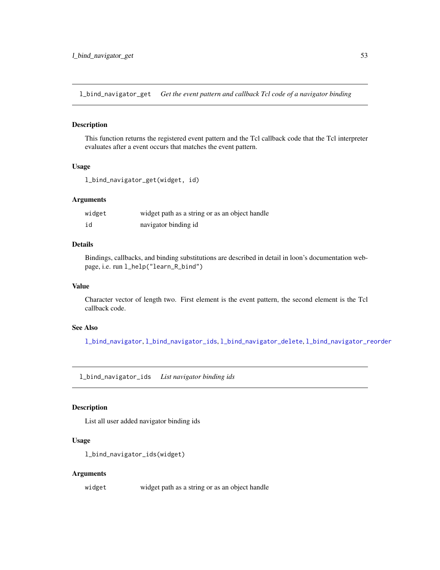<span id="page-52-1"></span>l\_bind\_navigator\_get *Get the event pattern and callback Tcl code of a navigator binding*

#### Description

This function returns the registered event pattern and the Tcl callback code that the Tcl interpreter evaluates after a event occurs that matches the event pattern.

### Usage

```
l_bind_navigator_get(widget, id)
```
### Arguments

| widget | widget path as a string or as an object handle |
|--------|------------------------------------------------|
| id     | navigator binding id                           |

### Details

Bindings, callbacks, and binding substitutions are described in detail in loon's documentation webpage, i.e. run l\_help("learn\_R\_bind")

### Value

Character vector of length two. First element is the event pattern, the second element is the Tcl callback code.

## See Also

[l\\_bind\\_navigator](#page-50-1), [l\\_bind\\_navigator\\_ids](#page-52-0), [l\\_bind\\_navigator\\_delete](#page-51-0), [l\\_bind\\_navigator\\_reorder](#page-53-0)

<span id="page-52-0"></span>l\_bind\_navigator\_ids *List navigator binding ids*

# Description

List all user added navigator binding ids

### Usage

```
l_bind_navigator_ids(widget)
```
#### Arguments

widget widget path as a string or as an object handle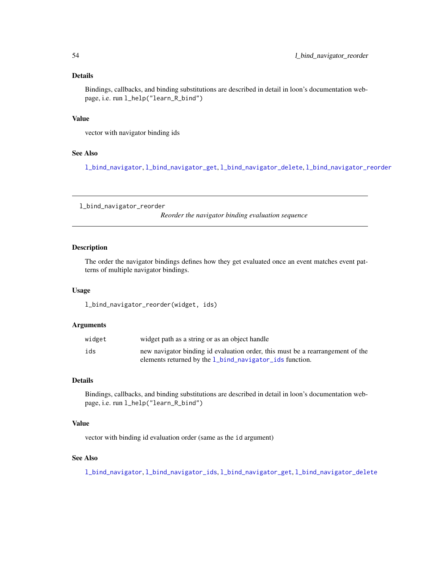### Details

Bindings, callbacks, and binding substitutions are described in detail in loon's documentation webpage, i.e. run l\_help("learn\_R\_bind")

# Value

vector with navigator binding ids

### See Also

[l\\_bind\\_navigator](#page-50-1), [l\\_bind\\_navigator\\_get](#page-52-1), [l\\_bind\\_navigator\\_delete](#page-51-0), [l\\_bind\\_navigator\\_reorder](#page-53-0)

<span id="page-53-0"></span>l\_bind\_navigator\_reorder

*Reorder the navigator binding evaluation sequence*

# Description

The order the navigator bindings defines how they get evaluated once an event matches event patterns of multiple navigator bindings.

#### Usage

l\_bind\_navigator\_reorder(widget, ids)

# Arguments

| widget | widget path as a string or as an object handle                                 |
|--------|--------------------------------------------------------------------------------|
| ids    | new navigator binding id evaluation order, this must be a rearrangement of the |
|        | elements returned by the $1$ -bind-navigator-ids function.                     |

# Details

Bindings, callbacks, and binding substitutions are described in detail in loon's documentation webpage, i.e. run l\_help("learn\_R\_bind")

# Value

vector with binding id evaluation order (same as the id argument)

#### See Also

[l\\_bind\\_navigator](#page-50-1), [l\\_bind\\_navigator\\_ids](#page-52-0), [l\\_bind\\_navigator\\_get](#page-52-1), [l\\_bind\\_navigator\\_delete](#page-51-0)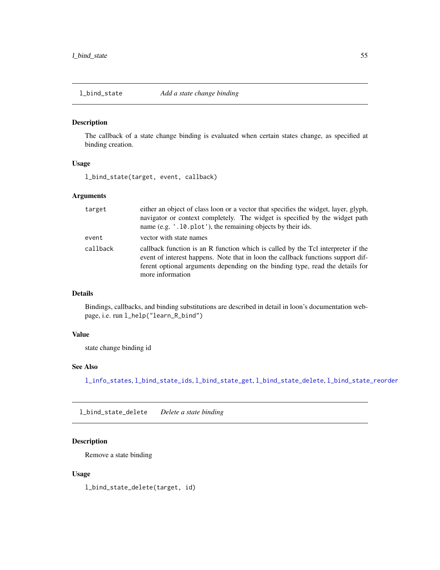<span id="page-54-1"></span>

# Description

The callback of a state change binding is evaluated when certain states change, as specified at binding creation.

#### Usage

l\_bind\_state(target, event, callback)

# Arguments

| target   | either an object of class loon or a vector that specifies the widget, layer, glyph,<br>navigator or context completely. The widget is specified by the widget path<br>name (e.g. '.10.plot'), the remaining objects by their ids.                                         |
|----------|---------------------------------------------------------------------------------------------------------------------------------------------------------------------------------------------------------------------------------------------------------------------------|
| event    | vector with state names                                                                                                                                                                                                                                                   |
| callback | callback function is an R function which is called by the Tcl interpreter if the<br>event of interest happens. Note that in loon the callback functions support dif-<br>ferent optional arguments depending on the binding type, read the details for<br>more information |

# Details

Bindings, callbacks, and binding substitutions are described in detail in loon's documentation webpage, i.e. run l\_help("learn\_R\_bind")

#### Value

state change binding id

### See Also

[l\\_info\\_states](#page-121-0), [l\\_bind\\_state\\_ids](#page-56-0), [l\\_bind\\_state\\_get](#page-55-0), [l\\_bind\\_state\\_delete](#page-54-0), [l\\_bind\\_state\\_reorder](#page-56-1)

<span id="page-54-0"></span>l\_bind\_state\_delete *Delete a state binding*

# Description

Remove a state binding

#### Usage

l\_bind\_state\_delete(target, id)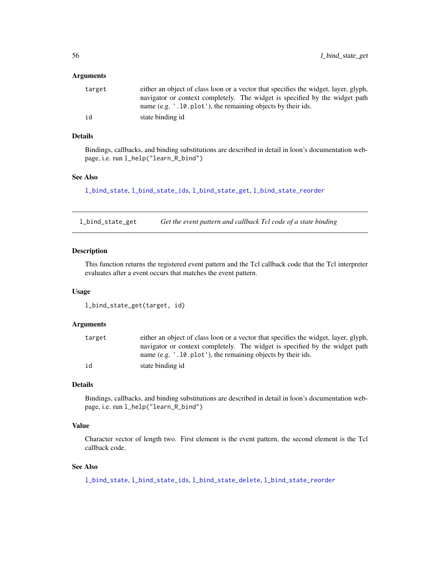### **Arguments**

| target | either an object of class loon or a vector that specifies the widget, layer, glyph,<br>navigator or context completely. The widget is specified by the widget path<br>name (e.g. '.10. plot'), the remaining objects by their ids. |
|--------|------------------------------------------------------------------------------------------------------------------------------------------------------------------------------------------------------------------------------------|
| id     | state binding id                                                                                                                                                                                                                   |

# Details

Bindings, callbacks, and binding substitutions are described in detail in loon's documentation webpage, i.e. run l\_help("learn\_R\_bind")

# See Also

[l\\_bind\\_state](#page-54-1), [l\\_bind\\_state\\_ids](#page-56-0), [l\\_bind\\_state\\_get](#page-55-0), [l\\_bind\\_state\\_reorder](#page-56-1)

<span id="page-55-0"></span>l\_bind\_state\_get *Get the event pattern and callback Tcl code of a state binding*

### Description

This function returns the registered event pattern and the Tcl callback code that the Tcl interpreter evaluates after a event occurs that matches the event pattern.

#### Usage

```
l_bind_state_get(target, id)
```
# Arguments

| target | either an object of class loon or a vector that specifies the widget, layer, glyph, |
|--------|-------------------------------------------------------------------------------------|
|        | navigator or context completely. The widget is specified by the widget path         |
|        | name (e.g. '.10. plot'), the remaining objects by their ids.                        |
| id     | state binding id                                                                    |

# Details

Bindings, callbacks, and binding substitutions are described in detail in loon's documentation webpage, i.e. run l\_help("learn\_R\_bind")

### Value

Character vector of length two. First element is the event pattern, the second element is the Tcl callback code.

# See Also

[l\\_bind\\_state](#page-54-1), [l\\_bind\\_state\\_ids](#page-56-0), [l\\_bind\\_state\\_delete](#page-54-0), [l\\_bind\\_state\\_reorder](#page-56-1)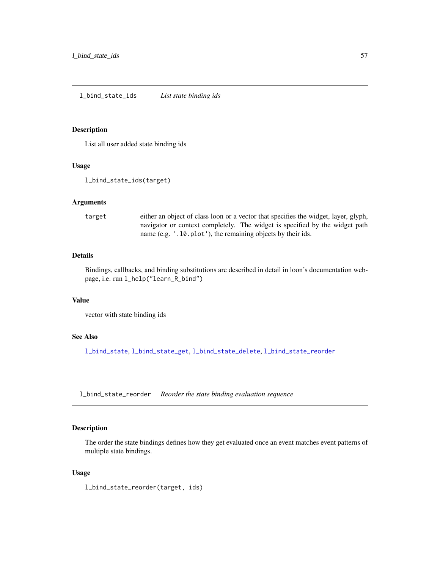#### <span id="page-56-0"></span>Description

List all user added state binding ids

# Usage

l\_bind\_state\_ids(target)

#### Arguments

target either an object of class loon or a vector that specifies the widget, layer, glyph, navigator or context completely. The widget is specified by the widget path name (e.g. '.l0.plot'), the remaining objects by their ids.

# Details

Bindings, callbacks, and binding substitutions are described in detail in loon's documentation webpage, i.e. run l\_help("learn\_R\_bind")

### Value

vector with state binding ids

## See Also

[l\\_bind\\_state](#page-54-1), [l\\_bind\\_state\\_get](#page-55-0), [l\\_bind\\_state\\_delete](#page-54-0), [l\\_bind\\_state\\_reorder](#page-56-1)

<span id="page-56-1"></span>l\_bind\_state\_reorder *Reorder the state binding evaluation sequence*

# Description

The order the state bindings defines how they get evaluated once an event matches event patterns of multiple state bindings.

#### Usage

l\_bind\_state\_reorder(target, ids)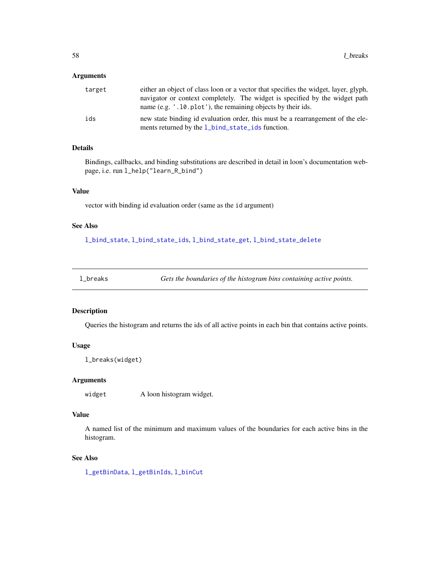#### Arguments

| target | either an object of class loon or a vector that specifies the widget, layer, glyph,<br>navigator or context completely. The widget is specified by the widget path<br>name (e.g. '.10. plot'), the remaining objects by their ids. |
|--------|------------------------------------------------------------------------------------------------------------------------------------------------------------------------------------------------------------------------------------|
| ids    | new state binding id evaluation order, this must be a rearrangement of the ele-<br>ments returned by the 1_bind_state_ids function.                                                                                                |

# Details

Bindings, callbacks, and binding substitutions are described in detail in loon's documentation webpage, i.e. run l\_help("learn\_R\_bind")

### Value

vector with binding id evaluation order (same as the id argument)

### See Also

[l\\_bind\\_state](#page-54-1), [l\\_bind\\_state\\_ids](#page-56-0), [l\\_bind\\_state\\_get](#page-55-0), [l\\_bind\\_state\\_delete](#page-54-0)

| breaks |  |
|--------|--|

Gets the boundaries of the histogram bins containing active points.

### Description

Queries the histogram and returns the ids of all active points in each bin that contains active points.

### Usage

```
l_breaks(widget)
```
## Arguments

widget A loon histogram widget.

### Value

A named list of the minimum and maximum values of the boundaries for each active bins in the histogram.

#### See Also

[l\\_getBinData](#page-75-0), [l\\_getBinIds](#page-76-0), [l\\_binCut](#page-31-0)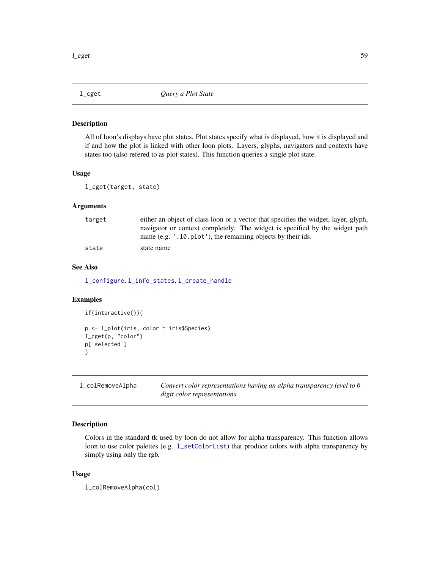<span id="page-58-0"></span>

### Description

All of loon's displays have plot states. Plot states specify what is displayed, how it is displayed and if and how the plot is linked with other loon plots. Layers, glyphs, navigators and contexts have states too (also refered to as plot states). This function queries a single plot state.

### Usage

```
l_cget(target, state)
```
# Arguments

| target | either an object of class loon or a vector that specifies the widget, layer, glyph, |
|--------|-------------------------------------------------------------------------------------|
|        | navigator or context completely. The widget is specified by the widget path         |
|        | name (e.g. '.10. plot'), the remaining objects by their ids.                        |
| state  | state name                                                                          |

# See Also

[l\\_configure](#page-60-0), [l\\_info\\_states](#page-121-0), [l\\_create\\_handle](#page-68-0)

#### Examples

```
if(interactive()){
p <- l_plot(iris, color = iris$Species)
l_cget(p, "color")
p['selected']
}
```

| l_colRemoveAlpha | Convert color representations having an alpha transparency level to 6 |
|------------------|-----------------------------------------------------------------------|
|                  | digit color representations                                           |

# Description

Colors in the standard tk used by loon do not allow for alpha transparency. This function allows loon to use color palettes (e.g. 1\_setColorList) that produce colors with alpha transparency by simply using only the rgb.

### Usage

l\_colRemoveAlpha(col)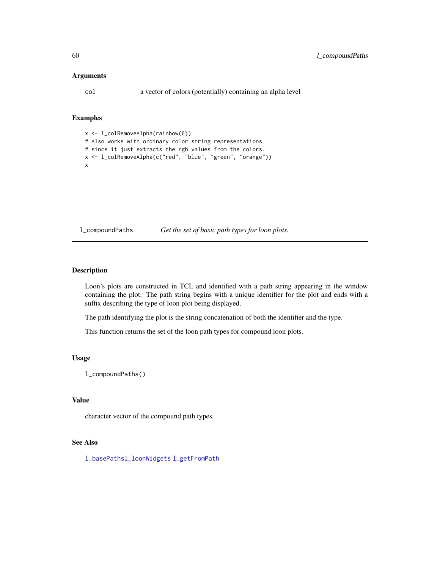### Arguments

col a vector of colors (potentially) containing an alpha level

# Examples

x <- l\_colRemoveAlpha(rainbow(6)) # Also works with ordinary color string representations # since it just extracts the rgb values from the colors. x <- l\_colRemoveAlpha(c("red", "blue", "green", "orange")) x

l\_compoundPaths *Get the set of basic path types for loon plots.*

### Description

Loon's plots are constructed in TCL and identified with a path string appearing in the window containing the plot. The path string begins with a unique identifier for the plot and ends with a suffix describing the type of loon plot being displayed.

The path identifying the plot is the string concatenation of both the identifier and the type.

This function returns the set of the loon path types for compound loon plots.

# Usage

l\_compoundPaths()

# Value

character vector of the compound path types.

#### See Also

[l\\_basePaths](#page-30-0)[l\\_loonWidgets](#page-178-0) [l\\_getFromPath](#page-77-0)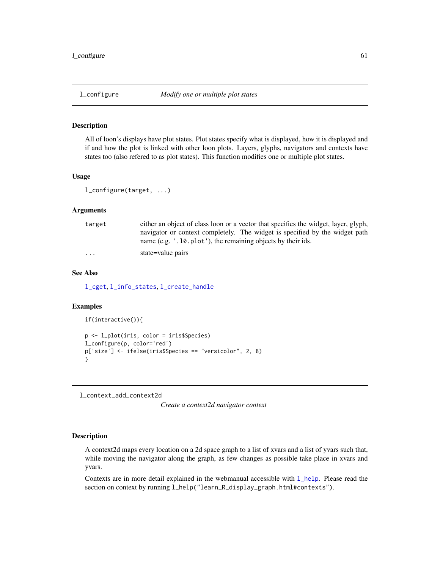<span id="page-60-0"></span>

### Description

All of loon's displays have plot states. Plot states specify what is displayed, how it is displayed and if and how the plot is linked with other loon plots. Layers, glyphs, navigators and contexts have states too (also refered to as plot states). This function modifies one or multiple plot states.

### Usage

l\_configure(target, ...)

### Arguments

| target                  | either an object of class loon or a vector that specifies the widget, layer, glyph, |
|-------------------------|-------------------------------------------------------------------------------------|
|                         | navigator or context completely. The widget is specified by the widget path         |
|                         | name (e.g. '.10. plot'), the remaining objects by their ids.                        |
| $\cdot$ $\cdot$ $\cdot$ | state=value pairs                                                                   |

## See Also

[l\\_cget](#page-58-0), [l\\_info\\_states](#page-121-0), [l\\_create\\_handle](#page-68-0)

#### Examples

```
if(interactive()){
```

```
p <- l_plot(iris, color = iris$Species)
l_configure(p, color='red')
p['size'] <- ifelse(iris$Species == "versicolor", 2, 8)
}
```
<span id="page-60-1"></span>l\_context\_add\_context2d

*Create a context2d navigator context*

#### Description

A context2d maps every location on a 2d space graph to a list of xvars and a list of yvars such that, while moving the navigator along the graph, as few changes as possible take place in xvars and yvars.

Contexts are in more detail explained in the webmanual accessible with [l\\_help](#page-112-0). Please read the section on context by running l\_help("learn\_R\_display\_graph.html#contexts").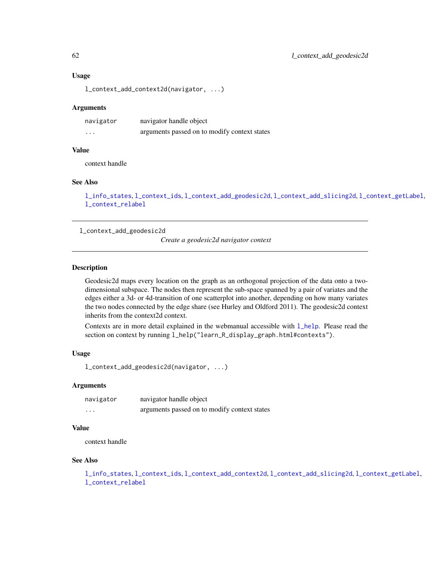#### Usage

l\_context\_add\_context2d(navigator, ...)

### **Arguments**

| navigator | navigator handle object                      |
|-----------|----------------------------------------------|
| .         | arguments passed on to modify context states |

### Value

context handle

### See Also

[l\\_info\\_states](#page-121-0), [l\\_context\\_ids](#page-64-0), [l\\_context\\_add\\_geodesic2d](#page-61-0), [l\\_context\\_add\\_slicing2d](#page-62-0), [l\\_context\\_getLabel](#page-63-0), [l\\_context\\_relabel](#page-64-1)

<span id="page-61-0"></span>l\_context\_add\_geodesic2d

*Create a geodesic2d navigator context*

#### Description

Geodesic2d maps every location on the graph as an orthogonal projection of the data onto a twodimensional subspace. The nodes then represent the sub-space spanned by a pair of variates and the edges either a 3d- or 4d-transition of one scatterplot into another, depending on how many variates the two nodes connected by the edge share (see Hurley and Oldford 2011). The geodesic2d context inherits from the context2d context.

Contexts are in more detail explained in the webmanual accessible with  $1$  help. Please read the section on context by running l\_help("learn\_R\_display\_graph.html#contexts").

#### Usage

l\_context\_add\_geodesic2d(navigator, ...)

### Arguments

| navigator | navigator handle object                      |
|-----------|----------------------------------------------|
| $\cdots$  | arguments passed on to modify context states |

# Value

context handle

## See Also

[l\\_info\\_states](#page-121-0), [l\\_context\\_ids](#page-64-0), [l\\_context\\_add\\_context2d](#page-60-1), [l\\_context\\_add\\_slicing2d](#page-62-0), [l\\_context\\_getLabel](#page-63-0), [l\\_context\\_relabel](#page-64-1)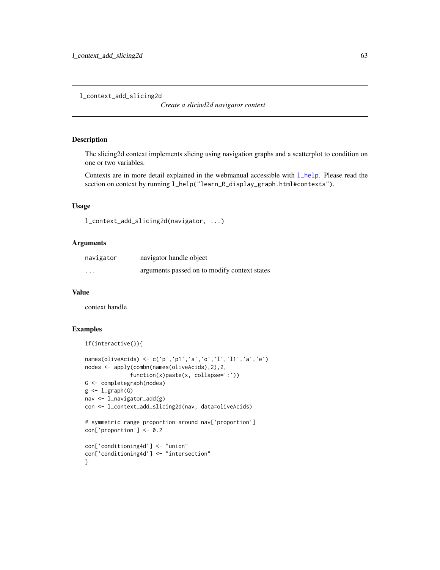<span id="page-62-0"></span>l\_context\_add\_slicing2d

*Create a slicind2d navigator context*

# Description

The slicing2d context implements slicing using navigation graphs and a scatterplot to condition on one or two variables.

Contexts are in more detail explained in the webmanual accessible with [l\\_help](#page-112-0). Please read the section on context by running  $l_{\text{help}}("learn_R_display_{graph}.\text{html# contexts").}$ 

# Usage

```
l_context_add_slicing2d(navigator, ...)
```
### Arguments

| navigator | navigator handle object                      |
|-----------|----------------------------------------------|
| $\cdots$  | arguments passed on to modify context states |

### Value

context handle

```
if(interactive()){
names(oliveAcids) <- c('p','p1','s','o','l','l1','a','e')
nodes <- apply(combn(names(oliveAcids),2),2,
               function(x)paste(x, collapse=':'))
G <- completegraph(nodes)
g \leftarrow l<sup>graph</sup>(G)
nav <- l_navigator_add(g)
con <- l_context_add_slicing2d(nav, data=oliveAcids)
# symmetric range proportion around nav['proportion']
con['proportion'] <- 0.2
con['conditioning4d'] <- "union"
con['conditioning4d'] <- "intersection"
}
```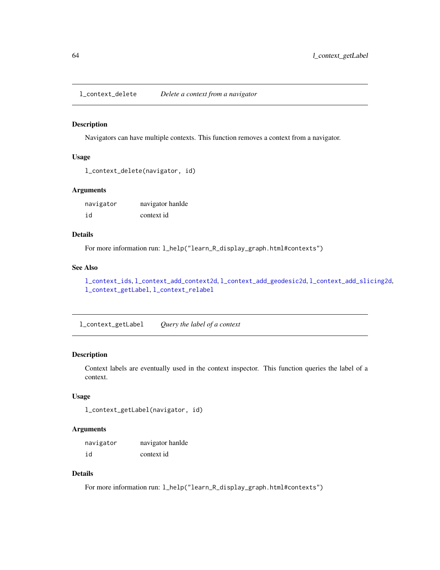<span id="page-63-1"></span>l\_context\_delete *Delete a context from a navigator*

#### Description

Navigators can have multiple contexts. This function removes a context from a navigator.

## Usage

```
l_context_delete(navigator, id)
```
### Arguments

| navigator | navigator hanlde |
|-----------|------------------|
| id        | context id       |

# Details

For more information run: l\_help("learn\_R\_display\_graph.html#contexts")

#### See Also

[l\\_context\\_ids](#page-64-0), [l\\_context\\_add\\_context2d](#page-60-1), [l\\_context\\_add\\_geodesic2d](#page-61-0), [l\\_context\\_add\\_slicing2d](#page-62-0), [l\\_context\\_getLabel](#page-63-0), [l\\_context\\_relabel](#page-64-1)

<span id="page-63-0"></span>l\_context\_getLabel *Query the label of a context*

### Description

Context labels are eventually used in the context inspector. This function queries the label of a context.

### Usage

```
l_context_getLabel(navigator, id)
```
### Arguments

| navigator | navigator hanlde |
|-----------|------------------|
| id        | context id       |

# Details

For more information run: l\_help("learn\_R\_display\_graph.html#contexts")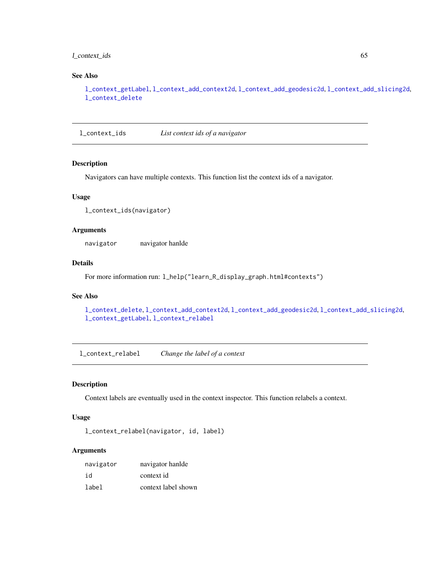# l\_context\_ids 65

# See Also

[l\\_context\\_getLabel](#page-63-0), [l\\_context\\_add\\_context2d](#page-60-1), [l\\_context\\_add\\_geodesic2d](#page-61-0), [l\\_context\\_add\\_slicing2d](#page-62-0), [l\\_context\\_delete](#page-63-1)

<span id="page-64-0"></span>l\_context\_ids *List context ids of a navigator*

### Description

Navigators can have multiple contexts. This function list the context ids of a navigator.

#### Usage

l\_context\_ids(navigator)

### Arguments

navigator navigator hanlde

### Details

For more information run: l\_help("learn\_R\_display\_graph.html#contexts")

# See Also

```
l_context_delete, l_context_add_context2d, l_context_add_geodesic2d, l_context_add_slicing2d,
l_context_getLabel, l_context_relabel
```
<span id="page-64-1"></span>l\_context\_relabel *Change the label of a context*

# Description

Context labels are eventually used in the context inspector. This function relabels a context.

## Usage

l\_context\_relabel(navigator, id, label)

### Arguments

| navigator | navigator hanlde    |
|-----------|---------------------|
| id        | context id          |
| label     | context label shown |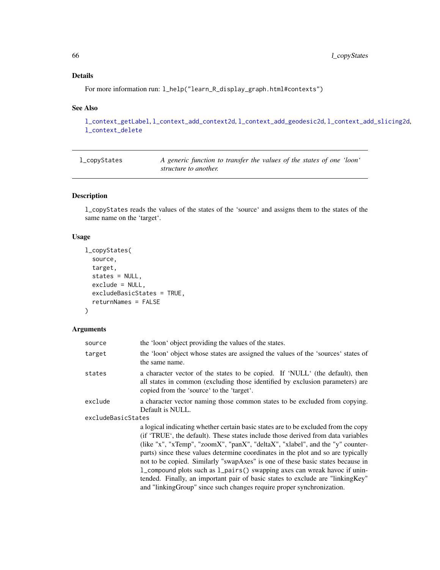# Details

For more information run: l\_help("learn\_R\_display\_graph.html#contexts")

# See Also

[l\\_context\\_getLabel](#page-63-0), [l\\_context\\_add\\_context2d](#page-60-1), [l\\_context\\_add\\_geodesic2d](#page-61-0), [l\\_context\\_add\\_slicing2d](#page-62-0), [l\\_context\\_delete](#page-63-1)

| l_copyStates | A generic function to transfer the values of the states of one 'loon' |
|--------------|-----------------------------------------------------------------------|
|              | structure to another.                                                 |

# Description

l\_copyStates reads the values of the states of the 'source' and assigns them to the states of the same name on the 'target'.

# Usage

```
l_copyStates(
 source,
  target,
 states = NULL,
  exclude = NULL,
  excludeBasicStates = TRUE,
  returnNames = FALSE
)
```
# Arguments

| source             | the 'loon' object providing the values of the states.                                                                                                                                                                                                                                                                                                                                                                                                                                                                                                                                                                                                                  |
|--------------------|------------------------------------------------------------------------------------------------------------------------------------------------------------------------------------------------------------------------------------------------------------------------------------------------------------------------------------------------------------------------------------------------------------------------------------------------------------------------------------------------------------------------------------------------------------------------------------------------------------------------------------------------------------------------|
| target             | the 'loon' object whose states are assigned the values of the 'sources' states of<br>the same name.                                                                                                                                                                                                                                                                                                                                                                                                                                                                                                                                                                    |
| states             | a character vector of the states to be copied. If 'NULL' (the default), then<br>all states in common (excluding those identified by exclusion parameters) are<br>copied from the 'source' to the 'target'.                                                                                                                                                                                                                                                                                                                                                                                                                                                             |
| exclude            | a character vector naming those common states to be excluded from copying.<br>Default is NULL.                                                                                                                                                                                                                                                                                                                                                                                                                                                                                                                                                                         |
| excludeBasicStates |                                                                                                                                                                                                                                                                                                                                                                                                                                                                                                                                                                                                                                                                        |
|                    | a logical indicating whether certain basic states are to be excluded from the copy<br>(if 'TRUE', the default). These states include those derived from data variables<br>(like "x", "xTemp", "zoomX", "panX", "deltaX", "xlabel", and the "y" counter-<br>parts) since these values determine coordinates in the plot and so are typically<br>not to be copied. Similarly "swapAxes" is one of these basic states because in<br>1_compound plots such as 1_pairs() swapping axes can wreak havoc if unin-<br>tended. Finally, an important pair of basic states to exclude are "linking Key"<br>and "linkingGroup" since such changes require proper synchronization. |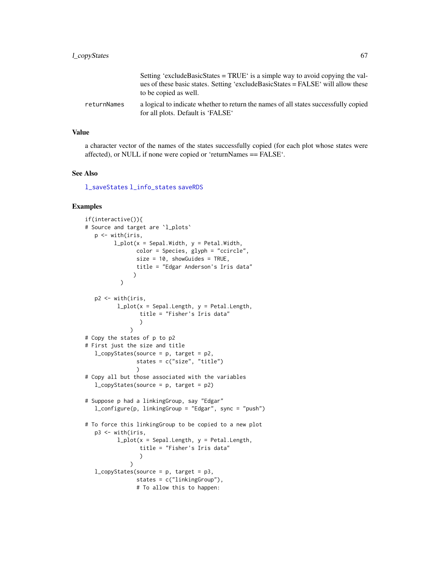|             | Setting 'excludeBasicStates = $TRUE'$ is a simple way to avoid copying the val-<br>ues of these basic states. Setting 'excludeBasicStates = FALSE' will allow these<br>to be copied as well. |
|-------------|----------------------------------------------------------------------------------------------------------------------------------------------------------------------------------------------|
| returnNames | a logical to indicate whether to return the names of all states successfully copied<br>for all plots. Default is 'FALSE'                                                                     |

# Value

a character vector of the names of the states successfully copied (for each plot whose states were affected), or NULL if none were copied or 'returnNames == FALSE'.

# See Also

[l\\_saveStates](#page-232-0) [l\\_info\\_states](#page-121-0) [saveRDS](#page-0-0)

```
if(interactive()){
# Source and target are `l_plots`
   p \leftarrow \text{with}(iris,l.plot(x = Sepal.Width, y = Petal.Width,color = Species, glyph = "ccircle",
                size = 10, showGuides = TRUE,
                title = "Edgar Anderson's Iris data"
                )
           \mathcal{L}p2 \le - with(iris,
          l.plot(x = Sepal.length, y = Petal.length,title = "Fisher's Iris data"
                  )
               \lambda# Copy the states of p to p2
# First just the size and title
   l_copyStates(source = p, target = p2,
                 states = c("size", "title")
                 \lambda# Copy all but those associated with the variables
   l_{\text{copyStates}}(source = p, target = p2)# Suppose p had a linkingGroup, say "Edgar"
   l_configure(p, linkingGroup = "Edgar", sync = "push")
# To force this linkingGroup to be copied to a new plot
   p3 <- with(iris,
          l.plot(x = Sepal.length, y = Petal.length,title = "Fisher's Iris data"
                  )
              \lambdal_{\text{copyStates}}(source = p, target = p3,states = c("linkingGroup"),
                 # To allow this to happen:
```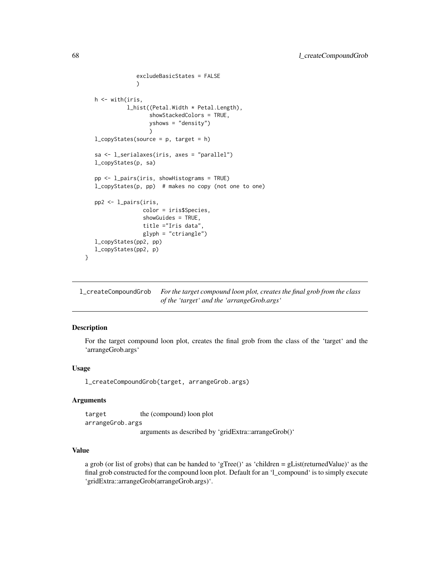```
excludeBasicStates = FALSE
             )
h \leftarrow \text{with}(iris,l_hist((Petal.Width * Petal.Length),
                 showStackedColors = TRUE,
                 yshows = "density")
                 )
l_copyStates(source = p, target = h)
sa <- l_serialaxes(iris, axes = "parallel")
l_copyStates(p, sa)
pp <- l_pairs(iris, showHistograms = TRUE)
l_copyStates(p, pp) # makes no copy (not one to one)
pp2 <- l_pairs(iris,
               color = iris$Species,
               showGuides = TRUE,
               title ="Iris data",
               glyph = "ctriangle")
l_copyStates(pp2, pp)
l_copyStates(pp2, p)
```
l\_createCompoundGrob *For the target compound loon plot, creates the final grob from the class of the 'target' and the 'arrangeGrob.args'*

## Description

}

For the target compound loon plot, creates the final grob from the class of the 'target' and the 'arrangeGrob.args'

### Usage

l\_createCompoundGrob(target, arrangeGrob.args)

# Arguments

target the (compound) loon plot arrangeGrob.args

arguments as described by 'gridExtra::arrangeGrob()'

# Value

a grob (or list of grobs) that can be handed to 'gTree()' as 'children = gList(returnedValue)' as the final grob constructed for the compound loon plot. Default for an 'l\_compound' is to simply execute 'gridExtra::arrangeGrob(arrangeGrob.args)'.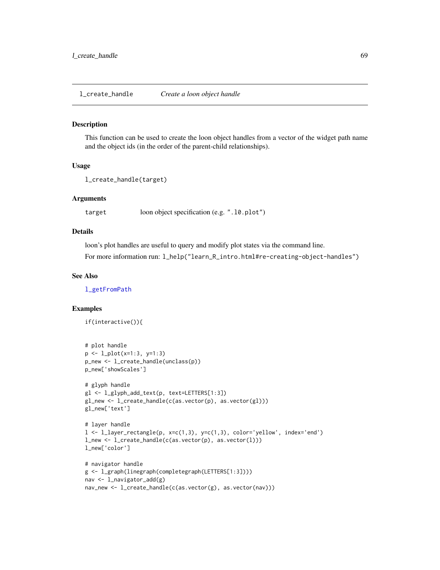#### <span id="page-68-0"></span>Description

This function can be used to create the loon object handles from a vector of the widget path name and the object ids (in the order of the parent-child relationships).

# Usage

```
l_create_handle(target)
```
#### Arguments

target loon object specification (e.g. ".l0.plot")

#### Details

loon's plot handles are useful to query and modify plot states via the command line.

For more information run: l\_help("learn\_R\_intro.html#re-creating-object-handles")

#### See Also

[l\\_getFromPath](#page-77-0)

```
if(interactive()){
```

```
# plot handle
p <- l_plot(x=1:3, y=1:3)
p_new <- l_create_handle(unclass(p))
p_new['showScales']
# glyph handle
gl <- l_glyph_add_text(p, text=LETTERS[1:3])
gl_new <- l_create_handle(c(as.vector(p), as.vector(gl)))
gl_new['text']
# layer handle
l <- l_layer_rectangle(p, x=c(1,3), y=c(1,3), color='yellow', index='end')
l_new <- l_create_handle(c(as.vector(p), as.vector(l)))
l_new['color']
# navigator handle
g <- l_graph(linegraph(completegraph(LETTERS[1:3])))
nav <- l_navigator_add(g)
```

```
nav_new <- l_create_handle(c(as.vector(g), as.vector(nav)))
```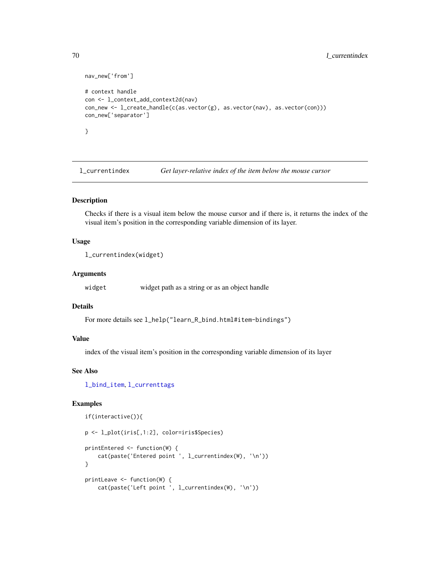```
nav_new['from']
# context handle
con <- l_context_add_context2d(nav)
con_new <- l_create_handle(c(as.vector(g), as.vector(nav), as.vector(con)))
con_new['separator']
}
```
<span id="page-69-0"></span>l\_currentindex *Get layer-relative index of the item below the mouse cursor*

### Description

Checks if there is a visual item below the mouse cursor and if there is, it returns the index of the visual item's position in the corresponding variable dimension of its layer.

# Usage

```
l_currentindex(widget)
```
### Arguments

widget widget path as a string or as an object handle

# Details

For more details see l\_help("learn\_R\_bind.html#item-bindings")

# Value

index of the visual item's position in the corresponding variable dimension of its layer

# See Also

[l\\_bind\\_item](#page-43-1), [l\\_currenttags](#page-70-0)

```
if(interactive()){
p <- l_plot(iris[,1:2], color=iris$Species)
printEntered <- function(W) {
    cat(paste('Entered point ', l_currentindex(W), '\n'))
}
printLeave <- function(W) {
   cat(paste('Left point ', l_currentindex(W), '\n'))
```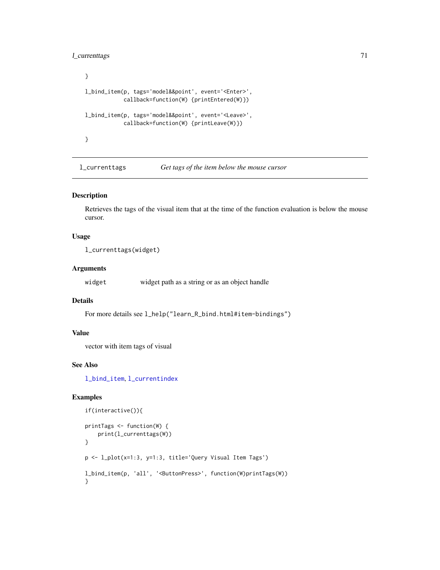l\_currenttags 71

```
}
l_bind_item(p, tags='model&&point', event='<Enter>',
            callback=function(W) {printEntered(W)})
l_bind_item(p, tags='model&&point', event='<Leave>',
            callback=function(W) {printLeave(W)})
}
```
<span id="page-70-0"></span>l\_currenttags *Get tags of the item below the mouse cursor*

# Description

Retrieves the tags of the visual item that at the time of the function evaluation is below the mouse cursor.

### Usage

l\_currenttags(widget)

# Arguments

widget widget path as a string or as an object handle

# Details

For more details see l\_help("learn\_R\_bind.html#item-bindings")

# Value

vector with item tags of visual

# See Also

[l\\_bind\\_item](#page-43-1), [l\\_currentindex](#page-69-0)

```
if(interactive()){
printTags <- function(W) {
    print(l_currenttags(W))
}
p <- l_plot(x=1:3, y=1:3, title='Query Visual Item Tags')
l_bind_item(p, 'all', '<ButtonPress>', function(W)printTags(W))
}
```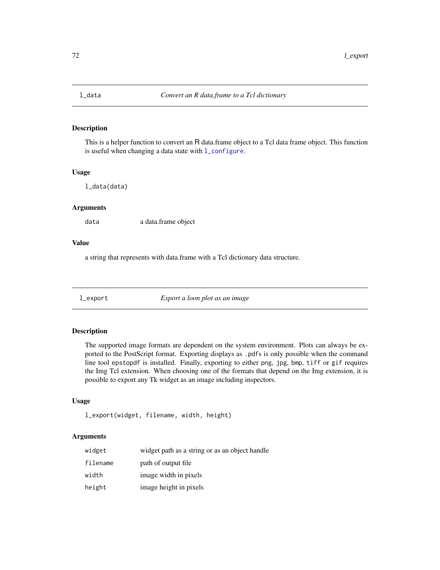# Description

This is a helper function to convert an R data.frame object to a Tcl data frame object. This function is useful when changing a data state with  $l$ <sub>configure.</sub>

#### Usage

l\_data(data)

# Arguments

data a data.frame object

#### Value

a string that represents with data.frame with a Tcl dictionary data structure.

l\_export *Export a loon plot as an image*

### Description

The supported image formats are dependent on the system environment. Plots can always be exported to the PostScript format. Exporting displays as .pdfs is only possible when the command line tool epstopdf is installed. Finally, exporting to either png, jpg, bmp, tiff or gif requires the Img Tcl extension. When choosing one of the formats that depend on the Img extension, it is possible to export any Tk widget as an image including inspectors.

### Usage

```
l_export(widget, filename, width, height)
```
#### Arguments

| widget   | widget path as a string or as an object handle |
|----------|------------------------------------------------|
| filename | path of output file                            |
| width    | image width in pixels                          |
| height   | image height in pixels                         |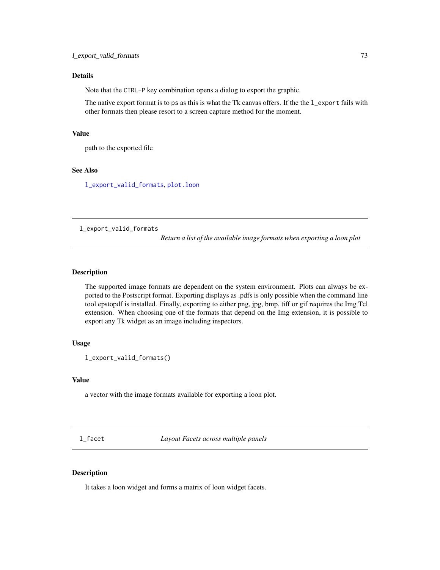### Details

Note that the CTRL-P key combination opens a dialog to export the graphic.

The native export format is to ps as this is what the Tk canvas offers. If the the  $1$ <sub>export fails with</sub> other formats then please resort to a screen capture method for the moment.

#### Value

path to the exported file

# See Also

[l\\_export\\_valid\\_formats](#page-72-0), [plot.loon](#page-265-0)

<span id="page-72-0"></span>l\_export\_valid\_formats

*Return a list of the available image formats when exporting a loon plot*

# Description

The supported image formats are dependent on the system environment. Plots can always be exported to the Postscript format. Exporting displays as .pdfs is only possible when the command line tool epstopdf is installed. Finally, exporting to either png, jpg, bmp, tiff or gif requires the Img Tcl extension. When choosing one of the formats that depend on the Img extension, it is possible to export any Tk widget as an image including inspectors.

### Usage

```
l_export_valid_formats()
```
#### Value

a vector with the image formats available for exporting a loon plot.

l\_facet *Layout Facets across multiple panels*

#### Description

It takes a loon widget and forms a matrix of loon widget facets.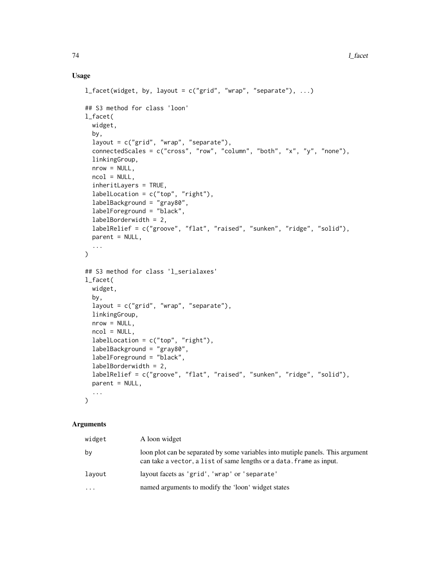# Usage

```
l_facet(widget, by, layout = c("grid", "wrap", "separate"), ...)## S3 method for class 'loon'
l_facet(
  widget,
 by,
  layout = c("grid", "wrap", "separate"),connectedScales = c("cross", "row", "column", "both", "x", "y", "none"),
  linkingGroup,
 nrow = NULL,ncol = NULL,inheritLayers = TRUE,
  labelLocation = c("top", "right"),
  labelBackground = "gray80",
  labelForeground = "black",
  labelBorderwidth = 2,
  labelRelief = c("groove", "flat", "raised", "sunken", "ridge", "solid"),
  parent = NULL,
  ...
\mathcal{L}## S3 method for class 'l_serialaxes'
l_facet(
 widget,
 by,
  layout = c("grid", "wrap", "separate"),
  linkingGroup,
  nrow = NULL,ncol = NULL,labelLocation = c("top", "right"),
  labelBackground = "gray80",
  labelForeground = "black",
  labelBorderwidth = 2,
  labelRelief = c("groove", "flat", "raised", "sunken", "ridge", "solid"),
 parent = NULL,
  ...
\mathcal{L}
```

| widget    | A loon widget                                                                                                                                           |
|-----------|---------------------------------------------------------------------------------------------------------------------------------------------------------|
| by        | loon plot can be separated by some variables into mutiple panels. This argument<br>can take a vector, a list of same lengths or a data. frame as input. |
| layout    | layout facets as 'grid', 'wrap' or 'separate'                                                                                                           |
| $\ddotsc$ | named arguments to modify the 'loon' widget states                                                                                                      |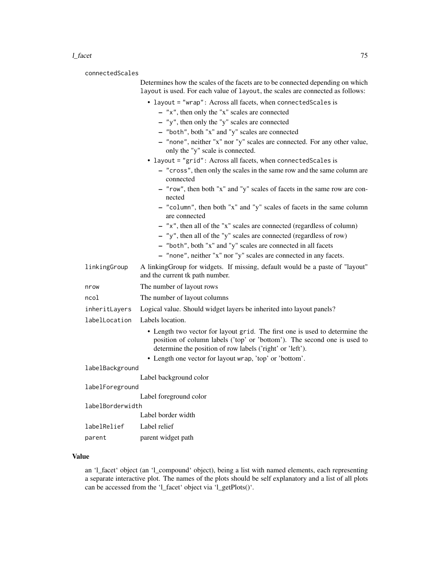#### l\_facet 75

connectedScales Determines how the scales of the facets are to be connected depending on which layout is used. For each value of layout, the scales are connected as follows: • layout = "wrap": Across all facets, when connectedScales is – "x", then only the "x" scales are connected – "y", then only the "y" scales are connected – "both", both "x" and "y" scales are connected – "none", neither "x" nor "y" scales are connected. For any other value, only the "y" scale is connected. • layout = "grid": Across all facets, when connectedScales is – "cross", then only the scales in the same row and the same column are connected – "row", then both "x" and "y" scales of facets in the same row are connected – "column", then both "x" and "y" scales of facets in the same column are connected – "x", then all of the "x" scales are connected (regardless of column) – "y", then all of the "y" scales are connected (regardless of row) – "both", both "x" and "y" scales are connected in all facets – "none", neither "x" nor "y" scales are connected in any facets. linkingGroup A linkingGroup for widgets. If missing, default would be a paste of "layout" and the current tk path number. nrow The number of layout rows ncol The number of layout columns inheritLayers Logical value. Should widget layers be inherited into layout panels? labelLocation Labels location. • Length two vector for layout grid. The first one is used to determine the position of column labels ('top' or 'bottom'). The second one is used to determine the position of row labels ('right' or 'left'). • Length one vector for layout wrap, 'top' or 'bottom'. labelBackground Label background color labelForeground Label foreground color labelBorderwidth Label border width labelRelief Label relief parent parent widget path

# Value

an 'l\_facet' object (an 'l\_compound' object), being a list with named elements, each representing a separate interactive plot. The names of the plots should be self explanatory and a list of all plots can be accessed from the 'l\_facet' object via 'l\_getPlots()'.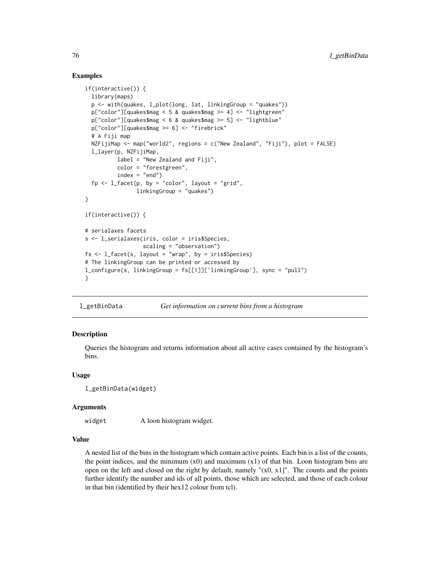### Examples

```
if(interactive()) {
 library(maps)
 p <- with(quakes, l_plot(long, lat, linkingGroup = "quakes"))
 p["color"][quakes$mag < 5 & quakes$mag >= 4] <- "lightgreen"
 p["color"][quakes$mag < 6 & quakes$mag >= 5] <- "lightblue"
 p["color"][quakes$mag >= 6] <- "firebrick"
 # A Fiji map
 NZFijiMap <- map("world2", regions = c("New Zealand", "Fiji"), plot = FALSE)
 l_layer(p, NZFijiMap,
          label = "New Zealand and Fiji",
          color = "forestgreen",
          index = "end")
 fp \leftarrow l_facet(p, by = "color", layout = "grid",
                linkingGroup = "quakes")
}
if(interactive()) {
# serialaxes facets
s <- l_serialaxes(iris, color = iris$Species,
                  scaling = "observation")
fs \leftarrow 1_facet(s, layout = "wrap", by = iris$Species)# The linkingGroup can be printed or accessed by
l_configure(s, linkingGroup = fs[[1]]['linkingGroup'], sync = "pull")
}
```

```
l_getBinData Get information on current bins from a histogram
```
### Description

Queries the histogram and returns information about all active cases contained by the histogram's bins.

### Usage

```
l_getBinData(widget)
```
#### Arguments

widget A loon histogram widget.

# Value

A nested list of the bins in the histogram which contain active points. Each bin is a list of the counts, the point indices, and the minimum  $(x0)$  and maximum  $(x1)$  of that bin. Loon histogram bins are open on the left and closed on the right by default, namely " $(x0, x1]$ ". The counts and the points further identify the number and ids of all points, those which are selected, and those of each colour in that bin (identified by their hex12 colour from tcl).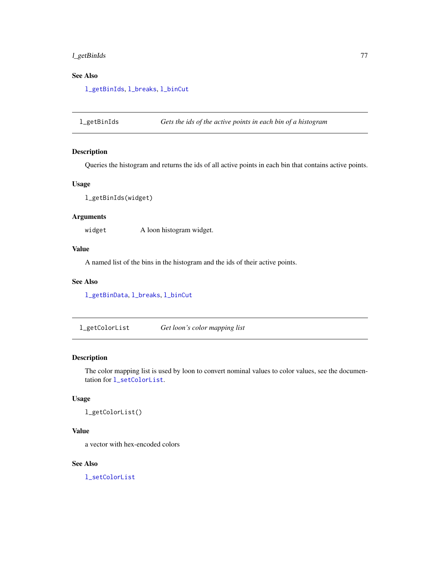# l\_getBinIds 77

# See Also

[l\\_getBinIds](#page-76-0), [l\\_breaks](#page-57-0), [l\\_binCut](#page-31-0)

<span id="page-76-0"></span>l\_getBinIds *Gets the ids of the active points in each bin of a histogram*

#### Description

Queries the histogram and returns the ids of all active points in each bin that contains active points.

#### Usage

l\_getBinIds(widget)

#### Arguments

widget A loon histogram widget.

# Value

A named list of the bins in the histogram and the ids of their active points.

### See Also

[l\\_getBinData](#page-75-0), [l\\_breaks](#page-57-0), [l\\_binCut](#page-31-0)

l\_getColorList *Get loon's color mapping list*

### Description

The color mapping list is used by loon to convert nominal values to color values, see the documentation for [l\\_setColorList](#page-245-0).

### Usage

l\_getColorList()

# Value

a vector with hex-encoded colors

### See Also

[l\\_setColorList](#page-245-0)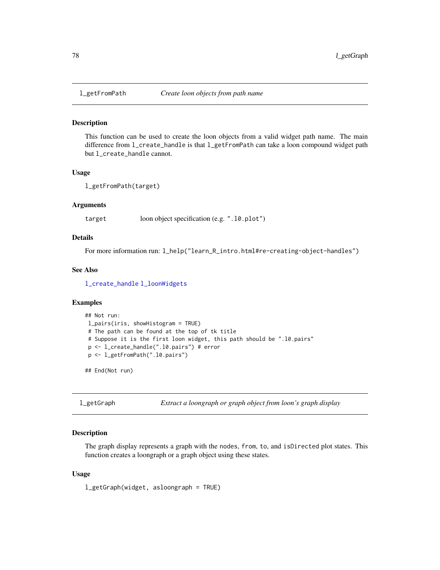### Description

This function can be used to create the loon objects from a valid widget path name. The main difference from l\_create\_handle is that l\_getFromPath can take a loon compound widget path but l\_create\_handle cannot.

#### Usage

```
l_getFromPath(target)
```
### Arguments

target loon object specification (e.g. ".l0.plot")

#### Details

For more information run: l\_help("learn\_R\_intro.html#re-creating-object-handles")

### See Also

[l\\_create\\_handle](#page-68-0) [l\\_loonWidgets](#page-178-0)

### Examples

```
## Not run:
l_pairs(iris, showHistogram = TRUE)
# The path can be found at the top of tk title
# Suppose it is the first loon widget, this path should be ".l0.pairs"
p <- l_create_handle(".l0.pairs") # error
p <- l_getFromPath(".l0.pairs")
```
## End(Not run)

l\_getGraph *Extract a loongraph or graph object from loon's graph display*

#### **Description**

The graph display represents a graph with the nodes, from, to, and isDirected plot states. This function creates a loongraph or a graph object using these states.

### Usage

l\_getGraph(widget, asloongraph = TRUE)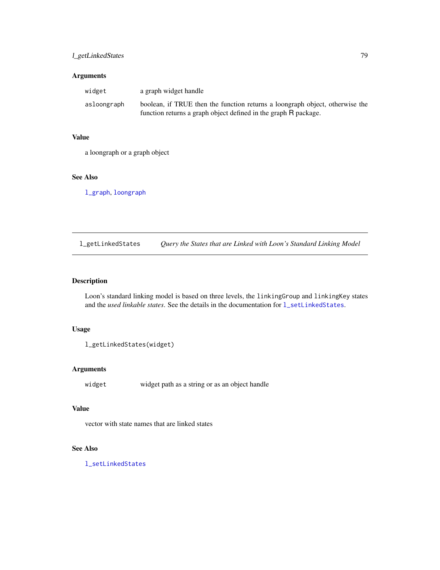# l\_getLinkedStates 79

# Arguments

| widget      | a graph widget handle                                                        |
|-------------|------------------------------------------------------------------------------|
| asloongraph | boolean, if TRUE then the function returns a loongraph object, otherwise the |
|             | function returns a graph object defined in the graph R package.              |

# Value

a loongraph or a graph object

#### See Also

[l\\_graph](#page-100-0), [loongraph](#page-22-0)

l\_getLinkedStates *Query the States that are Linked with Loon's Standard Linking Model*

# Description

Loon's standard linking model is based on three levels, the linkingGroup and linkingKey states and the *used linkable states*. See the details in the documentation for  $1$ \_setLinkedStates.

# Usage

```
l_getLinkedStates(widget)
```
### Arguments

widget widget path as a string or as an object handle

### Value

vector with state names that are linked states

# See Also

[l\\_setLinkedStates](#page-250-0)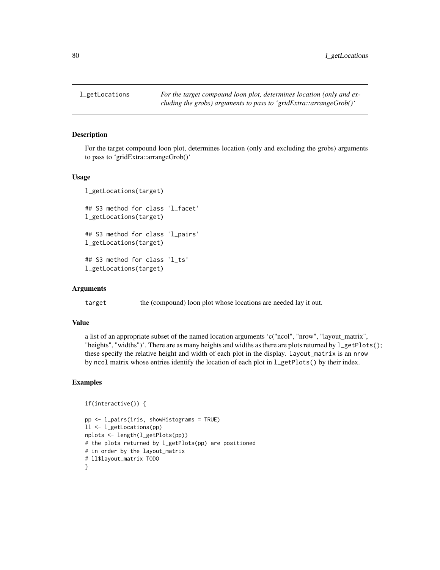### Description

For the target compound loon plot, determines location (only and excluding the grobs) arguments to pass to 'gridExtra::arrangeGrob()'

# Usage

```
l_getLocations(target)
## S3 method for class 'l_facet'
l_getLocations(target)
## S3 method for class 'l_pairs'
l_getLocations(target)
## S3 method for class 'l_ts'
l_getLocations(target)
```
### Arguments

target the (compound) loon plot whose locations are needed lay it out.

### Value

a list of an appropriate subset of the named location arguments 'c("ncol", "nrow", "layout\_matrix", "heights", "widths")'. There are as many heights and widths as there are plots returned by  $l_g$ etPlots(); these specify the relative height and width of each plot in the display. layout\_matrix is an nrow by ncol matrix whose entries identify the location of each plot in l\_getPlots() by their index.

### Examples

```
if(interactive()) {
```

```
pp <- l_pairs(iris, showHistograms = TRUE)
ll <- l_getLocations(pp)
nplots <- length(l_getPlots(pp))
# the plots returned by l_getPlots(pp) are positioned
# in order by the layout_matrix
# ll$layout_matrix TODO
}
```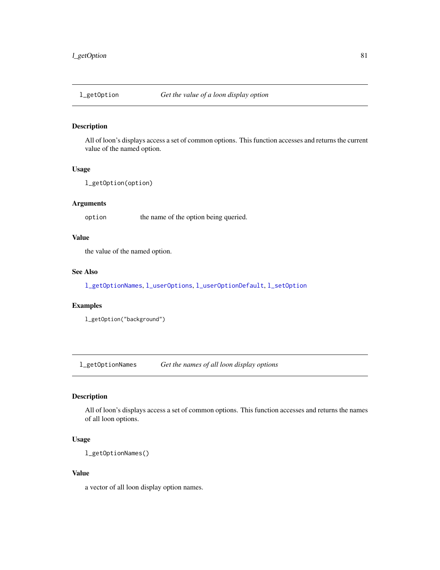<span id="page-80-1"></span>

# Description

All of loon's displays access a set of common options. This function accesses and returns the current value of the named option.

### Usage

```
l_getOption(option)
```
# Arguments

option the name of the option being queried.

# Value

the value of the named option.

### See Also

[l\\_getOptionNames](#page-80-0), [l\\_userOptions](#page-256-0), [l\\_userOptionDefault](#page-256-1), [l\\_setOption](#page-251-0)

# Examples

```
l_getOption("background")
```
<span id="page-80-0"></span>l\_getOptionNames *Get the names of all loon display options*

# Description

All of loon's displays access a set of common options. This function accesses and returns the names of all loon options.

# Usage

l\_getOptionNames()

### Value

a vector of all loon display option names.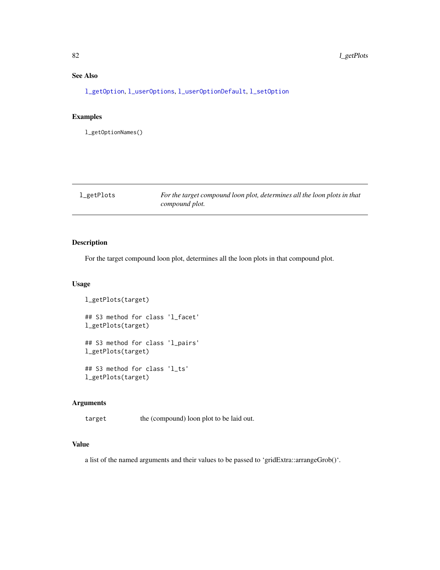# See Also

[l\\_getOption](#page-80-1), [l\\_userOptions](#page-256-0), [l\\_userOptionDefault](#page-256-1), [l\\_setOption](#page-251-0)

# Examples

l\_getOptionNames()

l\_getPlots *For the target compound loon plot, determines all the loon plots in that compound plot.*

### Description

For the target compound loon plot, determines all the loon plots in that compound plot.

### Usage

```
l_getPlots(target)
## S3 method for class 'l_facet'
l_getPlots(target)
## S3 method for class 'l_pairs'
l_getPlots(target)
## S3 method for class 'l_ts'
l_getPlots(target)
```
# Arguments

target the (compound) loon plot to be laid out.

# Value

a list of the named arguments and their values to be passed to 'gridExtra::arrangeGrob()'.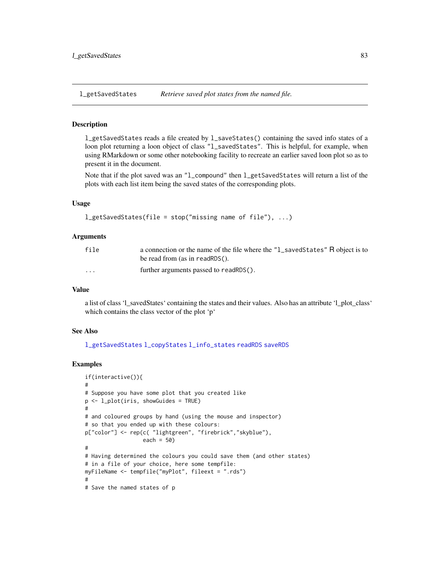<span id="page-82-0"></span>l\_getSavedStates *Retrieve saved plot states from the named file.*

#### **Description**

l\_getSavedStates reads a file created by l\_saveStates() containing the saved info states of a loon plot returning a loon object of class "1\_savedStates". This is helpful, for example, when using RMarkdown or some other notebooking facility to recreate an earlier saved loon plot so as to present it in the document.

Note that if the plot saved was an "l\_compound" then l\_getSavedStates will return a list of the plots with each list item being the saved states of the corresponding plots.

### Usage

```
l_getSavedStates(file = stop("missing name of file"), ...)
```
### Arguments

| file     | a connection or the name of the file where the "1_savedStates" R object is to |
|----------|-------------------------------------------------------------------------------|
|          | be read from (as in readRDS().                                                |
| $\cdots$ | further arguments passed to readRDS().                                        |

# Value

a list of class 'l\_savedStates' containing the states and their values. Also has an attribute 'l\_plot\_class' which contains the class vector of the plot 'p'

#### See Also

[l\\_getSavedStates](#page-82-0) [l\\_copyStates](#page-65-0) [l\\_info\\_states](#page-121-0) [readRDS](#page-0-0) [saveRDS](#page-0-0)

### Examples

```
if(interactive()){
#
# Suppose you have some plot that you created like
p <- l_plot(iris, showGuides = TRUE)
#
# and coloured groups by hand (using the mouse and inspector)
# so that you ended up with these colours:
p["color"] <- rep(c( "lightgreen", "firebrick","skyblue"),
                  each = 50)
#
# Having determined the colours you could save them (and other states)
# in a file of your choice, here some tempfile:
myFileName <- tempfile("myPlot", fileext = ".rds")
#
# Save the named states of p
```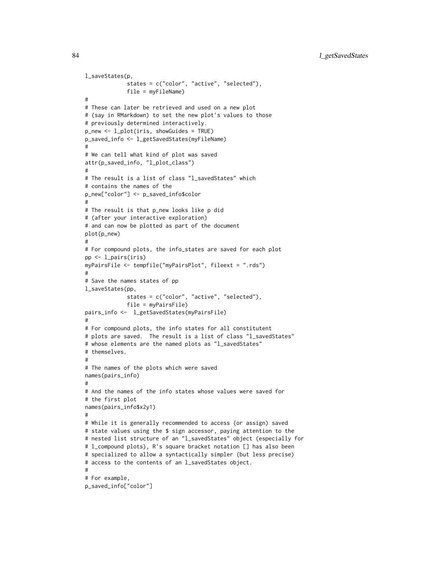```
l_saveStates(p,
             states = c("color", "active", "selected"),
             file = myFileName)
#
# These can later be retrieved and used on a new plot
# (say in RMarkdown) to set the new plot's values to those
# previously determined interactively.
p_new <- l_plot(iris, showGuides = TRUE)
p_saved_info <- l_getSavedStates(myFileName)
#
# We can tell what kind of plot was saved
attr(p_saved_info, "l_plot_class")
#
# The result is a list of class "l_savedStates" which
# contains the names of the
p_new["color"] <- p_saved_info$color
#
# The result is that p_new looks like p did
# (after your interactive exploration)
# and can now be plotted as part of the document
plot(p_new)
#
# For compound plots, the info_states are saved for each plot
pp <- l_pairs(iris)
myPairsFile <- tempfile("myPairsPlot", fileext = ".rds")
#
# Save the names states of pp
l_saveStates(pp,
             states = c("color", "active", "selected"),
             file = myPairsFile)
pairs_info <- l_getSavedStates(myPairsFile)
#
# For compound plots, the info states for all constitutent
# plots are saved. The result is a list of class "l_savedStates"
# whose elements are the named plots as "l_savedStates"
# themselves.
#
# The names of the plots which were saved
names(pairs_info)
#
# And the names of the info states whose values were saved for
# the first plot
names(pairs_info$x2y1)
#
# While it is generally recommended to access (or assign) saved
# state values using the $ sign accessor, paying attention to the
# nested list structure of an "l_savedStates" object (especially for
# l_compound plots), R's square bracket notation [] has also been
# specialized to allow a syntactically simpler (but less precise)
# access to the contents of an l_savedStates object.
#
# For example,
p_saved_info["color"]
```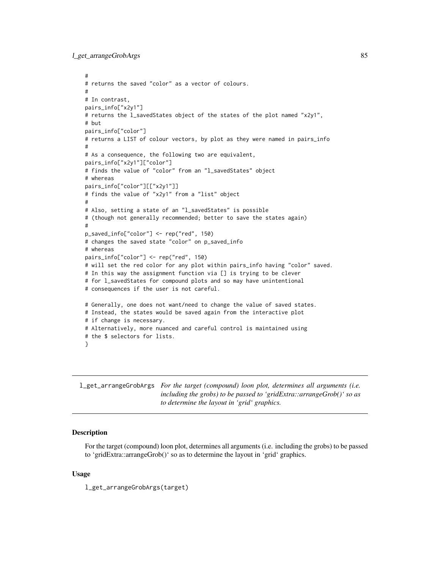l\_get\_arrangeGrobArgs 85

```
#
# returns the saved "color" as a vector of colours.
#
# In contrast,
pairs_info["x2y1"]
# returns the l_savedStates object of the states of the plot named "x2y1",
# but
pairs_info["color"]
# returns a LIST of colour vectors, by plot as they were named in pairs_info
#
# As a consequence, the following two are equivalent,
pairs_info["x2y1"]["color"]
# finds the value of "color" from an "l_savedStates" object
# whereas
pairs_info["color"][["x2y1"]]
# finds the value of "x2y1" from a "list" object
#
# Also, setting a state of an "l_savedStates" is possible
# (though not generally recommended; better to save the states again)
#
p_saved_info["color"] <- rep("red", 150)
# changes the saved state "color" on p_saved_info
# whereas
pairs_info["color"] <- rep("red", 150)
# will set the red color for any plot within pairs_info having "color" saved.
# In this way the assignment function via [] is trying to be clever
# for l_savedStates for compound plots and so may have unintentional
# consequences if the user is not careful.
# Generally, one does not want/need to change the value of saved states.
# Instead, the states would be saved again from the interactive plot
# if change is necessary.
# Alternatively, more nuanced and careful control is maintained using
# the $ selectors for lists.
}
```
l\_get\_arrangeGrobArgs *For the target (compound) loon plot, determines all arguments (i.e. including the grobs) to be passed to 'gridExtra::arrangeGrob()' so as to determine the layout in 'grid' graphics.*

### **Description**

For the target (compound) loon plot, determines all arguments (i.e. including the grobs) to be passed to 'gridExtra::arrangeGrob()' so as to determine the layout in 'grid' graphics.

### Usage

l\_get\_arrangeGrobArgs(target)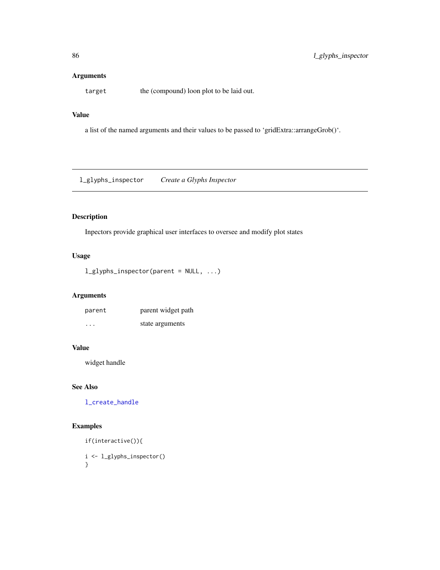### Arguments

target the (compound) loon plot to be laid out.

# Value

a list of the named arguments and their values to be passed to 'gridExtra::arrangeGrob()'.

l\_glyphs\_inspector *Create a Glyphs Inspector*

# Description

Inpectors provide graphical user interfaces to oversee and modify plot states

# Usage

l\_glyphs\_inspector(parent = NULL, ...)

# Arguments

| parent                  | parent widget path |
|-------------------------|--------------------|
| $\cdot$ $\cdot$ $\cdot$ | state arguments    |

### Value

widget handle

# See Also

[l\\_create\\_handle](#page-68-0)

# Examples

```
if(interactive()){
```

```
i <- l_glyphs_inspector()
}
```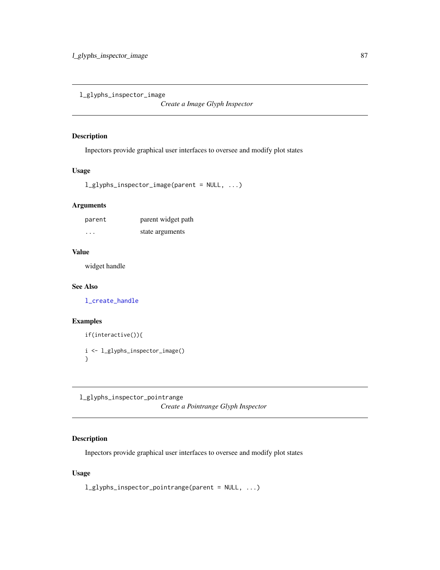l\_glyphs\_inspector\_image

*Create a Image Glyph Inspector*

# Description

Inpectors provide graphical user interfaces to oversee and modify plot states

# Usage

l\_glyphs\_inspector\_image(parent = NULL, ...)

# Arguments

| parent  | parent widget path |
|---------|--------------------|
| $\cdot$ | state arguments    |

# Value

widget handle

### See Also

[l\\_create\\_handle](#page-68-0)

# Examples

if(interactive()){

i <- l\_glyphs\_inspector\_image() }

l\_glyphs\_inspector\_pointrange *Create a Pointrange Glyph Inspector*

# Description

Inpectors provide graphical user interfaces to oversee and modify plot states

### Usage

l\_glyphs\_inspector\_pointrange(parent = NULL, ...)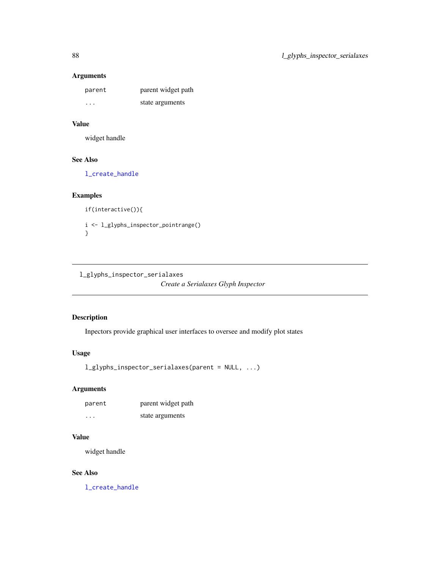# Arguments

| parent  | parent widget path |
|---------|--------------------|
| $\cdot$ | state arguments    |

# Value

widget handle

# See Also

[l\\_create\\_handle](#page-68-0)

# Examples

```
if(interactive()){
i <- l_glyphs_inspector_pointrange()
}
```
l\_glyphs\_inspector\_serialaxes

*Create a Serialaxes Glyph Inspector*

### Description

Inpectors provide graphical user interfaces to oversee and modify plot states

# Usage

```
l_glyphs_inspector_serialaxes(parent = NULL, ...)
```
# Arguments

| parent | parent widget path |
|--------|--------------------|
| .      | state arguments    |

# Value

widget handle

# See Also

[l\\_create\\_handle](#page-68-0)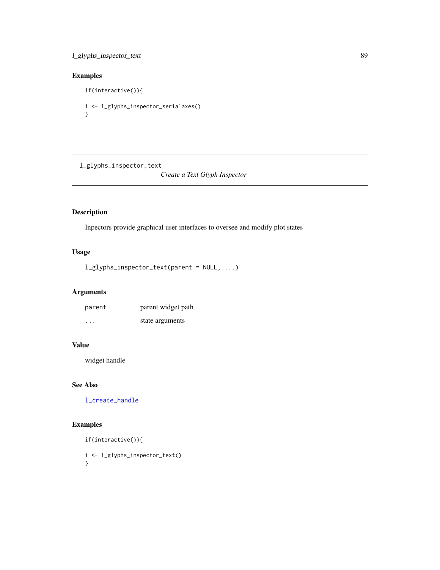# l\_glyphs\_inspector\_text 89

# Examples

if(interactive()){ i <- l\_glyphs\_inspector\_serialaxes() }

l\_glyphs\_inspector\_text

*Create a Text Glyph Inspector*

# Description

Inpectors provide graphical user interfaces to oversee and modify plot states

# Usage

l\_glyphs\_inspector\_text(parent = NULL, ...)

# Arguments

| parent | parent widget path |
|--------|--------------------|
| .      | state arguments    |

# Value

widget handle

# See Also

[l\\_create\\_handle](#page-68-0)

# Examples

```
if(interactive()){
```
i <- l\_glyphs\_inspector\_text() }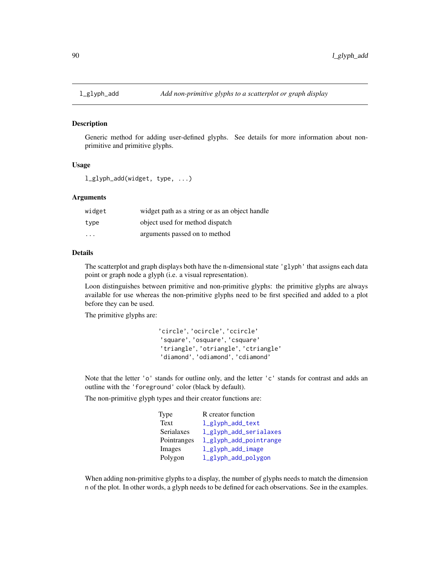<span id="page-89-0"></span>

#### Description

Generic method for adding user-defined glyphs. See details for more information about nonprimitive and primitive glyphs.

### Usage

l\_glyph\_add(widget, type, ...)

### Arguments

| widget                  | widget path as a string or as an object handle |
|-------------------------|------------------------------------------------|
| type                    | object used for method dispatch                |
| $\cdot$ $\cdot$ $\cdot$ | arguments passed on to method                  |

# Details

The scatterplot and graph displays both have the n-dimensional state 'glyph' that assigns each data point or graph node a glyph (i.e. a visual representation).

Loon distinguishes between primitive and non-primitive glyphs: the primitive glyphs are always available for use whereas the non-primitive glyphs need to be first specified and added to a plot before they can be used.

The primitive glyphs are:

'circle', 'ocircle', 'ccircle' 'square', 'osquare', 'csquare' 'triangle', 'otriangle', 'ctriangle' 'diamond', 'odiamond', 'cdiamond'

Note that the letter 'o' stands for outline only, and the letter 'c' stands for contrast and adds an outline with the 'foreground' color (black by default).

The non-primitive glyph types and their creator functions are:

| Type        | R creator function     |
|-------------|------------------------|
| Text        | l_glyph_add_text       |
| Serialaxes  | l_glyph_add_serialaxes |
| Pointranges | l_glyph_add_pointrange |
| Images      | l_glyph_add_image      |
| Polygon     | l_glyph_add_polygon    |

When adding non-primitive glyphs to a display, the number of glyphs needs to match the dimension n of the plot. In other words, a glyph needs to be defined for each observations. See in the examples.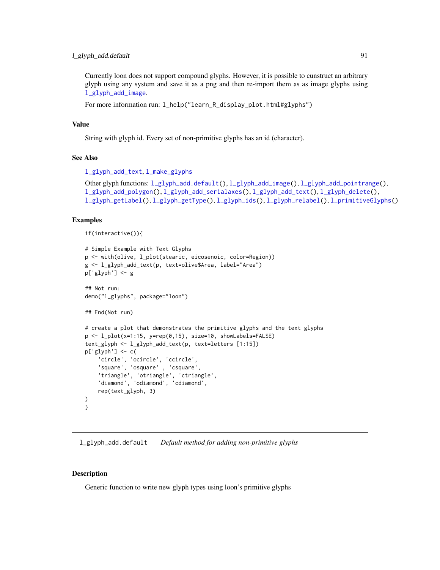# l\_glyph\_add.default 91

Currently loon does not support compound glyphs. However, it is possible to cunstruct an arbitrary glyph using any system and save it as a png and then re-import them as as image glyphs using [l\\_glyph\\_add\\_image](#page-91-0).

For more information run: l\_help("learn\_R\_display\_plot.html#glyphs")

#### Value

String with glyph id. Every set of non-primitive glyphs has an id (character).

# See Also

[l\\_glyph\\_add\\_text](#page-96-0), [l\\_make\\_glyphs](#page-180-0)

```
Other glyph functions: l_glyph_add.default(), l_glyph_add_image(), l_glyph_add_pointrange(),
l_glyph_add_polygon(), l_glyph_add_serialaxes(), l_glyph_add_text(), l_glyph_delete(),
l_glyph_getLabel(), l_glyph_getType(), l_glyph_ids(), l_glyph_relabel(), l_primitiveGlyphs()
```
### Examples

```
if(interactive()){
```

```
# Simple Example with Text Glyphs
p <- with(olive, l_plot(stearic, eicosenoic, color=Region))
g <- l_glyph_add_text(p, text=olive$Area, label="Area")
p['glyph'] <- g
## Not run:
demo("l_glyphs", package="loon")
## End(Not run)
# create a plot that demonstrates the primitive glyphs and the text glyphs
p <- l_plot(x=1:15, y=rep(0,15), size=10, showLabels=FALSE)
text_glyph <- l_glyph_add_text(p, text=letters [1:15])
p['glyph'] < - c('circle', 'ocircle', 'ccircle',
    'square', 'osquare' , 'csquare',
    'triangle', 'otriangle', 'ctriangle',
    'diamond', 'odiamond', 'cdiamond',
    rep(text_glyph, 3)
)
}
```
<span id="page-90-0"></span>l\_glyph\_add.default *Default method for adding non-primitive glyphs*

### **Description**

Generic function to write new glyph types using loon's primitive glyphs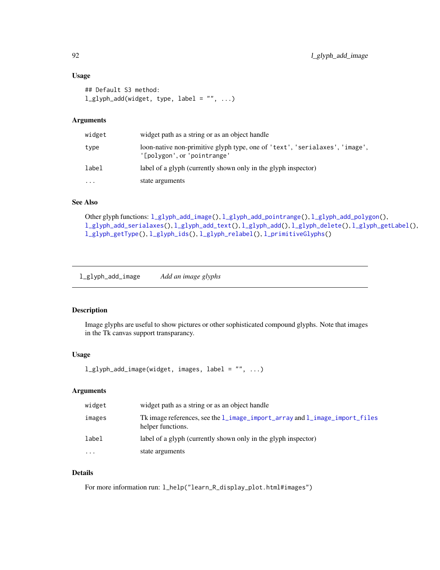### Usage

```
## Default S3 method:
l_glyph_add(widget, type, label = "", ...)
```
# Arguments

| widget    | widget path as a string or as an object handle                                                             |
|-----------|------------------------------------------------------------------------------------------------------------|
| type      | loon-native non-primitive glyph type, one of 'text', 'serialaxes', 'image',<br>'[polygon', or 'pointrange' |
| label     | label of a glyph (currently shown only in the glyph inspector)                                             |
| $\ddotsc$ | state arguments                                                                                            |

# See Also

```
Other glyph functions: l_glyph_add_image(), l_glyph_add_pointrange(), l_glyph_add_polygon(),
l_glyph_add_serialaxes(), l_glyph_add_text(), l_glyph_add(), l_glyph_delete(), l_glyph_getLabel(),
l_glyph_getType(), l_glyph_ids(), l_glyph_relabel(), l_primitiveGlyphs()
```
<span id="page-91-0"></span>l\_glyph\_add\_image *Add an image glyphs*

### Description

Image glyphs are useful to show pictures or other sophisticated compound glyphs. Note that images in the Tk canvas support transparancy.

### Usage

l\_glyph\_add\_image(widget, images, label = "", ...)

# Arguments

| widget   | widget path as a string or as an object handle                                                  |
|----------|-------------------------------------------------------------------------------------------------|
| images   | Tk image references, see the 1_image_import_array and 1_image_import_files<br>helper functions. |
| label    | label of a glyph (currently shown only in the glyph inspector)                                  |
| $\cdots$ | state arguments                                                                                 |

# Details

For more information run: l\_help("learn\_R\_display\_plot.html#images")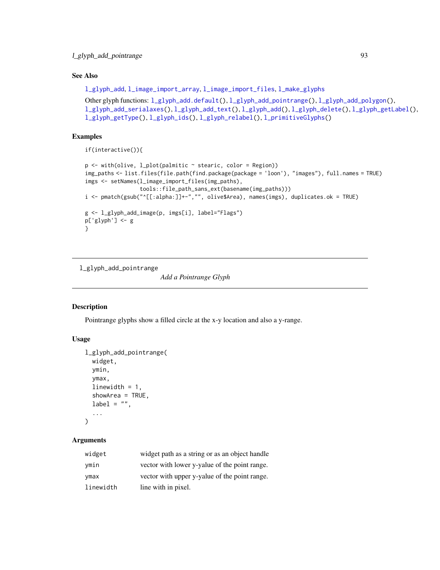# See Also

[l\\_glyph\\_add](#page-89-0), [l\\_image\\_import\\_array](#page-119-0), [l\\_image\\_import\\_files](#page-120-0), [l\\_make\\_glyphs](#page-180-0)

```
Other glyph functions: l_glyph\_add.default(), l_glyph\_add\_pointrange(), l_glyph\_add\_polygon(),l_glyph_add_serialaxes(), l_glyph_add_text(), l_glyph_add(), l_glyph_delete(), l_glyph_getLabel(),
l_glyph_getType(), l_glyph_ids(), l_glyph_relabel(), l_primitiveGlyphs()
```
### Examples

```
if(interactive()){
```

```
p <- with(olive, l_plot(palmitic ~ stearic, color = Region))
img_paths <- list.files(file.path(find.package(package = 'loon'), "images"), full.names = TRUE)
imgs <- setNames(l_image_import_files(img_paths),
                 tools::file_path_sans_ext(basename(img_paths)))
i <- pmatch(gsub("^[[:alpha:]]+-","", olive$Area), names(imgs), duplicates.ok = TRUE)
g <- l_glyph_add_image(p, imgs[i], label="Flags")
p['glyph'] <- g
}
```
<span id="page-92-0"></span>l\_glyph\_add\_pointrange

*Add a Pointrange Glyph*

### Description

Pointrange glyphs show a filled circle at the x-y location and also a y-range.

# Usage

```
l_glyph_add_pointrange(
  widget,
  ymin,
  ymax,
  linewidth = 1,showArea = TRUE,
  label = ",
  ...
\lambda
```

| widget    | widget path as a string or as an object handle |
|-----------|------------------------------------------------|
| ymin      | vector with lower y-yalue of the point range.  |
| ymax      | vector with upper y-yalue of the point range.  |
| linewidth | line with in pixel.                            |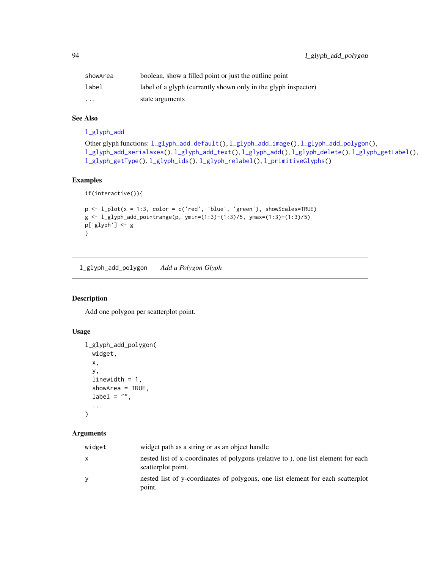| showArea | boolean, show a filled point or just the outline point         |
|----------|----------------------------------------------------------------|
| label    | label of a glyph (currently shown only in the glyph inspector) |
| $\cdots$ | state arguments                                                |

# See Also

[l\\_glyph\\_add](#page-89-0)

```
Other glyph functions: l_glyph_add.default(), l_glyph_add_image(), l_glyph_add_polygon(),
l_glyph_add_serialaxes(), l_glyph_add_text(), l_glyph_add(), l_glyph_delete(), l_glyph_getLabel(),
l_glyph_getType(), l_glyph_ids(), l_glyph_relabel(), l_primitiveGlyphs()
```
### Examples

```
if(interactive()){
p \leftarrow 1\_plot(x = 1:3, color = c('red', 'blue', 'green'), showScales=TRUE)g <- l_glyph_add_pointrange(p, ymin=(1:3)-(1:3)/5, ymax=(1:3)+(1:3)/5)
p['glyph'] <- g
}
```
<span id="page-93-0"></span>l\_glyph\_add\_polygon *Add a Polygon Glyph*

### Description

Add one polygon per scatterplot point.

### Usage

```
l_glyph_add_polygon(
 widget,
  x,
  y,
  linewidth = 1,
  showArea = TRUE,
 label = ""....
)
```

| widget | widget path as a string or as an object handle                                                          |
|--------|---------------------------------------------------------------------------------------------------------|
| X      | nested list of x-coordinates of polygons (relative to), one list element for each<br>scatterplot point. |
| y      | nested list of y-coordinates of polygons, one list element for each scatterplot<br>point.               |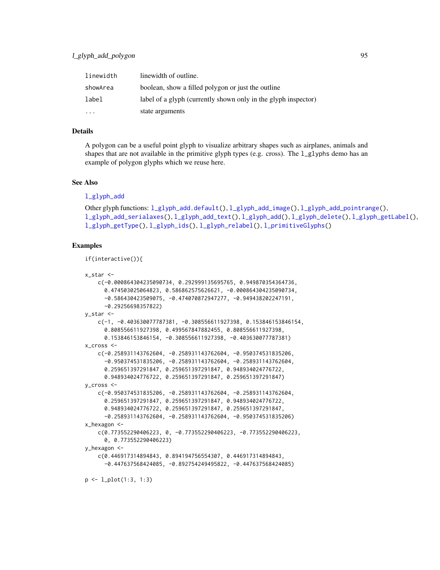| linewidth | linewidth of outline.                                          |
|-----------|----------------------------------------------------------------|
| showArea  | boolean, show a filled polygon or just the outline             |
| label     | label of a glyph (currently shown only in the glyph inspector) |
| $\cdots$  | state arguments                                                |

# Details

A polygon can be a useful point glyph to visualize arbitrary shapes such as airplanes, animals and shapes that are not available in the primitive glyph types (e.g. cross). The  $1_{g}$ lyphs demo has an example of polygon glyphs which we reuse here.

### See Also

[l\\_glyph\\_add](#page-89-0)

```
Other glyph functions: l_glyph_add.default(), l_glyph_add_image(), l_glyph_add_pointrange(),
l_glyph_add_serialaxes(), l_glyph_add_text(), l_glyph_add(), l_glyph_delete(), l_glyph_getLabel(),
l_glyph_getType(), l_glyph_ids(), l_glyph_relabel(), l_primitiveGlyphs()
```
### Examples

```
if(interactive()){
```

```
x_star <-
   c(-0.000864304235090734, 0.292999135695765, 0.949870354364736,
      0.474503025064823, 0.586862575626621, -0.000864304235090734,
      -0.586430423509075, -0.474070872947277, -0.949438202247191,
      -0.29256698357822)
y_star <-
    c(-1, -0.403630077787381, -0.308556611927398, 0.153846153846154,
      0.808556611927398, 0.499567847882455, 0.808556611927398,
      0.153846153846154, -0.308556611927398, -0.403630077787381)
x cross <-c(-0.258931143762604, -0.258931143762604, -0.950374531835206,
      -0.950374531835206, -0.258931143762604, -0.258931143762604,
      0.259651397291847, 0.259651397291847, 0.948934024776722,
      0.948934024776722, 0.259651397291847, 0.259651397291847)
y_cross <-
    c(-0.950374531835206, -0.258931143762604, -0.258931143762604,
      0.259651397291847, 0.259651397291847, 0.948934024776722,
      0.948934024776722, 0.259651397291847, 0.259651397291847,
      -0.258931143762604, -0.258931143762604, -0.950374531835206)
x_hexagon <-
    c(0.773552290406223, 0, -0.773552290406223, -0.773552290406223,
      0, 0.773552290406223)
y_hexagon <-
    c(0.446917314894843, 0.894194756554307, 0.446917314894843,
      -0.447637568424085, -0.892754249495822, -0.447637568424085)
```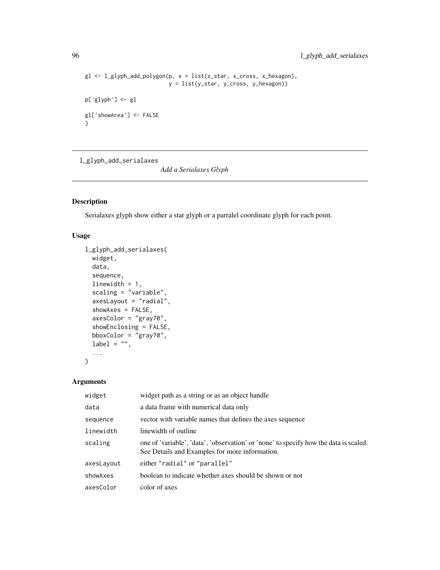```
gl \leftarrow l_glyph\_add\_polygon(p, x = list(x\_star, x\_cross, x\_hexagon),y = list(y_star, y_cross, y_hexagon))
p['glyph'] <- gl
gl['showArea'] <- FALSE
}
```
<span id="page-95-0"></span>l\_glyph\_add\_serialaxes

*Add a Serialaxes Glyph*

# Description

Serialaxes glyph show either a star glyph or a parralel coordinate glyph for each point.

# Usage

```
l_glyph_add_serialaxes(
 widget,
 data,
  sequence,
  linewidth = 1,
  scaling = "variable",
  axesLayout = "radial",
  showAxes = FALSE,
  axesColor = "gray70",
  showEnclosing = FALSE,
 bboxColor = "gray70",
  label = "",...
)
```

| widget     | widget path as a string or as an object handle                                                                                          |  |
|------------|-----------------------------------------------------------------------------------------------------------------------------------------|--|
| data       | a data frame with numerical data only                                                                                                   |  |
| sequence   | vector with variable names that defines the axes sequence                                                                               |  |
| linewidth  | linewidth of outline                                                                                                                    |  |
| scaling    | one of 'variable', 'data', 'observation' or 'none' to specify how the data is scaled.<br>See Details and Examples for more information. |  |
| axesLayout | either "radial" or "parallel"                                                                                                           |  |
| showAxes   | boolean to indicate whether axes should be shown or not                                                                                 |  |
| axesColor  | color of axes                                                                                                                           |  |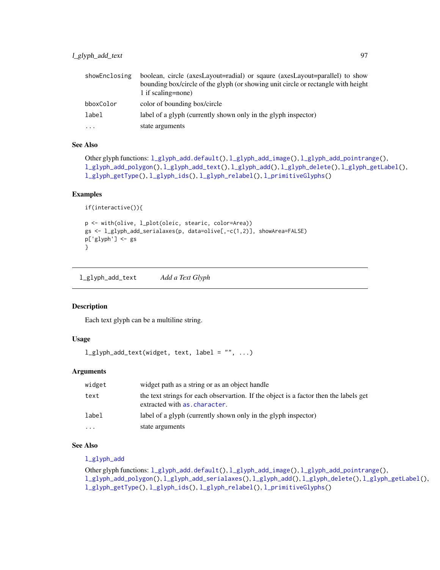| showEnclosing | boolean, circle (axesLayout=radial) or square (axesLayout=parallel) to show       |  |
|---------------|-----------------------------------------------------------------------------------|--|
|               | bounding box/circle of the glyph (or showing unit circle or rectangle with height |  |
|               | 1 if scaling=none)                                                                |  |
| bboxColor     | color of bounding box/circle                                                      |  |
| label         | label of a glyph (currently shown only in the glyph inspector)                    |  |
| $\cdots$      | state arguments                                                                   |  |

# See Also

```
Other glyph functions: l_glyph_add.default(), l_glyph_add_image(), l_glyph_add_pointrange(),
l_glyph_add_polygon(), l_glyph_add_text(), l_glyph_add(), l_glyph_delete(), l_glyph_getLabel(),
l_glyph_getType(), l_glyph_ids(), l_glyph_relabel(), l_primitiveGlyphs()
```
# Examples

```
if(interactive()){
p <- with(olive, l_plot(oleic, stearic, color=Area))
gs <- l_glyph_add_serialaxes(p, data=olive[,-c(1,2)], showArea=FALSE)
p['glyph'] <- gs
}
```
<span id="page-96-0"></span>l\_glyph\_add\_text *Add a Text Glyph*

#### Description

Each text glyph can be a multiline string.

### Usage

```
l_glyph_add_text(widget, text, label = "", ...)
```
# Arguments

| widget | widget path as a string or as an object handle                                                                        |
|--------|-----------------------------------------------------------------------------------------------------------------------|
| text   | the text strings for each observartion. If the object is a factor then the labels get<br>extracted with as character. |
| label  | label of a glyph (currently shown only in the glyph inspector)                                                        |
| .      | state arguments                                                                                                       |

# See Also

[l\\_glyph\\_add](#page-89-0)

Other glyph functions: [l\\_glyph\\_add.default\(](#page-90-0)), [l\\_glyph\\_add\\_image\(](#page-91-0)), [l\\_glyph\\_add\\_pointrange\(](#page-92-0)), [l\\_glyph\\_add\\_polygon\(](#page-93-0)), [l\\_glyph\\_add\\_serialaxes\(](#page-95-0)), [l\\_glyph\\_add\(](#page-89-0)), [l\\_glyph\\_delete\(](#page-97-0)), [l\\_glyph\\_getLabel\(](#page-97-1)), [l\\_glyph\\_getType\(](#page-98-0)), [l\\_glyph\\_ids\(](#page-98-1)), [l\\_glyph\\_relabel\(](#page-99-0)), [l\\_primitiveGlyphs\(](#page-229-0))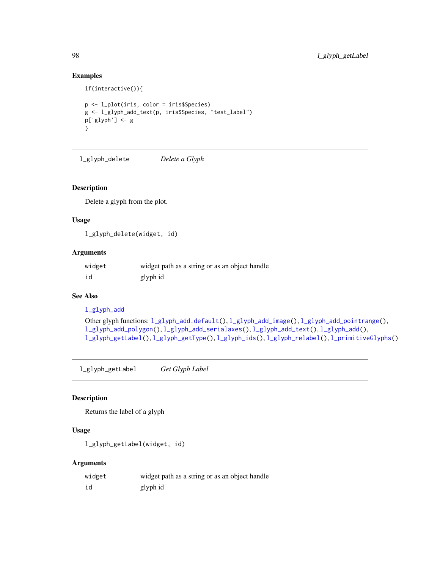### Examples

if(interactive()){

```
p <- l_plot(iris, color = iris$Species)
g <- l_glyph_add_text(p, iris$Species, "test_label")
p['glyph'] <- g
}
```
<span id="page-97-0"></span>l\_glyph\_delete *Delete a Glyph*

### Description

Delete a glyph from the plot.

### Usage

```
l_glyph_delete(widget, id)
```
# Arguments

| widget | widget path as a string or as an object handle |
|--------|------------------------------------------------|
| id     | glyph id                                       |

# See Also

[l\\_glyph\\_add](#page-89-0)

```
Other glyph functions: l_glyph_add.default(), l_glyph_add_image(), l_glyph_add_pointrange(),
l_glyph_add_polygon(), l_glyph_add_serialaxes(), l_glyph_add_text(), l_glyph_add(),
l_glyph_getLabel(), l_glyph_getType(), l_glyph_ids(), l_glyph_relabel(), l_primitiveGlyphs()
```
<span id="page-97-1"></span>l\_glyph\_getLabel *Get Glyph Label*

# Description

Returns the label of a glyph

### Usage

l\_glyph\_getLabel(widget, id)

| widget | widget path as a string or as an object handle |
|--------|------------------------------------------------|
| id     | glyph id                                       |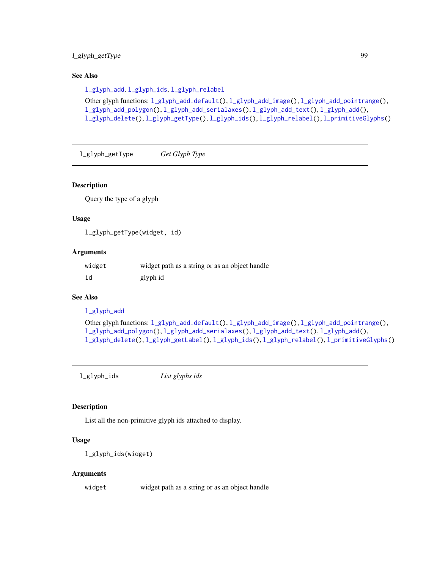# l\_glyph\_getType 99

# See Also

```
l_glyph_add, l_glyph_ids, l_glyph_relabel
Other glyph functions: l_glyph_add.default(), l_glyph_add_image(), l_glyph_add_pointrange(),
l_glyph_add_polygon(), l_glyph_add_serialaxes(), l_glyph_add_text(), l_glyph_add(),
l_glyph_delete(), l_glyph_getType(), l_glyph_ids(), l_glyph_relabel(), l_primitiveGlyphs()
```
<span id="page-98-0"></span>l\_glyph\_getType *Get Glyph Type*

### Description

Query the type of a glyph

### Usage

l\_glyph\_getType(widget, id)

# Arguments

| widget | widget path as a string or as an object handle |
|--------|------------------------------------------------|
| id     | glyph id                                       |

### See Also

[l\\_glyph\\_add](#page-89-0)

```
Other glyph functions: l_glyph_add.default(), l_glyph_add_image(), l_glyph_add_pointrange(),
l_glyph_add_polygon(), l_glyph_add_serialaxes(), l_glyph_add_text(), l_glyph_add(),
l_glyph_delete(), l_glyph_getLabel(), l_glyph_ids(), l_glyph_relabel(), l_primitiveGlyphs()
```
<span id="page-98-1"></span>l\_glyph\_ids *List glyphs ids*

### Description

List all the non-primitive glyph ids attached to display.

### Usage

l\_glyph\_ids(widget)

#### Arguments

widget widget path as a string or as an object handle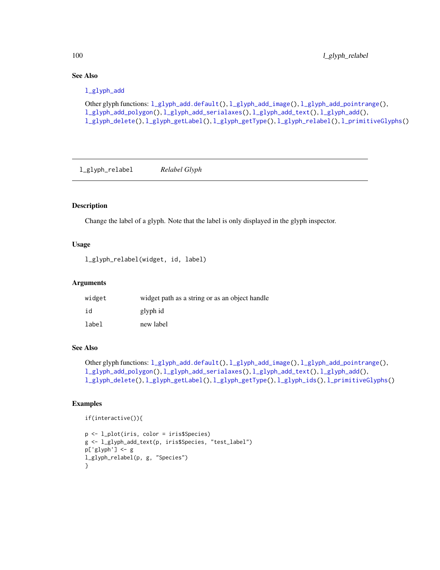# See Also

### [l\\_glyph\\_add](#page-89-0)

```
Other glyph functions: l_glyph_add.default(), l_glyph_add_image(), l_glyph_add_pointrange(),
l_glyph_add_polygon(), l_glyph_add_serialaxes(), l_glyph_add_text(), l_glyph_add(),
l_glyph_delete(), l_glyph_getLabel(), l_glyph_getType(), l_glyph_relabel(), l_primitiveGlyphs()
```
<span id="page-99-0"></span>l\_glyph\_relabel *Relabel Glyph*

# Description

Change the label of a glyph. Note that the label is only displayed in the glyph inspector.

### Usage

l\_glyph\_relabel(widget, id, label)

#### Arguments

| widget | widget path as a string or as an object handle |
|--------|------------------------------------------------|
| id     | glyph id                                       |
| label  | new label                                      |

# See Also

```
Other glyph functions: l_glyph_add.default(), l_glyph_add_image(), l_glyph_add_pointrange(),
l_glyph_add_polygon(), l_glyph_add_serialaxes(), l_glyph_add_text(), l_glyph_add(),
l_glyph_delete(), l_glyph_getLabel(), l_glyph_getType(), l_glyph_ids(), l_primitiveGlyphs()
```
# Examples

```
if(interactive()){
```

```
p <- l_plot(iris, color = iris$Species)
g <- l_glyph_add_text(p, iris$Species, "test_label")
p['glyph'] <- g
l_glyph_relabel(p, g, "Species")
}
```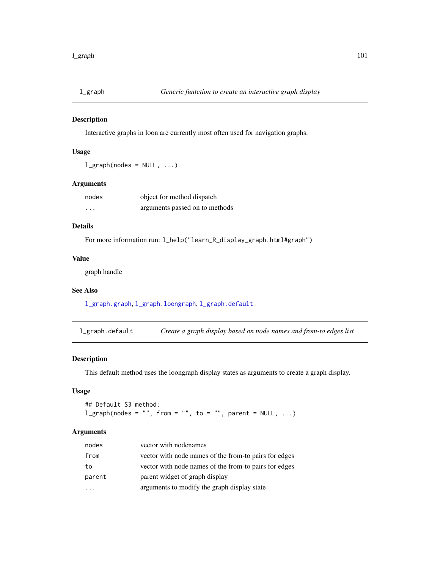<span id="page-100-0"></span>

# Description

Interactive graphs in loon are currently most often used for navigation graphs.

### Usage

```
l_{\text{graph}(nodes = NULL, ...)}
```
### Arguments

| nodes                   | object for method dispatch     |
|-------------------------|--------------------------------|
| $\cdot$ $\cdot$ $\cdot$ | arguments passed on to methods |

# Details

For more information run: l\_help("learn\_R\_display\_graph.html#graph")

### Value

graph handle

### See Also

[l\\_graph.graph](#page-101-0), [l\\_graph.loongraph](#page-102-0), [l\\_graph.default](#page-100-1)

<span id="page-100-1"></span>l\_graph.default *Create a graph display based on node names and from-to edges list*

### Description

This default method uses the loongraph display states as arguments to create a graph display.

# Usage

## Default S3 method:  $l$ graph(nodes = "", from = "", to = "", parent = NULL, ...)

| nodes  | vector with nodenames                                 |
|--------|-------------------------------------------------------|
| from   | vector with node names of the from-to pairs for edges |
| to     | vector with node names of the from-to pairs for edges |
| parent | parent widget of graph display                        |
| .      | arguments to modify the graph display state           |
|        |                                                       |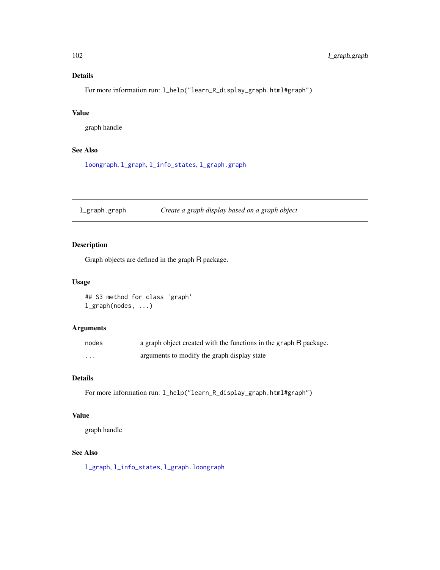# Details

For more information run: l\_help("learn\_R\_display\_graph.html#graph")

### Value

graph handle

# See Also

[loongraph](#page-22-0), [l\\_graph](#page-100-0), [l\\_info\\_states](#page-121-0), [l\\_graph.graph](#page-101-0)

<span id="page-101-0"></span>l\_graph.graph *Create a graph display based on a graph object*

# Description

Graph objects are defined in the graph R package.

### Usage

## S3 method for class 'graph' l\_graph(nodes, ...)

# Arguments

| nodes | a graph object created with the functions in the graph R package. |
|-------|-------------------------------------------------------------------|
| .     | arguments to modify the graph display state                       |

# Details

For more information run: l\_help("learn\_R\_display\_graph.html#graph")

# Value

graph handle

# See Also

[l\\_graph](#page-100-0), [l\\_info\\_states](#page-121-0), [l\\_graph.loongraph](#page-102-0)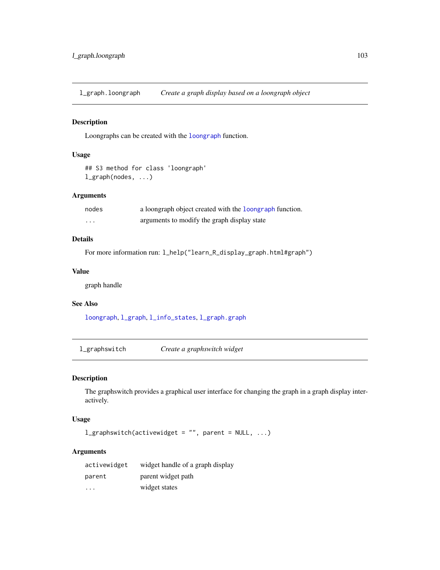<span id="page-102-0"></span>l\_graph.loongraph *Create a graph display based on a loongraph object*

# Description

Loongraphs can be created with the [loongraph](#page-22-0) function.

# Usage

## S3 method for class 'loongraph' l\_graph(nodes, ...)

# Arguments

| nodes | a loongraph object created with the loongraph function. |
|-------|---------------------------------------------------------|
| .     | arguments to modify the graph display state             |

# Details

For more information run: l\_help("learn\_R\_display\_graph.html#graph")

# Value

graph handle

### See Also

[loongraph](#page-22-0), [l\\_graph](#page-100-0), [l\\_info\\_states](#page-121-0), [l\\_graph.graph](#page-101-0)

<span id="page-102-1"></span>l\_graphswitch *Create a graphswitch widget*

# Description

The graphswitch provides a graphical user interface for changing the graph in a graph display interactively.

# Usage

 $l$ graphswitch(activewidget = "", parent = NULL, ...)

| activewidget            | widget handle of a graph display |
|-------------------------|----------------------------------|
| parent                  | parent widget path               |
| $\cdot$ $\cdot$ $\cdot$ | widget states                    |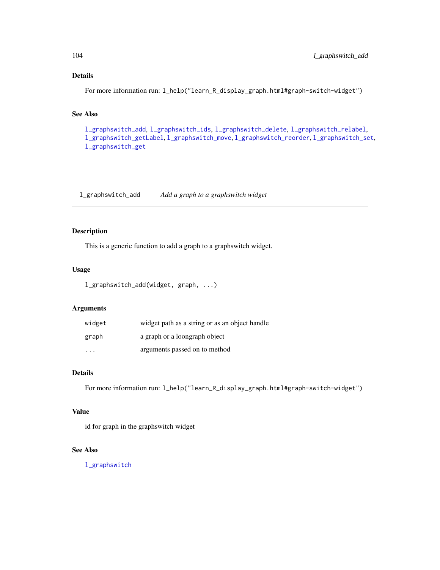# Details

For more information run: l\_help("learn\_R\_display\_graph.html#graph-switch-widget")

# See Also

[l\\_graphswitch\\_add](#page-103-0), [l\\_graphswitch\\_ids](#page-108-0), [l\\_graphswitch\\_delete](#page-106-0), [l\\_graphswitch\\_relabel](#page-109-0), [l\\_graphswitch\\_getLabel](#page-107-0), [l\\_graphswitch\\_move](#page-108-1), [l\\_graphswitch\\_reorder](#page-109-1), [l\\_graphswitch\\_set](#page-110-0), [l\\_graphswitch\\_get](#page-107-1)

<span id="page-103-0"></span>l\_graphswitch\_add *Add a graph to a graphswitch widget*

# Description

This is a generic function to add a graph to a graphswitch widget.

# Usage

```
l_graphswitch_add(widget, graph, ...)
```
# Arguments

| widget | widget path as a string or as an object handle |
|--------|------------------------------------------------|
| graph  | a graph or a loongraph object                  |
| .      | arguments passed on to method                  |

# Details

```
For more information run: l_help("learn_R_display_graph.html#graph-switch-widget")
```
# Value

id for graph in the graphswitch widget

#### See Also

[l\\_graphswitch](#page-102-1)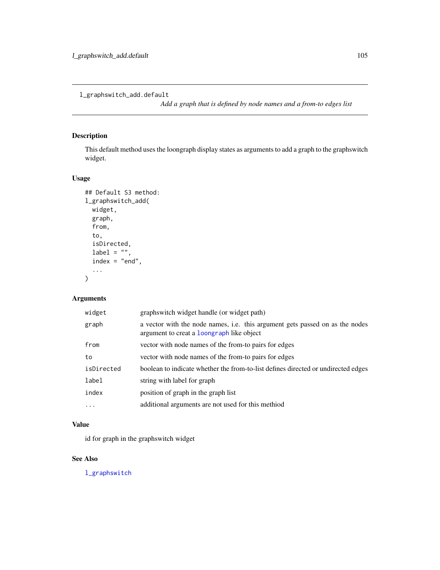l\_graphswitch\_add.default

*Add a graph that is defined by node names and a from-to edges list*

# Description

This default method uses the loongraph display states as arguments to add a graph to the graphswitch widget.

# Usage

```
## Default S3 method:
l_graphswitch_add(
  widget,
  graph,
  from,
  to,
  isDirected,
  label = "",
  index = "end",...
\mathcal{L}
```
# Arguments

| widget     | graphswitch widget handle (or widget path)                                                                                |
|------------|---------------------------------------------------------------------------------------------------------------------------|
| graph      | a vector with the node names, i.e. this argument gets passed on as the nodes<br>argument to creat a loongraph like object |
| from       | vector with node names of the from-to pairs for edges                                                                     |
| to         | vector with node names of the from-to pairs for edges                                                                     |
| isDirected | boolean to indicate whether the from-to-list defines directed or undirected edges                                         |
| label      | string with label for graph                                                                                               |
| index      | position of graph in the graph list                                                                                       |
| $\ddotsc$  | additional arguments are not used for this methiod                                                                        |

# Value

id for graph in the graphswitch widget

# See Also

[l\\_graphswitch](#page-102-1)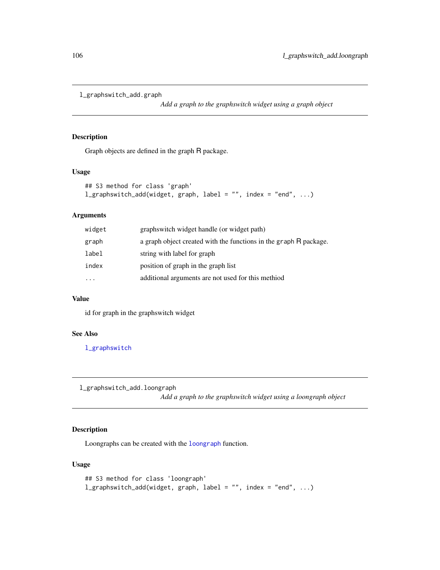```
l_graphswitch_add.graph
```
*Add a graph to the graphswitch widget using a graph object*

# Description

Graph objects are defined in the graph R package.

# Usage

```
## S3 method for class 'graph'
l_graphswitch_add(widget, graph, label = "", index = "end", ...)
```
# Arguments

| widget | graphswitch widget handle (or widget path)                        |
|--------|-------------------------------------------------------------------|
| graph  | a graph object created with the functions in the graph R package. |
| label  | string with label for graph                                       |
| index  | position of graph in the graph list                               |
|        | additional arguments are not used for this methiod                |

# Value

id for graph in the graphswitch widget

### See Also

[l\\_graphswitch](#page-102-1)

l\_graphswitch\_add.loongraph

*Add a graph to the graphswitch widget using a loongraph object*

# Description

Loongraphs can be created with the [loongraph](#page-22-0) function.

# Usage

```
## S3 method for class 'loongraph'
lgraphswitch_add(widget, graph, label = "", index = "end", ...)
```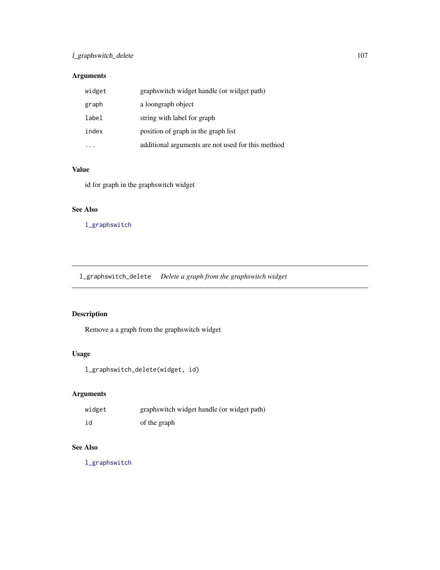# l\_graphswitch\_delete 107

# Arguments

| widget | graphswitch widget handle (or widget path)         |
|--------|----------------------------------------------------|
| graph  | a loongraph object                                 |
| label  | string with label for graph                        |
| index  | position of graph in the graph list                |
|        | additional arguments are not used for this methiod |

# Value

id for graph in the graphswitch widget

# See Also

[l\\_graphswitch](#page-102-1)

<span id="page-106-0"></span>l\_graphswitch\_delete *Delete a graph from the graphswitch widget*

# Description

Remove a a graph from the graphswitch widget

# Usage

l\_graphswitch\_delete(widget, id)

# Arguments

| widget | graphswitch widget handle (or widget path) |
|--------|--------------------------------------------|
| id     | of the graph                               |

# See Also

[l\\_graphswitch](#page-102-1)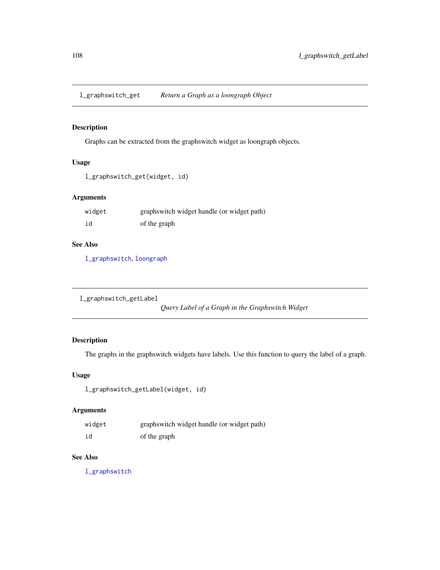<span id="page-107-1"></span>l\_graphswitch\_get *Return a Graph as a loongraph Object*

### Description

Graphs can be extracted from the graphswitch widget as loongraph objects.

# Usage

```
l_graphswitch_get(widget, id)
```
# Arguments

| widget | graphswitch widget handle (or widget path) |
|--------|--------------------------------------------|
| id     | of the graph                               |

# See Also

[l\\_graphswitch](#page-102-1), [loongraph](#page-22-0)

<span id="page-107-0"></span>l\_graphswitch\_getLabel

*Query Label of a Graph in the Graphswitch Widget*

# Description

The graphs in the graphswitch widgets have labels. Use this function to query the label of a graph.

# Usage

```
l_graphswitch_getLabel(widget, id)
```
# Arguments

| widget | graphswitch widget handle (or widget path) |
|--------|--------------------------------------------|
| id     | of the graph                               |

### See Also

[l\\_graphswitch](#page-102-1)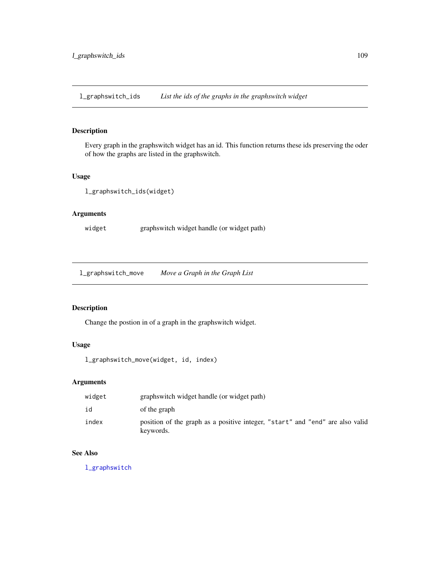<span id="page-108-0"></span>l\_graphswitch\_ids *List the ids of the graphs in the graphswitch widget*

### Description

Every graph in the graphswitch widget has an id. This function returns these ids preserving the oder of how the graphs are listed in the graphswitch.

## Usage

```
l_graphswitch_ids(widget)
```
## Arguments

widget graphswitch widget handle (or widget path)

l\_graphswitch\_move *Move a Graph in the Graph List*

## Description

Change the postion in of a graph in the graphswitch widget.

## Usage

```
l_graphswitch_move(widget, id, index)
```
## Arguments

| widget | graphswitch widget handle (or widget path)                                                 |
|--------|--------------------------------------------------------------------------------------------|
| id     | of the graph                                                                               |
| index  | position of the graph as a positive integer, "start" and "end" are also valid<br>keywords. |

### See Also

[l\\_graphswitch](#page-102-0)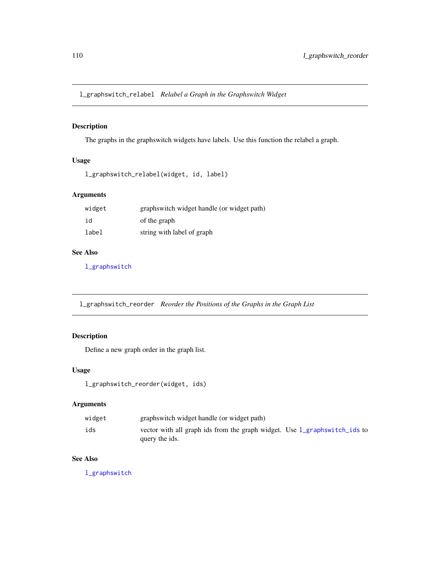l\_graphswitch\_relabel *Relabel a Graph in the Graphswitch Widget*

## Description

The graphs in the graphswitch widgets have labels. Use this function the relabel a graph.

### Usage

```
l_graphswitch_relabel(widget, id, label)
```
# Arguments

| widget | graphswitch widget handle (or widget path) |
|--------|--------------------------------------------|
| id     | of the graph                               |
| label  | string with label of graph                 |

#### See Also

[l\\_graphswitch](#page-102-0)

l\_graphswitch\_reorder *Reorder the Positions of the Graphs in the Graph List*

## Description

Define a new graph order in the graph list.

### Usage

```
l_graphswitch_reorder(widget, ids)
```
# Arguments

| widget | graphswitch widget handle (or widget path)                                                  |  |
|--------|---------------------------------------------------------------------------------------------|--|
| ids    | vector with all graph ids from the graph widget. Use 1_graphswitch_ids to<br>query the ids. |  |

# See Also

[l\\_graphswitch](#page-102-0)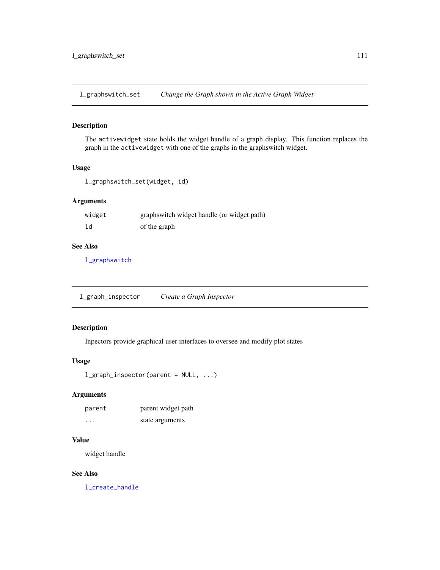l\_graphswitch\_set *Change the Graph shown in the Active Graph Widget*

## Description

The activewidget state holds the widget handle of a graph display. This function replaces the graph in the activewidget with one of the graphs in the graphswitch widget.

## Usage

```
l_graphswitch_set(widget, id)
```
## Arguments

| widget | graphswitch widget handle (or widget path) |
|--------|--------------------------------------------|
| id     | of the graph                               |

## See Also

[l\\_graphswitch](#page-102-0)

l\_graph\_inspector *Create a Graph Inspector*

## Description

Inpectors provide graphical user interfaces to oversee and modify plot states

# Usage

l\_graph\_inspector(parent = NULL, ...)

### Arguments

| parent | parent widget path |
|--------|--------------------|
| .      | state arguments    |

## Value

widget handle

## See Also

[l\\_create\\_handle](#page-68-0)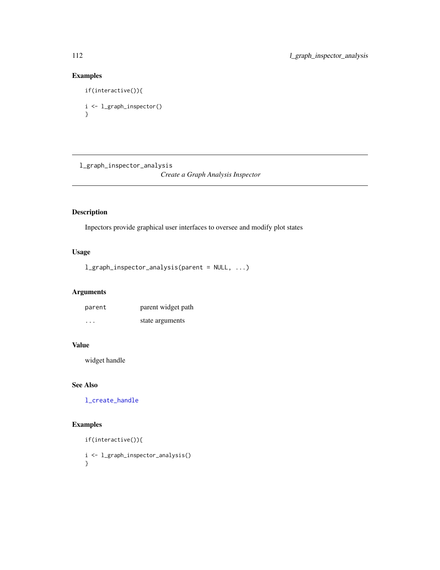# Examples

```
if(interactive()){
i <- l_graph_inspector()
}
```
l\_graph\_inspector\_analysis

*Create a Graph Analysis Inspector*

# Description

Inpectors provide graphical user interfaces to oversee and modify plot states

## Usage

l\_graph\_inspector\_analysis(parent = NULL, ...)

## Arguments

| parent                  | parent widget path |
|-------------------------|--------------------|
| $\cdot$ $\cdot$ $\cdot$ | state arguments    |

# Value

widget handle

# See Also

[l\\_create\\_handle](#page-68-0)

# Examples

if(interactive()){

i <- l\_graph\_inspector\_analysis() }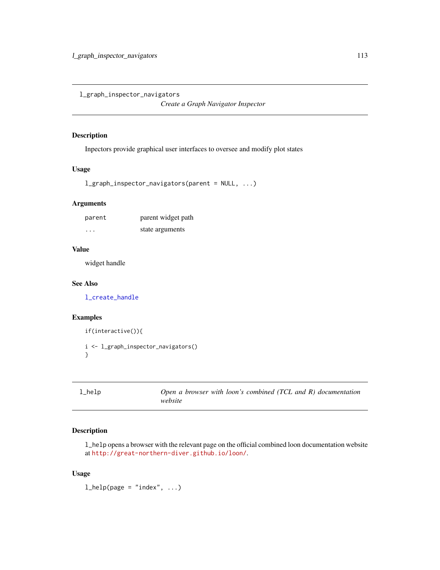l\_graph\_inspector\_navigators

*Create a Graph Navigator Inspector*

### Description

Inpectors provide graphical user interfaces to oversee and modify plot states

#### Usage

```
l_graph_inspector_navigators(parent = NULL, ...)
```
## Arguments

| parent | parent widget path |
|--------|--------------------|
| .      | state arguments    |

#### Value

widget handle

### See Also

[l\\_create\\_handle](#page-68-0)

### Examples

```
if(interactive()){
i <- l_graph_inspector_navigators()
```
}

| ٧<br>× |  |
|--------|--|
|--------|--|

l\_help *Open a browser with loon's combined (TCL and R) documentation website*

### Description

l\_help opens a browser with the relevant page on the official combined loon documentation website at <http://great-northern-diver.github.io/loon/>.

#### Usage

 $l_{\text{help}}(page = "index", ...)$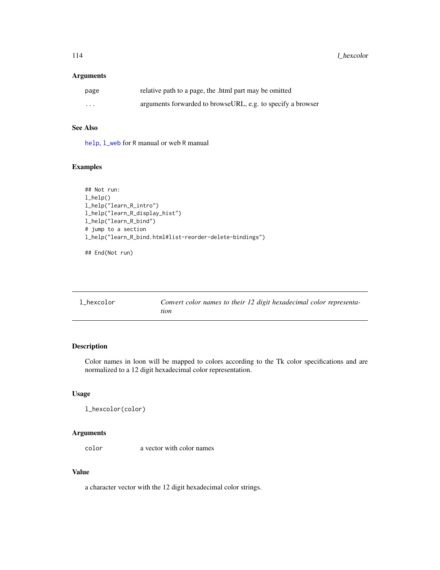114 latex left the state of the state of the state of the state of the state of the state of the state of the state of the state of the state of the state of the state of the state of the state of the state of the state of

### Arguments

| page     | relative path to a page, the .html part may be omitted      |
|----------|-------------------------------------------------------------|
| $\cdots$ | arguments forwarded to browseURL, e.g. to specify a browser |

## See Also

[help](#page-0-0), [l\\_web](#page-257-0) for R manual or web R manual

## Examples

```
## Not run:
l_help()
l_help("learn_R_intro")
l_help("learn_R_display_hist")
l_help("learn_R_bind")
# jump to a section
l_help("learn_R_bind.html#list-reorder-delete-bindings")
```
## End(Not run)

| l hexcolor | Convert color names to their 12 digit hexadecimal color representa- |
|------------|---------------------------------------------------------------------|
|            | tion                                                                |

## Description

Color names in loon will be mapped to colors according to the Tk color specifications and are normalized to a 12 digit hexadecimal color representation.

### Usage

```
l_hexcolor(color)
```
## Arguments

color a vector with color names

# Value

a character vector with the 12 digit hexadecimal color strings.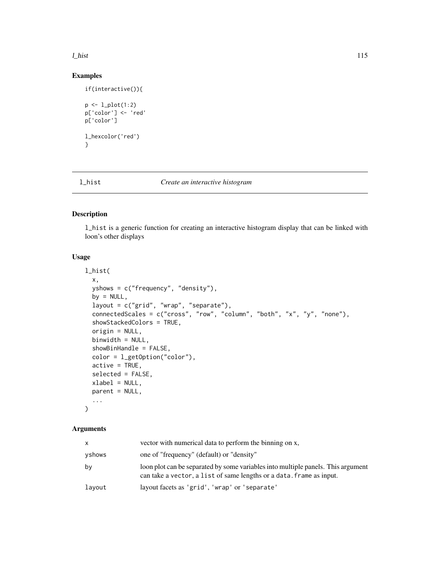#### l\_hist 115

## Examples

```
p <- l_plot(1:2)
p['color'] <- 'red'
p['color']
l_hexcolor('red')
}
```
if(interactive()){

#### l\_hist *Create an interactive histogram*

## Description

l\_hist is a generic function for creating an interactive histogram display that can be linked with loon's other displays

## Usage

```
l_hist(
 x,
  yshows = c("frequency", "density"),
 by = NULL,
  layout = c("grid", "wrap", "separate"),
  connectedScales = c("cross", "row", "column", "both", "x", "y", "none"),
  showStackedColors = TRUE,
  origin = NULL,
 binwidth = NULL,
  showBinHandle = FALSE,
  color = l_getOption("color"),
  active = TRUE,selected = FALSE,
 xlabel = NULL,parent = NULL,
  ...
\mathcal{L}
```

| x      | vector with numerical data to perform the binning on x,                                                                                                  |
|--------|----------------------------------------------------------------------------------------------------------------------------------------------------------|
| vshows | one of "frequency" (default) or "density"                                                                                                                |
| bv     | loon plot can be separated by some variables into multiple panels. This argument<br>can take a vector, a list of same lengths or a data. frame as input. |
| layout | layout facets as 'grid', 'wrap' or 'separate'                                                                                                            |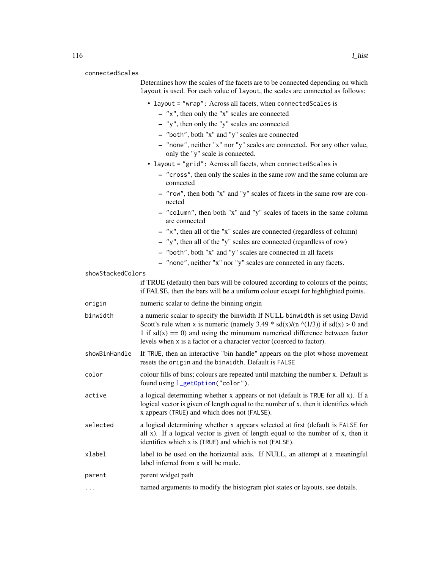| connectedScales   |                                                                                                                                                                                                                                                                                                                                 |
|-------------------|---------------------------------------------------------------------------------------------------------------------------------------------------------------------------------------------------------------------------------------------------------------------------------------------------------------------------------|
|                   | Determines how the scales of the facets are to be connected depending on which<br>layout is used. For each value of layout, the scales are connected as follows:                                                                                                                                                                |
|                   | • layout = "wrap": Across all facets, when connected Scales is                                                                                                                                                                                                                                                                  |
|                   | $-$ "x", then only the "x" scales are connected                                                                                                                                                                                                                                                                                 |
|                   | $-$ "y", then only the "y" scales are connected                                                                                                                                                                                                                                                                                 |
|                   | - "both", both "x" and "y" scales are connected                                                                                                                                                                                                                                                                                 |
|                   | - "none", neither "x" nor "y" scales are connected. For any other value,<br>only the "y" scale is connected.                                                                                                                                                                                                                    |
|                   | • layout = "grid": Across all facets, when connectedScales is                                                                                                                                                                                                                                                                   |
|                   | - "cross", then only the scales in the same row and the same column are<br>connected                                                                                                                                                                                                                                            |
|                   | - "row", then both "x" and "y" scales of facets in the same row are con-<br>nected                                                                                                                                                                                                                                              |
|                   | - "column", then both "x" and "y" scales of facets in the same column<br>are connected                                                                                                                                                                                                                                          |
|                   | - "x", then all of the "x" scales are connected (regardless of column)                                                                                                                                                                                                                                                          |
|                   | - "y", then all of the "y" scales are connected (regardless of row)                                                                                                                                                                                                                                                             |
|                   | - "both", both "x" and "y" scales are connected in all facets                                                                                                                                                                                                                                                                   |
|                   | - "none", neither "x" nor "y" scales are connected in any facets.                                                                                                                                                                                                                                                               |
| showStackedColors |                                                                                                                                                                                                                                                                                                                                 |
|                   | if TRUE (default) then bars will be coloured according to colours of the points;<br>if FALSE, then the bars will be a uniform colour except for highlighted points.                                                                                                                                                             |
| origin            | numeric scalar to define the binning origin                                                                                                                                                                                                                                                                                     |
| binwidth          | a numeric scalar to specify the binwidth If NULL binwidth is set using David<br>Scott's rule when x is numeric (namely 3.49 $*$ sd(x)/(n $\land$ (1/3)) if sd(x) > 0 and<br>1 if $sd(x) == 0$ and using the minumum numerical difference between factor<br>levels when x is a factor or a character vector (coerced to factor). |
| showBinHandle     | If TRUE, then an interactive "bin handle" appears on the plot whose movement<br>resets the origin and the binwidth. Default is FALSE                                                                                                                                                                                            |
| color             | colour fills of bins; colours are repeated until matching the number x. Default is<br>found using l_getOption("color").                                                                                                                                                                                                         |
| active            | a logical determining whether x appears or not (default is TRUE for all x). If a<br>logical vector is given of length equal to the number of x, then it identifies which<br>x appears (TRUE) and which does not (FALSE).                                                                                                        |
| selected          | a logical determining whether x appears selected at first (default is FALSE for<br>all $x$ ). If a logical vector is given of length equal to the number of $x$ , then it<br>identifies which x is (TRUE) and which is not (FALSE).                                                                                             |
| xlabel            | label to be used on the horizontal axis. If NULL, an attempt at a meaningful<br>label inferred from x will be made.                                                                                                                                                                                                             |
| parent            | parent widget path                                                                                                                                                                                                                                                                                                              |
| .                 | named arguments to modify the histogram plot states or layouts, see details.                                                                                                                                                                                                                                                    |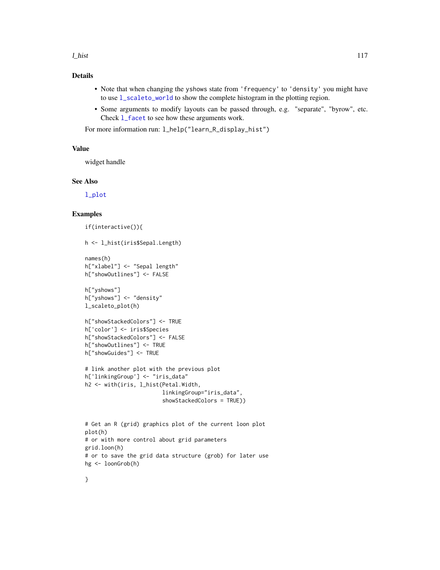#### l\_hist 117

### Details

- Note that when changing the yshows state from 'frequency' to 'density' you might have to use [l\\_scaleto\\_world](#page-238-0) to show the complete histogram in the plotting region.
- Some arguments to modify layouts can be passed through, e.g. "separate", "byrow", etc. Check [l\\_facet](#page-72-0) to see how these arguments work.

For more information run: l\_help("learn\_R\_display\_hist")

#### Value

widget handle

### See Also

[l\\_plot](#page-209-0)

#### Examples

```
if(interactive()){
```

```
h <- l_hist(iris$Sepal.Length)
names(h)
h["xlabel"] <- "Sepal length"
h["showOutlines"] <- FALSE
h["yshows"]
h["yshows"] <- "density"
l_scaleto_plot(h)
h["showStackedColors"] <- TRUE
h['color'] <- iris$Species
h["showStackedColors"] <- FALSE
h["showOutlines"] <- TRUE
h["showGuides"] <- TRUE
# link another plot with the previous plot
h['linkingGroup'] <- "iris_data"
h2 <- with(iris, l_hist(Petal.Width,
                        linkingGroup="iris_data",
                        showStackedColors = TRUE))
# Get an R (grid) graphics plot of the current loon plot
plot(h)
# or with more control about grid parameters
grid.loon(h)
```
# or to save the grid data structure (grob) for later use hg <- loonGrob(h)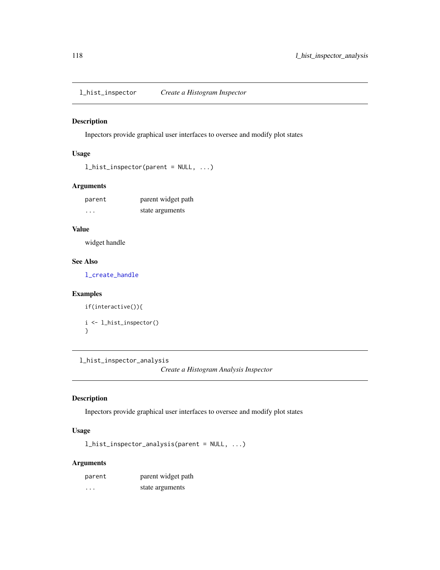l\_hist\_inspector *Create a Histogram Inspector*

### Description

Inpectors provide graphical user interfaces to oversee and modify plot states

## Usage

```
l_hist_inspector(parent = NULL, ...)
```
## Arguments

| parent | parent widget path |
|--------|--------------------|
| .      | state arguments    |

### Value

widget handle

# See Also

[l\\_create\\_handle](#page-68-0)

#### Examples

```
if(interactive()){
i <- l_hist_inspector()
}
```
l\_hist\_inspector\_analysis

*Create a Histogram Analysis Inspector*

## Description

Inpectors provide graphical user interfaces to oversee and modify plot states

## Usage

l\_hist\_inspector\_analysis(parent = NULL, ...)

| parent | parent widget path |
|--------|--------------------|
| .      | state arguments    |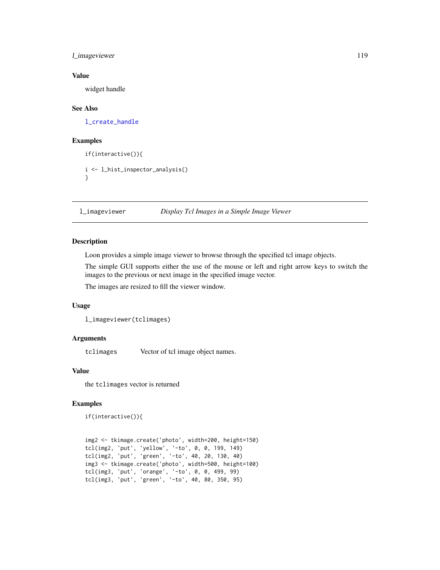## l\_imageviewer 119

## Value

widget handle

### See Also

[l\\_create\\_handle](#page-68-0)

### Examples

```
if(interactive()){
i <- l_hist_inspector_analysis()
}
```
#### <span id="page-118-0"></span>l\_imageviewer *Display Tcl Images in a Simple Image Viewer*

### Description

Loon provides a simple image viewer to browse through the specified tcl image objects.

The simple GUI supports either the use of the mouse or left and right arrow keys to switch the images to the previous or next image in the specified image vector.

The images are resized to fill the viewer window.

#### Usage

```
l_imageviewer(tclimages)
```
#### Arguments

tclimages Vector of tcl image object names.

## Value

the tclimages vector is returned

## Examples

```
if(interactive()){
```

```
img2 <- tkimage.create('photo', width=200, height=150)
tcl(img2, 'put', 'yellow', '-to', 0, 0, 199, 149)
tcl(img2, 'put', 'green', '-to', 40, 20, 130, 40)
img3 <- tkimage.create('photo', width=500, height=100)
tcl(img3, 'put', 'orange', '-to', 0, 0, 499, 99)
tcl(img3, 'put', 'green', '-to', 40, 80, 350, 95)
```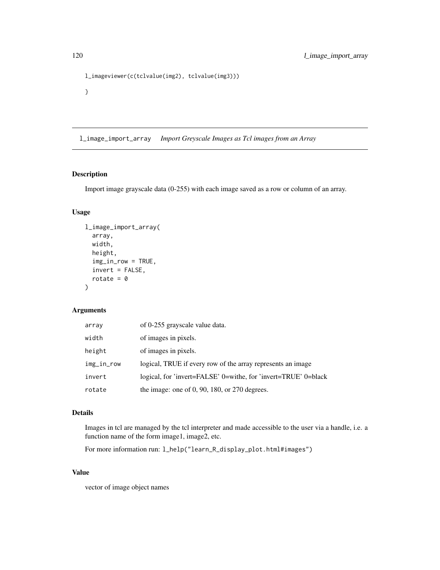```
l_imageviewer(c(tclvalue(img2), tclvalue(img3)))
}
```
<span id="page-119-0"></span>l\_image\_import\_array *Import Greyscale Images as Tcl images from an Array*

# Description

Import image grayscale data (0-255) with each image saved as a row or column of an array.

## Usage

```
l_image_import_array(
  array,
  width,
  height,
  img_in_row = TRUE,
  invert = FALSE,rotate = \theta\lambda
```
### Arguments

| array      | of 0-255 grayscale value data.                                 |
|------------|----------------------------------------------------------------|
| width      | of images in pixels.                                           |
| height     | of images in pixels.                                           |
| img_in_row | logical, TRUE if every row of the array represents an image    |
| invert     | logical, for 'invert=FALSE' 0=withe, for 'invert=TRUE' 0=black |
| rotate     | the image: one of $0, 90, 180$ , or $270$ degrees.             |

#### Details

Images in tcl are managed by the tcl interpreter and made accessible to the user via a handle, i.e. a function name of the form image1, image2, etc.

For more information run: l\_help("learn\_R\_display\_plot.html#images")

## Value

vector of image object names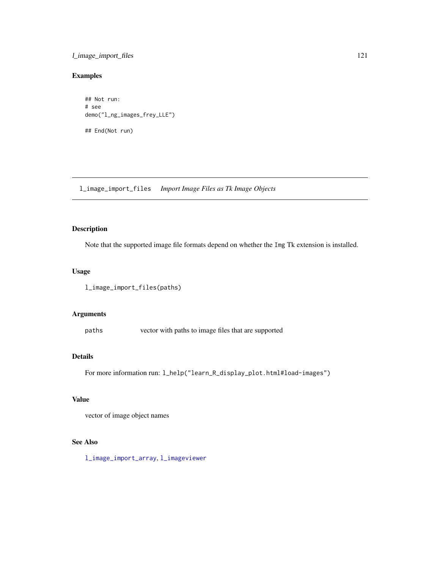## l\_image\_import\_files 121

# Examples

## Not run: # see demo("l\_ng\_images\_frey\_LLE") ## End(Not run)

l\_image\_import\_files *Import Image Files as Tk Image Objects*

## Description

Note that the supported image file formats depend on whether the Img Tk extension is installed.

## Usage

```
l_image_import_files(paths)
```
### Arguments

paths vector with paths to image files that are supported

# Details

For more information run: l\_help("learn\_R\_display\_plot.html#load-images")

## Value

vector of image object names

### See Also

[l\\_image\\_import\\_array](#page-119-0), [l\\_imageviewer](#page-118-0)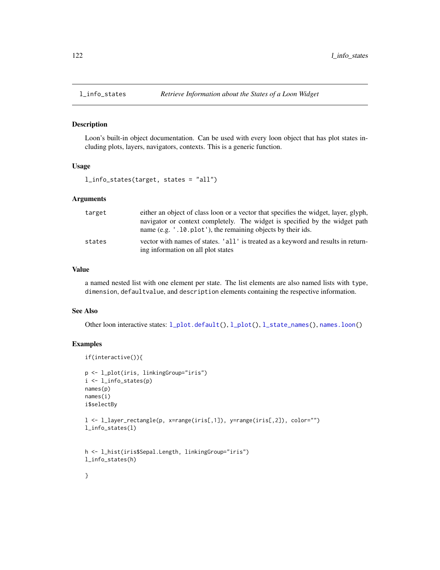<span id="page-121-0"></span>

#### Description

Loon's built-in object documentation. Can be used with every loon object that has plot states including plots, layers, navigators, contexts. This is a generic function.

### Usage

l\_info\_states(target, states = "all")

#### Arguments

| target | either an object of class loon or a vector that specifies the widget, layer, glyph,<br>navigator or context completely. The widget is specified by the widget path<br>name (e.g. '.10. plot'), the remaining objects by their ids. |
|--------|------------------------------------------------------------------------------------------------------------------------------------------------------------------------------------------------------------------------------------|
| states | vector with names of states. 'all' is treated as a keyword and results in return-<br>ing information on all plot states                                                                                                            |

### Value

a named nested list with one element per state. The list elements are also named lists with type, dimension, defaultvalue, and description elements containing the respective information.

#### See Also

Other loon interactive states: [l\\_plot.default\(](#page-212-0)), [l\\_plot\(](#page-209-0)), [l\\_state\\_names\(](#page-253-0)), [names.loon\(](#page-262-0))

### Examples

```
if(interactive()){
p <- l_plot(iris, linkingGroup="iris")
i <- l_info_states(p)
names(p)
names(i)
i$selectBy
l <- l_layer_rectangle(p, x=range(iris[,1]), y=range(iris[,2]), color="")
l_info_states(l)
h <- l_hist(iris$Sepal.Length, linkingGroup="iris")
l_info_states(h)
}
```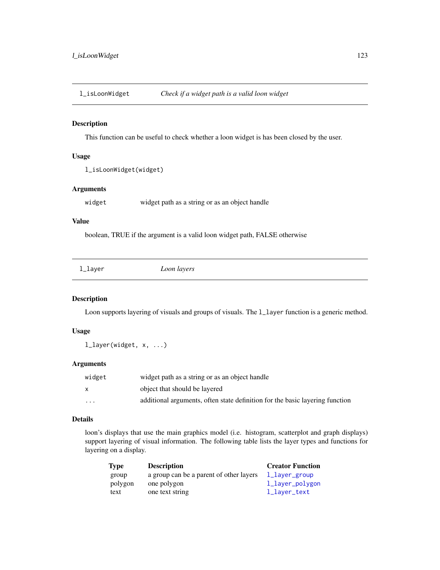## Description

This function can be useful to check whether a loon widget is has been closed by the user.

### Usage

```
l_isLoonWidget(widget)
```
## Arguments

widget widget path as a string or as an object handle

### Value

boolean, TRUE if the argument is a valid loon widget path, FALSE otherwise

<span id="page-122-0"></span>

l\_layer *Loon layers*

### Description

Loon supports layering of visuals and groups of visuals. The  $1$ <sub>-layer</sub> function is a generic method.

#### Usage

l\_layer(widget, x, ...)

## Arguments

| widget   | widget path as a string or as an object handle                               |
|----------|------------------------------------------------------------------------------|
|          | object that should be layered                                                |
| $\cdots$ | additional arguments, often state definition for the basic layering function |

## Details

loon's displays that use the main graphics model (i.e. histogram, scatterplot and graph displays) support layering of visual information. The following table lists the layer types and functions for layering on a display.

| <b>Type</b> | <b>Description</b>                      | <b>Creator Function</b> |
|-------------|-----------------------------------------|-------------------------|
| group       | a group can be a parent of other layers | l_layer_group           |
| polygon     | one polygon                             | l_layer_polygon         |
| text        | one text string                         | l_layer_text            |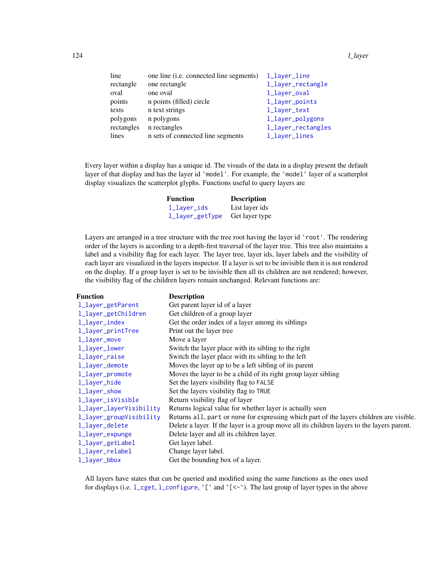#### 124 layer and the contract of the contract of the contract of the contract of the contract of the contract of the contract of the contract of the contract of the contract of the contract of the contract of the contract of

| line       | one line (i.e. connected line segments) | 1_layer_line       |
|------------|-----------------------------------------|--------------------|
| rectangle  | one rectangle                           | l_layer_rectangle  |
| oval       | one oval                                | l_layer_oval       |
| points     | n points (filled) circle                | l_layer_points     |
| texts      | n text strings                          | l_layer_text       |
| polygons   | n polygons                              | l_layer_polygons   |
| rectangles | n rectangles                            | l_layer_rectangles |
| lines      | n sets of connected line segments       | 1_layer_lines      |

Every layer within a display has a unique id. The visuals of the data in a display present the default layer of that display and has the layer id 'model'. For example, the 'model' layer of a scatterplot display visualizes the scatterplot glyphs. Functions useful to query layers are

| Function        | <b>Description</b> |  |
|-----------------|--------------------|--|
| $l$ layer $ids$ | List layer ids     |  |
| l_layer_getType | Get layer type     |  |

Layers are arranged in a tree structure with the tree root having the layer id 'root'. The rendering order of the layers is according to a depth-first traversal of the layer tree. This tree also maintains a label and a visibility flag for each layer. The layer tree, layer ids, layer labels and the visibility of each layer are visualized in the layers inspector. If a layer is set to be invisible then it is not rendered on the display. If a group layer is set to be invisible then all its children are not rendered; however, the visibility flag of the children layers remain unchanged. Relevant functions are:

| Function                | <b>Description</b>                                                                         |
|-------------------------|--------------------------------------------------------------------------------------------|
| 1_layer_getParent       | Get parent layer id of a layer                                                             |
| 1_layer_getChildren     | Get children of a group layer                                                              |
| 1_layer_index           | Get the order index of a layer among its siblings                                          |
| 1_layer_printTree       | Print out the layer tree                                                                   |
| l_layer_move            | Move a layer                                                                               |
| l_layer_lower           | Switch the layer place with its sibling to the right                                       |
| 1_layer_raise           | Switch the layer place with its sibling to the left                                        |
| l_layer_demote          | Moves the layer up to be a left sibling of its parent                                      |
| l_layer_promote         | Moves the layer to be a child of its right group layer sibling                             |
| 1_layer_hide            | Set the layers visibility flag to FALSE                                                    |
| l_layer_show            | Set the layers visibility flag to TRUE                                                     |
| l_layer_isVisible       | Return visibility flag of layer                                                            |
| 1_layer_layerVisibility | Returns logical value for whether layer is actually seen                                   |
| l_layer_groupVisibility | Returns all, part or none for expressing which part of the layers children are visible.    |
| l_layer_delete          | Delete a layer. If the layer is a group move all its children layers to the layers parent. |
| l_layer_expunge         | Delete layer and all its children layer.                                                   |
| l_layer_getLabel        | Get layer label.                                                                           |
| l_layer_relabel         | Change layer label.                                                                        |
| l_layer_bbox            | Get the bounding box of a layer.                                                           |

All layers have states that can be queried and modified using the same functions as the ones used for displays (i.e. [l\\_cget](#page-58-0), [l\\_configure](#page-60-0), `[` and `[<-`). The last group of layer types in the above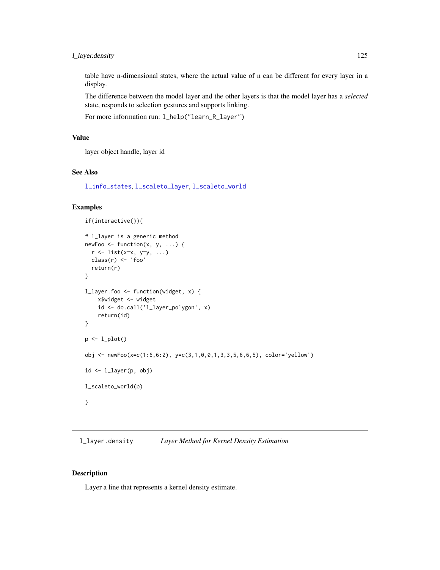## l\_layer.density 125

table have n-dimensional states, where the actual value of n can be different for every layer in a display.

The difference between the model layer and the other layers is that the model layer has a *selected* state, responds to selection gestures and supports linking.

For more information run: l\_help("learn\_R\_layer")

### Value

layer object handle, layer id

## See Also

[l\\_info\\_states](#page-121-0), [l\\_scaleto\\_layer](#page-237-0), [l\\_scaleto\\_world](#page-238-0)

#### Examples

```
if(interactive()){
# l_layer is a generic method
newFoo \leq function(x, y, ...) {
  r \leftarrow \text{list}(x=x, y=y, \ldots)class(r) <- 'foo'
  return(r)
}
l_layer.foo <- function(widget, x) {
    x$widget <- widget
    id <- do.call('l_layer_polygon', x)
    return(id)
}
p \leftarrow l\_plot()obj <- newFoo(x=c(1:6,6:2), y=c(3,1,0,0,1,3,3,5,6,6,5), color='yellow')
id \leftarrow 1_layer(p, obj)
l_scaleto_world(p)
}
```
l\_layer.density *Layer Method for Kernel Density Estimation*

### Description

Layer a line that represents a kernel density estimate.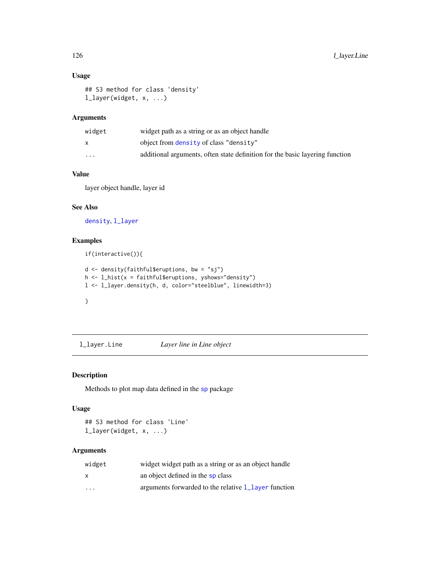# Usage

```
## S3 method for class 'density'
l_layer(widget, x, ...)
```
#### Arguments

| widget                  | widget path as a string or as an object handle                               |
|-------------------------|------------------------------------------------------------------------------|
|                         | object from density of class "density"                                       |
| $\cdot$ $\cdot$ $\cdot$ | additional arguments, often state definition for the basic layering function |

# Value

layer object handle, layer id

## See Also

[density](#page-0-0), [l\\_layer](#page-122-0)

## Examples

if(interactive()){

```
d <- density(faithful$eruptions, bw = "sj")
h \leq 1_{hist(x = faithful\eruptions, yshows="density")
l <- l_layer.density(h, d, color="steelblue", linewidth=3)
}
```
l\_layer.Line *Layer line in Line object*

## Description

Methods to plot map data defined in the [sp](#page-0-0) package

#### Usage

```
## S3 method for class 'Line'
l_layer(widget, x, ...)
```

| widget                  | widget widget path as a string or as an object handle  |
|-------------------------|--------------------------------------------------------|
| X                       | an object defined in the sp class                      |
| $\cdot$ $\cdot$ $\cdot$ | arguments forwarded to the relative $1$ layer function |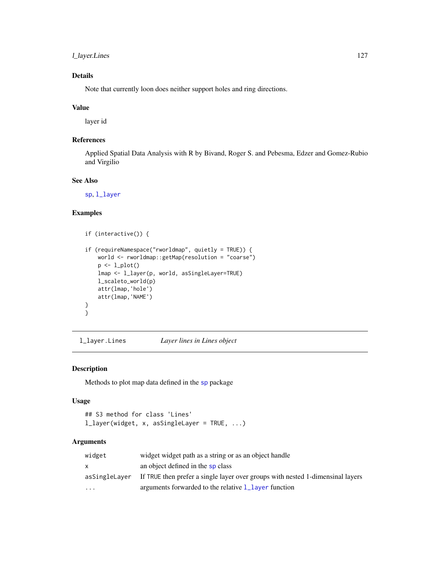## l\_layer.Lines 127

# Details

Note that currently loon does neither support holes and ring directions.

### Value

layer id

## References

Applied Spatial Data Analysis with R by Bivand, Roger S. and Pebesma, Edzer and Gomez-Rubio and Virgilio

#### See Also

[sp](#page-0-0), [l\\_layer](#page-122-0)

## Examples

```
if (interactive()) {
```

```
if (requireNamespace("rworldmap", quietly = TRUE)) {
   world <- rworldmap::getMap(resolution = "coarse")
   p <- l_plot()
    lmap <- l_layer(p, world, asSingleLayer=TRUE)
    l_scaleto_world(p)
   attr(lmap,'hole')
    attr(lmap,'NAME')
}
}
```
l\_layer.Lines *Layer lines in Lines object*

## Description

Methods to plot map data defined in the [sp](#page-0-0) package

### Usage

```
## S3 method for class 'Lines'
l_layer(widget, x, asSingleLayer = TRUE, ...)
```

| widget                  | widget widget path as a string or as an object handle                          |
|-------------------------|--------------------------------------------------------------------------------|
|                         | an object defined in the sp class                                              |
| asSingleLaver           | If TRUE then prefer a single layer over groups with nested 1-dimensinal layers |
| $\cdot$ $\cdot$ $\cdot$ | arguments forwarded to the relative $1$ layer function                         |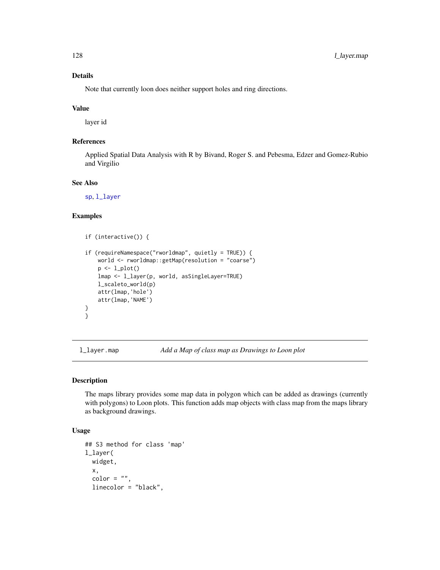### Details

Note that currently loon does neither support holes and ring directions.

#### Value

layer id

# References

Applied Spatial Data Analysis with R by Bivand, Roger S. and Pebesma, Edzer and Gomez-Rubio and Virgilio

## See Also

[sp](#page-0-0), [l\\_layer](#page-122-0)

### Examples

```
if (interactive()) {
```

```
if (requireNamespace("rworldmap", quietly = TRUE)) {
    world <- rworldmap::getMap(resolution = "coarse")
   p \leftarrow l\_plot()lmap <- l_layer(p, world, asSingleLayer=TRUE)
   l_scaleto_world(p)
    attr(lmap,'hole')
    attr(lmap,'NAME')
}
}
```
l\_layer.map *Add a Map of class map as Drawings to Loon plot*

### Description

The maps library provides some map data in polygon which can be added as drawings (currently with polygons) to Loon plots. This function adds map objects with class map from the maps library as background drawings.

### Usage

```
## S3 method for class 'map'
l_layer(
  widget,
  x,
  color = "",linecolor = "black",
```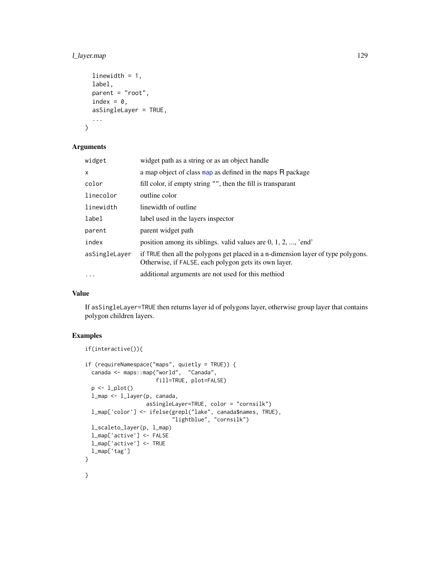## l\_layer.map 129

```
linewidth = 1,
label,
parent = "root",
index = 0,asSingleLayer = TRUE,
...
```
## Arguments

)

| widget        | widget path as a string or as an object handle                                                                                             |
|---------------|--------------------------------------------------------------------------------------------------------------------------------------------|
| X             | a map object of class map as defined in the maps R package                                                                                 |
| color         | fill color, if empty string "", then the fill is transparant                                                                               |
| linecolor     | outline color                                                                                                                              |
| linewidth     | linewidth of outline                                                                                                                       |
| label         | label used in the layers inspector                                                                                                         |
| parent        | parent widget path                                                                                                                         |
| index         | position among its siblings, valid values are $0, 1, 2, \ldots$ , 'end'                                                                    |
| asSingleLayer | if TRUE then all the polygons get placed in a n-dimension layer of type polygons.<br>Otherwise, if FALSE, each polygon gets its own layer. |
| .             | additional arguments are not used for this methiod                                                                                         |
|               |                                                                                                                                            |

# Value

If asSingleLayer=TRUE then returns layer id of polygons layer, otherwise group layer that contains polygon children layers.

## Examples

```
if(interactive()){
if (requireNamespace("maps", quietly = TRUE)) {
  canada <- maps::map("world", "Canada",
                       fill=TRUE, plot=FALSE)
 p \leftarrow l\_plot()l_map <- l_layer(p, canada,
                   asSingleLayer=TRUE, color = "cornsilk")
  l_map['color'] <- ifelse(grepl("lake", canada$names, TRUE),
                            "lightblue", "cornsilk")
 l_scaleto_layer(p, l_map)
 l_map['active'] <- FALSE
 l_map['active'] <- TRUE
 l_map['tag']
}
}
```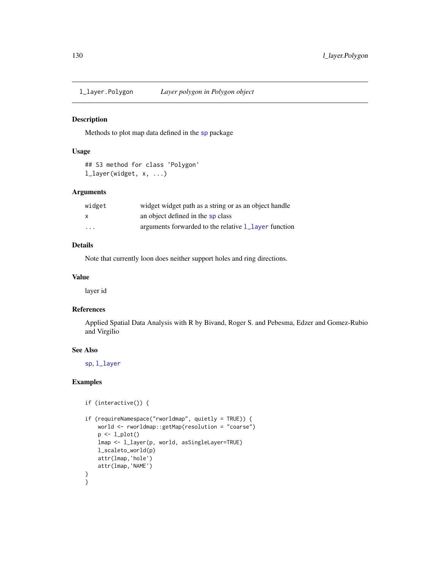### Description

Methods to plot map data defined in the [sp](#page-0-0) package

#### Usage

```
## S3 method for class 'Polygon'
l_layer(widget, x, ...)
```
#### Arguments

| widget | widget widget path as a string or as an object handle  |
|--------|--------------------------------------------------------|
| X      | an object defined in the sp class                      |
| .      | arguments forwarded to the relative $1$ layer function |

### Details

Note that currently loon does neither support holes and ring directions.

### Value

layer id

# References

Applied Spatial Data Analysis with R by Bivand, Roger S. and Pebesma, Edzer and Gomez-Rubio and Virgilio

### See Also

[sp](#page-0-0), [l\\_layer](#page-122-0)

#### Examples

```
if (interactive()) {
```

```
if (requireNamespace("rworldmap", quietly = TRUE)) {
   world <- rworldmap::getMap(resolution = "coarse")
    p \leftarrow l\_plot()lmap <- l_layer(p, world, asSingleLayer=TRUE)
   l_scaleto_world(p)
    attr(lmap,'hole')
    attr(lmap,'NAME')
}
}
```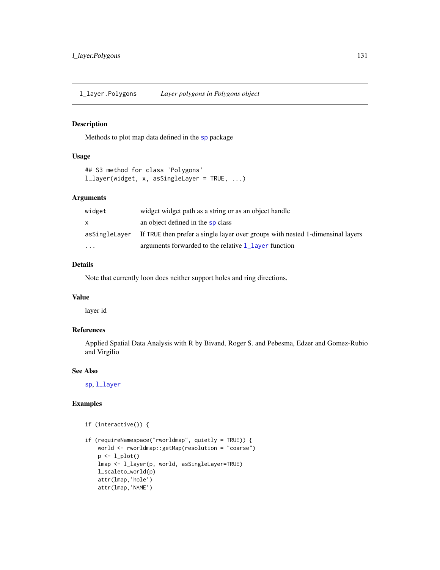l\_layer.Polygons *Layer polygons in Polygons object*

### Description

Methods to plot map data defined in the [sp](#page-0-0) package

### Usage

```
## S3 method for class 'Polygons'
l_layer(widget, x, asSingleLayer = TRUE, ...)
```
## Arguments

| widget        | widget widget path as a string or as an object handle                          |
|---------------|--------------------------------------------------------------------------------|
| X             | an object defined in the sp class                                              |
| asSingleLayer | If TRUE then prefer a single layer over groups with nested 1-dimensinal layers |
| $\cdots$      | arguments forwarded to the relative $1$ layer function                         |

## Details

Note that currently loon does neither support holes and ring directions.

## Value

layer id

## References

Applied Spatial Data Analysis with R by Bivand, Roger S. and Pebesma, Edzer and Gomez-Rubio and Virgilio

#### See Also

[sp](#page-0-0), [l\\_layer](#page-122-0)

## Examples

if (interactive()) {

```
if (requireNamespace("rworldmap", quietly = TRUE)) {
   world <- rworldmap::getMap(resolution = "coarse")
   p <- l_plot()
   lmap <- l_layer(p, world, asSingleLayer=TRUE)
   l_scaleto_world(p)
   attr(lmap,'hole')
   attr(lmap,'NAME')
```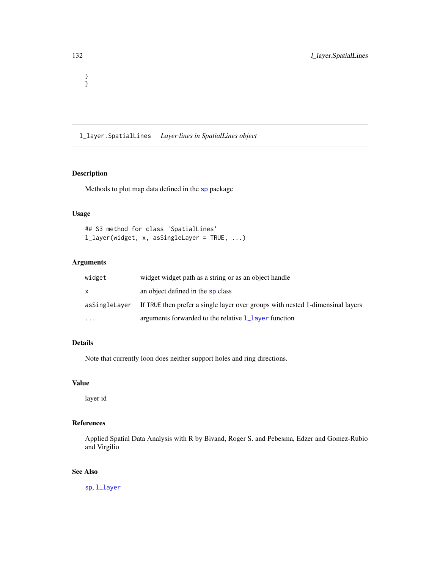} }

l\_layer.SpatialLines *Layer lines in SpatialLines object*

## Description

Methods to plot map data defined in the [sp](#page-0-0) package

## Usage

```
## S3 method for class 'SpatialLines'
l_layer(widget, x, asSingleLayer = TRUE, ...)
```
## Arguments

| widget        | widget widget path as a string or as an object handle                          |
|---------------|--------------------------------------------------------------------------------|
| X             | an object defined in the sp class                                              |
| asSingleLayer | If TRUE then prefer a single layer over groups with nested 1-dimensinal layers |
| $\cdots$      | arguments forwarded to the relative $1$ layer function                         |

### Details

Note that currently loon does neither support holes and ring directions.

#### Value

layer id

## References

Applied Spatial Data Analysis with R by Bivand, Roger S. and Pebesma, Edzer and Gomez-Rubio and Virgilio

# See Also

[sp](#page-0-0), [l\\_layer](#page-122-0)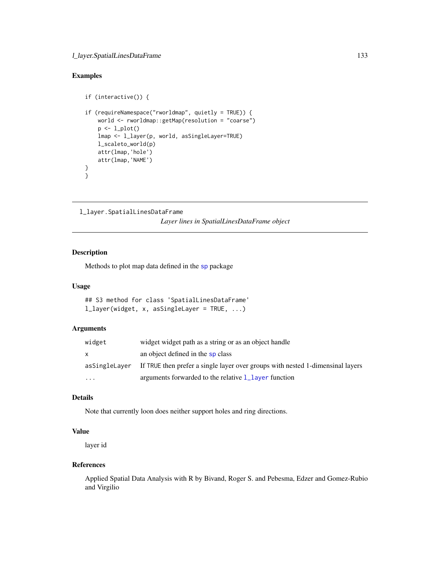## l\_layer.SpatialLinesDataFrame 133

## Examples

```
if (interactive()) {
if (requireNamespace("rworldmap", quietly = TRUE)) {
   world <- rworldmap::getMap(resolution = "coarse")
   p \leftarrow l\_plot()lmap <- l_layer(p, world, asSingleLayer=TRUE)
    l_scaleto_world(p)
   attr(lmap,'hole')
   attr(lmap,'NAME')
}
}
```

```
l_layer.SpatialLinesDataFrame
                         Layer lines in SpatialLinesDataFrame object
```
## Description

Methods to plot map data defined in the [sp](#page-0-0) package

#### Usage

```
## S3 method for class 'SpatialLinesDataFrame'
l_layer(widget, x, asSingleLayer = TRUE, ...)
```
### Arguments

| widget        | widget widget path as a string or as an object handle                          |
|---------------|--------------------------------------------------------------------------------|
| X.            | an object defined in the sp class                                              |
| asSingleLayer | If TRUE then prefer a single layer over groups with nested 1-dimensinal layers |
| $\ddotsc$     | arguments forwarded to the relative $1$ layer function                         |

## Details

Note that currently loon does neither support holes and ring directions.

## Value

layer id

#### References

Applied Spatial Data Analysis with R by Bivand, Roger S. and Pebesma, Edzer and Gomez-Rubio and Virgilio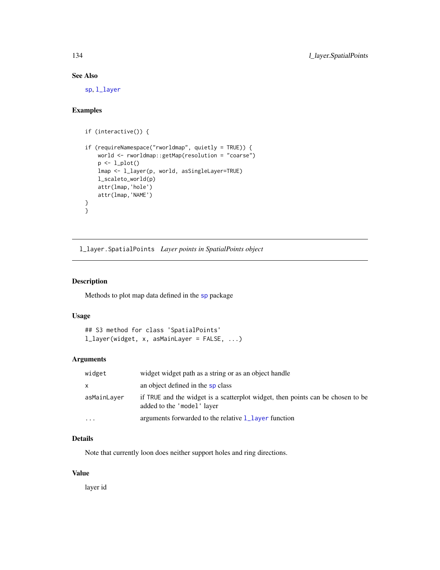## See Also

[sp](#page-0-0), [l\\_layer](#page-122-0)

# Examples

```
if (interactive()) {
if (requireNamespace("rworldmap", quietly = TRUE)) {
    world <- rworldmap::getMap(resolution = "coarse")
    p \leftarrow l\_plot()lmap <- l_layer(p, world, asSingleLayer=TRUE)
    l_scaleto_world(p)
    attr(lmap,'hole')
    attr(lmap,'NAME')
}
}
```
l\_layer.SpatialPoints *Layer points in SpatialPoints object*

### Description

Methods to plot map data defined in the [sp](#page-0-0) package

## Usage

```
## S3 method for class 'SpatialPoints'
l_layer(widget, x, asMainLayer = FALSE, ...)
```
#### Arguments

| widget      | widget widget path as a string or as an object handle                                                         |
|-------------|---------------------------------------------------------------------------------------------------------------|
| X           | an object defined in the sp class                                                                             |
| asMainLayer | if TRUE and the widget is a scatterplot widget, then points can be chosen to be<br>added to the 'model' layer |
| $\ddotsc$   | arguments forwarded to the relative $1$ layer function                                                        |

### Details

Note that currently loon does neither support holes and ring directions.

### Value

layer id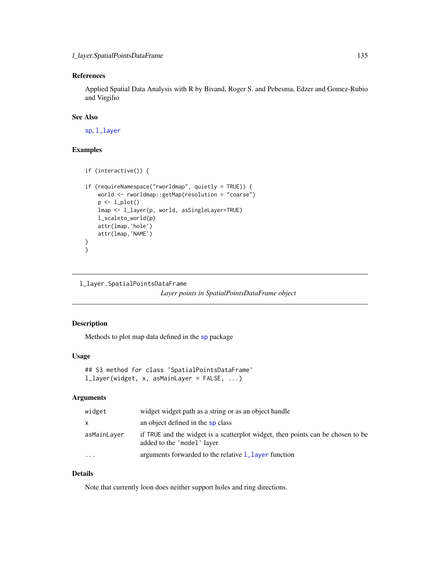## References

Applied Spatial Data Analysis with R by Bivand, Roger S. and Pebesma, Edzer and Gomez-Rubio and Virgilio

## See Also

[sp](#page-0-0), [l\\_layer](#page-122-0)

## Examples

```
if (interactive()) {
if (requireNamespace("rworldmap", quietly = TRUE)) {
   world <- rworldmap::getMap(resolution = "coarse")
   p <- l_plot()
   lmap <- l_layer(p, world, asSingleLayer=TRUE)
   l_scaleto_world(p)
   attr(lmap,'hole')
   attr(lmap,'NAME')
}
}
```
l\_layer.SpatialPointsDataFrame

*Layer points in SpatialPointsDataFrame object*

# Description

Methods to plot map data defined in the [sp](#page-0-0) package

## Usage

```
## S3 method for class 'SpatialPointsDataFrame'
l_layer(widget, x, asMainLayer = FALSE, ...)
```
## Arguments

| widget      | widget widget path as a string or as an object handle                                                         |
|-------------|---------------------------------------------------------------------------------------------------------------|
| X           | an object defined in the sp class                                                                             |
| asMainLayer | if TRUE and the widget is a scatterplot widget, then points can be chosen to be<br>added to the 'model' layer |
| $\cdots$    | arguments forwarded to the relative $1$ layer function                                                        |

### Details

Note that currently loon does neither support holes and ring directions.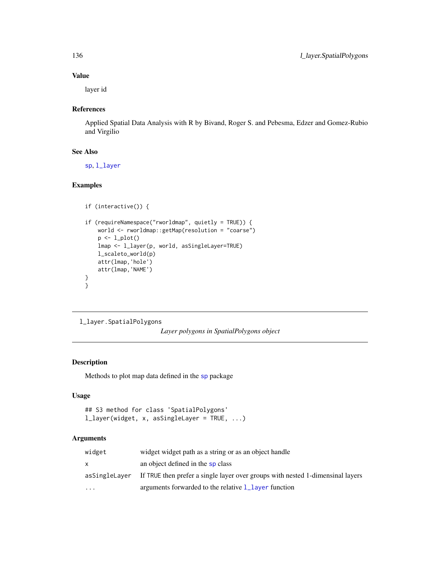## Value

layer id

## References

Applied Spatial Data Analysis with R by Bivand, Roger S. and Pebesma, Edzer and Gomez-Rubio and Virgilio

## See Also

[sp](#page-0-0), [l\\_layer](#page-122-0)

## Examples

```
if (interactive()) {
if (requireNamespace("rworldmap", quietly = TRUE)) {
    world <- rworldmap::getMap(resolution = "coarse")
   p \leftarrow l\_plot()lmap <- l_layer(p, world, asSingleLayer=TRUE)
   l_scaleto_world(p)
   attr(lmap,'hole')
   attr(lmap,'NAME')
}
}
```
l\_layer.SpatialPolygons

*Layer polygons in SpatialPolygons object*

## Description

Methods to plot map data defined in the [sp](#page-0-0) package

## Usage

```
## S3 method for class 'SpatialPolygons'
l_layer(widget, x, asSingleLayer = TRUE, ...)
```

| widget        | widget widget path as a string or as an object handle                          |
|---------------|--------------------------------------------------------------------------------|
| X.            | an object defined in the sp class                                              |
| asSingleLayer | If TRUE then prefer a single layer over groups with nested 1-dimensinal layers |
| $\cdots$      | arguments forwarded to the relative 1_layer function                           |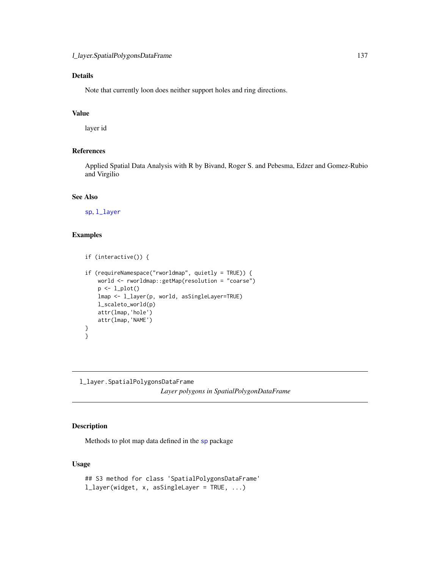# Details

Note that currently loon does neither support holes and ring directions.

### Value

layer id

# References

Applied Spatial Data Analysis with R by Bivand, Roger S. and Pebesma, Edzer and Gomez-Rubio and Virgilio

#### See Also

[sp](#page-0-0), [l\\_layer](#page-122-0)

## Examples

```
if (interactive()) {
```

```
if (requireNamespace("rworldmap", quietly = TRUE)) {
    world <- rworldmap::getMap(resolution = "coarse")
    p \leftarrow l\_plot()lmap <- l_layer(p, world, asSingleLayer=TRUE)
    l_scaleto_world(p)
    attr(lmap,'hole')
   attr(lmap,'NAME')
}
}
```
l\_layer.SpatialPolygonsDataFrame

*Layer polygons in SpatialPolygonDataFrame*

## Description

Methods to plot map data defined in the [sp](#page-0-0) package

## Usage

```
## S3 method for class 'SpatialPolygonsDataFrame'
l_layer(widget, x, asSingleLayer = TRUE, ...)
```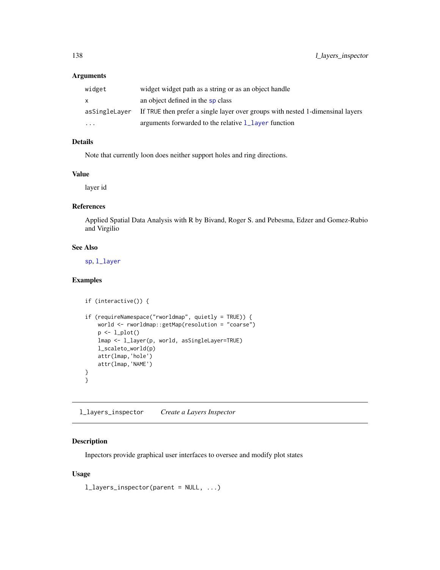## Arguments

| widget        | widget widget path as a string or as an object handle                          |
|---------------|--------------------------------------------------------------------------------|
| x.            | an object defined in the sp class                                              |
| asSingleLayer | If TRUE then prefer a single layer over groups with nested 1-dimensinal layers |
| $\ddotsc$     | arguments forwarded to the relative $1$ layer function                         |

## Details

Note that currently loon does neither support holes and ring directions.

# Value

layer id

## References

Applied Spatial Data Analysis with R by Bivand, Roger S. and Pebesma, Edzer and Gomez-Rubio and Virgilio

## See Also

[sp](#page-0-0), [l\\_layer](#page-122-0)

## Examples

```
if (interactive()) {
if (requireNamespace("rworldmap", quietly = TRUE)) {
    world <- rworldmap::getMap(resolution = "coarse")
   p <- l_plot()
   lmap <- l_layer(p, world, asSingleLayer=TRUE)
   l_scaleto_world(p)
   attr(lmap,'hole')
   attr(lmap,'NAME')
}
}
```
l\_layers\_inspector *Create a Layers Inspector*

## Description

Inpectors provide graphical user interfaces to oversee and modify plot states

### Usage

l\_layers\_inspector(parent = NULL, ...)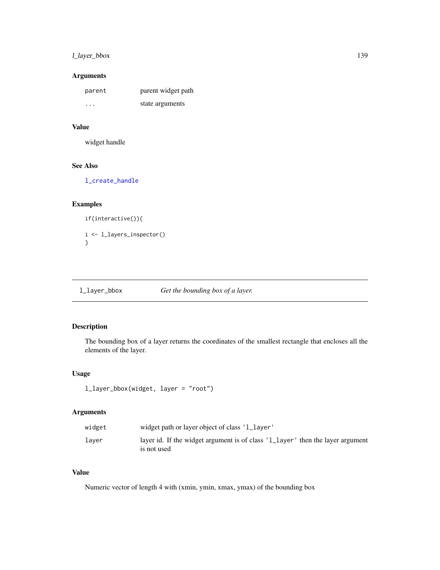## l\_layer\_bbox 139

## Arguments

| parent | parent widget path |
|--------|--------------------|
| .      | state arguments    |

# Value

widget handle

## See Also

[l\\_create\\_handle](#page-68-0)

## Examples

```
if(interactive()){
i <- l_layers_inspector()
}
```
<span id="page-138-0"></span>l\_layer\_bbox *Get the bounding box of a layer.*

# Description

The bounding box of a layer returns the coordinates of the smallest rectangle that encloses all the elements of the layer.

### Usage

```
l_layer_bbox(widget, layer = "root")
```
## Arguments

| widget | widget path or layer object of class '1_layer'                                                |
|--------|-----------------------------------------------------------------------------------------------|
| laver  | layer id. If the widget argument is of class '1_layer' then the layer argument<br>is not used |

# Value

Numeric vector of length 4 with (xmin, ymin, xmax, ymax) of the bounding box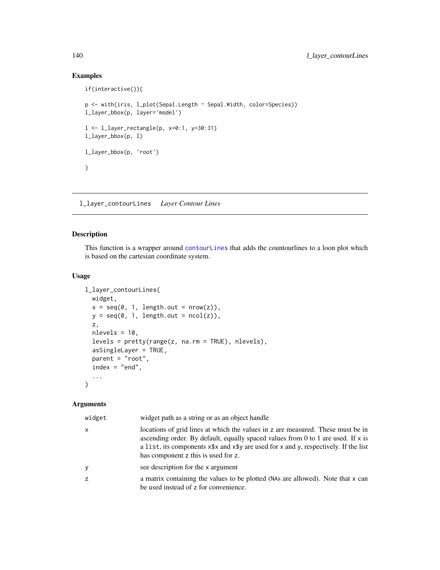## Examples

```
if(interactive()){
p <- with(iris, l_plot(Sepal.Length ~ Sepal.Width, color=Species))
l_layer_bbox(p, layer='model')
l <- l_layer_rectangle(p, x=0:1, y=30:31)
l_layer_bbox(p, l)
l_layer_bbox(p, 'root')
}
```
l\_layer\_contourLines *Layer Contour Lines*

## Description

This function is a wrapper around [contourLines](#page-0-0) that adds the countourlines to a loon plot which is based on the cartesian coordinate system.

#### Usage

```
l_layer_contourLines(
 widget,
  x = \text{seq}(0, 1, \text{length.out} = \text{now}(z)),y = seq(0, 1, length.out = ncol(z)),z,
 nlevels = 10,
  levels = pretty(range(z, na.rm = TRUE), nlevels),
  asSingleLayer = TRUE,
 parent = "root",index = "end",...
)
```

| widget   | widget path as a string or as an object handle                                                                                                                                                                                                                                                             |
|----------|------------------------------------------------------------------------------------------------------------------------------------------------------------------------------------------------------------------------------------------------------------------------------------------------------------|
| $\times$ | locations of grid lines at which the values in z are measured. These must be in<br>ascending order. By default, equally spaced values from 0 to 1 are used. If $x$ is<br>a list, its components $x$ \$x and $x$ \$y are used for x and y, respectively. If the list<br>has component z this is used for z. |
| y        | see description for the x argument                                                                                                                                                                                                                                                                         |
| z        | a matrix containing the values to be plotted (NAs are allowed). Note that x can<br>be used instead of z for convenience.                                                                                                                                                                                   |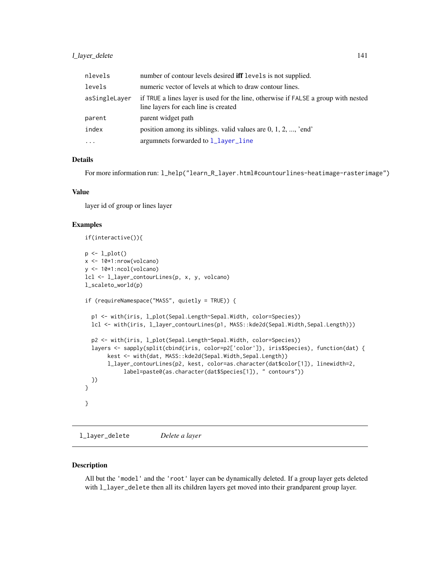## l\_layer\_delete 141

| nlevels       | number of contour levels desired <b>iff</b> levels is not supplied.                                                        |
|---------------|----------------------------------------------------------------------------------------------------------------------------|
| levels        | numeric vector of levels at which to draw contour lines.                                                                   |
| asSingleLayer | if TRUE a lines layer is used for the line, otherwise if FALSE a group with nested<br>line layers for each line is created |
| parent        | parent widget path                                                                                                         |
| index         | position among its siblings, valid values are $0, 1, 2, \ldots$ , 'end'                                                    |
| $\cdots$      | argumnets forwarded to $1$ layer line                                                                                      |

## Details

For more information run: l\_help("learn\_R\_layer.html#countourlines-heatimage-rasterimage")

#### Value

layer id of group or lines layer

#### Examples

```
if(interactive()){
p \leftarrow l\_plot()x <- 10*1:nrow(volcano)
y <- 10*1:ncol(volcano)
lcl <- l_layer_contourLines(p, x, y, volcano)
l_scaleto_world(p)
if (requireNamespace("MASS", quietly = TRUE)) {
 p1 <- with(iris, l_plot(Sepal.Length~Sepal.Width, color=Species))
 lcl <- with(iris, l_layer_contourLines(p1, MASS::kde2d(Sepal.Width,Sepal.Length)))
 p2 <- with(iris, l_plot(Sepal.Length~Sepal.Width, color=Species))
 layers <- sapply(split(cbind(iris, color=p2['color']), iris$Species), function(dat) {
       kest <- with(dat, MASS::kde2d(Sepal.Width,Sepal.Length))
       l_layer_contourLines(p2, kest, color=as.character(dat$color[1]), linewidth=2,
            label=paste0(as.character(dat$Species[1]), " contours"))
 })
}
}
```
<span id="page-140-0"></span>l\_layer\_delete *Delete a layer*

#### Description

All but the 'model' and the 'root' layer can be dynamically deleted. If a group layer gets deleted with  $l$ <sub>-layer\_delete then all</sub> its children layers get moved into their grandparent group layer.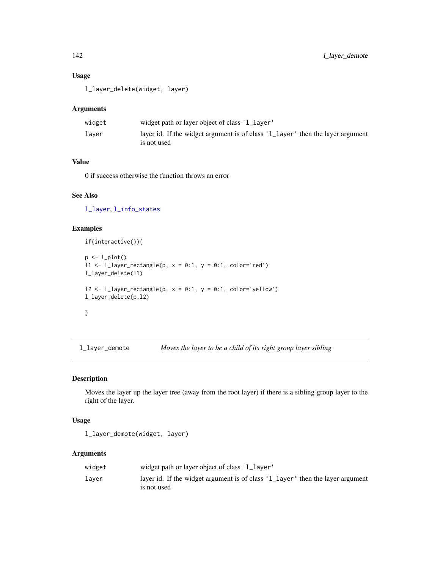## Usage

l\_layer\_delete(widget, layer)

## Arguments

| widget | widget path or layer object of class '1_layer'                                                |
|--------|-----------------------------------------------------------------------------------------------|
| laver  | layer id. If the widget argument is of class '1_layer' then the layer argument<br>is not used |

# Value

0 if success otherwise the function throws an error

## See Also

[l\\_layer](#page-122-0), [l\\_info\\_states](#page-121-0)

### Examples

```
if(interactive()){
p <- l_plot()
11 \leftarrow 1 layer_rectangle(p, x = 0:1, y = 0:1, color='red')
l_layer_delete(l1)
12 \le -1 layer_rectangle(p, x = 0:1, y = 0:1, color='yellow')
l_layer_delete(p,l2)
}
```
<span id="page-141-0"></span>l\_layer\_demote *Moves the layer to be a child of its right group layer sibling*

## Description

Moves the layer up the layer tree (away from the root layer) if there is a sibling group layer to the right of the layer.

### Usage

l\_layer\_demote(widget, layer)

| widget | widget path or layer object of class '1_layer'                                                |
|--------|-----------------------------------------------------------------------------------------------|
| laver  | layer id. If the widget argument is of class '1_layer' then the layer argument<br>is not used |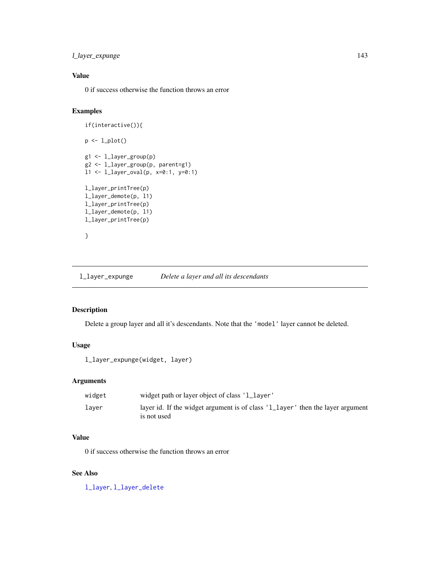l\_layer\_expunge 143

# Value

0 if success otherwise the function throws an error

# Examples

```
if(interactive()){
p <- l_plot()
g1 <- l_layer_group(p)
g2 <- l_layer_group(p, parent=g1)
l1 <- l_layer_oval(p, x=0:1, y=0:1)
l_layer_printTree(p)
l_layer_demote(p, l1)
l_layer_printTree(p)
l_layer_demote(p, l1)
l_layer_printTree(p)
}
```
<span id="page-142-0"></span>l\_layer\_expunge *Delete a layer and all its descendants*

### Description

Delete a group layer and all it's descendants. Note that the 'model' layer cannot be deleted.

# Usage

```
l_layer_expunge(widget, layer)
```
### Arguments

| widget | widget path or layer object of class '1_layer'                                                |
|--------|-----------------------------------------------------------------------------------------------|
| laver  | layer id. If the widget argument is of class '1_layer' then the layer argument<br>is not used |

### Value

0 if success otherwise the function throws an error

#### See Also

[l\\_layer](#page-122-0), [l\\_layer\\_delete](#page-140-0)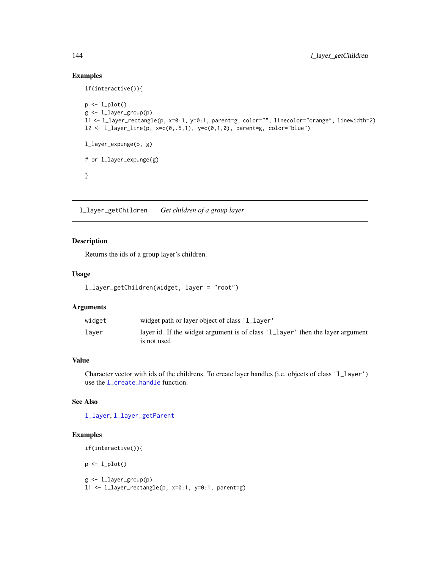## Examples

```
if(interactive()){
p \leftarrow l\_plot()g <- l_layer_group(p)
l1 <- l_layer_rectangle(p, x=0:1, y=0:1, parent=g, color="", linecolor="orange", linewidth=2)
12 \leftarrow 1_layer_line(p, x=c(0,.5,1), y=c(0,1,0), parent=g, color="blue")
l_layer_expunge(p, g)
# or l_layer_expunge(g)
}
```
<span id="page-143-0"></span>l\_layer\_getChildren *Get children of a group layer*

### Description

Returns the ids of a group layer's children.

## Usage

```
l_layer_getChildren(widget, layer = "root")
```
#### Arguments

| widget | widget path or layer object of class '1_layer'                                                |
|--------|-----------------------------------------------------------------------------------------------|
| laver  | layer id. If the widget argument is of class '1_layer' then the layer argument<br>is not used |

## Value

Character vector with ids of the childrens. To create layer handles (i.e. objects of class 'l\_layer') use the [l\\_create\\_handle](#page-68-0) function.

## See Also

[l\\_layer](#page-122-0), [l\\_layer\\_getParent](#page-145-1)

#### Examples

```
if(interactive()){
p \leftarrow l\_plot()g <- l_layer_group(p)
l1 <- l_layer_rectangle(p, x=0:1, y=0:1, parent=g)
```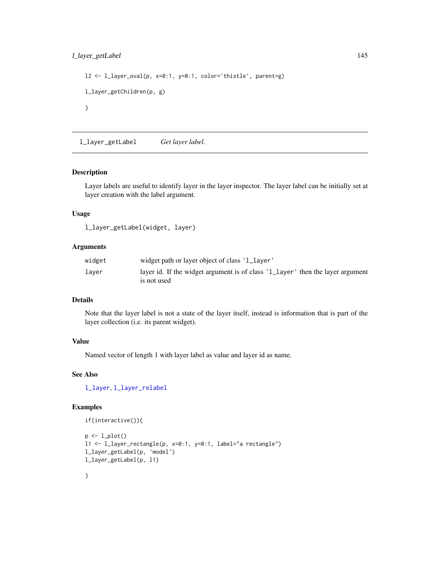## l\_layer\_getLabel 145

```
l2 <- l_layer_oval(p, x=0:1, y=0:1, color='thistle', parent=g)
l_layer_getChildren(p, g)
}
```
<span id="page-144-0"></span>l\_layer\_getLabel *Get layer label.*

#### Description

Layer labels are useful to identify layer in the layer inspector. The layer label can be initially set at layer creation with the label argument.

#### Usage

l\_layer\_getLabel(widget, layer)

## Arguments

| widget | widget path or layer object of class '1_layer'                                                |
|--------|-----------------------------------------------------------------------------------------------|
| laver  | layer id. If the widget argument is of class '1_layer' then the layer argument<br>is not used |

#### Details

Note that the layer label is not a state of the layer itself, instead is information that is part of the layer collection (i.e. its parent widget).

# Value

Named vector of length 1 with layer label as value and layer id as name.

#### See Also

[l\\_layer](#page-122-0), [l\\_layer\\_relabel](#page-173-0)

if(interactive()){

## Examples

```
p <- l_plot()
l1 <- l_layer_rectangle(p, x=0:1, y=0:1, label="a rectangle")
l_layer_getLabel(p, 'model')
l_layer_getLabel(p, l1)
```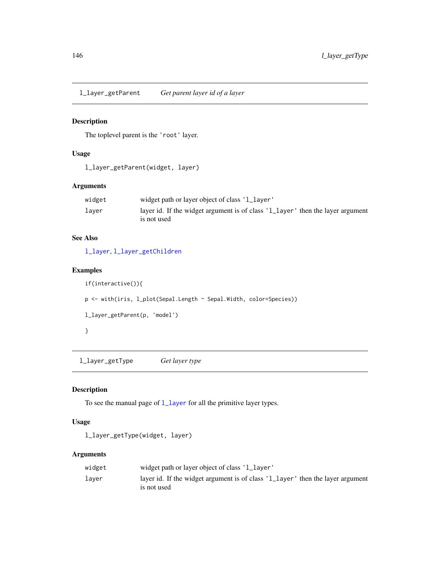<span id="page-145-0"></span>l\_layer\_getParent *Get parent layer id of a layer*

## Description

The toplevel parent is the 'root' layer.

## Usage

l\_layer\_getParent(widget, layer)

## Arguments

| widget | widget path or layer object of class '1_layer'                                                |
|--------|-----------------------------------------------------------------------------------------------|
| laver  | layer id. If the widget argument is of class '1_layer' then the layer argument<br>is not used |

## See Also

[l\\_layer](#page-122-0), [l\\_layer\\_getChildren](#page-143-0)

## Examples

```
if(interactive()){
p <- with(iris, l_plot(Sepal.Length ~ Sepal.Width, color=Species))
l_layer_getParent(p, 'model')
}
```
l\_layer\_getType *Get layer type*

#### Description

To see the manual page of [l\\_layer](#page-122-0) for all the primitive layer types.

#### Usage

```
l_layer_getType(widget, layer)
```

| widget | widget path or layer object of class '1_layer'                                                |
|--------|-----------------------------------------------------------------------------------------------|
| laver  | layer id. If the widget argument is of class '1_layer' then the layer argument<br>is not used |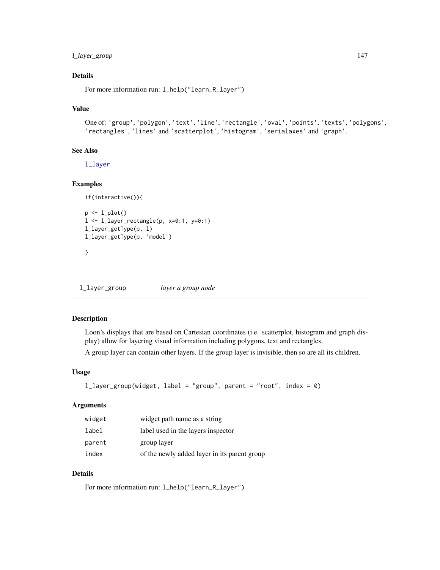## l\_layer\_group 147

## Details

For more information run: l\_help("learn\_R\_layer")

## Value

```
One of: 'group', 'polygon', 'text', 'line', 'rectangle', 'oval', 'points', 'texts', 'polygons',
'rectangles', 'lines' and 'scatterplot', 'histogram', 'serialaxes' and 'graph'.
```
## See Also

[l\\_layer](#page-122-0)

### Examples

```
if(interactive()){
p \leftarrow l\_plot()l <- l_layer_rectangle(p, x=0:1, y=0:1)
l_layer_getType(p, l)
l_layer_getType(p, 'model')
```
}

l\_layer\_group *layer a group node*

#### Description

Loon's displays that are based on Cartesian coordinates (i.e. scatterplot, histogram and graph display) allow for layering visual information including polygons, text and rectangles.

A group layer can contain other layers. If the group layer is invisible, then so are all its children.

## Usage

```
l_layer_group(widget, label = "group", parent = "root", index = 0)
```
## Arguments

| widget | widget path name as a string                 |
|--------|----------------------------------------------|
| label  | label used in the layers inspector           |
| parent | group layer                                  |
| index  | of the newly added layer in its parent group |

## Details

For more information run: l\_help("learn\_R\_layer")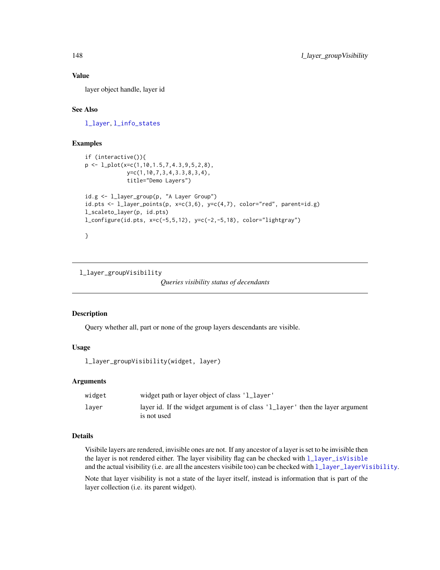## Value

layer object handle, layer id

## See Also

[l\\_layer](#page-122-0), [l\\_info\\_states](#page-121-0)

## Examples

```
if (interactive()){
p \leftarrow l\_plot(x=c(1,10,1.5,7,4.3,9,5,2,8),y=c(1,10,7,3,4,3.3,8,3,4),
             title="Demo Layers")
id.g <- l_layer_group(p, "A Layer Group")
id.pts <- l_layer_points(p, x=c(3,6), y=c(4,7), color="red", parent=id.g)
l_scaleto_layer(p, id.pts)
l_configure(id.pts, x=c(-5,5,12), y=c(-2,-5,18), color="lightgray")
}
```
<span id="page-147-0"></span>l\_layer\_groupVisibility

*Queries visibility status of decendants*

#### Description

Query whether all, part or none of the group layers descendants are visible.

## Usage

```
l_layer_groupVisibility(widget, layer)
```
#### Arguments

| widget | widget path or layer object of class '1_layer'                                                |
|--------|-----------------------------------------------------------------------------------------------|
| laver  | layer id. If the widget argument is of class '1_layer' then the layer argument<br>is not used |

## Details

Visibile layers are rendered, invisible ones are not. If any ancestor of a layer is set to be invisible then the layer is not rendered either. The layer visibility flag can be checked with [l\\_layer\\_isVisible](#page-153-0) and the actual visibility (i.e. are all the ancesters visibile too) can be checked with  $1$ \_layer\_layerVisibility.

Note that layer visibility is not a state of the layer itself, instead is information that is part of the layer collection (i.e. its parent widget).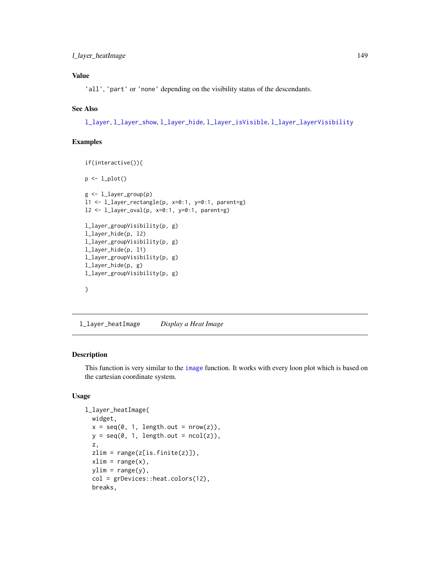# Value

'all', 'part' or 'none' depending on the visibility status of the descendants.

## See Also

[l\\_layer](#page-122-0), [l\\_layer\\_show](#page-174-0), [l\\_layer\\_hide](#page-150-0), [l\\_layer\\_isVisible](#page-153-0), [l\\_layer\\_layerVisibility](#page-154-0)

# Examples

```
if(interactive()){
p <- l_plot()
g <- l_layer_group(p)
l1 <- l_layer_rectangle(p, x=0:1, y=0:1, parent=g)
l2 <- l_layer_oval(p, x=0:1, y=0:1, parent=g)
l_layer_groupVisibility(p, g)
l_layer_hide(p, l2)
l_layer_groupVisibility(p, g)
l_layer_hide(p, l1)
l_layer_groupVisibility(p, g)
l_layer_hide(p, g)
l_layer_groupVisibility(p, g)
}
```
l\_layer\_heatImage *Display a Heat Image*

## Description

This function is very similar to the [image](#page-0-0) function. It works with every loon plot which is based on the cartesian coordinate system.

# Usage

```
l_layer_heatImage(
 widget,
 x = seq(0, 1, length.out = nrow(z)),y = seq(0, 1, length.out = ncol(z)),z,
 zlim = range(z[is.findte(z)]),xlim = range(x),
 ylim = range(y),
  col = grDevices::heat.colors(12),
 breaks,
```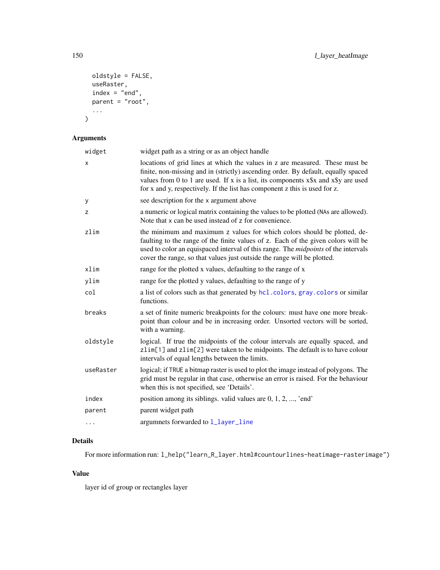```
oldstyle = FALSE,
  useRaster,
  index = "end",parent = "root",
  ...
\mathcal{L}
```
## Arguments

| widget    | widget path as a string or as an object handle                                                                                                                                                                                                                                                                                        |
|-----------|---------------------------------------------------------------------------------------------------------------------------------------------------------------------------------------------------------------------------------------------------------------------------------------------------------------------------------------|
| X         | locations of grid lines at which the values in z are measured. These must be<br>finite, non-missing and in (strictly) ascending order. By default, equally spaced<br>values from 0 to 1 are used. If x is a list, its components x\$x and x\$y are used<br>for x and y, respectively. If the list has component z this is used for z. |
| У         | see description for the x argument above                                                                                                                                                                                                                                                                                              |
| z         | a numeric or logical matrix containing the values to be plotted (NAs are allowed).<br>Note that x can be used instead of z for convenience.                                                                                                                                                                                           |
| zlim      | the minimum and maximum z values for which colors should be plotted, de-<br>faulting to the range of the finite values of z. Each of the given colors will be<br>used to color an equispaced interval of this range. The <i>midpoints</i> of the intervals<br>cover the range, so that values just outside the range will be plotted. |
| xlim      | range for the plotted x values, defaulting to the range of x                                                                                                                                                                                                                                                                          |
| ylim      | range for the plotted y values, defaulting to the range of y                                                                                                                                                                                                                                                                          |
| col       | a list of colors such as that generated by hcl. colors, gray. colors or similar<br>functions.                                                                                                                                                                                                                                         |
| breaks    | a set of finite numeric breakpoints for the colours: must have one more break-<br>point than colour and be in increasing order. Unsorted vectors will be sorted,<br>with a warning.                                                                                                                                                   |
| oldstyle  | logical. If true the midpoints of the colour intervals are equally spaced, and<br>zlim[1] and zlim[2] were taken to be midpoints. The default is to have colour<br>intervals of equal lengths between the limits.                                                                                                                     |
| useRaster | logical; if TRUE a bitmap raster is used to plot the image instead of polygons. The<br>grid must be regular in that case, otherwise an error is raised. For the behaviour<br>when this is not specified, see 'Details'.                                                                                                               |
| index     | position among its siblings. valid values are $0, 1, 2, \ldots$ , 'end'                                                                                                                                                                                                                                                               |
| parent    | parent widget path                                                                                                                                                                                                                                                                                                                    |
|           | argumnets forwarded to 1_layer_line                                                                                                                                                                                                                                                                                                   |

# Details

For more information run: l\_help("learn\_R\_layer.html#countourlines-heatimage-rasterimage")

# Value

layer id of group or rectangles layer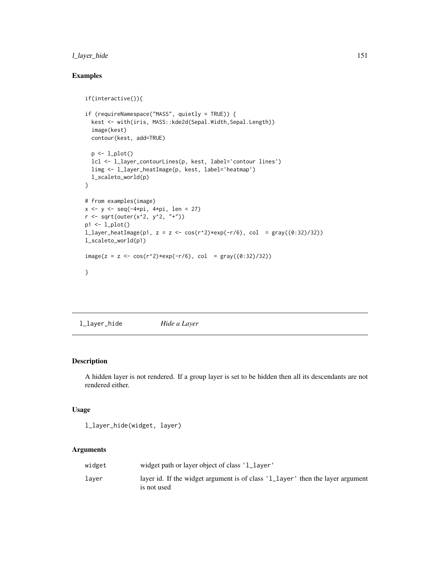## l\_layer\_hide 151

# Examples

```
if(interactive()){
if (requireNamespace("MASS", quietly = TRUE)) {
  kest <- with(iris, MASS::kde2d(Sepal.Width,Sepal.Length))
  image(kest)
  contour(kest, add=TRUE)
  p \leftarrow l\_plot()lcl <- l_layer_contourLines(p, kest, label='contour lines')
  limg <- l_layer_heatImage(p, kest, label='heatmap')
  l_scaleto_world(p)
}
# from examples(image)
x <- y <- seq(-4*pi, 4*pi, len = 27)
r <- sqrt(outer(x^2, y^2, "+"))
p1 <- l_plot()
l\_layer\_heatImage(p1, z = z \leftarrow cos(r^2)*exp(-r/6), col = gray((0:32)/32))l_scaleto_world(p1)
image(z = z \le cos(r^2)*exp(-r/6), col = gray((0:32)/32))}
```
<span id="page-150-0"></span>l\_layer\_hide *Hide a Layer*

## Description

A hidden layer is not rendered. If a group layer is set to be hidden then all its descendants are not rendered either.

#### Usage

l\_layer\_hide(widget, layer)

| widget | widget path or layer object of class '1_layer'                                                |
|--------|-----------------------------------------------------------------------------------------------|
| laver  | layer id. If the widget argument is of class '1_layer' then the layer argument<br>is not used |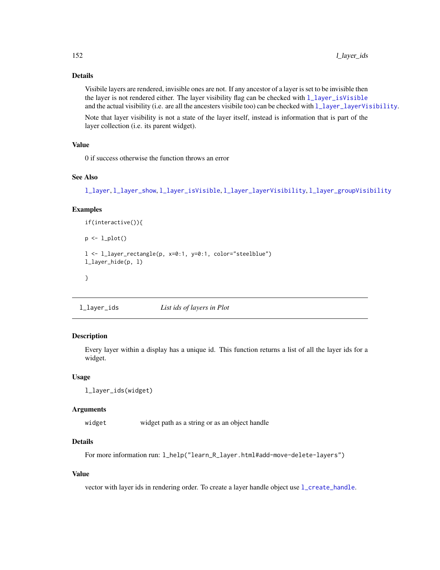## Details

Visibile layers are rendered, invisible ones are not. If any ancestor of a layer is set to be invisible then the layer is not rendered either. The layer visibility flag can be checked with [l\\_layer\\_isVisible](#page-153-0) and the actual visibility (i.e. are all the ancesters visibile too) can be checked with  $1$ <sup>l</sup>ayer\_layerVisibility.

Note that layer visibility is not a state of the layer itself, instead is information that is part of the layer collection (i.e. its parent widget).

# Value

0 if success otherwise the function throws an error

## See Also

```
l_layer, l_layer_show, l_layer_isVisible, l_layer_layerVisibility, l_layer_groupVisibility
```
## Examples

```
if(interactive()){
p \leftarrow l\_plot()l <- l_layer_rectangle(p, x=0:1, y=0:1, color="steelblue")
l_layer_hide(p, l)
}
```
l\_layer\_ids *List ids of layers in Plot*

## Description

Every layer within a display has a unique id. This function returns a list of all the layer ids for a widget.

#### Usage

```
l_layer_ids(widget)
```
#### Arguments

widget widget path as a string or as an object handle

# **Details**

For more information run: l\_help("learn\_R\_layer.html#add-move-delete-layers")

## Value

vector with layer ids in rendering order. To create a layer handle object use  $1$ <sub>create\_handle.</sub>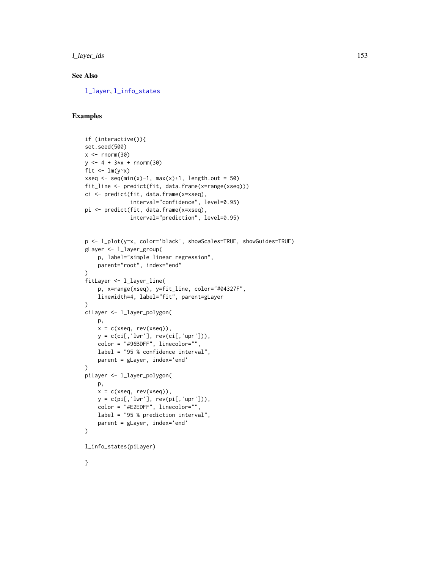l\_layer\_ids 153

## See Also

[l\\_layer](#page-122-0), [l\\_info\\_states](#page-121-0)

## Examples

```
if (interactive()){
set.seed(500)
x < - rnorm(30)
y \le -4 + 3*x + \text{norm}(30)fit \leftarrow \text{lm}(y \sim x)xseq \leftarrow seq(min(x)-1, max(x)+1, length.out = 50)fit_line <- predict(fit, data.frame(x=range(xseq)))
ci <- predict(fit, data.frame(x=xseq),
               interval="confidence", level=0.95)
pi <- predict(fit, data.frame(x=xseq),
              interval="prediction", level=0.95)
p <- l_plot(y~x, color='black', showScales=TRUE, showGuides=TRUE)
gLayer <- l_layer_group(
    p, label="simple linear regression",
    parent="root", index="end"
)
fitLayer <- l_layer_line(
    p, x=range(xseq), y=fit_line, color="#04327F",
    linewidth=4, label="fit", parent=gLayer
)
ciLayer <- l_layer_polygon(
    p,
    x = c(xseq, rev(xseq)),y = c(cil,'lwr'], rev(cil,'upr']),
    color = "#96BDFF", linecolor="",
    label = "95 % confidence interval",
    parent = gLayer, index='end'
)
piLayer <- l_layer_polygon(
    p,
    x = c(xseq, rev(xseq)),y = c(pi[,'lwr'], rev(pi[,'upr'])),
    color = "#E2EDFF", linecolor="",
    label = "95 % prediction interval",
    parent = gLayer, index='end'
\mathcal{L}l_info_states(piLayer)
}
```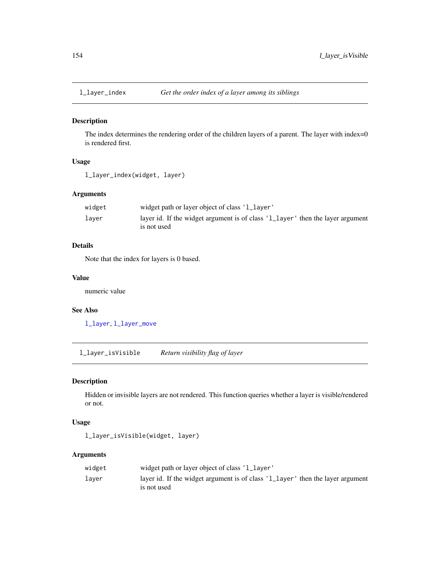<span id="page-153-1"></span>

## Description

The index determines the rendering order of the children layers of a parent. The layer with index=0 is rendered first.

## Usage

```
l_layer_index(widget, layer)
```
# Arguments

| widget | widget path or layer object of class '1_layer'                                                |
|--------|-----------------------------------------------------------------------------------------------|
| laver  | layer id. If the widget argument is of class '1_layer' then the layer argument<br>is not used |

## Details

Note that the index for layers is 0 based.

## Value

numeric value

## See Also

[l\\_layer](#page-122-0), [l\\_layer\\_move](#page-159-0)

<span id="page-153-0"></span>l\_layer\_isVisible *Return visibility flag of layer*

## Description

Hidden or invisible layers are not rendered. This function queries whether a layer is visible/rendered or not.

#### Usage

```
l_layer_isVisible(widget, layer)
```

| widget | widget path or layer object of class '1_layer'                                                |
|--------|-----------------------------------------------------------------------------------------------|
| laver  | layer id. If the widget argument is of class '1_layer' then the layer argument<br>is not used |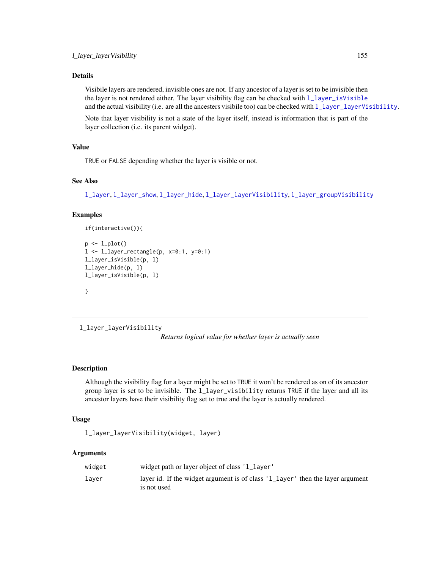## Details

Visibile layers are rendered, invisible ones are not. If any ancestor of a layer is set to be invisible then the layer is not rendered either. The layer visibility flag can be checked with [l\\_layer\\_isVisible](#page-153-0) and the actual visibility (i.e. are all the ancesters visibile too) can be checked with  $1$ \_layer\_layerVisibility.

Note that layer visibility is not a state of the layer itself, instead is information that is part of the layer collection (i.e. its parent widget).

## Value

TRUE or FALSE depending whether the layer is visible or not.

#### See Also

[l\\_layer](#page-122-0), [l\\_layer\\_show](#page-174-0), [l\\_layer\\_hide](#page-150-0), [l\\_layer\\_layerVisibility](#page-154-0), [l\\_layer\\_groupVisibility](#page-147-0)

#### Examples

```
if(interactive()){
p \leftarrow l\_plot()l <- l_layer_rectangle(p, x=0:1, y=0:1)
l_layer_isVisible(p, l)
l_layer_hide(p, l)
l_layer_isVisible(p, l)
}
```
<span id="page-154-0"></span>l\_layer\_layerVisibility

*Returns logical value for whether layer is actually seen*

## Description

Although the visibility flag for a layer might be set to TRUE it won't be rendered as on of its ancestor group layer is set to be invisible. The l\_layer\_visibility returns TRUE if the layer and all its ancestor layers have their visibility flag set to true and the layer is actually rendered.

#### Usage

```
l_layer_layerVisibility(widget, layer)
```

| widget | widget path or layer object of class '1_layer'                                                |
|--------|-----------------------------------------------------------------------------------------------|
| laver  | layer id. If the widget argument is of class '1_layer' then the layer argument<br>is not used |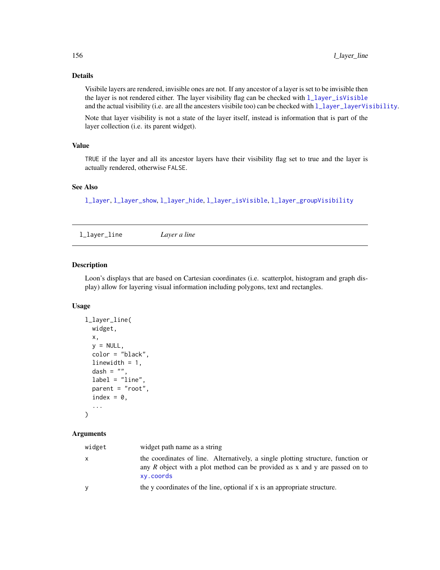## Details

Visibile layers are rendered, invisible ones are not. If any ancestor of a layer is set to be invisible then the layer is not rendered either. The layer visibility flag can be checked with [l\\_layer\\_isVisible](#page-153-0) and the actual visibility (i.e. are all the ancesters visibile too) can be checked with  $1$  layer\_layerVisibility.

Note that layer visibility is not a state of the layer itself, instead is information that is part of the layer collection (i.e. its parent widget).

## Value

TRUE if the layer and all its ancestor layers have their visibility flag set to true and the layer is actually rendered, otherwise FALSE.

# See Also

[l\\_layer](#page-122-0), [l\\_layer\\_show](#page-174-0), [l\\_layer\\_hide](#page-150-0), [l\\_layer\\_isVisible](#page-153-0), [l\\_layer\\_groupVisibility](#page-147-0)

<span id="page-155-0"></span>l\_layer\_line *Layer a line*

## Description

Loon's displays that are based on Cartesian coordinates (i.e. scatterplot, histogram and graph display) allow for layering visual information including polygons, text and rectangles.

#### Usage

```
l_layer_line(
  widget,
  x,
  y = NULL,
  color = "black",
  linewidth = 1,
  dash = ",
  label = "line",parent = "root",
  index = 0,
  ...
)
```

| widget | widget path name as a string                                                                                                                                                       |
|--------|------------------------------------------------------------------------------------------------------------------------------------------------------------------------------------|
| X      | the coordinates of line. Alternatively, a single plotting structure, function or<br>any $R$ object with a plot method can be provided as $x$ and $y$ are passed on to<br>xy.coords |
| y      | the y coordinates of the line, optional if x is an appropriate structure.                                                                                                          |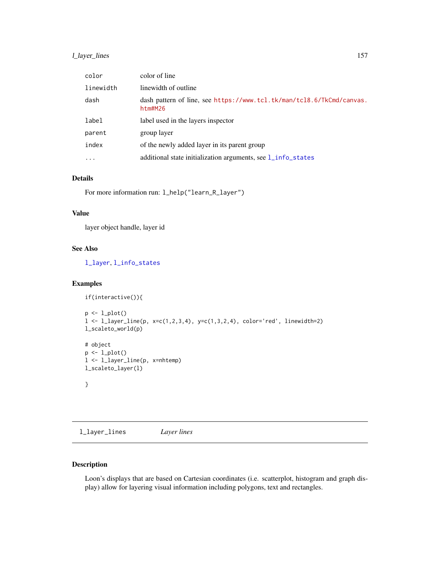## l\_layer\_lines 157

| color     | color of line                                                                    |
|-----------|----------------------------------------------------------------------------------|
| linewidth | linewidth of outline.                                                            |
| dash      | dash pattern of line, see https://www.tcl.tk/man/tcl8.6/TkCmd/canvas.<br>htm#M26 |
| label     | label used in the layers inspector                                               |
| parent    | group layer                                                                      |
| index     | of the newly added layer in its parent group                                     |
| $\cdots$  | additional state initialization arguments, see l_info_states                     |

## Details

For more information run: l\_help("learn\_R\_layer")

# Value

layer object handle, layer id

## See Also

[l\\_layer](#page-122-0), [l\\_info\\_states](#page-121-0)

## Examples

```
if(interactive()){
p \leftarrow l\_plot()l <- l_layer_line(p, x=c(1,2,3,4), y=c(1,3,2,4), color='red', linewidth=2)
l_scaleto_world(p)
# object
p \leftarrow l\_plot()l <- l_layer_line(p, x=nhtemp)
l_scaleto_layer(l)
}
```
l\_layer\_lines *Layer lines*

## Description

Loon's displays that are based on Cartesian coordinates (i.e. scatterplot, histogram and graph display) allow for layering visual information including polygons, text and rectangles.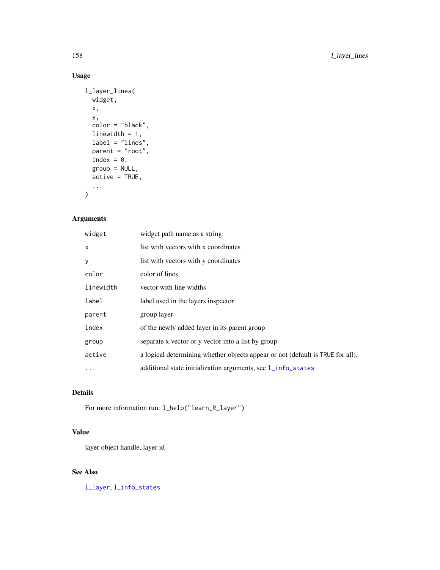# Usage

```
l_layer_lines(
  widget,
  x,
  y,
  color = "black",
  linewidth = 1,
  label = "lines",parent = "root",index = 0,group = NULL,
  active = TRUE,...
\mathcal{L}
```
# Arguments

| widget    | widget path name as a string                                                   |
|-----------|--------------------------------------------------------------------------------|
| X         | list with vectors with x coordinates                                           |
| у         | list with vectors with y coordinates                                           |
| color     | color of lines                                                                 |
| linewidth | vector with line widths                                                        |
| label     | label used in the layers inspector                                             |
| parent    | group layer                                                                    |
| index     | of the newly added layer in its parent group                                   |
| group     | separate x vector or y vector into a list by group.                            |
| active    | a logical determining whether objects appear or not (default is TRUE for all). |
| $\cdot$   | additional state initialization arguments, see 1_info_states                   |

# Details

For more information run: l\_help("learn\_R\_layer")

# Value

layer object handle, layer id

# See Also

[l\\_layer](#page-122-0), [l\\_info\\_states](#page-121-0)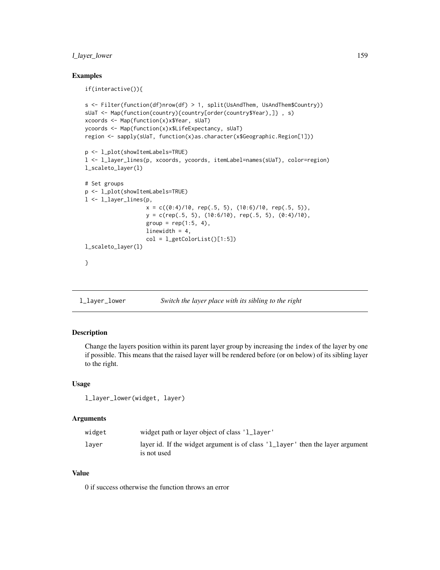## l\_layer\_lower 159

## Examples

if(interactive()){

```
s <- Filter(function(df)nrow(df) > 1, split(UsAndThem, UsAndThem$Country))
sUaT <- Map(function(country){country[order(country$Year),]} , s)
xcoords <- Map(function(x)x$Year, sUaT)
ycoords <- Map(function(x)x$LifeExpectancy, sUaT)
region <- sapply(sUaT, function(x)as.character(x$Geographic.Region[1]))
p <- l_plot(showItemLabels=TRUE)
l <- l_layer_lines(p, xcoords, ycoords, itemLabel=names(sUaT), color=region)
l_scaleto_layer(l)
# Set groups
p <- l_plot(showItemLabels=TRUE)
1 <- 1_layer_lines(p,
                   x = c((0:4)/10, rep(.5, 5), (10:6)/10, rep(.5, 5)),y = c(rep(.5, 5), (10:6/10), rep(.5, 5), (0:4)/10),group = rep(1:5, 4),linewidth = 4,
                   col = l_getColorList()[1:5])l_scaleto_layer(l)
}
```
<span id="page-158-0"></span>l\_layer\_lower *Switch the layer place with its sibling to the right*

#### **Description**

Change the layers position within its parent layer group by increasing the index of the layer by one if possible. This means that the raised layer will be rendered before (or on below) of its sibling layer to the right.

## Usage

l\_layer\_lower(widget, layer)

#### Arguments

| widget | widget path or layer object of class '1_layer'                                                |
|--------|-----------------------------------------------------------------------------------------------|
| laver  | layer id. If the widget argument is of class '1_layer' then the layer argument<br>is not used |

#### Value

0 if success otherwise the function throws an error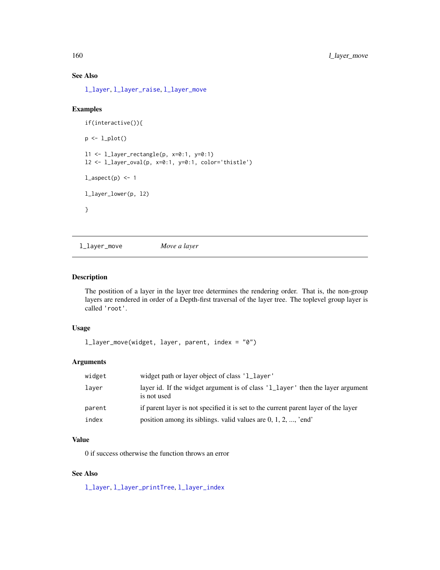# See Also

[l\\_layer](#page-122-0), [l\\_layer\\_raise](#page-168-0), [l\\_layer\\_move](#page-159-0)

## Examples

```
if(interactive()){
p \leftarrow l\_plot()l1 <- l_layer_rectangle(p, x=0:1, y=0:1)
l2 <- l_layer_oval(p, x=0:1, y=0:1, color='thistle')
l_aspect(p) <- 1
l_layer_lower(p, l2)
}
```
<span id="page-159-0"></span>l\_layer\_move *Move a layer*

## Description

The postition of a layer in the layer tree determines the rendering order. That is, the non-group layers are rendered in order of a Depth-first traversal of the layer tree. The toplevel group layer is called 'root'.

## Usage

```
l_layer_move(widget, layer, parent, index = "0")
```
## Arguments

| widget | widget path or layer object of class '1_layer'                                                |
|--------|-----------------------------------------------------------------------------------------------|
| laver  | layer id. If the widget argument is of class '1_layer' then the layer argument<br>is not used |
| parent | if parent layer is not specified it is set to the current parent layer of the layer           |
| index  | position among its siblings, valid values are $0, 1, 2, \ldots$ 'end'                         |

# Value

0 if success otherwise the function throws an error

## See Also

[l\\_layer](#page-122-0), [l\\_layer\\_printTree](#page-166-0), [l\\_layer\\_index](#page-153-1)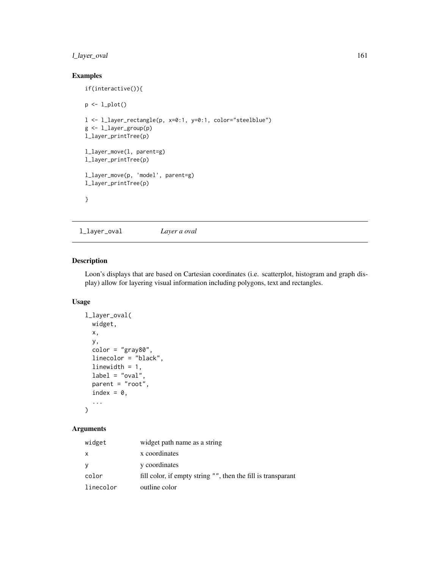## l\_layer\_oval 161

## Examples

```
if(interactive()){
p \leftarrow l\_plot()l <- l_layer_rectangle(p, x=0:1, y=0:1, color="steelblue")
g <- l_layer_group(p)
l_layer_printTree(p)
l_layer_move(l, parent=g)
l_layer_printTree(p)
l_layer_move(p, 'model', parent=g)
l_layer_printTree(p)
}
```
l\_layer\_oval *Layer a oval*

## Description

Loon's displays that are based on Cartesian coordinates (i.e. scatterplot, histogram and graph display) allow for layering visual information including polygons, text and rectangles.

## Usage

```
l_layer_oval(
 widget,
  x,
 y,
  color = "gray80",
  linecolor = "black",
  linewidth = 1,
  label = "oval",
  parent = "root",
  index = \theta,
  ...
)
```

| widget    | widget path name as a string                                 |
|-----------|--------------------------------------------------------------|
| x         | x coordinates                                                |
| У         | y coordinates                                                |
| color     | fill color, if empty string "", then the fill is transparant |
| linecolor | outline color                                                |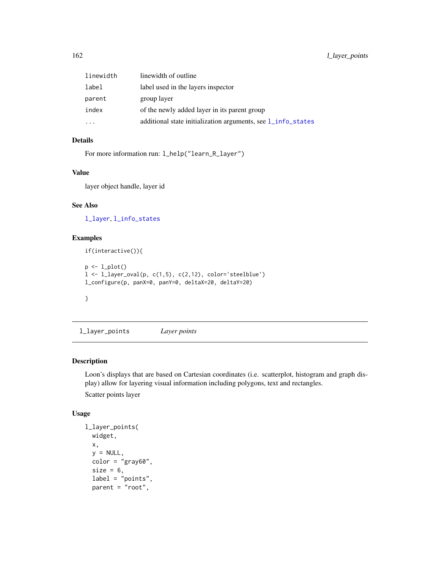| linewidth | linewidth of outline.                                        |
|-----------|--------------------------------------------------------------|
| label     | label used in the layers inspector                           |
| parent    | group layer                                                  |
| index     | of the newly added layer in its parent group                 |
| $\cdots$  | additional state initialization arguments, see 1_info_states |

# Details

For more information run: l\_help("learn\_R\_layer")

## Value

layer object handle, layer id

# See Also

[l\\_layer](#page-122-0), [l\\_info\\_states](#page-121-0)

## Examples

```
if(interactive()){
p \leftarrow l\_plot()l < -1layer_oval(p, c(1,5), c(2,12), color='steelblue')
```

```
l_configure(p, panX=0, panY=0, deltaX=20, deltaY=20)
```

```
}
```
l\_layer\_points *Layer points*

## Description

Loon's displays that are based on Cartesian coordinates (i.e. scatterplot, histogram and graph display) allow for layering visual information including polygons, text and rectangles. Scatter points layer

#### Usage

```
l_layer_points(
 widget,
 x,
 y = NULL,color = "gray60",size = 6,
 label = "points",
 parent = "root",
```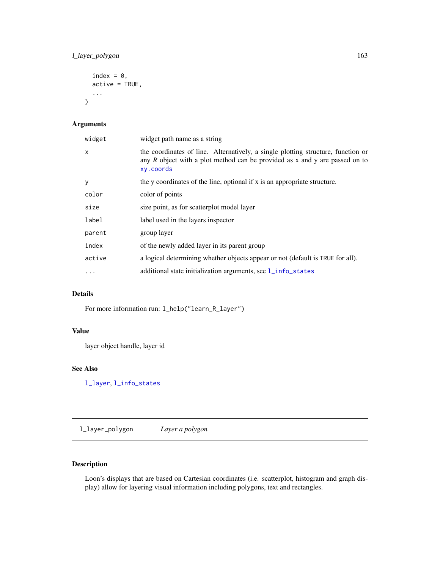## l\_layer\_polygon 163

```
index = \theta,
  active = TRUE,
   ...
\mathcal{L}
```
## Arguments

| widget path name as a string                                                                                                                                                       |
|------------------------------------------------------------------------------------------------------------------------------------------------------------------------------------|
| the coordinates of line. Alternatively, a single plotting structure, function or<br>any $R$ object with a plot method can be provided as $x$ and $y$ are passed on to<br>xy.coords |
| the y coordinates of the line, optional if x is an appropriate structure.                                                                                                          |
| color of points                                                                                                                                                                    |
| size point, as for scatterplot model layer                                                                                                                                         |
| label used in the layers inspector                                                                                                                                                 |
| group layer                                                                                                                                                                        |
| of the newly added layer in its parent group                                                                                                                                       |
| a logical determining whether objects appear or not (default is TRUE for all).                                                                                                     |
| additional state initialization arguments, see 1_info_states                                                                                                                       |
|                                                                                                                                                                                    |

# Details

For more information run: l\_help("learn\_R\_layer")

## Value

layer object handle, layer id

# See Also

[l\\_layer](#page-122-0), [l\\_info\\_states](#page-121-0)

l\_layer\_polygon *Layer a polygon*

# Description

Loon's displays that are based on Cartesian coordinates (i.e. scatterplot, histogram and graph display) allow for layering visual information including polygons, text and rectangles.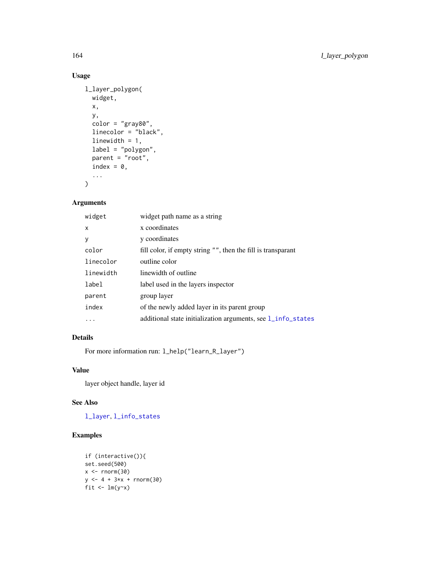# Usage

```
l_layer_polygon(
 widget,
 x,
 y,
  color = "gray80",linecolor = "black",
 linewidth = 1,
 label = "polygon",
 parent = "root",
 index = 0,...
\mathcal{L}
```
# Arguments

| widget       | widget path name as a string                                 |
|--------------|--------------------------------------------------------------|
| $\mathsf{x}$ | x coordinates                                                |
| y            | y coordinates                                                |
| color        | fill color, if empty string "", then the fill is transparant |
| linecolor    | outline color                                                |
| linewidth    | linewidth of outline                                         |
| label        | label used in the layers inspector                           |
| parent       | group layer                                                  |
| index        | of the newly added layer in its parent group                 |
| $\ddotsc$    | additional state initialization arguments, see 1_info_states |

# Details

For more information run: l\_help("learn\_R\_layer")

# Value

layer object handle, layer id

# See Also

[l\\_layer](#page-122-0), [l\\_info\\_states](#page-121-0)

## Examples

```
if (interactive()){
set.seed(500)
x < - rnorm(30)
y \le -4 + 3*x + \text{norm}(30)fit \leftarrow \text{lm}(y \sim x)
```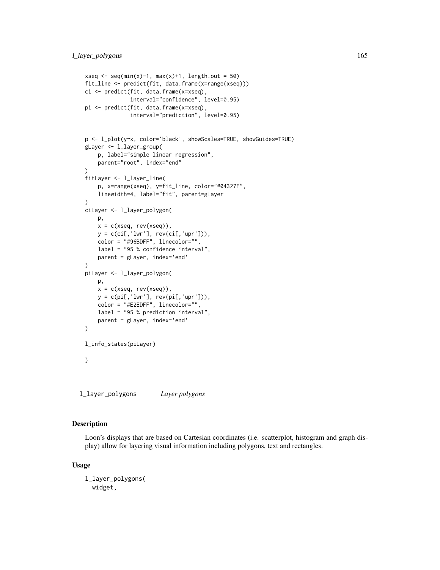```
xseq \leftarrow seq(min(x)-1, max(x)+1, length.out = 50)fit_line <- predict(fit, data.frame(x=range(xseq)))
ci <- predict(fit, data.frame(x=xseq),
              interval="confidence", level=0.95)
pi <- predict(fit, data.frame(x=xseq),
              interval="prediction", level=0.95)
p <- l_plot(y~x, color='black', showScales=TRUE, showGuides=TRUE)
gLayer <- l_layer_group(
    p, label="simple linear regression",
    parent="root", index="end"
)
fitLayer <- l_layer_line(
    p, x=range(xseq), y=fit_line, color="#04327F",
    linewidth=4, label="fit", parent=gLayer
)
ciLayer <- l_layer_polygon(
   p,
   x = c(xseq, rev(xseq)),y = c(cil,'lwr'], rev(cil,'upr']),
   color = "#96BDFF", linecolor="",
   label = "95 % confidence interval",
    parent = gLayer, index='end'
\mathcal{L}piLayer <- l_layer_polygon(
   p,
   x = c(xseq, rev(xseq)),y = c(pi[,'lwr'], rev(pi[,'upr'])),
   color = "#E2EDFF", linecolor="",
    label = "95 % prediction interval",
    parent = gLayer, index='end'
)
l_info_states(piLayer)
}
```
l\_layer\_polygons *Layer polygons*

## Description

Loon's displays that are based on Cartesian coordinates (i.e. scatterplot, histogram and graph display) allow for layering visual information including polygons, text and rectangles.

#### Usage

l\_layer\_polygons( widget,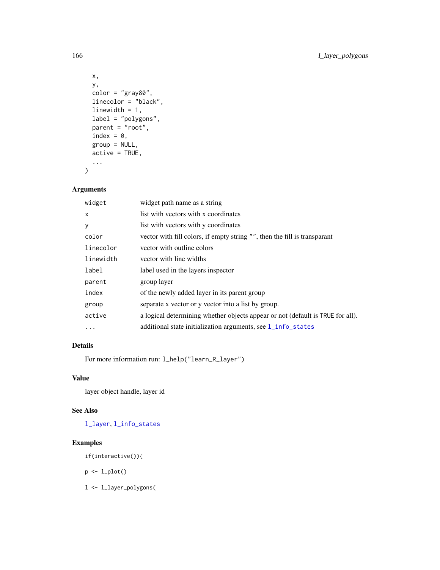```
x,
 y,
 color = "gray80",linecolor = "black",
 linewidth = 1,
 label = "polygons",
 parent = "root",
  index = 0,group = NULL,
 active = TRUE,
  ...
\mathcal{L}
```
## Arguments

| widget       | widget path name as a string                                                   |
|--------------|--------------------------------------------------------------------------------|
| $\mathsf{x}$ | list with vectors with x coordinates                                           |
| y            | list with vectors with y coordinates                                           |
| color        | vector with fill colors, if empty string "", then the fill is transparant      |
| linecolor    | vector with outline colors                                                     |
| linewidth    | vector with line widths                                                        |
| label        | label used in the layers inspector                                             |
| parent       | group layer                                                                    |
| index        | of the newly added layer in its parent group                                   |
| group        | separate x vector or y vector into a list by group.                            |
| active       | a logical determining whether objects appear or not (default is TRUE for all). |
| .            | additional state initialization arguments, see 1_info_states                   |

# Details

For more information run: l\_help("learn\_R\_layer")

## Value

layer object handle, layer id

## See Also

[l\\_layer](#page-122-0), [l\\_info\\_states](#page-121-0)

## Examples

if(interactive()){

p <- l\_plot()

l <- l\_layer\_polygons(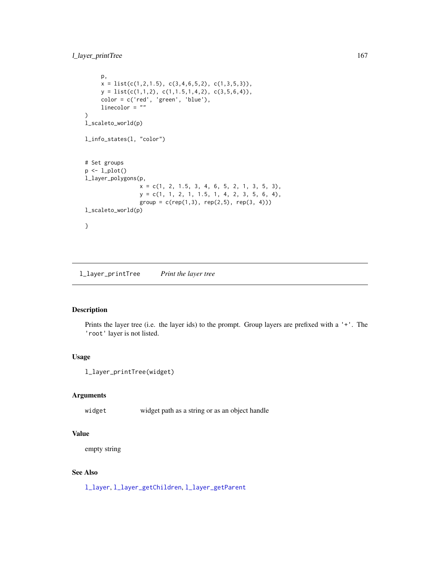```
p,
     x = list(c(1, 2, 1.5), c(3, 4, 6, 5, 2), c(1, 3, 5, 3)),y = list(c(1,1,2), c(1,1.5,1,4,2), c(3,5,6,4)),color = c('red', 'green', 'blue'),
     linecolor = ""
\mathcal{L}l_scaleto_world(p)
l_info_states(l, "color")
# Set groups
p \leftarrow l\_plot()l_layer_polygons(p,
                  x = c(1, 2, 1.5, 3, 4, 6, 5, 2, 1, 3, 5, 3),y = c(1, 1, 2, 1, 1.5, 1, 4, 2, 3, 5, 6, 4),
                  group = c(rep(1,3), rep(2,5), rep(3, 4)))l_scaleto_world(p)
}
```
<span id="page-166-0"></span>l\_layer\_printTree *Print the layer tree*

#### Description

Prints the layer tree (i.e. the layer ids) to the prompt. Group layers are prefixed with a '+'. The 'root' layer is not listed.

## Usage

```
l_layer_printTree(widget)
```
## Arguments

widget widget path as a string or as an object handle

## Value

empty string

## See Also

[l\\_layer](#page-122-0), [l\\_layer\\_getChildren](#page-143-0), [l\\_layer\\_getParent](#page-145-0)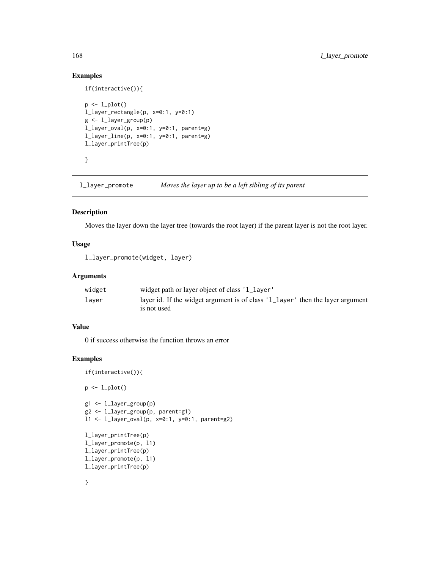# Examples

if(interactive()){

```
p \leftarrow l\_plot()l_layer_rectangle(p, x=0:1, y=0:1)
g <- l_layer_group(p)
l_layer_oval(p, x=0:1, y=0:1, parent=g)
l_layer_line(p, x=0:1, y=0:1, parent=g)
l_layer_printTree(p)
}
```
l\_layer\_promote *Moves the layer up to be a left sibling of its parent*

#### Description

Moves the layer down the layer tree (towards the root layer) if the parent layer is not the root layer.

#### Usage

l\_layer\_promote(widget, layer)

#### Arguments

| widget | widget path or layer object of class '1_layer'                                                |
|--------|-----------------------------------------------------------------------------------------------|
| laver  | layer id. If the widget argument is of class '1_layer' then the layer argument<br>is not used |

#### Value

0 if success otherwise the function throws an error

#### Examples

```
if(interactive()){
p \leftarrow l\_plot()g1 <- l_layer_group(p)
g2 <- l_layer_group(p, parent=g1)
l1 <- l_layer_oval(p, x=0:1, y=0:1, parent=g2)
l_layer_printTree(p)
l_layer_promote(p, l1)
l_layer_printTree(p)
l_layer_promote(p, l1)
l_layer_printTree(p)
```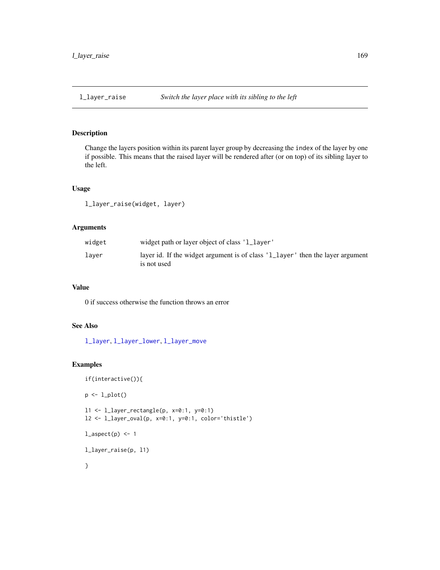## <span id="page-168-0"></span>Description

Change the layers position within its parent layer group by decreasing the index of the layer by one if possible. This means that the raised layer will be rendered after (or on top) of its sibling layer to the left.

## Usage

l\_layer\_raise(widget, layer)

## Arguments

| widget | widget path or layer object of class '1_layer'                                                |
|--------|-----------------------------------------------------------------------------------------------|
| laver  | layer id. If the widget argument is of class '1_layer' then the layer argument<br>is not used |

# Value

0 if success otherwise the function throws an error

# See Also

[l\\_layer](#page-122-0), [l\\_layer\\_lower](#page-158-0), [l\\_layer\\_move](#page-159-0)

## Examples

```
if(interactive()){
p <- l_plot()
l1 <- l_layer_rectangle(p, x=0:1, y=0:1)
l2 <- l_layer_oval(p, x=0:1, y=0:1, color='thistle')
l_aspect(p) <- 1
l_layer_raise(p, l1)
}
```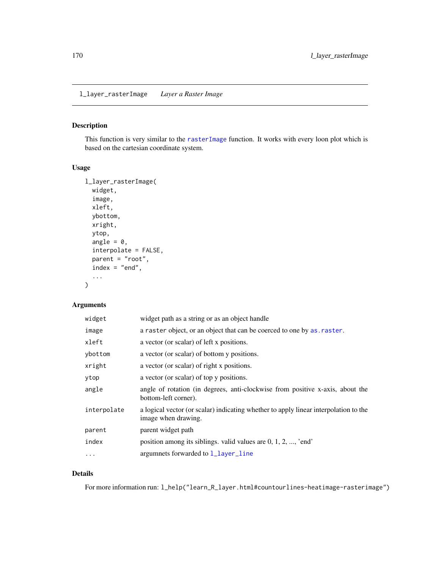## Description

This function is very similar to the [rasterImage](#page-0-0) function. It works with every loon plot which is based on the cartesian coordinate system.

## Usage

```
l_layer_rasterImage(
 widget,
  image,
 xleft,
 ybottom,
  xright,
 ytop,
  angle = 0,
  interpolate = FALSE,
 parent = "root",
  index = "end",...
)
```
# Arguments

| widget      | widget path as a string or as an object handle                                                              |
|-------------|-------------------------------------------------------------------------------------------------------------|
| image       | a raster object, or an object that can be coerced to one by as raster.                                      |
| xleft       | a vector (or scalar) of left x positions.                                                                   |
| ybottom     | a vector (or scalar) of bottom y positions.                                                                 |
| xright      | a vector (or scalar) of right x positions.                                                                  |
| ytop        | a vector (or scalar) of top y positions.                                                                    |
| angle       | angle of rotation (in degrees, anti-clockwise from positive x-axis, about the<br>bottom-left corner).       |
| interpolate | a logical vector (or scalar) indicating whether to apply linear interpolation to the<br>image when drawing. |
| parent      | parent widget path                                                                                          |
| index       | position among its siblings. valid values are 0, 1, 2, , 'end'                                              |
| $\cdots$    | argumnets forwarded to 1_layer_line                                                                         |

### Details

For more information run: l\_help("learn\_R\_layer.html#countourlines-heatimage-rasterimage")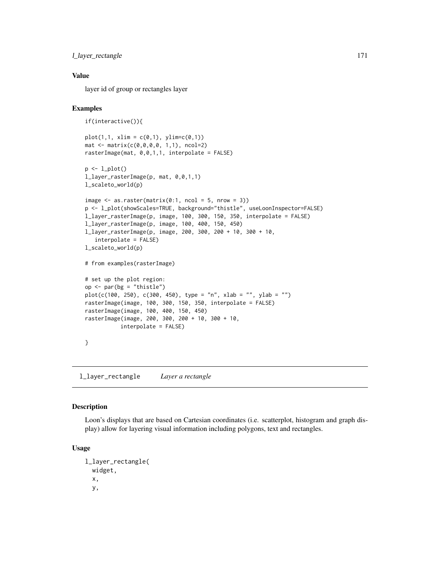```
l_layer_rectangle 171
```
## Value

layer id of group or rectangles layer

#### Examples

```
if(interactive()){
plot(1,1, xlim = c(0,1), ylim=c(0,1))mat <- matrix(c(0,0,0,0, 1,1), ncol=2)
rasterImage(mat, 0,0,1,1, interpolate = FALSE)
p \leftarrow l\_plot()l_layer_rasterImage(p, mat, 0,0,1,1)
l_scaleto_world(p)
image \leq as.raster(matrix(0:1, ncol = 5, nrow = 3))
p <- l_plot(showScales=TRUE, background="thistle", useLoonInspector=FALSE)
l_layer_rasterImage(p, image, 100, 300, 150, 350, interpolate = FALSE)
l_layer_rasterImage(p, image, 100, 400, 150, 450)
l_layer_rasterImage(p, image, 200, 300, 200 + 10, 300 + 10,
   interpolate = FALSE)
l_scaleto_world(p)
# from examples(rasterImage)
# set up the plot region:
op <- par(bg = "thistle")
plot(c(100, 250), c(300, 450), type = "n", xlab = "", ylab = "")rasterImage(image, 100, 300, 150, 350, interpolate = FALSE)
rasterImage(image, 100, 400, 150, 450)
rasterImage(image, 200, 300, 200 + 10, 300 + 10,
           interpolate = FALSE)
}
```
l\_layer\_rectangle *Layer a rectangle*

## Description

Loon's displays that are based on Cartesian coordinates (i.e. scatterplot, histogram and graph display) allow for layering visual information including polygons, text and rectangles.

## Usage

```
l_layer_rectangle(
 widget,
  x,
  y,
```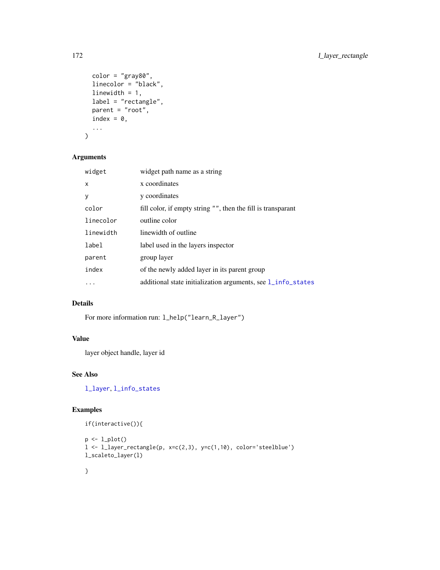```
color = "gray80",
  linecolor = "black",
 linewidth = 1,
 label = "rectangle",
 parent = "root",index = 0,...
\mathcal{L}
```
## Arguments

| widget       | widget path name as a string                                 |
|--------------|--------------------------------------------------------------|
| $\mathsf{x}$ | x coordinates                                                |
| y            | y coordinates                                                |
| color        | fill color, if empty string "", then the fill is transparant |
| linecolor    | outline color                                                |
| linewidth    | linewidth of outline.                                        |
| label        | label used in the layers inspector                           |
| parent       | group layer                                                  |
| index        | of the newly added layer in its parent group                 |
|              | additional state initialization arguments, see 1_info_states |
|              |                                                              |

# Details

For more information run: l\_help("learn\_R\_layer")

## Value

layer object handle, layer id

## See Also

[l\\_layer](#page-122-0), [l\\_info\\_states](#page-121-0)

## Examples

```
if(interactive()){
```

```
p <- l_plot()
l <- l_layer_rectangle(p, x=c(2,3), y=c(1,10), color='steelblue')
l_scaleto_layer(l)
```
# }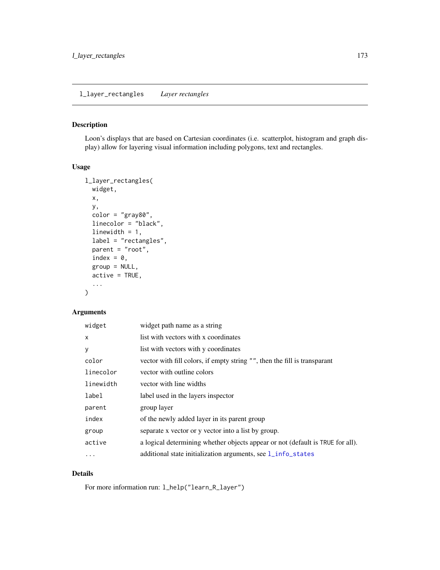## Description

Loon's displays that are based on Cartesian coordinates (i.e. scatterplot, histogram and graph display) allow for layering visual information including polygons, text and rectangles.

## Usage

```
l_layer_rectangles(
 widget,
 x,
 y,
  color = "gray80",
 linecolor = "black",
 linewidth = 1,
  label = "rectangles",
 parent = "root",
  index = 0,group = NULL,
  active = TRUE,...
)
```
# Arguments

| widget       | widget path name as a string                                                   |
|--------------|--------------------------------------------------------------------------------|
| $\mathsf{x}$ | list with vectors with x coordinates                                           |
| y            | list with vectors with y coordinates                                           |
| color        | vector with fill colors, if empty string "", then the fill is transparant      |
| linecolor    | vector with outline colors                                                     |
| linewidth    | vector with line widths                                                        |
| label        | label used in the layers inspector                                             |
| parent       | group layer                                                                    |
| index        | of the newly added layer in its parent group                                   |
| group        | separate x vector or y vector into a list by group.                            |
| active       | a logical determining whether objects appear or not (default is TRUE for all). |
| $\ddotsc$    | additional state initialization arguments, see 1_info_states                   |

## Details

For more information run: l\_help("learn\_R\_layer")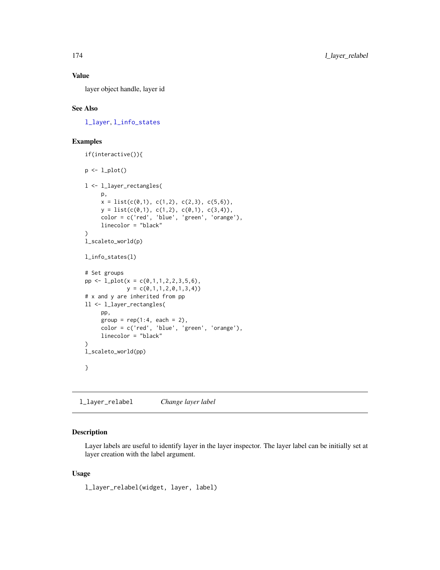## Value

layer object handle, layer id

## See Also

[l\\_layer](#page-122-0), [l\\_info\\_states](#page-121-0)

## Examples

```
if(interactive()){
p \leftarrow l\_plot()l <- l_layer_rectangles(
     p,
     x = list(c(0,1), c(1,2), c(2,3), c(5,6)),y = list(c(0,1), c(1,2), c(0,1), c(3,4)),color = c('red', 'blue', 'green', 'orange'),
     linecolor = "black"
)
l_scaleto_world(p)
l_info_states(l)
# Set groups
pp \leftarrow l\_plot(x = c(0,1,1,2,2,3,5,6),y = c(0,1,1,2,0,1,3,4)# x and y are inherited from pp
ll <- l_layer_rectangles(
     pp,
     group = rep(1:4, each = 2),color = c('red', 'blue', 'green', 'orange'),
     linecolor = "black"
)
l_scaleto_world(pp)
}
```
<span id="page-173-0"></span>l\_layer\_relabel *Change layer label*

## Description

Layer labels are useful to identify layer in the layer inspector. The layer label can be initially set at layer creation with the label argument.

## Usage

l\_layer\_relabel(widget, layer, label)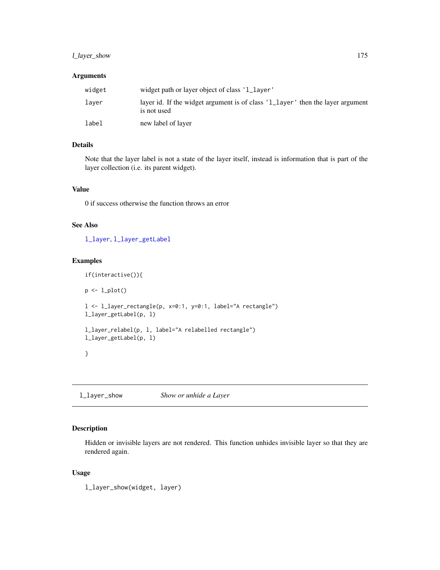## l\_layer\_show 175

## Arguments

| widget | widget path or layer object of class '1_layer'                                                |
|--------|-----------------------------------------------------------------------------------------------|
| laver  | layer id. If the widget argument is of class '1_layer' then the layer argument<br>is not used |
| label  | new label of layer                                                                            |

## Details

Note that the layer label is not a state of the layer itself, instead is information that is part of the layer collection (i.e. its parent widget).

## Value

0 if success otherwise the function throws an error

## See Also

[l\\_layer](#page-122-0), [l\\_layer\\_getLabel](#page-144-0)

## Examples

```
if(interactive()){
p \leftarrow l\_plot()l <- l_layer_rectangle(p, x=0:1, y=0:1, label="A rectangle")
l_layer_getLabel(p, l)
l_layer_relabel(p, l, label="A relabelled rectangle")
l_layer_getLabel(p, l)
}
```
<span id="page-174-0"></span>l\_layer\_show *Show or unhide a Layer*

# Description

Hidden or invisible layers are not rendered. This function unhides invisible layer so that they are rendered again.

### Usage

l\_layer\_show(widget, layer)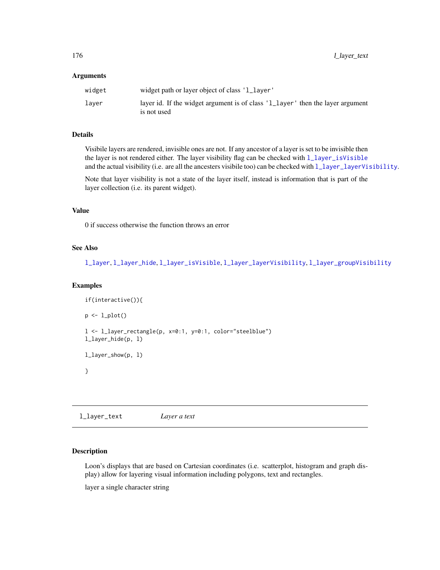#### **Arguments**

| widget | widget path or layer object of class '1_layer'                                                |
|--------|-----------------------------------------------------------------------------------------------|
| laver  | layer id. If the widget argument is of class '1_layer' then the layer argument<br>is not used |

## Details

Visibile layers are rendered, invisible ones are not. If any ancestor of a layer is set to be invisible then the layer is not rendered either. The layer visibility flag can be checked with [l\\_layer\\_isVisible](#page-153-0) and the actual visibility (i.e. are all the ancesters visibile too) can be checked with  $1$ \_layer\_layerVisibility.

Note that layer visibility is not a state of the layer itself, instead is information that is part of the layer collection (i.e. its parent widget).

## Value

0 if success otherwise the function throws an error

## See Also

[l\\_layer](#page-122-0), [l\\_layer\\_hide](#page-150-0), [l\\_layer\\_isVisible](#page-153-0), [l\\_layer\\_layerVisibility](#page-154-0), [l\\_layer\\_groupVisibility](#page-147-0)

## Examples

```
if(interactive()){
p \leftarrow l\_plot()l <- l_layer_rectangle(p, x=0:1, y=0:1, color="steelblue")
l_layer_hide(p, l)
l_layer_show(p, l)
}
```
l\_layer\_text *Layer a text*

## Description

Loon's displays that are based on Cartesian coordinates (i.e. scatterplot, histogram and graph display) allow for layering visual information including polygons, text and rectangles.

layer a single character string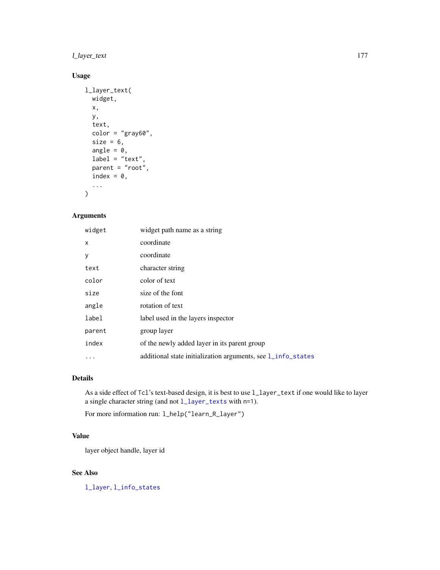## l\_layer\_text 177

# Usage

```
l_layer_text(
 widget,
 x,
 y,
  text,
 color = "gray60",
 size = 6,
 angle = 0,
 label = "text"parent = "root",
 index = 0,...
)
```
# Arguments

| widget | widget path name as a string                                 |
|--------|--------------------------------------------------------------|
| X      | coordinate                                                   |
| у      | coordinate                                                   |
| text   | character string                                             |
| color  | color of text                                                |
| size   | size of the font                                             |
| angle  | rotation of text                                             |
| label  | label used in the layers inspector                           |
| parent | group layer                                                  |
| index  | of the newly added layer in its parent group                 |
|        | additional state initialization arguments, see 1_info_states |

## Details

As a side effect of Tcl's text-based design, it is best to use l\_layer\_text if one would like to layer a single character string (and not [l\\_layer\\_texts](#page-177-0) with n=1).

For more information run: l\_help("learn\_R\_layer")

# Value

layer object handle, layer id

# See Also

[l\\_layer](#page-122-0), [l\\_info\\_states](#page-121-0)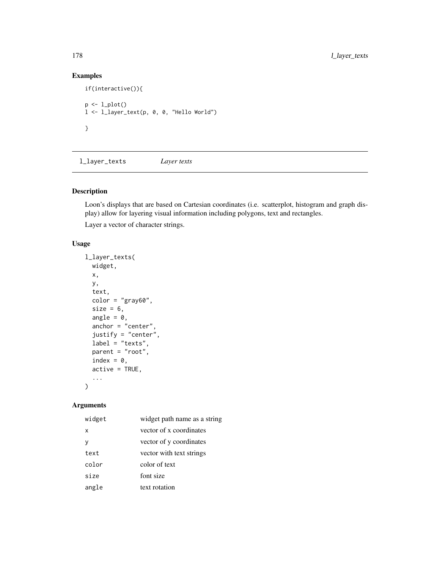# Examples

```
if(interactive()){
p \leftarrow l\_plot()l <- l_layer_text(p, 0, 0, "Hello World")
}
```
<span id="page-177-0"></span>l\_layer\_texts *Layer texts*

# Description

Loon's displays that are based on Cartesian coordinates (i.e. scatterplot, histogram and graph display) allow for layering visual information including polygons, text and rectangles.

Layer a vector of character strings.

## Usage

```
l_layer_texts(
 widget,
 x,
 y,
  text,
  color = "gray60",size = 6,
  angle = 0,
  anchor = "center",
  justify = "center",
  label = "texts",
 parent = "root",
  index = 0,active = TRUE,
  ...
\mathcal{L}
```

| widget | widget path name as a string |
|--------|------------------------------|
| x      | vector of x coordinates      |
| ٧      | vector of y coordinates      |
| text   | vector with text strings     |
| color  | color of text                |
| size   | font size                    |
| angle  | text rotation                |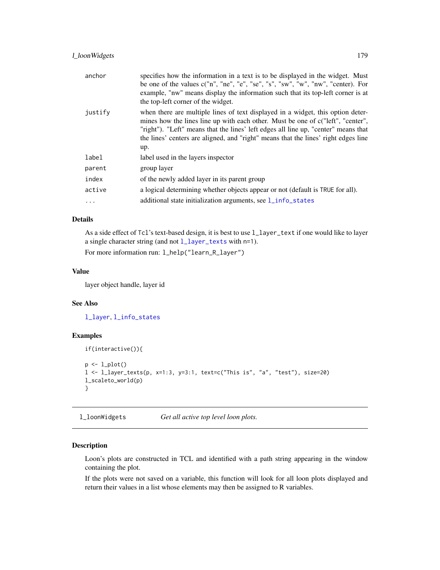## l\_loonWidgets 179

| anchor     | specifies how the information in a text is to be displayed in the widget. Must                                                                                                                                                                                                                                                                        |
|------------|-------------------------------------------------------------------------------------------------------------------------------------------------------------------------------------------------------------------------------------------------------------------------------------------------------------------------------------------------------|
|            | be one of the values c("n", "ne", "e", "se", "s", "sw", "w", "nw", "center). For<br>example, "nw" means display the information such that its top-left corner is at<br>the top-left corner of the widget.                                                                                                                                             |
| justify    | when there are multiple lines of text displayed in a widget, this option deter-<br>mines how the lines line up with each other. Must be one of c("left", "center",<br>"right"). "Left" means that the lines' left edges all line up, "center" means that<br>the lines' centers are aligned, and "right" means that the lines' right edges line<br>up. |
| label      | label used in the layers inspector                                                                                                                                                                                                                                                                                                                    |
| parent     | group layer                                                                                                                                                                                                                                                                                                                                           |
| index      | of the newly added layer in its parent group                                                                                                                                                                                                                                                                                                          |
| active     | a logical determining whether objects appear or not (default is TRUE for all).                                                                                                                                                                                                                                                                        |
| $\ddots$ . | additional state initialization arguments, see 1_info_states                                                                                                                                                                                                                                                                                          |

# Details

As a side effect of Tcl's text-based design, it is best to use l\_layer\_text if one would like to layer a single character string (and not [l\\_layer\\_texts](#page-177-0) with n=1).

For more information run: l\_help("learn\_R\_layer")

#### Value

layer object handle, layer id

#### See Also

[l\\_layer](#page-122-0), [l\\_info\\_states](#page-121-0)

#### Examples

```
if(interactive()){
p \leftarrow l\_plot()l <- l_layer_texts(p, x=1:3, y=3:1, text=c("This is", "a", "test"), size=20)
l_scaleto_world(p)
}
```
l\_loonWidgets *Get all active top level loon plots.*

## Description

Loon's plots are constructed in TCL and identified with a path string appearing in the window containing the plot.

If the plots were not saved on a variable, this function will look for all loon plots displayed and return their values in a list whose elements may then be assigned to R variables.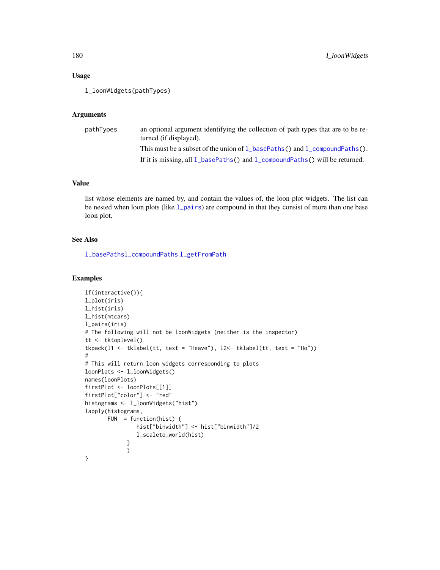## Usage

l\_loonWidgets(pathTypes)

#### Arguments

| pathTypes | an optional argument identifying the collection of path types that are to be re-<br>turned (if displayed). |
|-----------|------------------------------------------------------------------------------------------------------------|
|           | This must be a subset of the union of $1$ basePaths() and $1$ compoundPaths().                             |
|           | If it is missing, all $l$ basePaths() and $l$ compoundPaths() will be returned.                            |

## Value

list whose elements are named by, and contain the values of, the loon plot widgets. The list can be nested when loon plots (like  $1$ \_pairs) are compound in that they consist of more than one base loon plot.

#### See Also

[l\\_basePaths](#page-30-0)[l\\_compoundPaths](#page-59-0) [l\\_getFromPath](#page-77-0)

## Examples

```
if(interactive()){
l_plot(iris)
l_hist(iris)
l_hist(mtcars)
l_pairs(iris)
# The following will not be loonWidgets (neither is the inspector)
tt <- tktoplevel()
tkpack(l1 <- tklabel(tt, text = "Heave"), l2<- tklabel(tt, text = "Ho"))
#
# This will return loon widgets corresponding to plots
loonPlots <- l_loonWidgets()
names(loonPlots)
firstPlot <- loonPlots[[1]]
firstPlot["color"] <- "red"
histograms <- l_loonWidgets("hist")
lapply(histograms,
      FUN = function(hist) {
                hist["binwidth"] <- hist["binwidth"]/2
                l_scaleto_world(hist)
             }
             )
}
```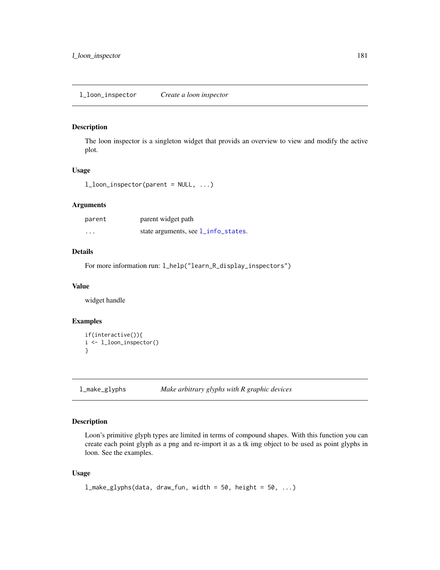The loon inspector is a singleton widget that provids an overview to view and modify the active plot.

#### Usage

l\_loon\_inspector(parent = NULL, ...)

#### Arguments

| parent   | parent widget path                  |
|----------|-------------------------------------|
| $\cdots$ | state arguments, see 1_info_states. |

# Details

For more information run: l\_help("learn\_R\_display\_inspectors")

#### Value

widget handle

# Examples

```
if(interactive()){
i <- l_loon_inspector()
}
```
l\_make\_glyphs *Make arbitrary glyphs with R graphic devices*

#### Description

Loon's primitive glyph types are limited in terms of compound shapes. With this function you can create each point glyph as a png and re-import it as a tk img object to be used as point glyphs in loon. See the examples.

#### Usage

```
l_make_glyphs(data, draw_fun, width = 50, height = 50, ...)
```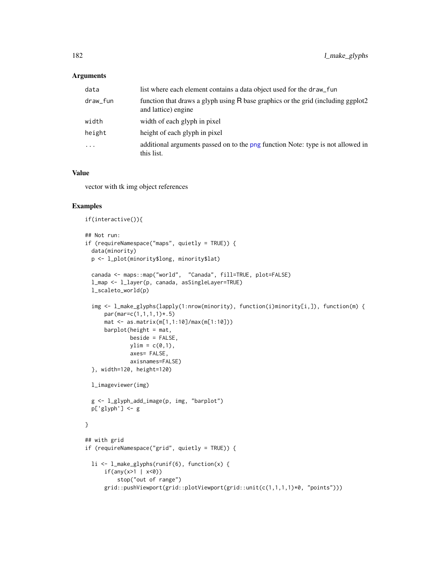#### Arguments

| data     | list where each element contains a data object used for the draw_fun                                     |
|----------|----------------------------------------------------------------------------------------------------------|
| draw_fun | function that draws a glyph using R base graphics or the grid (including ggplot2)<br>and lattice) engine |
| width    | width of each glyph in pixel                                                                             |
| height   | height of each glyph in pixel                                                                            |
| $\cdot$  | additional arguments passed on to the png function Note: type is not allowed in<br>this list.            |

#### Value

vector with tk img object references

# Examples

```
if(interactive()){
## Not run:
if (requireNamespace("maps", quietly = TRUE)) {
 data(minority)
 p <- l_plot(minority$long, minority$lat)
 canada <- maps::map("world", "Canada", fill=TRUE, plot=FALSE)
 l_map <- l_layer(p, canada, asSingleLayer=TRUE)
 l_scaleto_world(p)
 img <- l_make_glyphs(lapply(1:nrow(minority), function(i)minority[i,]), function(m) {
     par(mar=c(1,1,1,1)*.5)
     mat <- as.matrix(m[1,1:10]/max(m[1:10]))
     bar = mat,
             beside = FALSE,
             ylim = c(0,1),
             axes= FALSE,
             axisnames=FALSE)
 }, width=120, height=120)
 l_imageviewer(img)
 g <- l_glyph_add_image(p, img, "barplot")
 p['glyph'] <- g
}
## with grid
if (requireNamespace("grid", quietly = TRUE)) {
 li <- l_make_glyphs(runif(6), function(x) {
     if(any(x>1 | x<0))stop("out of range")
     grid::pushViewport(grid::plotViewport(grid::unit(c(1,1,1,1)*0, "points")))
```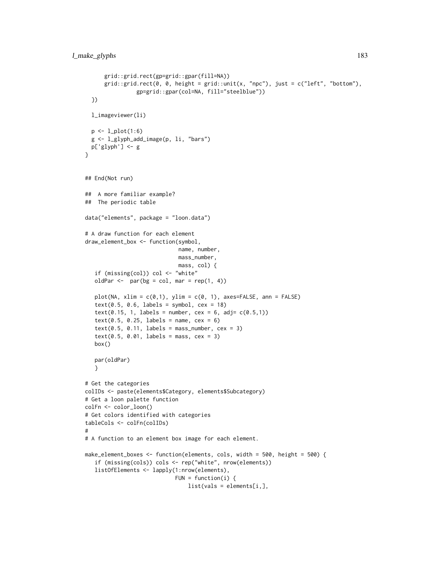```
grid::grid.rect(gp=grid::gpar(fill=NA))
      grid:grid.rect(0, 0, height = grid::unit(x, "npc"), just = c("left", "bottom"),gp=grid::gpar(col=NA, fill="steelblue"))
  })
  l_imageviewer(li)
  p \leftarrow l\_plot(1:6)g <- l_glyph_add_image(p, li, "bars")
  p['glyph'] <- g
}
## End(Not run)
## A more familiar example?
## The periodic table
data("elements", package = "loon.data")
# A draw function for each element
draw_element_box <- function(symbol,
                             name, number,
                             mass_number,
                             mass, col) {
   if (missing(col)) col <- "white"
   oldPar \leq par(bg = col, mar = rep(1, 4))
   plot(NA, xlim = c(0,1), ylim = c(0, 1), axes=FALSE, ann = FALSE)text(0.5, 0.6, labels = symbol, cex = 18)text(0.15, 1, labels = number, cex = 6, adj = c(0.5,1))text(0.5, 0.25, labels = name, cex = 6)text(0.5, 0.11, labels = mass_number, cex = 3)text(0.5, 0.01, labels = mass, cex = 3)box()
   par(oldPar)
   }
# Get the categories
colIDs <- paste(elements$Category, elements$Subcategory)
# Get a loon palette function
colFn <- color_loon()
# Get colors identified with categories
tableCols <- colFn(colIDs)
#
# A function to an element box image for each element.
make_element_boxes <- function(elements, cols, width = 500, height = 500) {
   if (missing(cols)) cols <- rep("white", nrow(elements))
   listOfElements <- lapply(1:nrow(elements),
                            FUN = function(i) {
                                list(vals = elements[i,],
```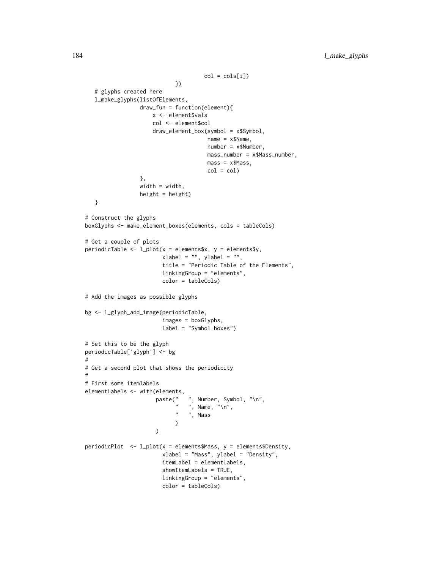```
col = cols[i])})
   # glyphs created here
   l_make_glyphs(listOfElements,
                 draw_fun = function(element){
                     x <- element$vals
                     col <- element$col
                     draw_element_box(symbol = x$Symbol,
                                      name = x$Name,
                                      number = x$Number,
                                      mass_number = x$Mass_number,
                                      mass = x$Mass,
                                      col = col},
                 width = width,height = height)}
# Construct the glyphs
boxGlyphs <- make_element_boxes(elements, cols = tableCols)
# Get a couple of plots
periodicTable <- l\_plot(x = elements x, y = elements y,xlabel = "", ylabel = "",title = "Periodic Table of the Elements",
                        linkingGroup = "elements",
                        color = tableCols)
# Add the images as possible glyphs
bg <- l_glyph_add_image(periodicTable,
                        images = boxGlyphs,
                        label = "Symbol boxes")
# Set this to be the glyph
periodicTable['glyph'] <- bg
#
# Get a second plot that shows the periodicity
#
# First some itemlabels
elementLabels <- with(elements,
                      paste(" ", Number, Symbol, "\n",
                             " ", Name, "\n",
                            " ", Mass
                            \lambda\mathcal{L}periodicPlot <- l_plot(x = elements$Mass, y = elements$Density,
                        xlabel = "Mass", ylabel = "Density",
                        itemLabel = elementLabels,
                        showItemLabels = TRUE,
                        linkingGroup = "elements",
                        color = tableCols)
```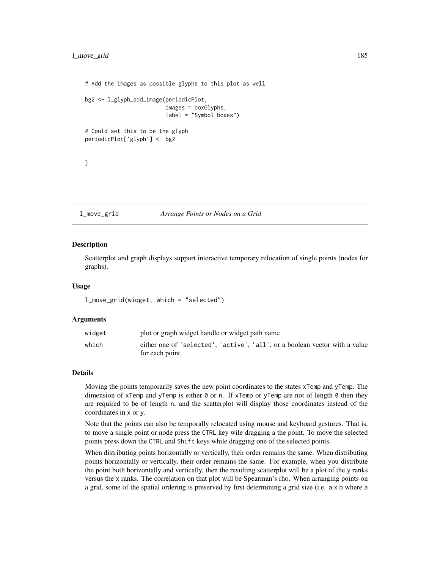# l\_move\_grid 185

```
# Add the images as possible glyphs to this plot as well
bg2 <- l_glyph_add_image(periodicPlot,
                         images = boxGlyphs,
                         label = "Symbol boxes")
# Could set this to be the glyph
periodicPlot['glyph'] <- bg2
}
```
# <span id="page-184-0"></span>l\_move\_grid *Arrange Points or Nodes on a Grid*

#### Description

Scatterplot and graph displays support interactive temporary relocation of single points (nodes for graphs).

#### Usage

```
l_move_grid(widget, which = "selected")
```
#### Arguments

| widget | plot or graph widget handle or widget path name                             |
|--------|-----------------------------------------------------------------------------|
| which  | either one of 'selected', 'active', 'all', or a boolean vector with a value |
|        | for each point.                                                             |

## Details

Moving the points temporarily saves the new point coordinates to the states xTemp and yTemp. The dimension of xTemp and yTemp is either  $\theta$  or n. If xTemp or yTemp are not of length  $\theta$  then they are required to be of length n, and the scatterplot will display those coordinates instead of the coordinates in x or y.

Note that the points can also be temporally relocated using mouse and keyboard gestures. That is, to move a single point or node press the CTRL key wile dragging a the point. To move the selected points press down the CTRL and Shift keys while dragging one of the selected points.

When distributing points horizontally or vertically, their order remains the same. When distributing points horizontally or vertically, their order remains the same. For example, when you distribute the point both horizontally and vertically, then the resulting scatterplot will be a plot of the y ranks versus the x ranks. The correlation on that plot will be Spearman's rho. When arranging points on a grid, some of the spatial ordering is preserved by first determining a grid size (i.e. a x b where a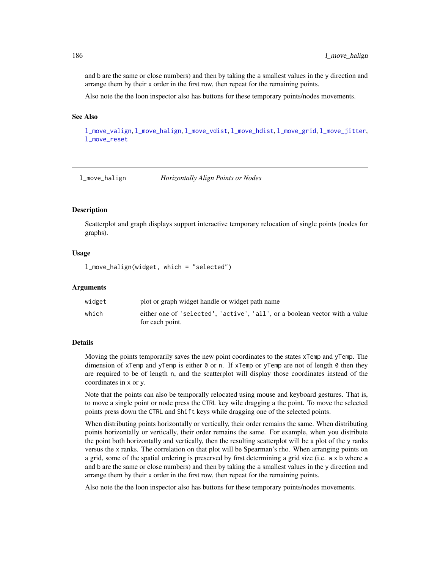and b are the same or close numbers) and then by taking the a smallest values in the y direction and arrange them by their x order in the first row, then repeat for the remaining points.

Also note the the loon inspector also has buttons for these temporary points/nodes movements.

### See Also

[l\\_move\\_valign](#page-189-0), [l\\_move\\_halign](#page-185-0), [l\\_move\\_vdist](#page-190-0), [l\\_move\\_hdist](#page-186-0), [l\\_move\\_grid](#page-184-0), [l\\_move\\_jitter](#page-187-0), [l\\_move\\_reset](#page-188-0)

<span id="page-185-0"></span>l\_move\_halign *Horizontally Align Points or Nodes*

# **Description**

Scatterplot and graph displays support interactive temporary relocation of single points (nodes for graphs).

### Usage

l\_move\_halign(widget, which = "selected")

### Arguments

| widget | plot or graph widget handle or widget path name                                                |
|--------|------------------------------------------------------------------------------------------------|
| which  | either one of 'selected', 'active', 'all', or a boolean vector with a value<br>for each point. |

### Details

Moving the points temporarily saves the new point coordinates to the states xTemp and yTemp. The dimension of xTemp and yTemp is either 0 or n. If xTemp or yTemp are not of length 0 then they are required to be of length n, and the scatterplot will display those coordinates instead of the coordinates in x or y.

Note that the points can also be temporally relocated using mouse and keyboard gestures. That is, to move a single point or node press the CTRL key wile dragging a the point. To move the selected points press down the CTRL and Shift keys while dragging one of the selected points.

When distributing points horizontally or vertically, their order remains the same. When distributing points horizontally or vertically, their order remains the same. For example, when you distribute the point both horizontally and vertically, then the resulting scatterplot will be a plot of the y ranks versus the x ranks. The correlation on that plot will be Spearman's rho. When arranging points on a grid, some of the spatial ordering is preserved by first determining a grid size (i.e. a x b where a and b are the same or close numbers) and then by taking the a smallest values in the y direction and arrange them by their x order in the first row, then repeat for the remaining points.

Also note the the loon inspector also has buttons for these temporary points/nodes movements.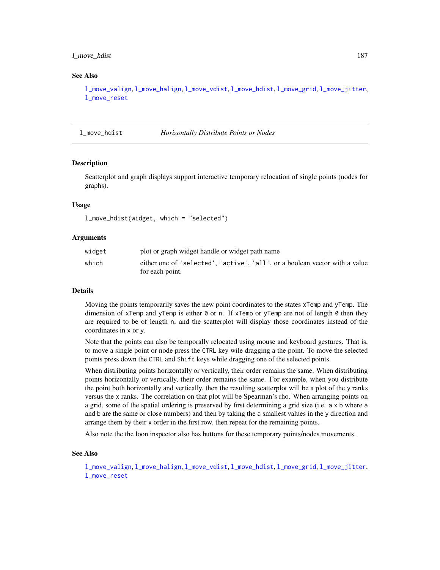#### l\_move\_hdist 187

#### See Also

[l\\_move\\_valign](#page-189-0), [l\\_move\\_halign](#page-185-0), [l\\_move\\_vdist](#page-190-0), [l\\_move\\_hdist](#page-186-0), [l\\_move\\_grid](#page-184-0), [l\\_move\\_jitter](#page-187-0), [l\\_move\\_reset](#page-188-0)

<span id="page-186-0"></span>

l\_move\_hdist *Horizontally Distribute Points or Nodes*

#### Description

Scatterplot and graph displays support interactive temporary relocation of single points (nodes for graphs).

### Usage

l\_move\_hdist(widget, which = "selected")

### Arguments

| widget | plot or graph widget handle or widget path name                             |
|--------|-----------------------------------------------------------------------------|
| which  | either one of 'selected', 'active', 'all', or a boolean vector with a value |
|        | for each point.                                                             |

### Details

Moving the points temporarily saves the new point coordinates to the states xTemp and yTemp. The dimension of xTemp and yTemp is either 0 or n. If xTemp or yTemp are not of length 0 then they are required to be of length n, and the scatterplot will display those coordinates instead of the coordinates in x or y.

Note that the points can also be temporally relocated using mouse and keyboard gestures. That is, to move a single point or node press the CTRL key wile dragging a the point. To move the selected points press down the CTRL and Shift keys while dragging one of the selected points.

When distributing points horizontally or vertically, their order remains the same. When distributing points horizontally or vertically, their order remains the same. For example, when you distribute the point both horizontally and vertically, then the resulting scatterplot will be a plot of the y ranks versus the x ranks. The correlation on that plot will be Spearman's rho. When arranging points on a grid, some of the spatial ordering is preserved by first determining a grid size (i.e. a x b where a and b are the same or close numbers) and then by taking the a smallest values in the y direction and arrange them by their x order in the first row, then repeat for the remaining points.

Also note the the loon inspector also has buttons for these temporary points/nodes movements.

#### See Also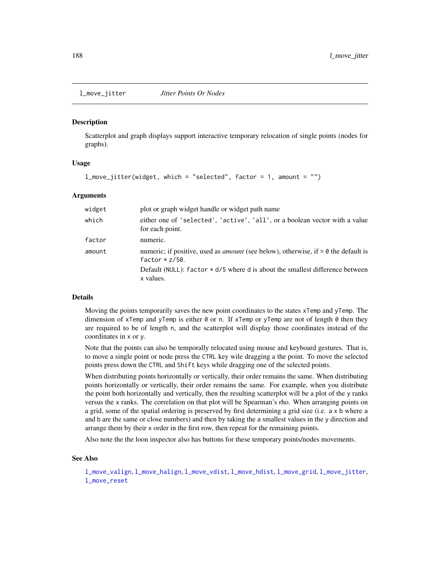<span id="page-187-0"></span>

Scatterplot and graph displays support interactive temporary relocation of single points (nodes for graphs).

#### Usage

```
l_move_jitter(widget, which = "selected", factor = 1, amount = "")
```
### Arguments

| widget | plot or graph widget handle or widget path name                                                                    |  |
|--------|--------------------------------------------------------------------------------------------------------------------|--|
| which  | either one of 'selected', 'active', 'all', or a boolean vector with a value<br>for each point.                     |  |
| factor | numeric.                                                                                                           |  |
| amount | numeric; if positive, used as <i>amount</i> (see below), otherwise, if $= 0$ the default is<br>factor $*$ $z/50$ . |  |
|        | Default (NULL): factor $\star$ d/5 where d is about the smallest difference between<br>x values.                   |  |

### Details

Moving the points temporarily saves the new point coordinates to the states xTemp and yTemp. The dimension of xTemp and yTemp is either 0 or n. If xTemp or yTemp are not of length 0 then they are required to be of length n, and the scatterplot will display those coordinates instead of the coordinates in x or y.

Note that the points can also be temporally relocated using mouse and keyboard gestures. That is, to move a single point or node press the CTRL key wile dragging a the point. To move the selected points press down the CTRL and Shift keys while dragging one of the selected points.

When distributing points horizontally or vertically, their order remains the same. When distributing points horizontally or vertically, their order remains the same. For example, when you distribute the point both horizontally and vertically, then the resulting scatterplot will be a plot of the y ranks versus the x ranks. The correlation on that plot will be Spearman's rho. When arranging points on a grid, some of the spatial ordering is preserved by first determining a grid size (i.e. a x b where a and b are the same or close numbers) and then by taking the a smallest values in the y direction and arrange them by their x order in the first row, then repeat for the remaining points.

Also note the the loon inspector also has buttons for these temporary points/nodes movements.

### See Also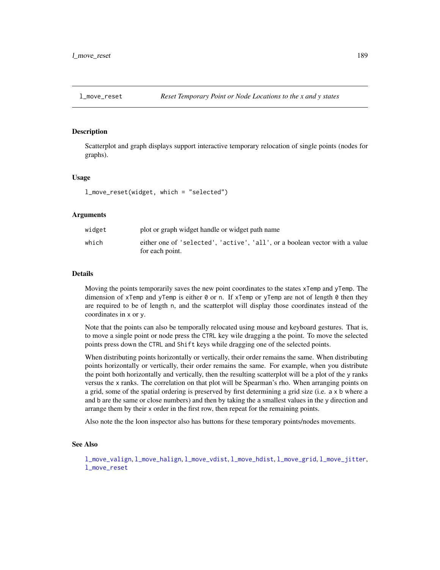<span id="page-188-0"></span>

Scatterplot and graph displays support interactive temporary relocation of single points (nodes for graphs).

### Usage

l\_move\_reset(widget, which = "selected")

### Arguments

| widget | plot or graph widget handle or widget path name                             |
|--------|-----------------------------------------------------------------------------|
| which  | either one of 'selected', 'active', 'all', or a boolean vector with a value |
|        | for each point.                                                             |

### Details

Moving the points temporarily saves the new point coordinates to the states xTemp and yTemp. The dimension of xTemp and yTemp is either 0 or n. If xTemp or yTemp are not of length 0 then they are required to be of length n, and the scatterplot will display those coordinates instead of the coordinates in x or y.

Note that the points can also be temporally relocated using mouse and keyboard gestures. That is, to move a single point or node press the CTRL key wile dragging a the point. To move the selected points press down the CTRL and Shift keys while dragging one of the selected points.

When distributing points horizontally or vertically, their order remains the same. When distributing points horizontally or vertically, their order remains the same. For example, when you distribute the point both horizontally and vertically, then the resulting scatterplot will be a plot of the y ranks versus the x ranks. The correlation on that plot will be Spearman's rho. When arranging points on a grid, some of the spatial ordering is preserved by first determining a grid size (i.e. a x b where a and b are the same or close numbers) and then by taking the a smallest values in the y direction and arrange them by their x order in the first row, then repeat for the remaining points.

Also note the the loon inspector also has buttons for these temporary points/nodes movements.

#### See Also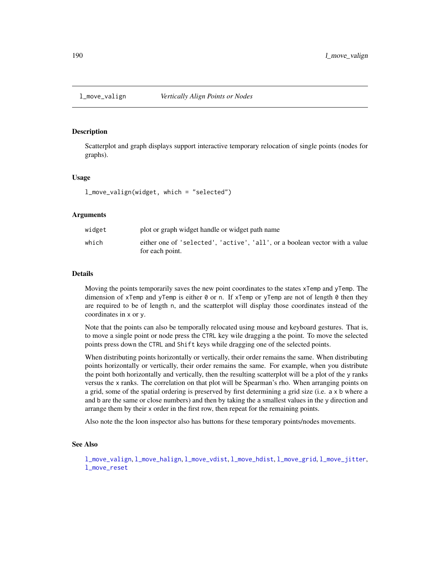<span id="page-189-0"></span>Scatterplot and graph displays support interactive temporary relocation of single points (nodes for graphs).

## Usage

l\_move\_valign(widget, which = "selected")

### Arguments

| widget | plot or graph widget handle or widget path name                             |
|--------|-----------------------------------------------------------------------------|
| which  | either one of 'selected', 'active', 'all', or a boolean vector with a value |
|        | for each point.                                                             |

### Details

Moving the points temporarily saves the new point coordinates to the states xTemp and yTemp. The dimension of xTemp and yTemp is either 0 or n. If xTemp or yTemp are not of length 0 then they are required to be of length n, and the scatterplot will display those coordinates instead of the coordinates in x or y.

Note that the points can also be temporally relocated using mouse and keyboard gestures. That is, to move a single point or node press the CTRL key wile dragging a the point. To move the selected points press down the CTRL and Shift keys while dragging one of the selected points.

When distributing points horizontally or vertically, their order remains the same. When distributing points horizontally or vertically, their order remains the same. For example, when you distribute the point both horizontally and vertically, then the resulting scatterplot will be a plot of the y ranks versus the x ranks. The correlation on that plot will be Spearman's rho. When arranging points on a grid, some of the spatial ordering is preserved by first determining a grid size (i.e. a x b where a and b are the same or close numbers) and then by taking the a smallest values in the y direction and arrange them by their x order in the first row, then repeat for the remaining points.

Also note the the loon inspector also has buttons for these temporary points/nodes movements.

#### See Also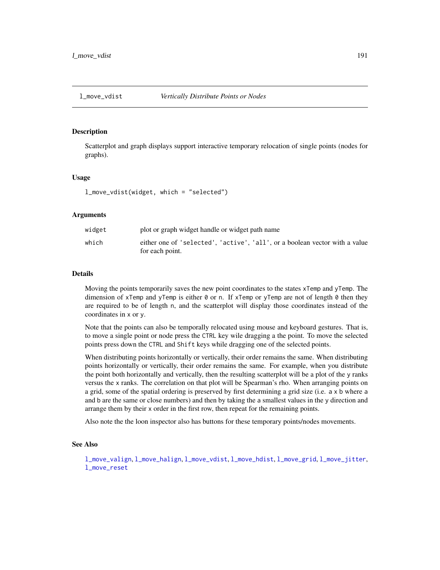<span id="page-190-0"></span>

Scatterplot and graph displays support interactive temporary relocation of single points (nodes for graphs).

## Usage

l\_move\_vdist(widget, which = "selected")

### Arguments

| widget | plot or graph widget handle or widget path name                             |
|--------|-----------------------------------------------------------------------------|
| which  | either one of 'selected', 'active', 'all', or a boolean vector with a value |
|        | for each point.                                                             |

### Details

Moving the points temporarily saves the new point coordinates to the states xTemp and yTemp. The dimension of xTemp and yTemp is either 0 or n. If xTemp or yTemp are not of length 0 then they are required to be of length n, and the scatterplot will display those coordinates instead of the coordinates in x or y.

Note that the points can also be temporally relocated using mouse and keyboard gestures. That is, to move a single point or node press the CTRL key wile dragging a the point. To move the selected points press down the CTRL and Shift keys while dragging one of the selected points.

When distributing points horizontally or vertically, their order remains the same. When distributing points horizontally or vertically, their order remains the same. For example, when you distribute the point both horizontally and vertically, then the resulting scatterplot will be a plot of the y ranks versus the x ranks. The correlation on that plot will be Spearman's rho. When arranging points on a grid, some of the spatial ordering is preserved by first determining a grid size (i.e. a x b where a and b are the same or close numbers) and then by taking the a smallest values in the y direction and arrange them by their x order in the first row, then repeat for the remaining points.

Also note the the loon inspector also has buttons for these temporary points/nodes movements.

#### See Also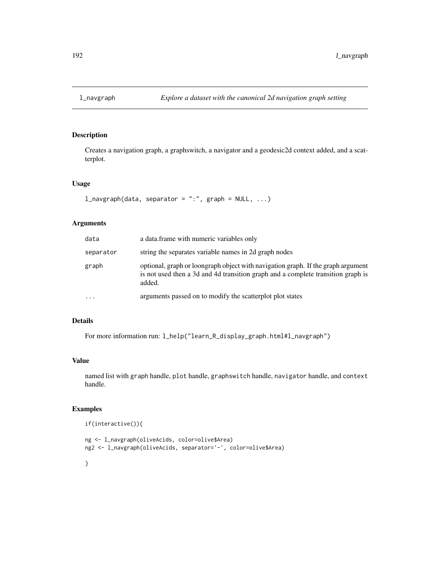<span id="page-191-0"></span>

Creates a navigation graph, a graphswitch, a navigator and a geodesic2d context added, and a scatterplot.

### Usage

```
l_navgraph(data, separator = ":", graph = NULL, ...)
```
## Arguments

| data      | a data.frame with numeric variables only                                                                                                                                       |
|-----------|--------------------------------------------------------------------------------------------------------------------------------------------------------------------------------|
| separator | string the separates variable names in 2d graph nodes                                                                                                                          |
| graph     | optional, graph or loongraph object with navigation graph. If the graph argument<br>is not used then a 3d and 4d transition graph and a complete transition graph is<br>added. |
| .         | arguments passed on to modify the scatterplot plot states                                                                                                                      |

## Details

For more information run: l\_help("learn\_R\_display\_graph.html#l\_navgraph")

### Value

named list with graph handle, plot handle, graphswitch handle, navigator handle, and context handle.

## Examples

```
if(interactive()){
```

```
ng <- l_navgraph(oliveAcids, color=olive$Area)
ng2 <- l_navgraph(oliveAcids, separator='-', color=olive$Area)
```
### }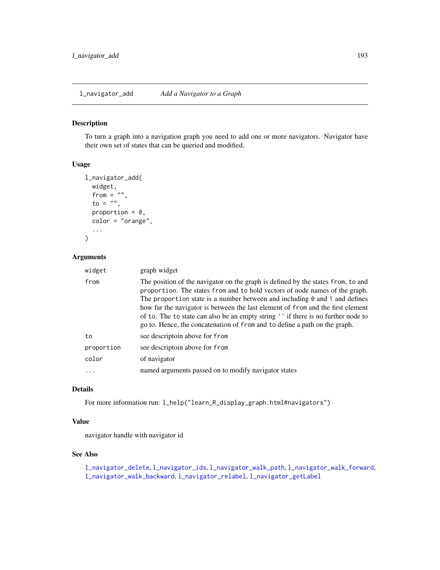<span id="page-192-0"></span>l\_navigator\_add *Add a Navigator to a Graph*

### Description

To turn a graph into a navigation graph you need to add one or more navigators. Navigator have their own set of states that can be queried and modified.

#### Usage

```
l_navigator_add(
  widget,
  from = ",
  to = ",
  proportion = 0,
  color = "orange",
  ...
\mathcal{L}
```
# Arguments

| widget     | graph widget                                                                                                                                                                                                                                                                                                                                                                                                                                                                                               |
|------------|------------------------------------------------------------------------------------------------------------------------------------------------------------------------------------------------------------------------------------------------------------------------------------------------------------------------------------------------------------------------------------------------------------------------------------------------------------------------------------------------------------|
| from       | The position of the navigator on the graph is defined by the states from, to and<br>proportion. The states from and to hold vectors of node names of the graph.<br>The proportion state is a number between and including $\theta$ and 1 and defines<br>how far the navigator is between the last element of from and the first element<br>of to. The to state can also be an empty string '' if there is no further node to<br>go to. Hence, the concatenation of from and to define a path on the graph. |
| to         | see descriptoin above for from                                                                                                                                                                                                                                                                                                                                                                                                                                                                             |
| proportion | see descriptoin above for from                                                                                                                                                                                                                                                                                                                                                                                                                                                                             |
| color      | of navigator                                                                                                                                                                                                                                                                                                                                                                                                                                                                                               |
|            | named arguments passed on to modify navigator states                                                                                                                                                                                                                                                                                                                                                                                                                                                       |
|            |                                                                                                                                                                                                                                                                                                                                                                                                                                                                                                            |

## Details

For more information run: l\_help("learn\_R\_display\_graph.html#navigators")

#### Value

navigator handle with navigator id

## See Also

[l\\_navigator\\_delete](#page-193-0), [l\\_navigator\\_ids](#page-194-0), [l\\_navigator\\_walk\\_path](#page-196-0), [l\\_navigator\\_walk\\_forward](#page-196-1), [l\\_navigator\\_walk\\_backward](#page-195-0), [l\\_navigator\\_relabel](#page-195-1), [l\\_navigator\\_getLabel](#page-193-1)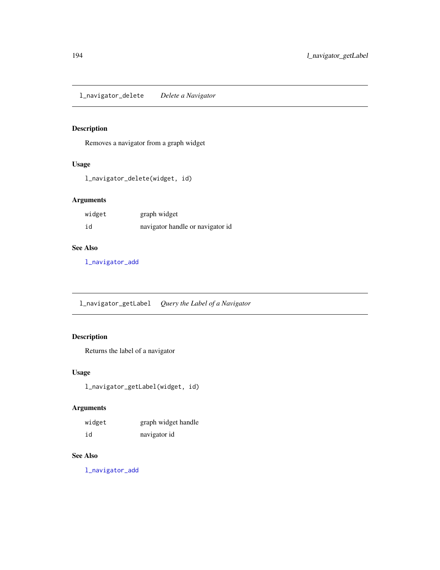<span id="page-193-0"></span>l\_navigator\_delete *Delete a Navigator*

# Description

Removes a navigator from a graph widget

# Usage

l\_navigator\_delete(widget, id)

# Arguments

| widget | graph widget                     |
|--------|----------------------------------|
| id     | navigator handle or navigator id |

# See Also

[l\\_navigator\\_add](#page-192-0)

<span id="page-193-1"></span>l\_navigator\_getLabel *Query the Label of a Navigator*

# Description

Returns the label of a navigator

# Usage

l\_navigator\_getLabel(widget, id)

# Arguments

| widget | graph widget handle |
|--------|---------------------|
| id     | navigator id        |

# See Also

[l\\_navigator\\_add](#page-192-0)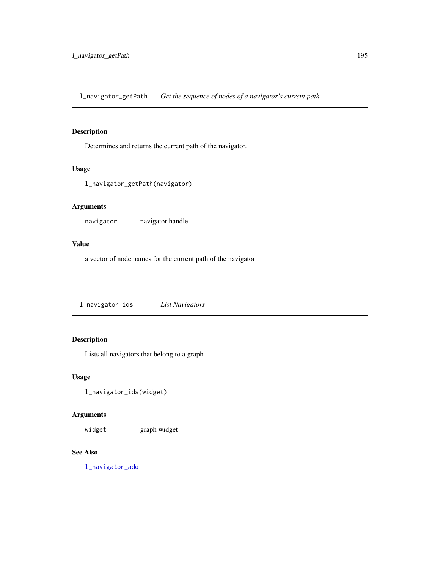l\_navigator\_getPath *Get the sequence of nodes of a navigator's current path*

# Description

Determines and returns the current path of the navigator.

# Usage

```
l_navigator_getPath(navigator)
```
# Arguments

navigator navigator handle

## Value

a vector of node names for the current path of the navigator

<span id="page-194-0"></span>l\_navigator\_ids *List Navigators*

# Description

Lists all navigators that belong to a graph

# Usage

```
l_navigator_ids(widget)
```
# Arguments

widget graph widget

# See Also

[l\\_navigator\\_add](#page-192-0)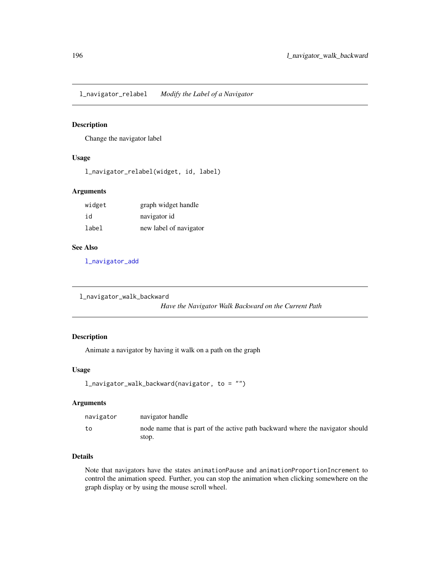<span id="page-195-1"></span>l\_navigator\_relabel *Modify the Label of a Navigator*

### Description

Change the navigator label

# Usage

l\_navigator\_relabel(widget, id, label)

# Arguments

| widget | graph widget handle    |
|--------|------------------------|
| id     | navigator id           |
| label  | new label of navigator |

## See Also

[l\\_navigator\\_add](#page-192-0)

```
l_navigator_walk_backward
```
*Have the Navigator Walk Backward on the Current Path*

# Description

Animate a navigator by having it walk on a path on the graph

### Usage

```
l_navigator_walk_backward(navigator, to = "")
```
# Arguments

| navigator | navigator handle                                                              |
|-----------|-------------------------------------------------------------------------------|
| to        | node name that is part of the active path backward where the navigator should |
|           | stop.                                                                         |

# Details

Note that navigators have the states animationPause and animationProportionIncrement to control the animation speed. Further, you can stop the animation when clicking somewhere on the graph display or by using the mouse scroll wheel.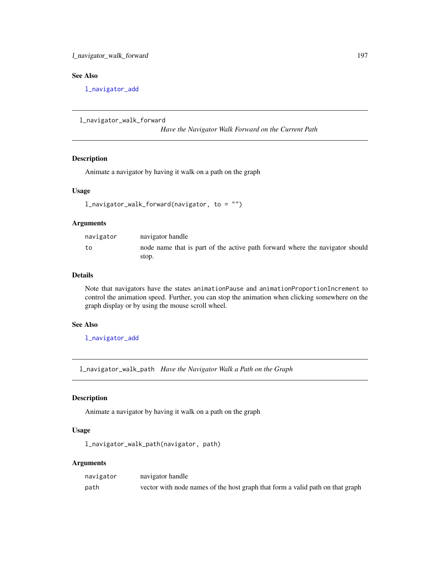## See Also

[l\\_navigator\\_add](#page-192-0)

```
l_navigator_walk_forward
```
*Have the Navigator Walk Forward on the Current Path*

# Description

Animate a navigator by having it walk on a path on the graph

# Usage

```
l_navigator_walk_forward(navigator, to = "")
```
### Arguments

| navigator | navigator handle                                                             |
|-----------|------------------------------------------------------------------------------|
| to        | node name that is part of the active path forward where the navigator should |
|           | stop.                                                                        |

## Details

Note that navigators have the states animationPause and animationProportionIncrement to control the animation speed. Further, you can stop the animation when clicking somewhere on the graph display or by using the mouse scroll wheel.

# See Also

[l\\_navigator\\_add](#page-192-0)

<span id="page-196-0"></span>l\_navigator\_walk\_path *Have the Navigator Walk a Path on the Graph*

## Description

Animate a navigator by having it walk on a path on the graph

### Usage

l\_navigator\_walk\_path(navigator, path)

## Arguments

| navigator | navigator handle                                                              |
|-----------|-------------------------------------------------------------------------------|
| path      | vector with node names of the host graph that form a valid path on that graph |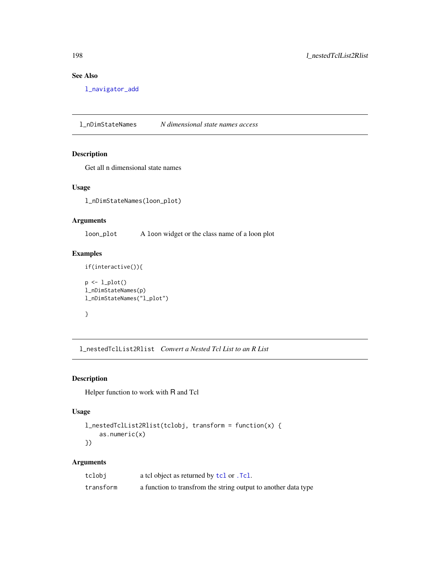# See Also

[l\\_navigator\\_add](#page-192-0)

l\_nDimStateNames *N dimensional state names access*

# Description

Get all n dimensional state names

# Usage

l\_nDimStateNames(loon\_plot)

# Arguments

loon\_plot A loon widget or the class name of a loon plot

# Examples

```
if(interactive()){
p \leftarrow l\_plot()l_nDimStateNames(p)
l_nDimStateNames("l_plot")
```
# }

l\_nestedTclList2Rlist *Convert a Nested Tcl List to an R List*

# Description

Helper function to work with R and Tcl

# Usage

```
l_nestedTclList2Rlist(tclobj, transform = function(x) {
   as.numeric(x)
})
```
# Arguments

| tclobj    | a tel object as returned by tcl or . Tcl.                      |
|-----------|----------------------------------------------------------------|
| transform | a function to transfrom the string output to another data type |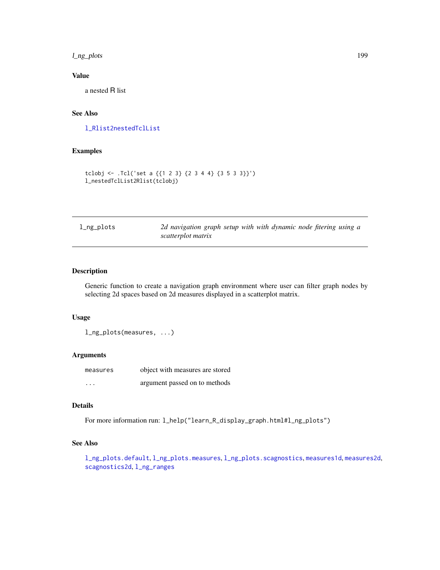l\_ng\_plots 199

# Value

a nested R list

# See Also

[l\\_Rlist2nestedTclList](#page-231-0)

# Examples

```
tclobj <- .Tcl('set a {{1 2 3} {2 3 4 4} {3 5 3 3}}')
l_nestedTclList2Rlist(tclobj)
```
<span id="page-198-0"></span>

| l_ng_plots | 2d navigation graph setup with with dynamic node fitering using a |  |  |  |  |  |
|------------|-------------------------------------------------------------------|--|--|--|--|--|
|            | scatterplot matrix                                                |  |  |  |  |  |

# Description

Generic function to create a navigation graph environment where user can filter graph nodes by selecting 2d spaces based on 2d measures displayed in a scatterplot matrix.

# Usage

l\_ng\_plots(measures, ...)

#### Arguments

| measures | object with measures are stored |
|----------|---------------------------------|
| $\cdots$ | argument passed on to methods   |

# Details

For more information run: l\_help("learn\_R\_display\_graph.html#l\_ng\_plots")

## See Also

[l\\_ng\\_plots.default](#page-199-0), [l\\_ng\\_plots.measures](#page-200-0), [l\\_ng\\_plots.scagnostics](#page-202-0), [measures1d](#page-259-0), [measures2d](#page-260-0), [scagnostics2d](#page-268-0), [l\\_ng\\_ranges](#page-203-0)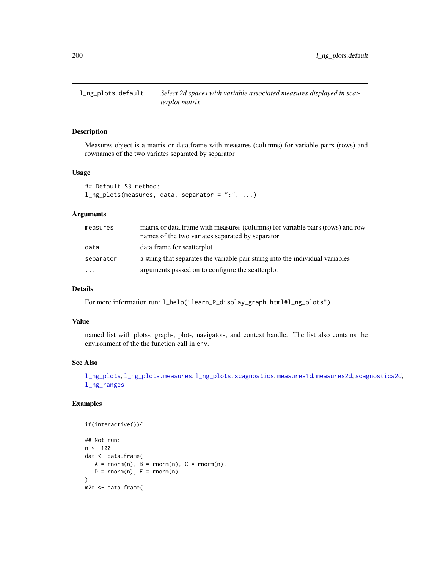<span id="page-199-0"></span>

Measures object is a matrix or data.frame with measures (columns) for variable pairs (rows) and rownames of the two variates separated by separator

#### Usage

```
## Default S3 method:
l<sub>ng</sub>_plots(measures, data, separator = ":", ...)
```
#### Arguments

| measures  | matrix or data. frame with measures (columns) for variable pairs (rows) and row-<br>names of the two variates separated by separator |
|-----------|--------------------------------------------------------------------------------------------------------------------------------------|
| data      | data frame for scatterplot                                                                                                           |
| separator | a string that separates the variable pair string into the individual variables                                                       |
| $\ddotsc$ | arguments passed on to configure the scatterplot                                                                                     |

### Details

For more information run: l\_help("learn\_R\_display\_graph.html#l\_ng\_plots")

### Value

named list with plots-, graph-, plot-, navigator-, and context handle. The list also contains the environment of the the function call in env.

# See Also

[l\\_ng\\_plots](#page-198-0), [l\\_ng\\_plots.measures](#page-200-0), [l\\_ng\\_plots.scagnostics](#page-202-0), [measures1d](#page-259-0), [measures2d](#page-260-0), [scagnostics2d](#page-268-0), [l\\_ng\\_ranges](#page-203-0)

# Examples

```
if(interactive()){
## Not run:
n < - 100dat <- data.frame(
   A = rnorm(n), B = rnorm(n), C = rnorm(n),D = rnorm(n), E = rnorm(n)\mathcal{L}m2d <- data.frame(
```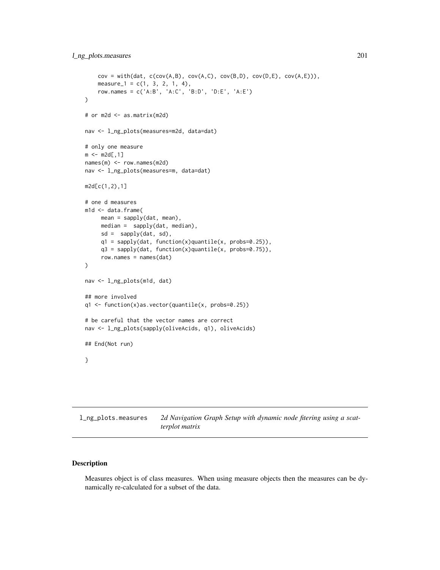```
cov = with(data, c(cov(A,B), cov(A,C), cov(B,D), cov(D,E), cov(A,E))),measure<sub>1</sub> = c(1, 3, 2, 1, 4),
    row.names = c('A:B', 'A:C', 'B:D', 'D:E', 'A:E')
)
# or m2d <- as.matrix(m2d)
nav <- l_ng_plots(measures=m2d, data=dat)
# only one measure
m < - m2d[, 1]names(m) <- row.names(m2d)
nav <- l_ng_plots(measures=m, data=dat)
m2d[c(1,2),1]
# one d measures
m1d <- data.frame(
    mean = sapply(dat, mean),
    median = sapply(dat, median),
    sd = sapply(dat, sd),
     q1 = sapply(dat, function(x)quantile(x, probs=0.25)),
     q3 = sapply(dat, function(x)quantile(x, probs=0.75)),
     row.names = names(dat)
)
nav <- l_ng_plots(m1d, dat)
## more involved
q1 <- function(x)as.vector(quantile(x, probs=0.25))
# be careful that the vector names are correct
nav <- l_ng_plots(sapply(oliveAcids, q1), oliveAcids)
## End(Not run)
}
```
<span id="page-200-0"></span>l\_ng\_plots.measures *2d Navigation Graph Setup with dynamic node fitering using a scatterplot matrix*

# Description

Measures object is of class measures. When using measure objects then the measures can be dynamically re-calculated for a subset of the data.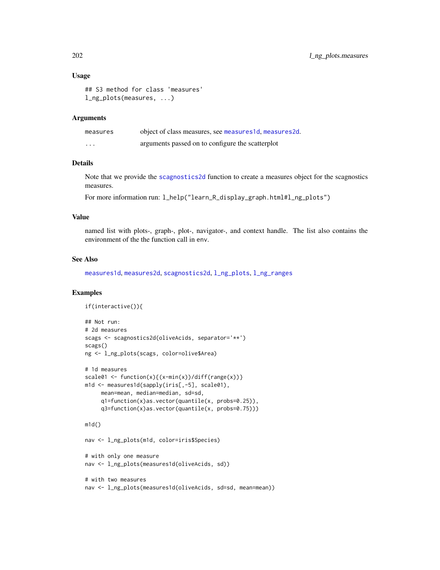#### Usage

```
## S3 method for class 'measures'
l_ng_plots(measures, ...)
```
### Arguments

| measures | object of class measures, see measures1d, measures2d. |
|----------|-------------------------------------------------------|
| $\cdots$ | arguments passed on to configure the scatterplot      |

#### Details

Note that we provide the [scagnostics2d](#page-268-0) function to create a measures object for the scagnostics measures.

For more information run: l\_help("learn\_R\_display\_graph.html#l\_ng\_plots")

### Value

named list with plots-, graph-, plot-, navigator-, and context handle. The list also contains the environment of the the function call in env.

#### See Also

[measures1d](#page-259-0), [measures2d](#page-260-0), [scagnostics2d](#page-268-0), [l\\_ng\\_plots](#page-198-0), [l\\_ng\\_ranges](#page-203-0)

## Examples

```
if(interactive()){
## Not run:
# 2d measures
scags <- scagnostics2d(oliveAcids, separator='**')
scags()
ng <- l_ng_plots(scags, color=olive$Area)
# 1d measures
scale@1 \leftarrow function(x){ (x-min(x))}/diff(range(x)) }m1d <- measures1d(sapply(iris[,-5], scale01),
     mean=mean, median=median, sd=sd,
     q1=function(x)as.vector(quantile(x, probs=0.25)),
     q3=function(x)as.vector(quantile(x, probs=0.75)))
m1d()
nav <- l_ng_plots(m1d, color=iris$Species)
# with only one measure
```
# with two measures nav <- l\_ng\_plots(measures1d(oliveAcids, sd=sd, mean=mean))

nav <- l\_ng\_plots(measures1d(oliveAcids, sd))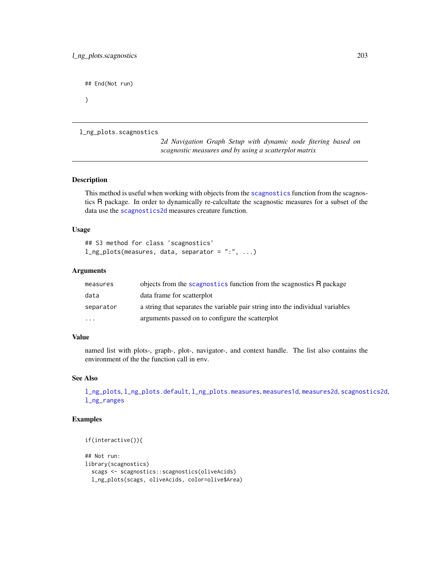## End(Not run)

}

```
l_ng_plots.scagnostics
```
*2d Navigation Graph Setup with dynamic node fitering based on scagnostic measures and by using a scatterplot matrix*

### Description

This method is useful when working with objects from the [scagnostics](#page-0-0) function from the scagnostics R package. In order to dynamically re-calcultate the scagnostic measures for a subset of the data use the [scagnostics2d](#page-268-0) measures creature function.

#### Usage

```
## S3 method for class 'scagnostics'
l_ng_plots(measures, data, separator = ":", ...)
```
#### Arguments

| measures             | objects from the scagnostics function from the scagnostics R package           |
|----------------------|--------------------------------------------------------------------------------|
| data                 | data frame for scatterplot                                                     |
| separator            | a string that separates the variable pair string into the individual variables |
| $\ddot{\phantom{0}}$ | arguments passed on to configure the scatterplot                               |

# Value

named list with plots-, graph-, plot-, navigator-, and context handle. The list also contains the environment of the the function call in env.

### See Also

[l\\_ng\\_plots](#page-198-0), [l\\_ng\\_plots.default](#page-199-0), [l\\_ng\\_plots.measures](#page-200-0), [measures1d](#page-259-0), [measures2d](#page-260-0), [scagnostics2d](#page-268-0), [l\\_ng\\_ranges](#page-203-0)

### Examples

```
if(interactive()){
```

```
## Not run:
library(scagnostics)
  scags <- scagnostics::scagnostics(oliveAcids)
  l_ng_plots(scags, oliveAcids, color=olive$Area)
```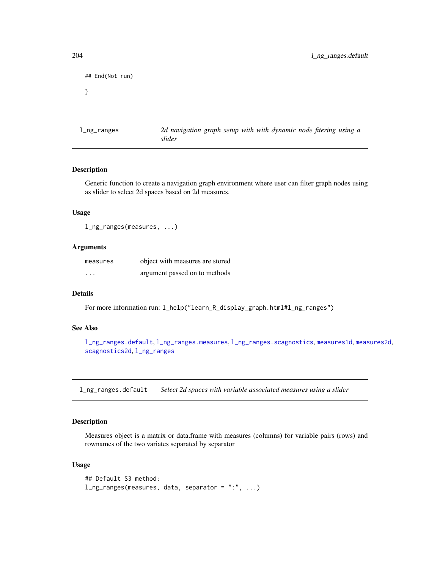```
## End(Not run)
```
}

<span id="page-203-0"></span>l\_ng\_ranges *2d navigation graph setup with with dynamic node fitering using a slider*

### Description

Generic function to create a navigation graph environment where user can filter graph nodes using as slider to select 2d spaces based on 2d measures.

#### Usage

l\_ng\_ranges(measures, ...)

#### Arguments

| measures | object with measures are stored |
|----------|---------------------------------|
| $\cdot$  | argument passed on to methods   |

# Details

For more information run: l\_help("learn\_R\_display\_graph.html#l\_ng\_ranges")

# See Also

[l\\_ng\\_ranges.default](#page-203-1), [l\\_ng\\_ranges.measures](#page-205-0), [l\\_ng\\_ranges.scagnostics](#page-206-0), [measures1d](#page-259-0), [measures2d](#page-260-0), [scagnostics2d](#page-268-0), [l\\_ng\\_ranges](#page-203-0)

<span id="page-203-1"></span>l\_ng\_ranges.default *Select 2d spaces with variable associated measures using a slider*

#### Description

Measures object is a matrix or data.frame with measures (columns) for variable pairs (rows) and rownames of the two variates separated by separator

#### Usage

```
## Default S3 method:
l_ng_ranges(measures, data, separator = ":", ...)
```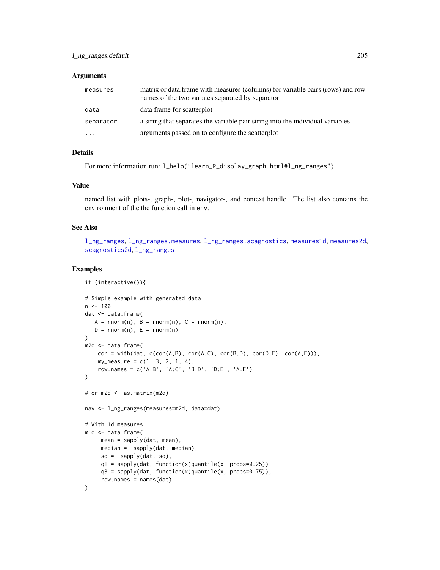#### Arguments

| measures  | matrix or data. frame with measures (columns) for variable pairs (rows) and row-<br>names of the two variates separated by separator |
|-----------|--------------------------------------------------------------------------------------------------------------------------------------|
| data      | data frame for scatterplot                                                                                                           |
| separator | a string that separates the variable pair string into the individual variables                                                       |
| $\ddotsc$ | arguments passed on to configure the scatterplot                                                                                     |

### Details

For more information run: l\_help("learn\_R\_display\_graph.html#l\_ng\_ranges")

### Value

named list with plots-, graph-, plot-, navigator-, and context handle. The list also contains the environment of the the function call in env.

## See Also

[l\\_ng\\_ranges](#page-203-0), [l\\_ng\\_ranges.measures](#page-205-0), [l\\_ng\\_ranges.scagnostics](#page-206-0), [measures1d](#page-259-0), [measures2d](#page-260-0), [scagnostics2d](#page-268-0), [l\\_ng\\_ranges](#page-203-0)

#### Examples

```
if (interactive()){
# Simple example with generated data
n < - 100dat <- data.frame(
  A = rnorm(n), B = rnorm(n), C = rnorm(n),D = rnorm(n), E = rnorm(n))
m2d <- data.frame(
    cor = with(data, c(cor(A,B), cor(A,C), cor(B,D), cor(D,E), cor(A,E))),my_measure = c(1, 3, 2, 1, 4),
    row.names = c('A:B', 'A:C', 'B:D', 'D:E', 'A:E')
\mathcal{L}# or m2d <- as.matrix(m2d)
nav <- l_ng_ranges(measures=m2d, data=dat)
# With 1d measures
m1d <- data.frame(
    mean = sapply(data, mean),median = sapply(dat, median),
     sd = sapply(dat, sd),
    q1 = sapply(dat, function(x)quantile(x, probs=0.25)),
    q3 = sapply(dat, function(x)quantile(x, probs=0.75)),
    row.names = names(dat)
)
```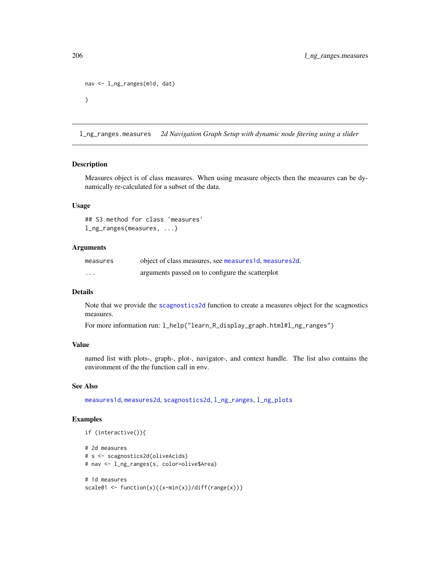```
nav <- l_ng_ranges(m1d, dat)
}
```
<span id="page-205-0"></span>l\_ng\_ranges.measures *2d Navigation Graph Setup with dynamic node fitering using a slider*

### Description

Measures object is of class measures. When using measure objects then the measures can be dynamically re-calculated for a subset of the data.

# Usage

## S3 method for class 'measures' l\_ng\_ranges(measures, ...)

### Arguments

| measures | object of class measures, see measures1d, measures2d. |
|----------|-------------------------------------------------------|
| .        | arguments passed on to configure the scatterplot      |

#### Details

Note that we provide the [scagnostics2d](#page-268-0) function to create a measures object for the scagnostics measures.

For more information run: l\_help("learn\_R\_display\_graph.html#l\_ng\_ranges")

## Value

named list with plots-, graph-, plot-, navigator-, and context handle. The list also contains the environment of the the function call in env.

### See Also

[measures1d](#page-259-0), [measures2d](#page-260-0), [scagnostics2d](#page-268-0), [l\\_ng\\_ranges](#page-203-0), [l\\_ng\\_plots](#page-198-0)

# Examples

if (interactive()){

```
# 2d measures
# s <- scagnostics2d(oliveAcids)
# nav <- l_ng_ranges(s, color=olive$Area)
# 1d measures
scale01 <- function(x){(x-min(x))/diff(range(x))}
```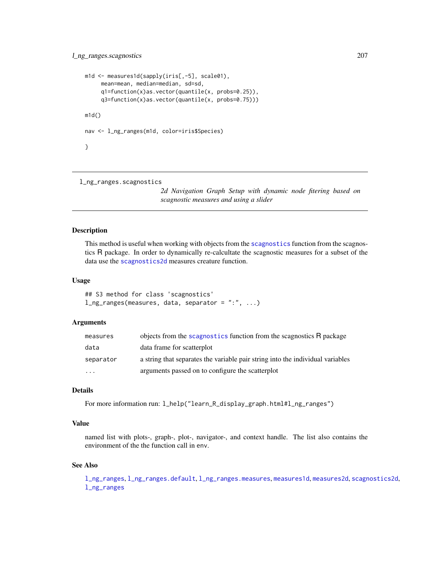```
m1d <- measures1d(sapply(iris[,-5], scale01),
     mean=mean, median=median, sd=sd,
     q1=function(x)as.vector(quantile(x, probs=0.25)),
     q3=function(x)as.vector(quantile(x, probs=0.75)))
m1d()
nav <- l_ng_ranges(m1d, color=iris$Species)
}
```
<span id="page-206-0"></span>l\_ng\_ranges.scagnostics

*2d Navigation Graph Setup with dynamic node fitering based on scagnostic measures and using a slider*

## Description

This method is useful when working with objects from the [scagnostics](#page-0-0) function from the scagnostics R package. In order to dynamically re-calcultate the scagnostic measures for a subset of the data use the [scagnostics2d](#page-268-0) measures creature function.

### Usage

## S3 method for class 'scagnostics'  $l$ <sub>ng</sub> $r$ anges(measures, data, separator = ":", ...)

#### Arguments

| measures  | objects from the scagnostics function from the scagnostics R package           |
|-----------|--------------------------------------------------------------------------------|
| data      | data frame for scatterplot                                                     |
| separator | a string that separates the variable pair string into the individual variables |
| $\ddotsc$ | arguments passed on to configure the scatterplot                               |

#### Details

For more information run: l\_help("learn\_R\_display\_graph.html#l\_ng\_ranges")

#### Value

named list with plots-, graph-, plot-, navigator-, and context handle. The list also contains the environment of the the function call in env.

#### See Also

[l\\_ng\\_ranges](#page-203-0), [l\\_ng\\_ranges.default](#page-203-1), [l\\_ng\\_ranges.measures](#page-205-0), [measures1d](#page-259-0), [measures2d](#page-260-0), [scagnostics2d](#page-268-0), [l\\_ng\\_ranges](#page-203-0)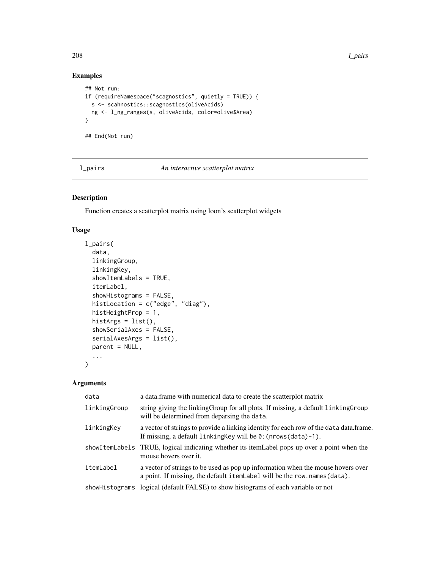208 l\_pairs and the contract of the contract of the contract of the contract of the contract of the contract of the contract of the contract of the contract of the contract of the contract of the contract of the contract o

# Examples

```
## Not run:
if (requireNamespace("scagnostics", quietly = TRUE)) {
  s <- scahnostics::scagnostics(oliveAcids)
  ng <- l_ng_ranges(s, oliveAcids, color=olive$Area)
}
## End(Not run)
```
<span id="page-207-0"></span>l\_pairs *An interactive scatterplot matrix*

# Description

Function creates a scatterplot matrix using loon's scatterplot widgets

# Usage

```
l_pairs(
  data,
  linkingGroup,
  linkingKey,
  showItemLabels = TRUE,
  itemLabel,
  showHistograms = FALSE,
  histLocation = c("edge", "diag"),
 histHeightProp = 1,
  histArgs = list(),
  showSerialAxes = FALSE,
  serialAxesArgs = list(),
  parent = NULL,
  ...
)
```
### Arguments

| data           | a data frame with numerical data to create the scatterplot matrix                                                                                           |
|----------------|-------------------------------------------------------------------------------------------------------------------------------------------------------------|
| linkingGroup   | string giving the linking Group for all plots. If missing, a default linking Group<br>will be determined from deparsing the data.                           |
| linkingKey     | a vector of strings to provide a linking identity for each row of the data data. frame.<br>If missing, a default linking Key will be $0:$ (nrows (data)-1). |
|                | showItemLabels TRUE, logical indicating whether its itemLabel pops up over a point when the<br>mouse hovers over it.                                        |
| itemLabel      | a vector of strings to be used as pop up information when the mouse hovers over<br>a point. If missing, the default itemLabel will be the row.names(data).  |
| showHistograms | logical (default FALSE) to show histograms of each variable or not                                                                                          |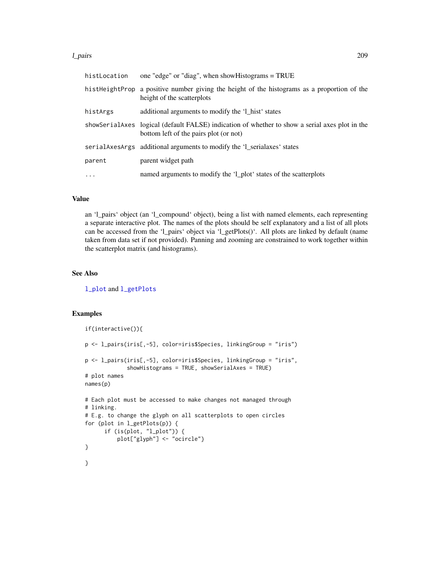#### l\_pairs 209

| histLocation | one "edge" or "diag", when showHistograms = TRUE                                                                                         |
|--------------|------------------------------------------------------------------------------------------------------------------------------------------|
|              | histHeightProp a positive number giving the height of the histograms as a proportion of the<br>height of the scatterplots                |
| histArgs     | additional arguments to modify the 'l hist' states                                                                                       |
|              | showSerialAxes logical (default FALSE) indication of whether to show a serial axes plot in the<br>bottom left of the pairs plot (or not) |
|              | serial Axes Args additional arguments to modify the 'l_serial axes' states                                                               |
| parent       | parent widget path                                                                                                                       |
| $\ddots$ .   | named arguments to modify the '1_plot' states of the scatterplots                                                                        |

#### Value

an 'l\_pairs' object (an 'l\_compound' object), being a list with named elements, each representing a separate interactive plot. The names of the plots should be self explanatory and a list of all plots can be accessed from the 'l\_pairs' object via 'l\_getPlots()'. All plots are linked by default (name taken from data set if not provided). Panning and zooming are constrained to work together within the scatterplot matrix (and histograms).

## See Also

[l\\_plot](#page-209-0) and [l\\_getPlots](#page-81-0)

### Examples

```
if(interactive()){
p <- l_pairs(iris[,-5], color=iris$Species, linkingGroup = "iris")
p <- l_pairs(iris[,-5], color=iris$Species, linkingGroup = "iris",
             showHistograms = TRUE, showSerialAxes = TRUE)
# plot names
names(p)
# Each plot must be accessed to make changes not managed through
# linking.
# E.g. to change the glyph on all scatterplots to open circles
for (plot in l_getPlots(p)) {
     if (is(plot, "l_plot")) {
         plot["glyph"] <- "ocircle"}
}
}
```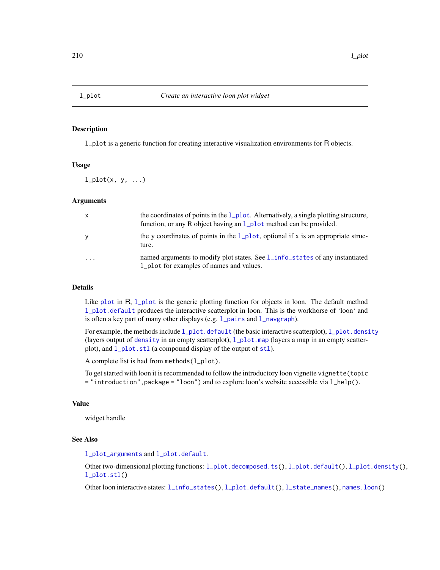<span id="page-209-0"></span>

l\_plot is a generic function for creating interactive visualization environments for R objects.

### Usage

 $l.plot(x, y, ...)$ 

### Arguments

| $\mathsf{X}$ | the coordinates of points in the $1$ -plot. Alternatively, a single plotting structure,<br>function, or any R object having an 1_plot method can be provided. |
|--------------|---------------------------------------------------------------------------------------------------------------------------------------------------------------|
| <b>V</b>     | the y coordinates of points in the $1$ -plot, optional if x is an appropriate struc-<br>ture.                                                                 |
| $\cdot$      | named arguments to modify plot states. See 1_info_states of any instantiated<br>1_plot for examples of names and values.                                      |

# Details

Like [plot](#page-0-0) in R, 1 plot is the generic plotting function for objects in loon. The default method [l\\_plot.default](#page-212-0) produces the interactive scatterplot in loon. This is the workhorse of 'loon' and is often a key part of many other displays (e.g. [l\\_pairs](#page-207-0) and [l\\_navgraph](#page-191-0)).

For example, the methods include  $l$ \_plot.default (the basic interactive scatterplot),  $l$ \_plot.density (layers output of [density](#page-0-0) in an empty scatterplot), [l\\_plot.map](#page-217-0) (layers a map in an empty scatterplot), and [l\\_plot.stl](#page-217-1) (a compound display of the output of [stl](#page-0-0)).

A complete list is had from methods(l\_plot).

To get started with loon it is recommended to follow the introductory loon vignette vignette(topic = "introduction",package = "loon") and to explore loon's website accessible via l\_help().

# Value

widget handle

# See Also

[l\\_plot\\_arguments](#page-224-0) and [l\\_plot.default](#page-212-0).

Other two-dimensional plotting functions: [l\\_plot.decomposed.ts\(](#page-210-0)), [l\\_plot.default\(](#page-212-0)), [l\\_plot.density\(](#page-215-0)), [l\\_plot.stl\(](#page-217-1))

Other loon interactive states: [l\\_info\\_states\(](#page-121-0)), [l\\_plot.default\(](#page-212-0)), [l\\_state\\_names\(](#page-253-0)), [names.loon\(](#page-262-0))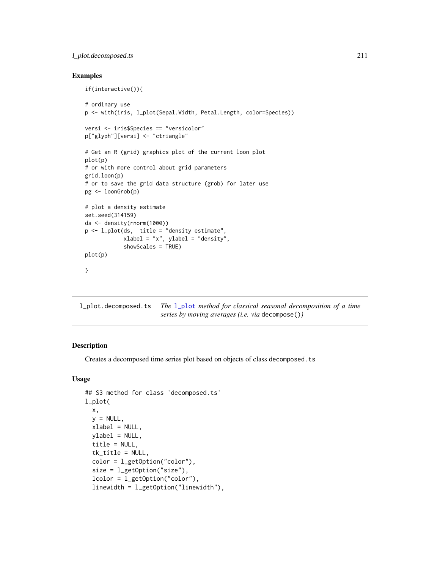# l\_plot.decomposed.ts 211

### Examples

```
if(interactive()){
# ordinary use
p <- with(iris, l_plot(Sepal.Width, Petal.Length, color=Species))
versi <- iris$Species == "versicolor"
p["glyph"][versi] <- "ctriangle"
# Get an R (grid) graphics plot of the current loon plot
plot(p)
# or with more control about grid parameters
grid.loon(p)
# or to save the grid data structure (grob) for later use
pg <- loonGrob(p)
# plot a density estimate
set.seed(314159)
ds <- density(rnorm(1000))
p \leftarrow 1\_plot(ds, title = "density estimate",xlabel = "x", ylabel = "density",
            showScales = TRUE)
plot(p)
}
```
<span id="page-210-0"></span>l\_plot.decomposed.ts *The* [l\\_plot](#page-209-0) *method for classical seasonal decomposition of a time series by moving averages (i.e. via* decompose()*)*

### Description

Creates a decomposed time series plot based on objects of class decomposed.ts

#### Usage

```
## S3 method for class 'decomposed.ts'
l_plot(
  x,
 y = NULL,xlabel = NULL,ylabel = NULL,
  title = NULL,
  tk_title = NULL,
  color = l_getOption("color"),
  size = 1_getOption("size"),
  lcolor = l_getOption("color"),
  linewidth = l_getOption("linewidth"),
```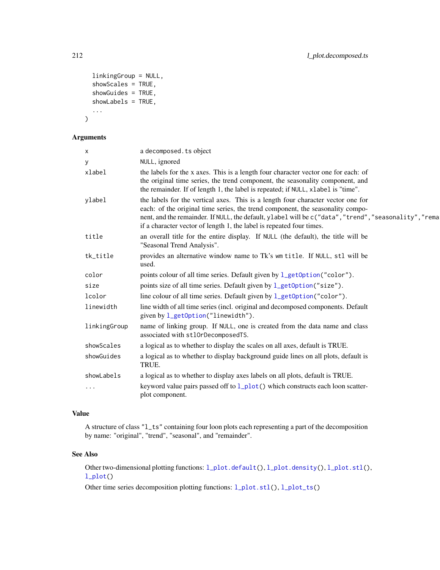```
linkingGroup = NULL,
  showScales = TRUE,
 showGuides = TRUE,
 showLabels = TRUE,
  ...
)
```
# Arguments

| $\boldsymbol{\mathsf{x}}$ | a decomposed. ts object                                                                                                                                                                                                                                                                                                                             |
|---------------------------|-----------------------------------------------------------------------------------------------------------------------------------------------------------------------------------------------------------------------------------------------------------------------------------------------------------------------------------------------------|
| У                         | NULL, ignored                                                                                                                                                                                                                                                                                                                                       |
| xlabel                    | the labels for the x axes. This is a length four character vector one for each: of<br>the original time series, the trend component, the seasonality component, and<br>the remainder. If of length 1, the label is repeated; if NULL, xlabel is "time".                                                                                             |
| vlabel                    | the labels for the vertical axes. This is a length four character vector one for<br>each: of the original time series, the trend component, the seasonality compo-<br>nent, and the remainder. If NULL, the default, ylabel will be c("data", "trend", "seasonality", "rema<br>if a character vector of length 1, the label is repeated four times. |
| title                     | an overall title for the entire display. If NULL (the default), the title will be<br>"Seasonal Trend Analysis".                                                                                                                                                                                                                                     |
| tk_title                  | provides an alternative window name to Tk's wm title. If NULL, stl will be<br>used.                                                                                                                                                                                                                                                                 |
| color                     | points colour of all time series. Default given by $l$ _getOption("color").                                                                                                                                                                                                                                                                         |
| size                      | points size of all time series. Default given by l_getOption("size").                                                                                                                                                                                                                                                                               |
| lcolor                    | line colour of all time series. Default given by $l_g$ etOption("color").                                                                                                                                                                                                                                                                           |
| linewidth                 | line width of all time series (incl. original and decomposed components. Default<br>given by l_getOption("linewidth").                                                                                                                                                                                                                              |
| linkingGroup              | name of linking group. If NULL, one is created from the data name and class<br>associated with stlOrDecomposedTS.                                                                                                                                                                                                                                   |
| showScales                | a logical as to whether to display the scales on all axes, default is TRUE.                                                                                                                                                                                                                                                                         |
| showGuides                | a logical as to whether to display background guide lines on all plots, default is<br>TRUE.                                                                                                                                                                                                                                                         |
| showLabels                | a logical as to whether to display axes labels on all plots, default is TRUE.                                                                                                                                                                                                                                                                       |
| $\cdots$                  | keyword value pairs passed off to 1_plot() which constructs each loon scatter-<br>plot component.                                                                                                                                                                                                                                                   |
|                           |                                                                                                                                                                                                                                                                                                                                                     |

# Value

A structure of class "l\_ts" containing four loon plots each representing a part of the decomposition by name: "original", "trend", "seasonal", and "remainder".

# See Also

Other two-dimensional plotting functions: [l\\_plot.default\(](#page-212-0)), [l\\_plot.density\(](#page-215-0)), [l\\_plot.stl\(](#page-217-1)), [l\\_plot\(](#page-209-0))

Other time series decomposition plotting functions: [l\\_plot.stl\(](#page-217-1)), [l\\_plot\\_ts\(](#page-228-0))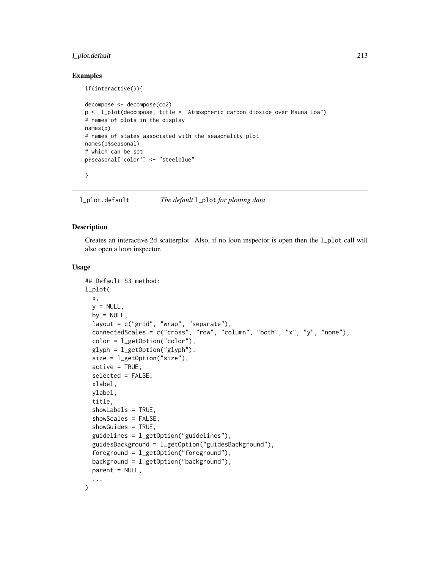# l\_plot.default 213

### Examples

```
if(interactive()){
decompose <- decompose(co2)
p <- l_plot(decompose, title = "Atmospheric carbon dioxide over Mauna Loa")
# names of plots in the display
names(p)
# names of states associated with the seasonality plot
names(p$seasonal)
# which can be set
p$seasonal['color'] <- "steelblue"
}
```
<span id="page-212-0"></span>l\_plot.default *The default* l\_plot *for plotting data*

### Description

Creates an interactive 2d scatterplot. Also, if no loon inspector is open then the l\_plot call will also open a loon inspector.

#### Usage

```
## Default S3 method:
l_plot(
  x,
  y = NULL,
 by = NULL,
  layout = c("grid", "wrap", "separate"),
  connectedScales = c("cross", "row", "column", "both", "x", "y", "none"),
  color = l_getOption("color"),
  glyph = l_getOption("glyph"),
  size = 1_getOption("size"),
  active = TRUE,selected = FALSE,
 xlabel,
 ylabel,
  title,
  showLabels = TRUE,
  showScales = FALSE,
  showGuides = TRUE,
  guidelines = l_getOption("guidelines"),
  guidesBackground = l_getOption("guidesBackground"),
  foreground = l_getOption("foreground"),
 background = l_getOption("background"),
 parent = NULL,
  ...
)
```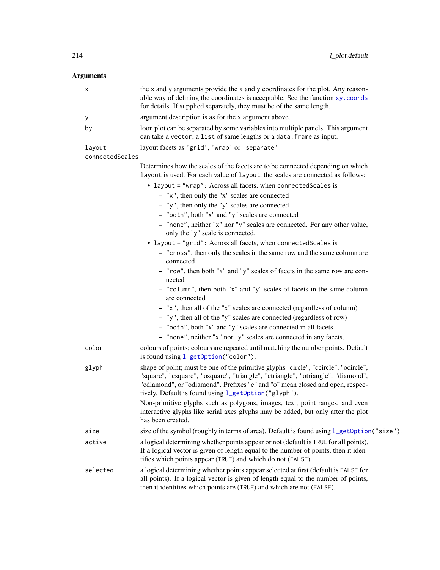# Arguments

| х               | the x and y arguments provide the x and y coordinates for the plot. Any reason-<br>able way of defining the coordinates is acceptable. See the function xy. coords<br>for details. If supplied separately, they must be of the same length.                                                                      |
|-----------------|------------------------------------------------------------------------------------------------------------------------------------------------------------------------------------------------------------------------------------------------------------------------------------------------------------------|
| У               | argument description is as for the x argument above.                                                                                                                                                                                                                                                             |
| by              | loon plot can be separated by some variables into multiple panels. This argument<br>can take a vector, a list of same lengths or a data. frame as input.                                                                                                                                                         |
| layout          | layout facets as 'grid', 'wrap' or 'separate'                                                                                                                                                                                                                                                                    |
| connectedScales |                                                                                                                                                                                                                                                                                                                  |
|                 | Determines how the scales of the facets are to be connected depending on which<br>layout is used. For each value of layout, the scales are connected as follows:                                                                                                                                                 |
|                 | • layout = "wrap": Across all facets, when connected Scales is                                                                                                                                                                                                                                                   |
|                 | $-$ "x", then only the "x" scales are connected                                                                                                                                                                                                                                                                  |
|                 | $-$ "y", then only the "y" scales are connected                                                                                                                                                                                                                                                                  |
|                 | - "both", both "x" and "y" scales are connected                                                                                                                                                                                                                                                                  |
|                 | - "none", neither "x" nor "y" scales are connected. For any other value,<br>only the "y" scale is connected.                                                                                                                                                                                                     |
|                 | • layout = "grid": Across all facets, when connectedScales is                                                                                                                                                                                                                                                    |
|                 | - "cross", then only the scales in the same row and the same column are<br>connected                                                                                                                                                                                                                             |
|                 | - "row", then both "x" and "y" scales of facets in the same row are con-<br>nected                                                                                                                                                                                                                               |
|                 | - "column", then both "x" and "y" scales of facets in the same column<br>are connected                                                                                                                                                                                                                           |
|                 | - "x", then all of the "x" scales are connected (regardless of column)                                                                                                                                                                                                                                           |
|                 | - "y", then all of the "y" scales are connected (regardless of row)                                                                                                                                                                                                                                              |
|                 | - "both", both "x" and "y" scales are connected in all facets                                                                                                                                                                                                                                                    |
|                 | - "none", neither "x" nor "y" scales are connected in any facets.                                                                                                                                                                                                                                                |
| color           | colours of points; colours are repeated until matching the number points. Default<br>is found using $l\_getOption("color")$ .                                                                                                                                                                                    |
| glyph           | shape of point; must be one of the primitive glyphs "circle", "ccircle", "ocircle",<br>"square", "csquare", "osquare", "triangle", "ctriangle", "otriangle", "diamond",<br>"cdiamond", or "odiamond". Prefixes "c" and "o" mean closed and open, respec-<br>tively. Default is found using l_getOption("glyph"). |
|                 | Non-primitive glyphs such as polygons, images, text, point ranges, and even<br>interactive glyphs like serial axes glyphs may be added, but only after the plot<br>has been created.                                                                                                                             |
| size            | size of the symbol (roughly in terms of area). Default is found using $l_getOption("size")$ .                                                                                                                                                                                                                    |
| active          | a logical determining whether points appear or not (default is TRUE for all points).<br>If a logical vector is given of length equal to the number of points, then it iden-<br>tifies which points appear (TRUE) and which do not (FALSE).                                                                       |
| selected        | a logical determining whether points appear selected at first (default is FALSE for<br>all points). If a logical vector is given of length equal to the number of points,<br>then it identifies which points are (TRUE) and which are not (FALSE).                                                               |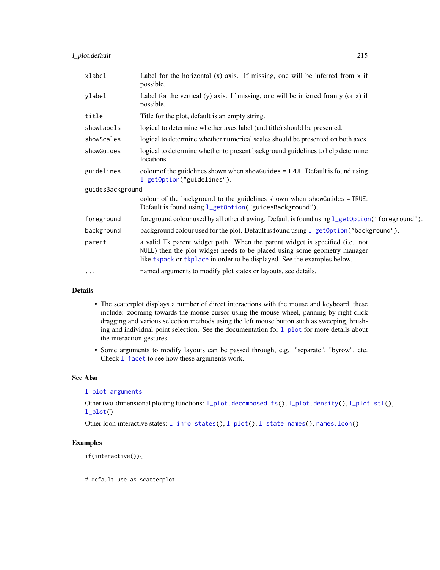# l\_plot.default 215

| xlabel           | Label for the horizontal $(x)$ axis. If missing, one will be inferred from x if<br>possible.                                                                                                                                          |
|------------------|---------------------------------------------------------------------------------------------------------------------------------------------------------------------------------------------------------------------------------------|
| ylabel           | Label for the vertical $(y)$ axis. If missing, one will be inferred from $y$ (or $x$ ) if<br>possible.                                                                                                                                |
| title            | Title for the plot, default is an empty string.                                                                                                                                                                                       |
| showLabels       | logical to determine whether axes label (and title) should be presented.                                                                                                                                                              |
| showScales       | logical to determine whether numerical scales should be presented on both axes.                                                                                                                                                       |
| showGuides       | logical to determine whether to present background guidelines to help determine<br>locations.                                                                                                                                         |
| guidelines       | colour of the guidelines shown when show Guides $=$ TRUE. Default is found using<br>l_getOption("guidelines").                                                                                                                        |
| guidesBackground |                                                                                                                                                                                                                                       |
|                  | colour of the background to the guidelines shown when show Guides = TRUE.<br>Default is found using 1_getOption("guidesBackground").                                                                                                  |
| foreground       | foreground colour used by all other drawing. Default is found using $1$ _getOption("foreground").                                                                                                                                     |
| background       | background colour used for the plot. Default is found using l_getOption("background").                                                                                                                                                |
| parent           | a valid Tk parent widget path. When the parent widget is specified (i.e. not<br>NULL) then the plot widget needs to be placed using some geometry manager<br>like tkpack or tkplace in order to be displayed. See the examples below. |
| $\cdots$         | named arguments to modify plot states or layouts, see details.                                                                                                                                                                        |

# Details

- The scatterplot displays a number of direct interactions with the mouse and keyboard, these include: zooming towards the mouse cursor using the mouse wheel, panning by right-click dragging and various selection methods using the left mouse button such as sweeping, brushing and individual point selection. See the documentation for [l\\_plot](#page-209-0) for more details about the interaction gestures.
- Some arguments to modify layouts can be passed through, e.g. "separate", "byrow", etc. Check [l\\_facet](#page-72-0) to see how these arguments work.

### See Also

# [l\\_plot\\_arguments](#page-224-0)

Other two-dimensional plotting functions: [l\\_plot.decomposed.ts\(](#page-210-0)), [l\\_plot.density\(](#page-215-0)), [l\\_plot.stl\(](#page-217-1)), [l\\_plot\(](#page-209-0))

Other loon interactive states: [l\\_info\\_states\(](#page-121-0)), [l\\_plot\(](#page-209-0)), [l\\_state\\_names\(](#page-253-0)), [names.loon\(](#page-262-0))

## Examples

if(interactive()){

# default use as scatterplot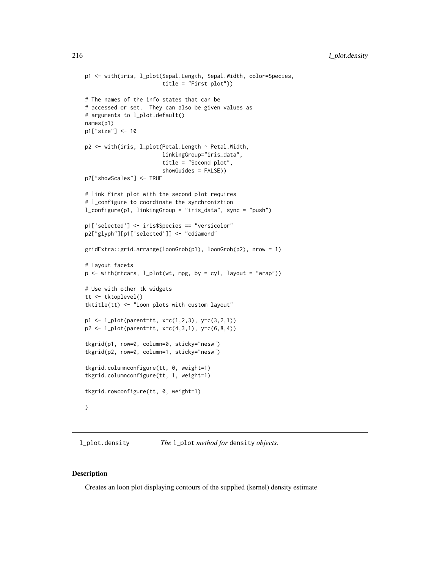```
p1 <- with(iris, l_plot(Sepal.Length, Sepal.Width, color=Species,
                        title = "First plot"))
# The names of the info states that can be
# accessed or set. They can also be given values as
# arguments to l_plot.default()
names(p1)
p1["size"] <- 10
p2 <- with(iris, l_plot(Petal.Length ~ Petal.Width,
                        linkingGroup="iris_data",
                        title = "Second plot",
                        showGuides = FALSE))
p2["showScales"] <- TRUE
# link first plot with the second plot requires
# l_configure to coordinate the synchroniztion
l_configure(p1, linkingGroup = "iris_data", sync = "push")
p1['selected'] <- iris$Species == "versicolor"
p2["glyph"][p1['selected']] <- "cdiamond"
gridExtra::grid.arrange(loonGrob(p1), loonGrob(p2), nrow = 1)
# Layout facets
p <- with(mtcars, l_plot(wt, mpg, by = cyl, layout = "wrap"))
# Use with other tk widgets
tt <- tktoplevel()
tktitle(tt) <- "Loon plots with custom layout"
p1 <- l_plot(parent=tt, x=c(1,2,3), y=c(3,2,1))
p2 \leq l\_plot(parent=tt, x=c(4,3,1), y=c(6,8,4))tkgrid(p1, row=0, column=0, sticky="nesw")
tkgrid(p2, row=0, column=1, sticky="nesw")
tkgrid.columnconfigure(tt, 0, weight=1)
tkgrid.columnconfigure(tt, 1, weight=1)
tkgrid.rowconfigure(tt, 0, weight=1)
}
```
<span id="page-215-0"></span>l\_plot.density *The* l\_plot *method for* density *objects.*

### **Description**

Creates an loon plot displaying contours of the supplied (kernel) density estimate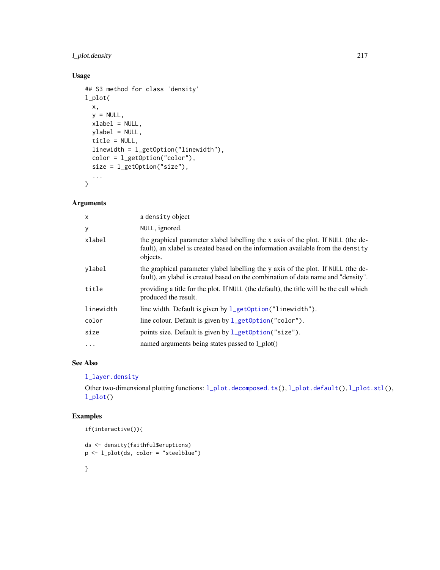### l\_plot.density 217

# Usage

```
## S3 method for class 'density'
l_plot(
  x,
  y = NULL,xlabel = NULL,
  ylabel = NULL,
  title = NULL,
  linewidth = l_getOption("linewidth"),
  color = l_getOption("color"),
  size = 1<sub>getOption</sub>("size"),
  ...
\mathcal{L}
```
## Arguments

| $\mathsf{x}$ | a density object                                                                                                                                                                  |
|--------------|-----------------------------------------------------------------------------------------------------------------------------------------------------------------------------------|
| У            | NULL, ignored.                                                                                                                                                                    |
| xlabel       | the graphical parameter xlabel labelling the x axis of the plot. If NULL (the de-<br>fault), an xlabel is created based on the information available from the density<br>objects. |
| ylabel       | the graphical parameter ylabel labelling the y axis of the plot. If NULL (the de-<br>fault), an ylabel is created based on the combination of data name and "density".            |
| title        | providing a title for the plot. If NULL (the default), the title will be the call which<br>produced the result.                                                                   |
| linewidth    | line width. Default is given by 1_get0ption("linewidth").                                                                                                                         |
| color        | line colour. Default is given by $l_g$ et0ption("color").                                                                                                                         |
| size         | points size. Default is given by 1_get0ption("size").                                                                                                                             |
| $\ddots$     | named arguments being states passed to 1_plot()                                                                                                                                   |

## See Also

## [l\\_layer.density](#page-124-0)

Other two-dimensional plotting functions: [l\\_plot.decomposed.ts\(](#page-210-0)), [l\\_plot.default\(](#page-212-0)), [l\\_plot.stl\(](#page-217-0)), [l\\_plot\(](#page-209-0))

## Examples

```
if(interactive()){
```

```
ds <- density(faithful$eruptions)
p <- l_plot(ds, color = "steelblue")
}
```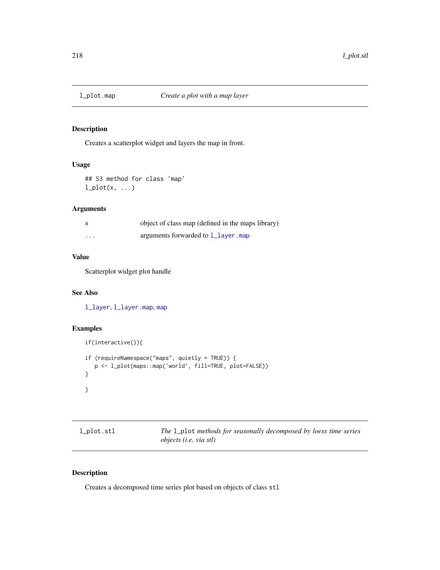### Description

Creates a scatterplot widget and layers the map in front.

### Usage

## S3 method for class 'map'  $l\_plot(x, \ldots)$ 

#### Arguments

| x        | object of class map (defined in the maps library) |
|----------|---------------------------------------------------|
| $\cdots$ | arguments forwarded to 1_layer.map                |

### Value

Scatterplot widget plot handle

### See Also

[l\\_layer](#page-122-0), [l\\_layer.map](#page-127-0), [map](#page-0-0)

### Examples

```
if(interactive()){
if (requireNamespace("maps", quietly = TRUE)) {
  p <- l_plot(maps::map('world', fill=TRUE, plot=FALSE))
}
}
```
<span id="page-217-0"></span>

| l_plot.stl | The 1_plot methods for seasonally decomposed by loess time series |
|------------|-------------------------------------------------------------------|
|            | <i>objects</i> ( <i>i.e.</i> via stl)                             |

## Description

Creates a decomposed time series plot based on objects of class stl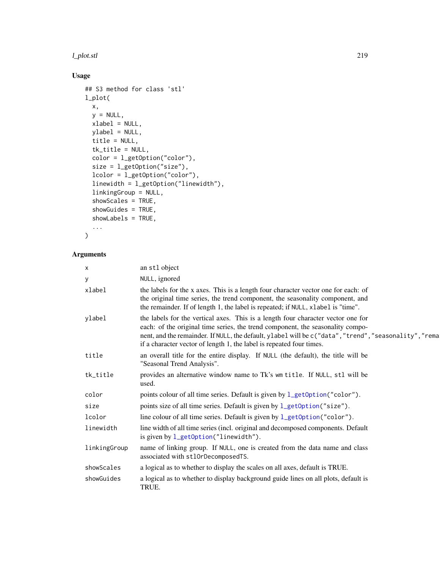#### l\_plot.stl 219

# Usage

```
## S3 method for class 'stl'
l_plot(
 x,
 y = NULL,xlabel = NULL,ylabel = NULL,
 title = NULL,
 tk_title = NULL,
 color = l_getOption("color"),
 size = 1_getOption("size"),
 lcolor = l_getOption("color"),
 linewidth = l_getOption("linewidth"),
 linkingGroup = NULL,
  showScales = TRUE,
  showGuides = TRUE,
 showLabels = TRUE,
  ...
```

```
\mathcal{L}
```
# Arguments

| X            | an stl object                                                                                                                                                                                                                                                                                                                                       |
|--------------|-----------------------------------------------------------------------------------------------------------------------------------------------------------------------------------------------------------------------------------------------------------------------------------------------------------------------------------------------------|
| У            | NULL, ignored                                                                                                                                                                                                                                                                                                                                       |
| xlabel       | the labels for the x axes. This is a length four character vector one for each: of<br>the original time series, the trend component, the seasonality component, and<br>the remainder. If of length 1, the label is repeated; if NULL, xlabel is "time".                                                                                             |
| ylabel       | the labels for the vertical axes. This is a length four character vector one for<br>each: of the original time series, the trend component, the seasonality compo-<br>nent, and the remainder. If NULL, the default, ylabel will be c("data", "trend", "seasonality", "rema<br>if a character vector of length 1, the label is repeated four times. |
| title        | an overall title for the entire display. If NULL (the default), the title will be<br>"Seasonal Trend Analysis".                                                                                                                                                                                                                                     |
| tk_title     | provides an alternative window name to Tk's wm title. If NULL, stl will be<br>used.                                                                                                                                                                                                                                                                 |
| color        | points colour of all time series. Default is given by $l_g$ etOption("color").                                                                                                                                                                                                                                                                      |
| size         | points size of all time series. Default is given by l_getOption("size").                                                                                                                                                                                                                                                                            |
| lcolor       | line colour of all time series. Default is given by $l_g$ etOption("color").                                                                                                                                                                                                                                                                        |
| linewidth    | line width of all time series (incl. original and decomposed components. Default<br>is given by $l\_getOption("linewidth").$                                                                                                                                                                                                                        |
| linkingGroup | name of linking group. If NULL, one is created from the data name and class<br>associated with stlOrDecomposedTS.                                                                                                                                                                                                                                   |
| showScales   | a logical as to whether to display the scales on all axes, default is TRUE.                                                                                                                                                                                                                                                                         |
| showGuides   | a logical as to whether to display background guide lines on all plots, default is<br>TRUE.                                                                                                                                                                                                                                                         |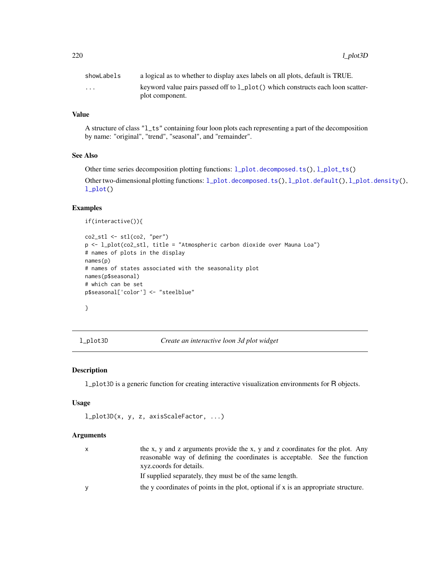| showLabels              | a logical as to whether to display axes labels on all plots, default is TRUE.  |
|-------------------------|--------------------------------------------------------------------------------|
| $\cdot$ $\cdot$ $\cdot$ | keyword value pairs passed off to 1_plot() which constructs each loon scatter- |
|                         | plot component.                                                                |

# Value

A structure of class "l\_ts" containing four loon plots each representing a part of the decomposition by name: "original", "trend", "seasonal", and "remainder".

#### See Also

Other time series decomposition plotting functions: [l\\_plot.decomposed.ts\(](#page-210-0)), [l\\_plot\\_ts\(](#page-228-0))

Other two-dimensional plotting functions:  $l\_plot$ .decomposed.ts(),  $l\_plot$ .default(),  $l\_plot$ .density(), [l\\_plot\(](#page-209-0))

#### Examples

```
if(interactive()){
```

```
co2_stl <- stl(co2, "per")
p <- l_plot(co2_stl, title = "Atmospheric carbon dioxide over Mauna Loa")
# names of plots in the display
names(p)
# names of states associated with the seasonality plot
names(p$seasonal)
# which can be set
p$seasonal['color'] <- "steelblue"
```

```
}
```
<span id="page-219-0"></span>l\_plot3D *Create an interactive loon 3d plot widget*

#### Description

l\_plot3D is a generic function for creating interactive visualization environments for R objects.

#### Usage

```
l_plot3D(x, y, z, axisScaleFactor, ...)
```
### Arguments

| X | the x, y and z arguments provide the x, y and z coordinates for the plot. Any       |
|---|-------------------------------------------------------------------------------------|
|   | reasonable way of defining the coordinates is acceptable. See the function          |
|   | xyz.coords for details.                                                             |
|   | If supplied separately, they must be of the same length.                            |
| V | the y coordinates of points in the plot, optional if x is an appropriate structure. |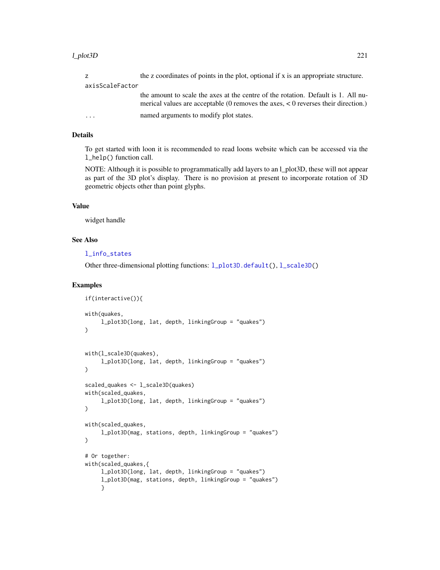#### l\_plot3D 221

|                 | the z coordinates of points in the plot, optional if x is an appropriate structure.                                                                                      |
|-----------------|--------------------------------------------------------------------------------------------------------------------------------------------------------------------------|
| axisScaleFactor |                                                                                                                                                                          |
|                 | the amount to scale the axes at the centre of the rotation. Default is 1. All nu-<br>merical values are acceptable (0 removes the axes, $< 0$ reverses their direction.) |
| $\ddotsc$       | named arguments to modify plot states.                                                                                                                                   |

# Details

To get started with loon it is recommended to read loons website which can be accessed via the l\_help() function call.

NOTE: Although it is possible to programmatically add layers to an l\_plot3D, these will not appear as part of the 3D plot's display. There is no provision at present to incorporate rotation of 3D geometric objects other than point glyphs.

# Value

widget handle

### See Also

[l\\_info\\_states](#page-121-0)

Other three-dimensional plotting functions:  $l_{plots}$  default(),  $l_{real}$  = 3D()

## Examples

```
if(interactive()){
with(quakes,
     l_plot3D(long, lat, depth, linkingGroup = "quakes")
)
with(l_scale3D(quakes),
     l_plot3D(long, lat, depth, linkingGroup = "quakes")
)
scaled_quakes <- l_scale3D(quakes)
with(scaled_quakes,
     l_plot3D(long, lat, depth, linkingGroup = "quakes")
\mathcal{L}with(scaled_quakes,
     l_plot3D(mag, stations, depth, linkingGroup = "quakes")
)
# Or together:
with(scaled_quakes,{
     l_plot3D(long, lat, depth, linkingGroup = "quakes")
     l_plot3D(mag, stations, depth, linkingGroup = "quakes")
     }
```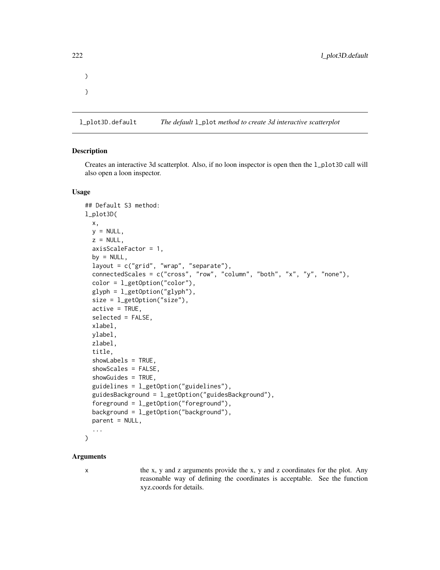```
)
}
```
<span id="page-221-0"></span>l\_plot3D.default *The default* l\_plot *method to create 3d interactive scatterplot*

#### **Description**

Creates an interactive 3d scatterplot. Also, if no loon inspector is open then the l\_plot3D call will also open a loon inspector.

#### Usage

```
## Default S3 method:
l_plot3D(
 x,
 y = NULL,
 z = NULL,axisScaleFactor = 1,
 by = NULL,
  layout = c("grid", "wrap", "separate"),
  connectedScales = c("cross", "row", "column", "both", "x", "y", "none"),
  color = l_getOption("color"),
 glyph = l_getOption("glyph"),
  size = 1_getOption("size"),
  active = TRUE,selected = FALSE,
 xlabel,
 ylabel,
  zlabel,
  title,
  showLabels = TRUE,
  showScales = FALSE,
  showGuides = TRUE,
  guidelines = l_getOption("guidelines"),
  guidesBackground = l_getOption("guidesBackground"),
  foreground = l_getOption("foreground"),
 background = l_getOption("background"),
 parent = NULL,
  ...
)
```
#### **Arguments**

x the x, y and z arguments provide the x, y and z coordinates for the plot. Any reasonable way of defining the coordinates is acceptable. See the function xyz.coords for details.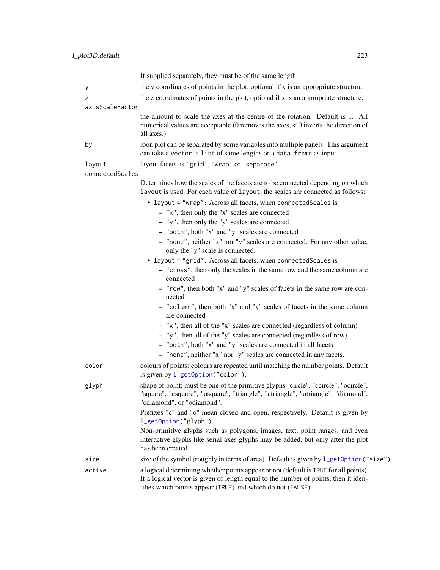|                 | If supplied separately, they must be of the same length.                                                                                                                                                                                   |
|-----------------|--------------------------------------------------------------------------------------------------------------------------------------------------------------------------------------------------------------------------------------------|
| у               | the y coordinates of points in the plot, optional if x is an appropriate structure.                                                                                                                                                        |
| z               | the z coordinates of points in the plot, optional if x is an appropriate structure.                                                                                                                                                        |
| axisScaleFactor |                                                                                                                                                                                                                                            |
|                 | the amount to scale the axes at the centre of the rotation. Default is 1. All<br>numerical values are acceptable (0 removes the axes, $< 0$ inverts the direction of<br>all axes.)                                                         |
| by              | loon plot can be separated by some variables into multiple panels. This argument<br>can take a vector, a list of same lengths or a data. frame as input.                                                                                   |
| layout          | layout facets as 'grid', 'wrap' or 'separate'                                                                                                                                                                                              |
| connectedScales |                                                                                                                                                                                                                                            |
|                 | Determines how the scales of the facets are to be connected depending on which<br>layout is used. For each value of layout, the scales are connected as follows:                                                                           |
|                 | • layout = "wrap": Across all facets, when connectedScales is                                                                                                                                                                              |
|                 | $-$ "x", then only the "x" scales are connected                                                                                                                                                                                            |
|                 | - "y", then only the "y" scales are connected                                                                                                                                                                                              |
|                 | - "both", both "x" and "y" scales are connected                                                                                                                                                                                            |
|                 | - "none", neither "x" nor "y" scales are connected. For any other value,<br>only the "y" scale is connected.                                                                                                                               |
|                 | • layout = "grid": Across all facets, when connectedScales is                                                                                                                                                                              |
|                 | - "cross", then only the scales in the same row and the same column are<br>connected                                                                                                                                                       |
|                 | - "row", then both "x" and "y" scales of facets in the same row are con-<br>nected                                                                                                                                                         |
|                 | - "column", then both "x" and "y" scales of facets in the same column<br>are connected                                                                                                                                                     |
|                 | - "x", then all of the "x" scales are connected (regardless of column)                                                                                                                                                                     |
|                 | - "y", then all of the "y" scales are connected (regardless of row)                                                                                                                                                                        |
|                 | - "both", both "x" and "y" scales are connected in all facets                                                                                                                                                                              |
|                 | - "none", neither "x" nor "y" scales are connected in any facets.                                                                                                                                                                          |
| color           | colours of points; colours are repeated until matching the number points. Default<br>is given by l_getOption("color").                                                                                                                     |
| glyph           | shape of point; must be one of the primitive glyphs "circle", "ccircle", "ocircle",<br>'square", "csquare", "osquare", "triangle", "ctriangle", "otriangle", "diamond",<br>"cdiamond", or "odiamond".                                      |
|                 | Prefixes "c" and "o" mean closed and open, respectively. Default is given by<br>l_getOption("glyph").                                                                                                                                      |
|                 | Non-primitive glyphs such as polygons, images, text, point ranges, and even<br>interactive glyphs like serial axes glyphs may be added, but only after the plot<br>has been created.                                                       |
| size            | size of the symbol (roughly in terms of area). Default is given by $l_getOption("size")$ .                                                                                                                                                 |
| active          | a logical determining whether points appear or not (default is TRUE for all points).<br>If a logical vector is given of length equal to the number of points, then it iden-<br>tifies which points appear (TRUE) and which do not (FALSE). |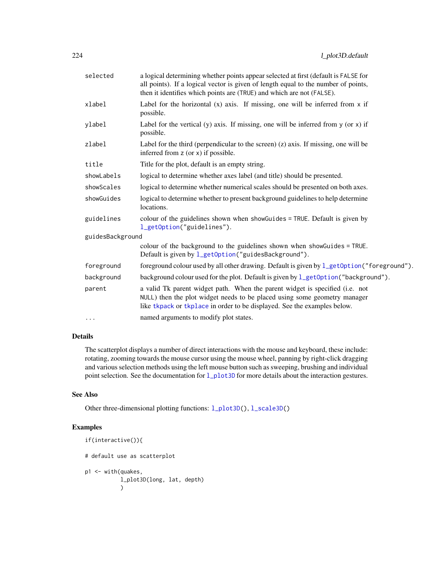| selected         | a logical determining whether points appear selected at first (default is FALSE for<br>all points). If a logical vector is given of length equal to the number of points,<br>then it identifies which points are (TRUE) and which are not (FALSE). |
|------------------|----------------------------------------------------------------------------------------------------------------------------------------------------------------------------------------------------------------------------------------------------|
| xlabel           | Label for the horizontal $(x)$ axis. If missing, one will be inferred from x if<br>possible.                                                                                                                                                       |
| ylabel           | Label for the vertical $(y)$ axis. If missing, one will be inferred from $y$ (or $x$ ) if<br>possible.                                                                                                                                             |
| zlabel           | Label for the third (perpendicular to the screen) $(z)$ axis. If missing, one will be<br>inferred from $z$ (or $x$ ) if possible.                                                                                                                  |
| title            | Title for the plot, default is an empty string.                                                                                                                                                                                                    |
| showLabels       | logical to determine whether axes label (and title) should be presented.                                                                                                                                                                           |
| showScales       | logical to determine whether numerical scales should be presented on both axes.                                                                                                                                                                    |
| showGuides       | logical to determine whether to present background guidelines to help determine<br>locations.                                                                                                                                                      |
| guidelines       | colour of the guidelines shown when showGuides = TRUE. Default is given by<br>l_getOption("guidelines").                                                                                                                                           |
| guidesBackground |                                                                                                                                                                                                                                                    |
|                  | colour of the background to the guidelines shown when showGuides = TRUE.<br>Default is given by 1_getOption("guidesBackground").                                                                                                                   |
| foreground       | foreground colour used by all other drawing. Default is given by $l\_getOption("foreground")$ .                                                                                                                                                    |
| background       | background colour used for the plot. Default is given by 1_getOption("background").                                                                                                                                                                |
| parent           | a valid Tk parent widget path. When the parent widget is specified (i.e. not<br>NULL) then the plot widget needs to be placed using some geometry manager<br>like tkpack or tkplace in order to be displayed. See the examples below.              |
| .                | named arguments to modify plot states.                                                                                                                                                                                                             |

## Details

The scatterplot displays a number of direct interactions with the mouse and keyboard, these include: rotating, zooming towards the mouse cursor using the mouse wheel, panning by right-click dragging and various selection methods using the left mouse button such as sweeping, brushing and individual point selection. See the documentation for  $1$ <sub>-plot3D</sub> for more details about the interaction gestures.

#### See Also

Other three-dimensional plotting functions:  $l\_plot3D(), l\_scale3D()$ 

### Examples

```
if(interactive()){
# default use as scatterplot
p1 <- with(quakes,
            l_plot3D(long, lat, depth)
            \mathcal{L}
```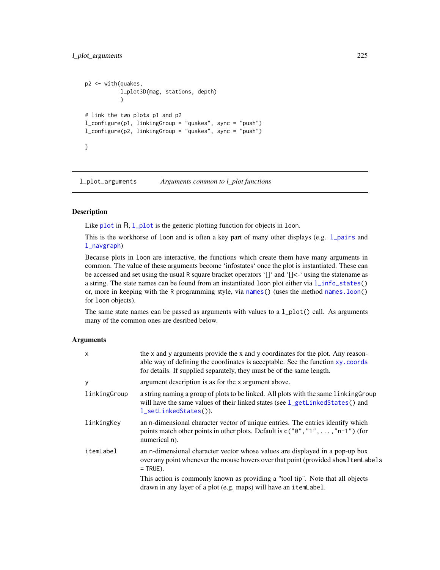### l\_plot\_arguments 225

```
p2 <- with(quakes,
           l_plot3D(mag, stations, depth)
           \lambda# link the two plots p1 and p2
l_configure(p1, linkingGroup = "quakes", sync = "push")
l_configure(p2, linkingGroup = "quakes", sync = "push")
}
```
l\_plot\_arguments *Arguments common to l\_plot functions*

#### Description

Like [plot](#page-0-0) in R, 1 plot is the generic plotting function for objects in loon.

This is the workhorse of loon and is often a key part of many other displays (e.g. [l\\_pairs](#page-207-0) and [l\\_navgraph](#page-191-0))

Because plots in loon are interactive, the functions which create them have many arguments in common. The value of these arguments become 'infostates' once the plot is instantiated. These can be accessed and set using the usual R square bracket operators '[]' and '[]<-' using the statename as a string. The state names can be found from an instantiated loon plot either via [l\\_info\\_states\(](#page-121-0)) or, more in keeping with the R programming style, via [names\(](#page-0-0)) (uses the method [names.loon\(](#page-262-0)) for loon objects).

The same state names can be passed as arguments with values to a l\_plot() call. As arguments many of the common ones are desribed below.

## Arguments

| X            | the x and y arguments provide the x and y coordinates for the plot. Any reason-<br>able way of defining the coordinates is acceptable. See the function xy. coords<br>for details. If supplied separately, they must be of the same length. |
|--------------|---------------------------------------------------------------------------------------------------------------------------------------------------------------------------------------------------------------------------------------------|
| y            | argument description is as for the x argument above.                                                                                                                                                                                        |
| linkingGroup | a string naming a group of plots to be linked. All plots with the same linking Group<br>will have the same values of their linked states (see 1_getLinkedStates() and<br>l_setLinkedStates()).                                              |
| linkingKey   | an n-dimensional character vector of unique entries. The entries identify which<br>points match other points in other plots. Default is $c("0", "1", \ldots, "n-1")$ (for<br>numerical n).                                                  |
| itemLabel    | an n-dimensional character vector whose values are displayed in a pop-up box<br>over any point whenever the mouse hovers over that point (provided showItemLabels<br>$=$ TRUE).                                                             |
|              | This action is commonly known as providing a "tool tip". Note that all objects<br>drawn in any layer of a plot (e.g. maps) will have an itemLabel.                                                                                          |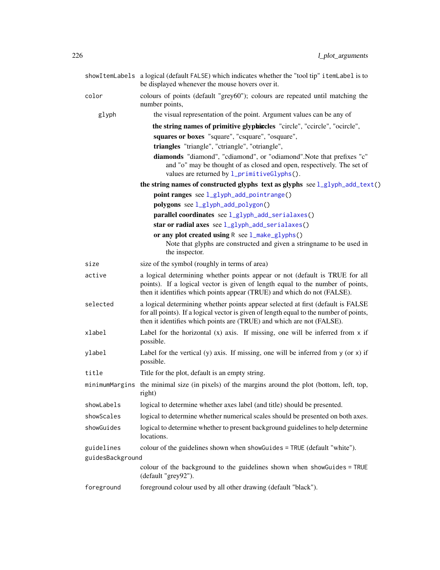|                  | showItemLabels a logical (default FALSE) which indicates whether the "tool tip" itemLabel is to<br>be displayed whenever the mouse hovers over it.                                                                                                 |
|------------------|----------------------------------------------------------------------------------------------------------------------------------------------------------------------------------------------------------------------------------------------------|
| color            | colours of points (default "grey60"); colours are repeated until matching the<br>number points,                                                                                                                                                    |
| glyph            | the visual representation of the point. Argument values can be any of                                                                                                                                                                              |
|                  | the string names of primitive glyphicles "circle", "ccircle", "ocircle",                                                                                                                                                                           |
|                  | squares or boxes "square", "csquare", "osquare",                                                                                                                                                                                                   |
|                  | triangles "triangle", "ctriangle", "otriangle",                                                                                                                                                                                                    |
|                  | diamonds "diamond", "cdiamond", or "odiamond". Note that prefixes "c"<br>and "o" may be thought of as closed and open, respectively. The set of<br>values are returned by l_primitiveGlyphs().                                                     |
|                  | the string names of constructed glyphs text as glyphs see l_glyph_add_text()                                                                                                                                                                       |
|                  | point ranges see l_glyph_add_pointrange()                                                                                                                                                                                                          |
|                  | polygons see l_glyph_add_polygon()                                                                                                                                                                                                                 |
|                  | parallel coordinates see l_glyph_add_serialaxes()                                                                                                                                                                                                  |
|                  | star or radial axes see $l_glyph$ add_serialaxes()                                                                                                                                                                                                 |
|                  | or any plot created using $R$ see $1$ _make_glyphs()<br>Note that glyphs are constructed and given a stringname to be used in<br>the inspector.                                                                                                    |
| size             | size of the symbol (roughly in terms of area)                                                                                                                                                                                                      |
| active           | a logical determining whether points appear or not (default is TRUE for all<br>points). If a logical vector is given of length equal to the number of points,<br>then it identifies which points appear (TRUE) and which do not (FALSE).           |
| selected         | a logical determining whether points appear selected at first (default is FALSE<br>for all points). If a logical vector is given of length equal to the number of points,<br>then it identifies which points are (TRUE) and which are not (FALSE). |
| xlabel           | Label for the horizontal $(x)$ axis. If missing, one will be inferred from $x$ if<br>possible.                                                                                                                                                     |
| ylabel           | Label for the vertical $(y)$ axis. If missing, one will be inferred from $y$ (or $x$ ) if<br>possible.                                                                                                                                             |
| title            | Title for the plot, default is an empty string.                                                                                                                                                                                                    |
|                  | minimumMargins the minimal size (in pixels) of the margins around the plot (bottom, left, top,<br>right)                                                                                                                                           |
| showLabels       | logical to determine whether axes label (and title) should be presented.                                                                                                                                                                           |
| showScales       | logical to determine whether numerical scales should be presented on both axes.                                                                                                                                                                    |
| showGuides       | logical to determine whether to present background guidelines to help determine<br>locations.                                                                                                                                                      |
| guidelines       | colour of the guidelines shown when showGuides = TRUE (default "white").                                                                                                                                                                           |
| guidesBackground |                                                                                                                                                                                                                                                    |
|                  | colour of the background to the guidelines shown when showGuides = TRUE<br>(default "grey92").                                                                                                                                                     |
| foreground       | foreground colour used by all other drawing (default "black").                                                                                                                                                                                     |
|                  |                                                                                                                                                                                                                                                    |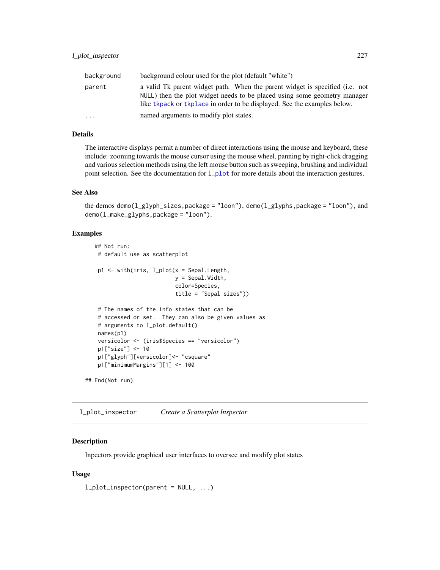| background | background colour used for the plot (default "white")                                                                                                                                                                                 |
|------------|---------------------------------------------------------------------------------------------------------------------------------------------------------------------------------------------------------------------------------------|
| parent     | a valid Tk parent widget path. When the parent widget is specified (i.e. not<br>NULL) then the plot widget needs to be placed using some geometry manager<br>like tkpack or tkplace in order to be displayed. See the examples below. |
| $\ddotsc$  | named arguments to modify plot states.                                                                                                                                                                                                |

## Details

The interactive displays permit a number of direct interactions using the mouse and keyboard, these include: zooming towards the mouse cursor using the mouse wheel, panning by right-click dragging and various selection methods using the left mouse button such as sweeping, brushing and individual point selection. See the documentation for  $1$ <sub>-plot</sub> for more details about the interaction gestures.

#### See Also

```
the demos demo(l_glyph_sizes,package = "loon"), demo(l_glyphs,package = "loon"), and
demo(l_make_glyphs,package = "loon").
```
#### Examples

```
## Not run:
 # default use as scatterplot
p1 \le - with(iris, l\_plot(x = Sepal. Length,
                         y = Sepal.Width,
                         color=Species,
                         title = "Sepal sizes"))
 # The names of the info states that can be
 # accessed or set. They can also be given values as
 # arguments to l_plot.default()
names(p1)
versicolor <- (iris$Species == "versicolor")
p1["size"] <- 10
p1["glyph"][versicolor]<- "csquare"
p1["minimumMargins"][1] <- 100
```

```
## End(Not run)
```
l\_plot\_inspector *Create a Scatterplot Inspector*

#### Description

Inpectors provide graphical user interfaces to oversee and modify plot states

#### Usage

l\_plot\_inspector(parent = NULL, ...)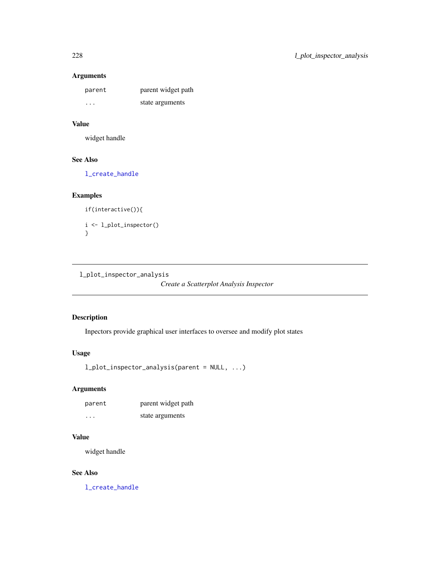# Arguments

| parent | parent widget path |
|--------|--------------------|
| .      | state arguments    |

## Value

widget handle

### See Also

[l\\_create\\_handle](#page-68-0)

### Examples

```
if(interactive()){
i <- l_plot_inspector()
}
```
l\_plot\_inspector\_analysis

*Create a Scatterplot Analysis Inspector*

# Description

Inpectors provide graphical user interfaces to oversee and modify plot states

# Usage

l\_plot\_inspector\_analysis(parent = NULL, ...)

# Arguments

| parent | parent widget path |
|--------|--------------------|
| .      | state arguments    |

#### Value

widget handle

### See Also

[l\\_create\\_handle](#page-68-0)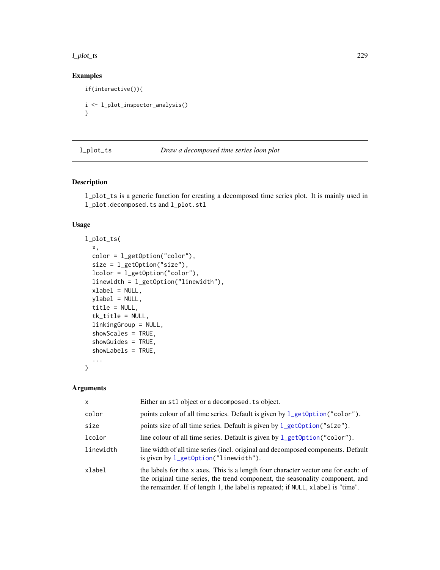#### l\_plot\_ts 229

## Examples

```
if(interactive()){
i <- l_plot_inspector_analysis()
}
```
<span id="page-228-0"></span>

l\_plot\_ts *Draw a decomposed time series loon plot*

### Description

l\_plot\_ts is a generic function for creating a decomposed time series plot. It is mainly used in l\_plot.decomposed.ts and l\_plot.stl

### Usage

```
l_plot_ts(
  x,
  color = l_getOption("color"),
  size = l_getOption("size"),
  lcolor = l_getOption("color"),
  linewidth = l_getOption("linewidth"),
  xlabel = NULL,ylabel = NULL,
  title = NULL,
  tk_title = NULL,
  linkingGroup = NULL,
  showScales = TRUE,
  showGuides = TRUE,
  showLabels = TRUE,
  ...
)
```
# Arguments

| $\mathsf{x}$ | Either an st1 object or a decomposed. ts object.                                                                                                                                                                                                        |
|--------------|---------------------------------------------------------------------------------------------------------------------------------------------------------------------------------------------------------------------------------------------------------|
| color        | points colour of all time series. Default is given by l_get0ption("color").                                                                                                                                                                             |
| size         | points size of all time series. Default is given by $l_g$ etOption("size").                                                                                                                                                                             |
| lcolor       | line colour of all time series. Default is given by $l$ _get0ption("color").                                                                                                                                                                            |
| linewidth    | line width of all time series (incl. original and decomposed components. Default<br>is given by $l_getOption("linewidth").$                                                                                                                             |
| xlabel       | the labels for the x axes. This is a length four character vector one for each: of<br>the original time series, the trend component, the seasonality component, and<br>the remainder. If of length 1, the label is repeated; if NULL, xlabel is "time". |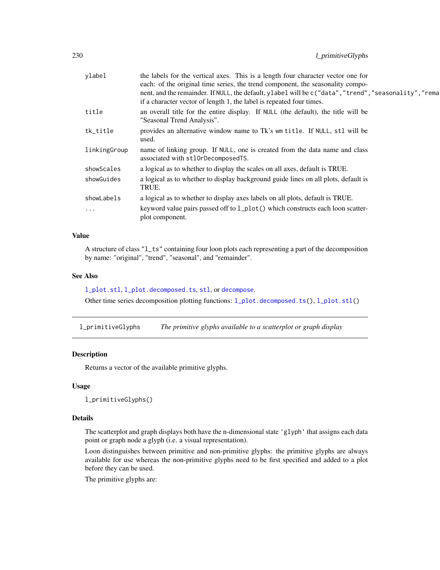| ylabel       | the labels for the vertical axes. This is a length four character vector one for<br>each: of the original time series, the trend component, the seasonality compo-<br>nent, and the remainder. If NULL, the default, ylabel will be c("data", "trend", "seasonality", "rema<br>if a character vector of length 1, the label is repeated four times. |
|--------------|-----------------------------------------------------------------------------------------------------------------------------------------------------------------------------------------------------------------------------------------------------------------------------------------------------------------------------------------------------|
| title        | an overall title for the entire display. If NULL (the default), the title will be<br>"Seasonal Trend Analysis".                                                                                                                                                                                                                                     |
| tk_title     | provides an alternative window name to Tk's wm title. If NULL, stl will be<br>used.                                                                                                                                                                                                                                                                 |
| linkingGroup | name of linking group. If NULL, one is created from the data name and class<br>associated with stl0rDecomposedTS.                                                                                                                                                                                                                                   |
| showScales   | a logical as to whether to display the scales on all axes, default is TRUE.                                                                                                                                                                                                                                                                         |
| showGuides   | a logical as to whether to display background guide lines on all plots, default is<br>TRUE.                                                                                                                                                                                                                                                         |
| showLabels   | a logical as to whether to display axes labels on all plots, default is TRUE.                                                                                                                                                                                                                                                                       |
| $\cdots$     | keyword value pairs passed off to 1_plot() which constructs each loon scatter-<br>plot component.                                                                                                                                                                                                                                                   |
|              |                                                                                                                                                                                                                                                                                                                                                     |

## Value

A structure of class "l\_ts" containing four loon plots each representing a part of the decomposition by name: "original", "trend", "seasonal", and "remainder".

#### See Also

[l\\_plot.stl](#page-217-0), [l\\_plot.decomposed.ts](#page-210-0), [stl](#page-0-0), or [decompose](#page-0-0). Other time series decomposition plotting functions: [l\\_plot.decomposed.ts\(](#page-210-0)), [l\\_plot.stl\(](#page-217-0))

<span id="page-229-0"></span>l\_primitiveGlyphs *The primitive glyphs available to a scatterplot or graph display*

### Description

Returns a vector of the available primitive glyphs.

### Usage

l\_primitiveGlyphs()

#### Details

The scatterplot and graph displays both have the n-dimensional state 'glyph' that assigns each data point or graph node a glyph (i.e. a visual representation).

Loon distinguishes between primitive and non-primitive glyphs: the primitive glyphs are always available for use whereas the non-primitive glyphs need to be first specified and added to a plot before they can be used.

The primitive glyphs are: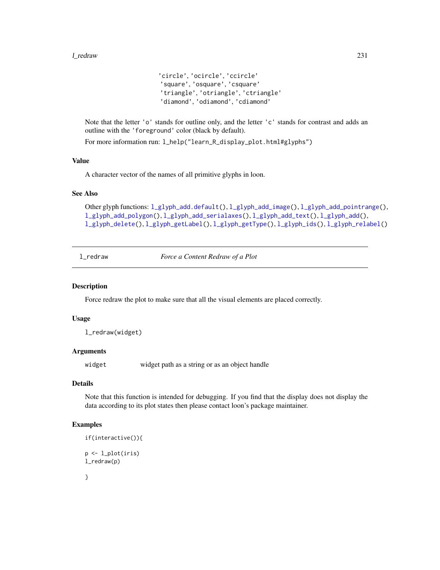#### l\_redraw 231

```
'circle', 'ocircle', 'ccircle'
'square', 'osquare', 'csquare'
'triangle', 'otriangle', 'ctriangle'
'diamond', 'odiamond', 'cdiamond'
```
Note that the letter 'o' stands for outline only, and the letter 'c' stands for contrast and adds an outline with the 'foreground' color (black by default).

For more information run: l\_help("learn\_R\_display\_plot.html#glyphs")

#### Value

A character vector of the names of all primitive glyphs in loon.

#### See Also

Other glyph functions: [l\\_glyph\\_add.default\(](#page-90-0)), [l\\_glyph\\_add\\_image\(](#page-91-0)), [l\\_glyph\\_add\\_pointrange\(](#page-92-0)), [l\\_glyph\\_add\\_polygon\(](#page-93-0)), [l\\_glyph\\_add\\_serialaxes\(](#page-95-0)), [l\\_glyph\\_add\\_text\(](#page-96-0)), [l\\_glyph\\_add\(](#page-89-0)), [l\\_glyph\\_delete\(](#page-97-0)), [l\\_glyph\\_getLabel\(](#page-97-1)), [l\\_glyph\\_getType\(](#page-98-0)), [l\\_glyph\\_ids\(](#page-98-1)), [l\\_glyph\\_relabel\(](#page-99-0))

l\_redraw *Force a Content Redraw of a Plot*

#### Description

Force redraw the plot to make sure that all the visual elements are placed correctly.

#### Usage

l\_redraw(widget)

#### Arguments

widget widget path as a string or as an object handle

## Details

Note that this function is intended for debugging. If you find that the display does not display the data according to its plot states then please contact loon's package maintainer.

#### Examples

```
if(interactive()){
p <- l_plot(iris)
l_redraw(p)
```

```
}
```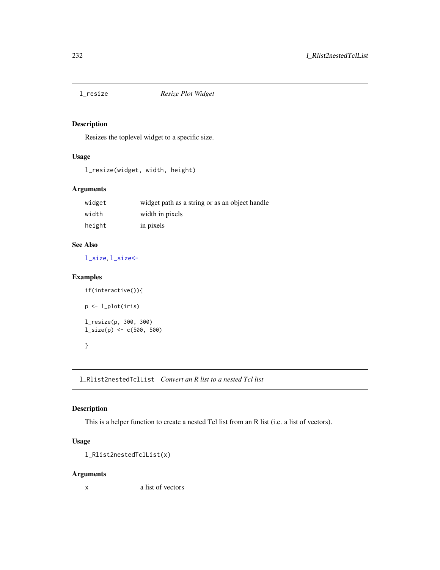### Description

Resizes the toplevel widget to a specific size.

## Usage

l\_resize(widget, width, height)

## Arguments

| widget | widget path as a string or as an object handle |
|--------|------------------------------------------------|
| width  | width in pixels                                |
| height | in pixels                                      |

### See Also

[l\\_size](#page-252-0), [l\\_size<-](#page-253-0)

### Examples

```
if(interactive()){
p <- l_plot(iris)
l_resize(p, 300, 300)
l_size(p) <- c(500, 500)
}
```
l\_Rlist2nestedTclList *Convert an R list to a nested Tcl list*

## Description

This is a helper function to create a nested Tcl list from an R list (i.e. a list of vectors).

# Usage

l\_Rlist2nestedTclList(x)

### Arguments

x a list of vectors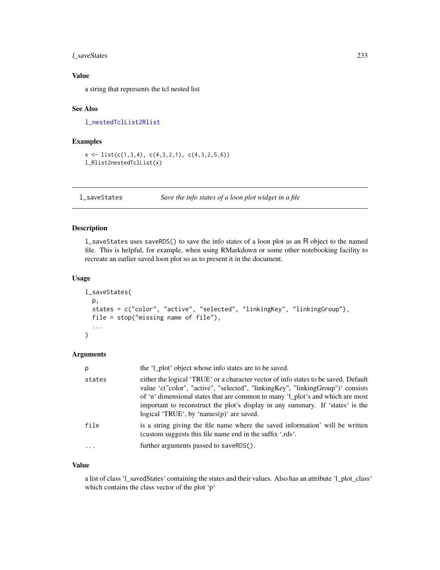#### l\_saveStates 233

# Value

a string that represents the tcl nested list

### See Also

[l\\_nestedTclList2Rlist](#page-197-0)

#### Examples

```
x \leftarrow \text{list}(c(1,3,4), c(4,3,2,1), c(4,3,2,5,6))l_Rlist2nestedTclList(x)
```
l\_saveStates *Save the info states of a loon plot widget in a file*

#### Description

l\_saveStates uses saveRDS() to save the info states of a loon plot as an R object to the named file. This is helpful, for example, when using RMarkdown or some other notebooking facility to recreate an earlier saved loon plot so as to present it in the document.

### Usage

```
l_saveStates(
 p,
  states = c("color", "active", "selected", "linkingKey", "linkingGroup"),
 file = stop("missing name of file"),
  ...
)
```
#### Arguments

| states<br>logical 'TRUE', by 'names(p)' are saved.<br>file<br>(custom suggests this file name end in the suffix '.rds'.<br>further arguments passed to saveRDS().<br>$\ddots$ | p | the 'l_plot' object whose info states are to be saved.                                                                                                                                                                                                                                                                                     |
|-------------------------------------------------------------------------------------------------------------------------------------------------------------------------------|---|--------------------------------------------------------------------------------------------------------------------------------------------------------------------------------------------------------------------------------------------------------------------------------------------------------------------------------------------|
|                                                                                                                                                                               |   | either the logical 'TRUE' or a character vector of info states to be saved. Default<br>value 'c("color", "active", "selected", "linkingKey", "linkingGroup")' consists<br>of 'n' dimensional states that are common to many 'l_plot's and which are most<br>important to reconstruct the plot's display in any summary. If 'states' is the |
|                                                                                                                                                                               |   | is a string giving the file name where the saved information' will be written                                                                                                                                                                                                                                                              |
|                                                                                                                                                                               |   |                                                                                                                                                                                                                                                                                                                                            |

#### Value

a list of class 'l\_savedStates' containing the states and their values. Also has an attribute 'l\_plot\_class' which contains the class vector of the plot 'p'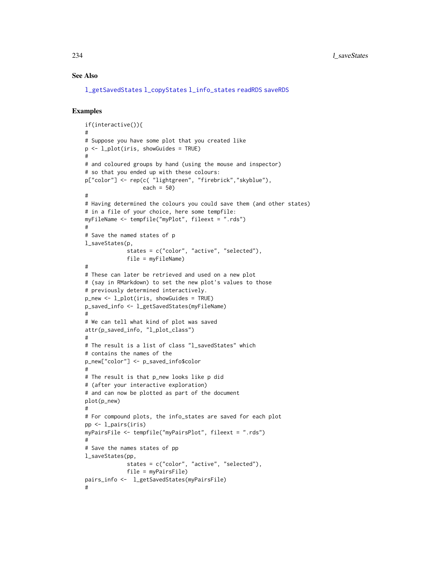### See Also

[l\\_getSavedStates](#page-82-0) [l\\_copyStates](#page-65-0) [l\\_info\\_states](#page-121-0) [readRDS](#page-0-0) [saveRDS](#page-0-0)

## Examples

```
if(interactive()){
#
# Suppose you have some plot that you created like
p <- l_plot(iris, showGuides = TRUE)
#
# and coloured groups by hand (using the mouse and inspector)
# so that you ended up with these colours:
p["color"] <- rep(c( "lightgreen", "firebrick","skyblue"),
                  each = 50)
#
# Having determined the colours you could save them (and other states)
# in a file of your choice, here some tempfile:
myFileName <- tempfile("myPlot", fileext = ".rds")
#
# Save the named states of p
l_saveStates(p,
             states = c("color", "active", "selected"),
             file = myFileName)
#
# These can later be retrieved and used on a new plot
# (say in RMarkdown) to set the new plot's values to those
# previously determined interactively.
p_new <- l_plot(iris, showGuides = TRUE)
p_saved_info <- l_getSavedStates(myFileName)
#
# We can tell what kind of plot was saved
attr(p_saved_info, "l_plot_class")
#
# The result is a list of class "l_savedStates" which
# contains the names of the
p_new["color"] <- p_saved_info$color
#
# The result is that p_new looks like p did
# (after your interactive exploration)
# and can now be plotted as part of the document
plot(p_new)
#
# For compound plots, the info_states are saved for each plot
pp <- l_pairs(iris)
myPairsFile <- tempfile("myPairsPlot", fileext = ".rds")
#
# Save the names states of pp
l_saveStates(pp,
             states = c("color", "active", "selected"),
             file = myPairsFile)
pairs_info <- l_getSavedStates(myPairsFile)
#
```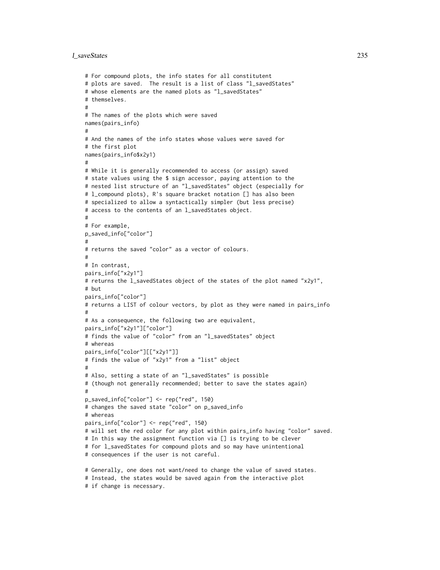#### l saveStates 235

```
# For compound plots, the info states for all constitutent
# plots are saved. The result is a list of class "l_savedStates"
# whose elements are the named plots as "l_savedStates"
# themselves.
#
# The names of the plots which were saved
names(pairs_info)
#
# And the names of the info states whose values were saved for
# the first plot
names(pairs_info$x2y1)
#
# While it is generally recommended to access (or assign) saved
# state values using the $ sign accessor, paying attention to the
# nested list structure of an "l_savedStates" object (especially for
# l_compound plots), R's square bracket notation [] has also been
# specialized to allow a syntactically simpler (but less precise)
# access to the contents of an l_savedStates object.
#
# For example,
p_saved_info["color"]
#
# returns the saved "color" as a vector of colours.
#
# In contrast,
pairs_info["x2y1"]
# returns the l_savedStates object of the states of the plot named "x2y1",
# but
pairs_info["color"]
# returns a LIST of colour vectors, by plot as they were named in pairs_info
#
# As a consequence, the following two are equivalent,
pairs_info["x2y1"]["color"]
# finds the value of "color" from an "l_savedStates" object
# whereas
pairs_info["color"][["x2y1"]]
# finds the value of "x2y1" from a "list" object
#
# Also, setting a state of an "l_savedStates" is possible
# (though not generally recommended; better to save the states again)
#
p_saved_info["color"] <- rep("red", 150)
# changes the saved state "color" on p_saved_info
# whereas
pairs_info["color"] <- rep("red", 150)
# will set the red color for any plot within pairs_info having "color" saved.
# In this way the assignment function via [] is trying to be clever
# for l_savedStates for compound plots and so may have unintentional
# consequences if the user is not careful.
# Generally, one does not want/need to change the value of saved states.
```
# Instead, the states would be saved again from the interactive plot # if change is necessary.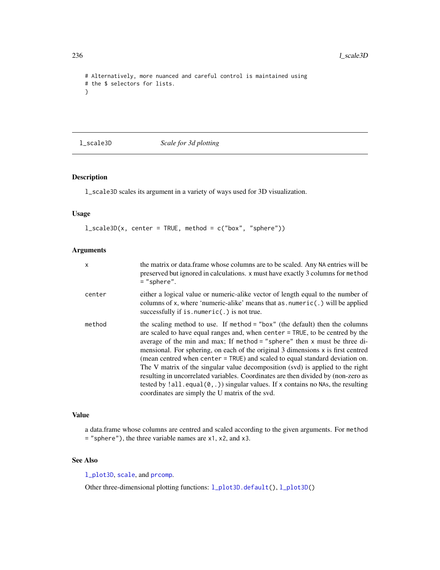```
# Alternatively, more nuanced and careful control is maintained using
# the $ selectors for lists.
}
```
<span id="page-235-0"></span>l\_scale3D *Scale for 3d plotting*

# Description

l\_scale3D scales its argument in a variety of ways used for 3D visualization.

### Usage

```
l\_scale3D(x, center = TRUE, method = c("box", "sphere"))
```
### Arguments

| $\mathsf{x}$ | the matrix or data. frame whose columns are to be scaled. Any NA entries will be<br>preserved but ignored in calculations. x must have exactly 3 columns for method<br>$=$ "sphere".                                                                                                                                                                                                                                                                                                                                                                                                                                                                                                                                           |
|--------------|--------------------------------------------------------------------------------------------------------------------------------------------------------------------------------------------------------------------------------------------------------------------------------------------------------------------------------------------------------------------------------------------------------------------------------------------------------------------------------------------------------------------------------------------------------------------------------------------------------------------------------------------------------------------------------------------------------------------------------|
| center       | either a logical value or numeric-alike vector of length equal to the number of<br>columns of x, where 'numeric-alike' means that as $.$ numeric( $.$ ) will be applied<br>successfully if $is$ . numeric(.) is not true.                                                                                                                                                                                                                                                                                                                                                                                                                                                                                                      |
| method       | the scaling method to use. If method = "box" (the default) then the columns<br>are scaled to have equal ranges and, when center = TRUE, to be centred by the<br>average of the min and max; If method = "sphere" then x must be three di-<br>mensional. For sphering, on each of the original 3 dimensions x is first centred<br>(mean centred when center = TRUE) and scaled to equal standard deviation on.<br>The V matrix of the singular value decomposition (svd) is applied to the right<br>resulting in uncorrelated variables. Coordinates are then divided by (non-zero as<br>tested by $!all.equals(0, .))$ singular values. If x contains no NAs, the resulting<br>coordinates are simply the U matrix of the svd. |

#### Value

a data.frame whose columns are centred and scaled according to the given arguments. For method = "sphere"), the three variable names are x1, x2, and x3.

### See Also

[l\\_plot3D](#page-219-0), [scale](#page-0-0), and [prcomp](#page-0-0).

Other three-dimensional plotting functions:  $l$ \_plot3D.default(),  $l$ \_plot3D()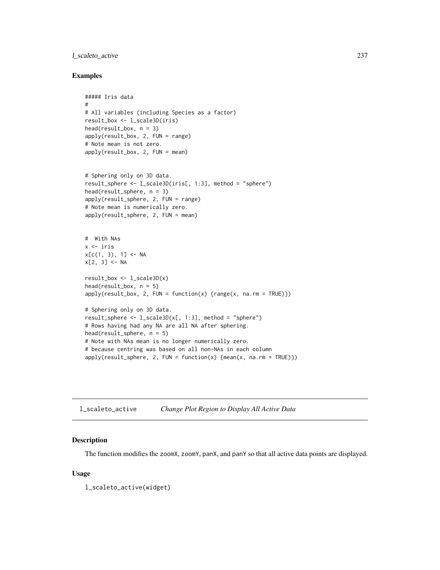### l\_scaleto\_active 237

### Examples

```
##### Iris data
#
# All variables (including Species as a factor)
result_box <- l_scale3D(iris)
head(result_box, n = 3)
apply(result_box, 2, FUN = range)
# Note mean is not zero.
apply(result_box, 2, FUN = mean)
# Sphering only on 3D data.
result_sphere <- l_scale3D(iris[, 1:3], method = "sphere")
head(result_sphere, n = 3)
apply(result_sphere, 2, FUN = range)
# Note mean is numerically zero.
```
apply(result\_sphere, 2, FUN = mean)

```
# With NAs
x <- iris
x[c(1, 3), 1] <- NA
x[2, 3] <- NA
result_box <- l_scale3D(x)
head(result_box, n = 5)
apply(result_box, 2, FUN = function(x) \{range(x, na.rm = TRUE)\})# Sphering only on 3D data.
result_sphere \leftarrow l_scale3D(x[, 1:3], method = "sphere")
# Rows having had any NA are all NA after sphering.
head(result_sphere, n = 5)
# Note with NAs mean is no longer numerically zero.
# because centring was based on all non-NAs in each column
apply(result_sphere, 2, FUN = function(x) {mean(x, na.rm = TRUE)}
```
l\_scaleto\_active *Change Plot Region to Display All Active Data*

#### Description

The function modifies the zoomX, zoomY, panX, and panY so that all active data points are displayed.

#### Usage

l\_scaleto\_active(widget)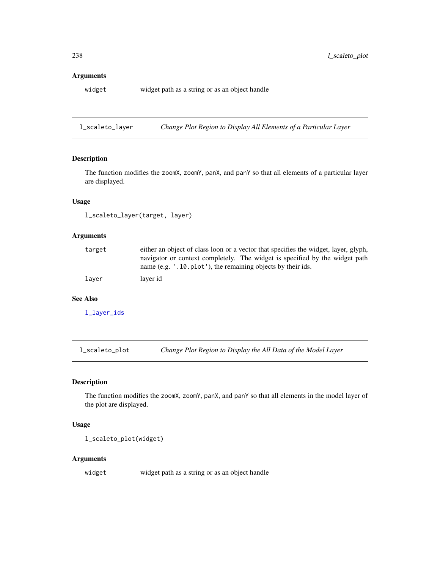#### Arguments

widget widget path as a string or as an object handle

l\_scaleto\_layer *Change Plot Region to Display All Elements of a Particular Layer*

# Description

The function modifies the zoomX, zoomY, panX, and panY so that all elements of a particular layer are displayed.

### Usage

```
l_scaleto_layer(target, layer)
```
## Arguments

| target | either an object of class loon or a vector that specifies the widget, layer, glyph,<br>navigator or context completely. The widget is specified by the widget path<br>name (e.g. '.10. plot'), the remaining objects by their ids. |
|--------|------------------------------------------------------------------------------------------------------------------------------------------------------------------------------------------------------------------------------------|
| laver  | laver id                                                                                                                                                                                                                           |

#### See Also

[l\\_layer\\_ids](#page-151-0)

l\_scaleto\_plot *Change Plot Region to Display the All Data of the Model Layer*

## Description

The function modifies the zoomX, zoomY, panX, and panY so that all elements in the model layer of the plot are displayed.

### Usage

l\_scaleto\_plot(widget)

### Arguments

widget widget path as a string or as an object handle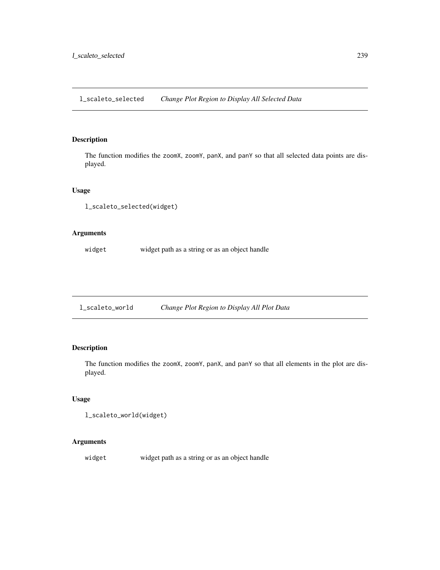l\_scaleto\_selected *Change Plot Region to Display All Selected Data*

### Description

The function modifies the zoomX, zoomY, panX, and panY so that all selected data points are displayed.

#### Usage

```
l_scaleto_selected(widget)
```
### Arguments

widget widget path as a string or as an object handle

l\_scaleto\_world *Change Plot Region to Display All Plot Data*

## Description

The function modifies the zoomX, zoomY, panX, and panY so that all elements in the plot are displayed.

### Usage

```
l_scaleto_world(widget)
```
# Arguments

widget widget path as a string or as an object handle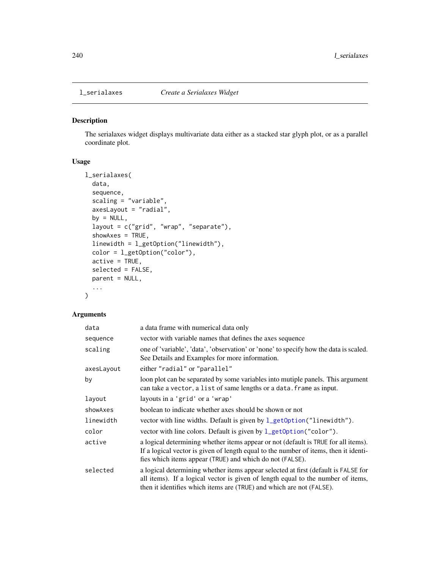### Description

The serialaxes widget displays multivariate data either as a stacked star glyph plot, or as a parallel coordinate plot.

### Usage

```
l_serialaxes(
  data,
  sequence,
  scaling = "variable",
  axesLayout = "radial",
 by = NULL,
  layout = c("grid", "wrap", "separate"),
  shows = TRUE,linewidth = l_getOption("linewidth"),
  color = l_getOption("color"),
  active = TRUE,
  selected = FALSE,
 parent = NULL,
  ...
)
```
## Arguments

| data       | a data frame with numerical data only                                                                                                                                                                                                          |
|------------|------------------------------------------------------------------------------------------------------------------------------------------------------------------------------------------------------------------------------------------------|
| sequence   | vector with variable names that defines the axes sequence                                                                                                                                                                                      |
| scaling    | one of 'variable', 'data', 'observation' or 'none' to specify how the data is scaled.<br>See Details and Examples for more information.                                                                                                        |
| axesLayout | either "radial" or "parallel"                                                                                                                                                                                                                  |
| by         | loon plot can be separated by some variables into mutiple panels. This argument<br>can take a vector, a list of same lengths or a data. frame as input.                                                                                        |
| layout     | layouts in a 'grid' or a 'wrap'                                                                                                                                                                                                                |
| showAxes   | boolean to indicate whether axes should be shown or not                                                                                                                                                                                        |
| linewidth  | vector with line widths. Default is given by $l_g$ etOption("linewidth").                                                                                                                                                                      |
| color      | vector with line colors. Default is given by $1$ _get0ption("color").                                                                                                                                                                          |
| active     | a logical determining whether items appear or not (default is TRUE for all items).<br>If a logical vector is given of length equal to the number of items, then it identi-<br>fies which items appear (TRUE) and which do not (FALSE).         |
| selected   | a logical determining whether items appear selected at first (default is FALSE for<br>all items). If a logical vector is given of length equal to the number of items,<br>then it identifies which items are (TRUE) and which are not (FALSE). |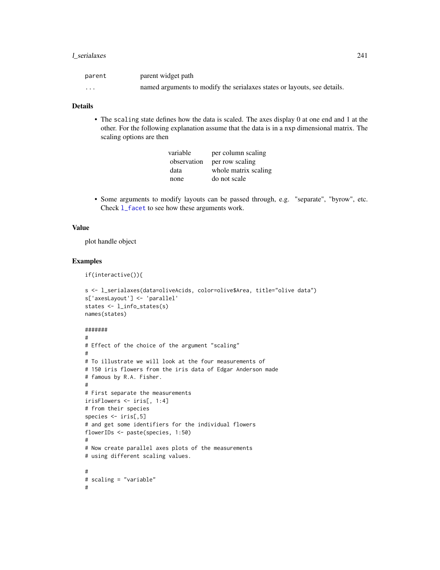#### l\_serialaxes 241

| parent | parent widget path                                                        |
|--------|---------------------------------------------------------------------------|
| .      | named arguments to modify the serial axes states or layouts, see details. |

#### Details

• The scaling state defines how the data is scaled. The axes display 0 at one end and 1 at the other. For the following explanation assume that the data is in a nxp dimensional matrix. The scaling options are then

| per column scaling   |
|----------------------|
| per row scaling      |
| whole matrix scaling |
| do not scale         |
|                      |

• Some arguments to modify layouts can be passed through, e.g. "separate", "byrow", etc. Check [l\\_facet](#page-72-0) to see how these arguments work.

#### Value

plot handle object

### Examples

if(interactive()){

```
s <- l_serialaxes(data=oliveAcids, color=olive$Area, title="olive data")
s['axesLayout'] <- 'parallel'
states <- l_info_states(s)
names(states)
```
#### #######

```
#
# Effect of the choice of the argument "scaling"
#
# To illustrate we will look at the four measurements of
# 150 iris flowers from the iris data of Edgar Anderson made
# famous by R.A. Fisher.
#
# First separate the measurements
irisFlowers <- iris[, 1:4]
# from their species
species <- iris[,5]
# and get some identifiers for the individual flowers
flowerIDs <- paste(species, 1:50)
#
# Now create parallel axes plots of the measurements
# using different scaling values.
#
# scaling = "variable"
#
```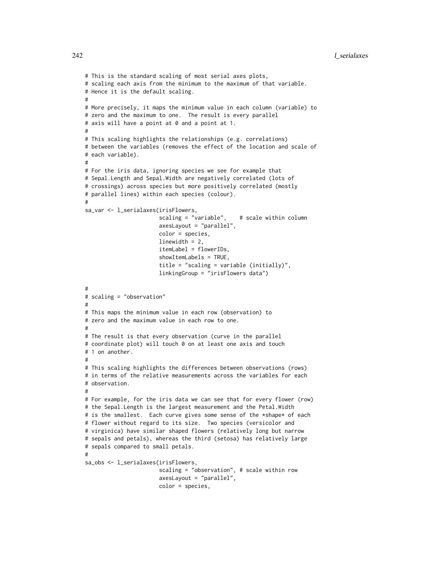```
# This is the standard scaling of most serial axes plots,
# scaling each axis from the minimum to the maximum of that variable.
# Hence it is the default scaling.
#
# More precisely, it maps the minimum value in each column (variable) to
# zero and the maximum to one. The result is every parallel
# axis will have a point at 0 and a point at 1.
#
# This scaling highlights the relationships (e.g. correlations)
# between the variables (removes the effect of the location and scale of
# each variable).
#
# For the iris data, ignoring species we see for example that
# Sepal.Length and Sepal.Width are negatively correlated (lots of
# crossings) across species but more positively correlated (mostly
# parallel lines) within each species (colour).
#
sa_var <- l_serialaxes(irisFlowers,
                       scaling = "variable", # scale within column
                       axesLayout = "parallel",
                       color = species,
                       linewidth = 2,
                       itemLabel = flowerIDs,
                       showItemLabels = TRUE,
                       title = "scaling = variable (initially)",
                       linkingGroup = "irisFlowers data")
#
# scaling = "observation"
#
# This maps the minimum value in each row (observation) to
# zero and the maximum value in each row to one.
#
# The result is that every observation (curve in the parallel
# coordinate plot) will touch 0 on at least one axis and touch
# 1 on another.
#
# This scaling highlights the differences between observations (rows)
# in terms of the relative measurements across the variables for each
# observation.
#
# For example, for the iris data we can see that for every flower (row)
# the Sepal.Length is the largest measurement and the Petal.Width
# is the smallest. Each curve gives some sense of the *shape* of each
# flower without regard to its size. Two species (versicolor and
# virginica) have similar shaped flowers (relatively long but narrow
# sepals and petals), whereas the third (setosa) has relatively large
# sepals compared to small petals.
#
sa_obs <- l_serialaxes(irisFlowers,
                       scaling = "observation", # scale within row
                       axesLayout = "parallel",
                       color = species,
```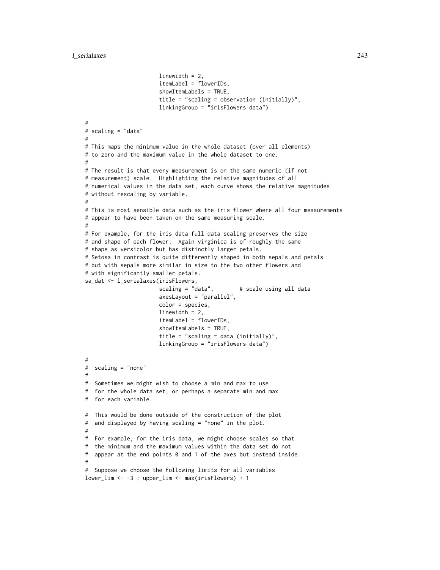```
linewidth = 2,
                       itemLabel = flowerIDs,
                       showItemLabels = TRUE,
                       title = "scaling = observation (initially)",
                       linkingGroup = "irisFlowers data")
#
# scaling = "data"
#
# This maps the minimum value in the whole dataset (over all elements)
# to zero and the maximum value in the whole dataset to one.
#
# The result is that every measurement is on the same numeric (if not
# measurement) scale. Highlighting the relative magnitudes of all
# numerical values in the data set, each curve shows the relative magnitudes
# without rescaling by variable.
#
# This is most sensible data such as the iris flower where all four measurements
# appear to have been taken on the same measuring scale.
#
# For example, for the iris data full data scaling preserves the size
# and shape of each flower. Again virginica is of roughly the same
# shape as versicolor but has distinctly larger petals.
# Setosa in contrast is quite differently shaped in both sepals and petals
# but with sepals more similar in size to the two other flowers and
# with significantly smaller petals.
sa_dat <- l_serialaxes(irisFlowers,
                       scaling = "data", # scale using all data
                       axesLayout = "parallel",
                       color = species,
                       linewidth = 2,
                       itemLabel = flowerIDs,
                       showItemLabels = TRUE,
                       title = "scaling = data (initially)",
                       linkingGroup = "irisFlowers data")
#
# scaling = "none"
#
# Sometimes we might wish to choose a min and max to use
# for the whole data set; or perhaps a separate min and max
# for each variable.
# This would be done outside of the construction of the plot
# and displayed by having scaling = "none" in the plot.
#
# For example, for the iris data, we might choose scales so that
# the minimum and the maximum values within the data set do not
# appear at the end points 0 and 1 of the axes but instead inside.
#
# Suppose we choose the following limits for all variables
lower_lim <- -3 ; upper_lim <- max(irisFlowers) + 1
```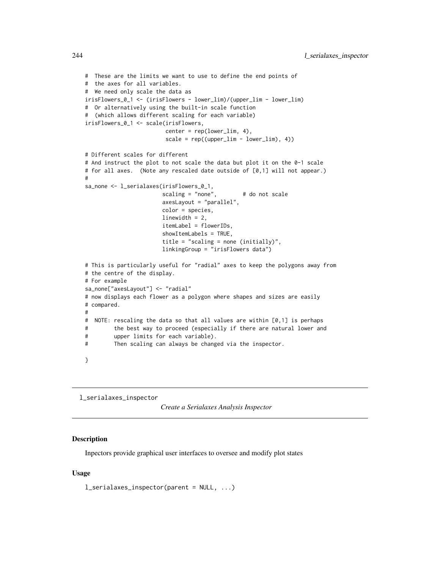```
# These are the limits we want to use to define the end points of
# the axes for all variables.
# We need only scale the data as
irisFlowers_0_1 <- (irisFlowers - lower_lim)/(upper_lim - lower_lim)
# Or alternatively using the built-in scale function
# (which allows different scaling for each variable)
irisFlowers_0_1 <- scale(irisFlowers,
                        center = rep(lower_lim, 4),scale = rep((upper\_lim - lower\_lim), 4))# Different scales for different
# And instruct the plot to not scale the data but plot it on the 0-1 scale
# for all axes. (Note any rescaled date outside of [0,1] will not appear.)
#
sa_none <- l_serialaxes(irisFlowers_0_1,
                       scaling = "none", # do not scale
                       axesLayout = "parallel",
                       color = species,
                       linewidth = 2,
                       itemLabel = flowerIDs,
                       showItemLabels = TRUE,
                       title = "scaling = none (initially)",
                       linkingGroup = "irisFlowers data")
# This is particularly useful for "radial" axes to keep the polygons away from
# the centre of the display.
# For example
sa_none["axesLayout"] <- "radial"
# now displays each flower as a polygon where shapes and sizes are easily
# compared.
#
# NOTE: rescaling the data so that all values are within [0,1] is perhaps
# the best way to proceed (especially if there are natural lower and
# upper limits for each variable).
# Then scaling can always be changed via the inspector.
}
```
l\_serialaxes\_inspector

```
Create a Serialaxes Analysis Inspector
```
#### Description

Inpectors provide graphical user interfaces to oversee and modify plot states

#### Usage

l\_serialaxes\_inspector(parent = NULL, ...)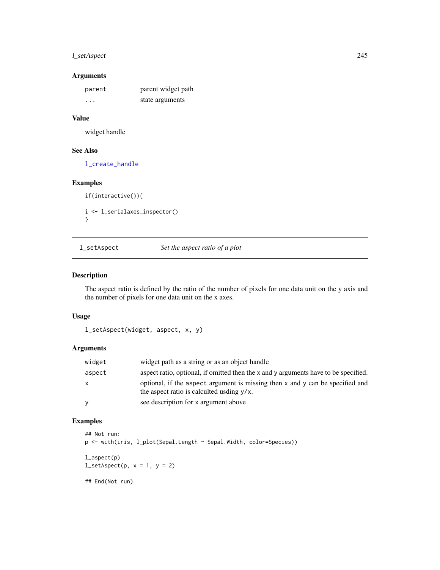### l\_setAspect 245

#### Arguments

| parent | parent widget path |
|--------|--------------------|
| .      | state arguments    |

# Value

widget handle

### See Also

[l\\_create\\_handle](#page-68-0)

### Examples

```
if(interactive()){
i <- l_serialaxes_inspector()
}
```
l\_setAspect *Set the aspect ratio of a plot*

### Description

The aspect ratio is defined by the ratio of the number of pixels for one data unit on the y axis and the number of pixels for one data unit on the x axes.

### Usage

```
l_setAspect(widget, aspect, x, y)
```
## Arguments

| widget   | widget path as a string or as an object handle                                                                                    |
|----------|-----------------------------------------------------------------------------------------------------------------------------------|
| aspect   | aspect ratio, optional, if omitted then the x and y arguments have to be specified.                                               |
| X        | optional, if the aspect argument is missing then $x$ and $y$ can be specified and<br>the aspect ratio is calculted usding $y/x$ . |
| <b>V</b> | see description for x argument above                                                                                              |

### Examples

```
## Not run:
p <- with(iris, l_plot(Sepal.Length ~ Sepal.Width, color=Species))
l_aspect(p)
l_setAspect(p, x = 1, y = 2)
```
## End(Not run)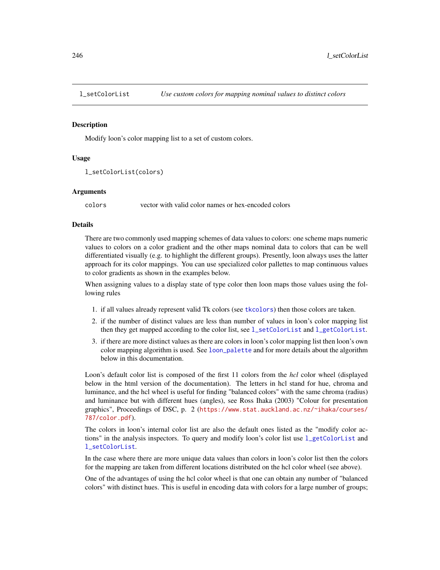<span id="page-245-0"></span>

#### **Description**

Modify loon's color mapping list to a set of custom colors.

## Usage

```
l_setColorList(colors)
```
#### Arguments

colors vector with valid color names or hex-encoded colors

### Details

There are two commonly used mapping schemes of data values to colors: one scheme maps numeric values to colors on a color gradient and the other maps nominal data to colors that can be well differentiated visually (e.g. to highlight the different groups). Presently, loon always uses the latter approach for its color mappings. You can use specialized color pallettes to map continuous values to color gradients as shown in the examples below.

When assigning values to a display state of type color then loon maps those values using the following rules

- 1. if all values already represent valid Tk colors (see [tkcolors](#page-269-0)) then those colors are taken.
- 2. if the number of distinct values are less than number of values in loon's color mapping list then they get mapped according to the color list, see [l\\_setColorList](#page-245-0) and [l\\_getColorList](#page-76-0).
- 3. if there are more distinct values as there are colors in loon's color mapping list then loon's own color mapping algorithm is used. See [loon\\_palette](#page-28-0) and for more details about the algorithm below in this documentation.

Loon's default color list is composed of the first 11 colors from the *hcl* color wheel (displayed below in the html version of the documentation). The letters in hcl stand for hue, chroma and luminance, and the hcl wheel is useful for finding "balanced colors" with the same chroma (radius) and luminance but with different hues (angles), see Ross Ihaka (2003) "Colour for presentation graphics", Proceedings of DSC, p. 2 ([https://www.stat.auckland.ac.nz/~ihaka/courses/](https://www.stat.auckland.ac.nz/~ihaka/courses/787/color.pdf) [787/color.pdf](https://www.stat.auckland.ac.nz/~ihaka/courses/787/color.pdf)).

The colors in loon's internal color list are also the default ones listed as the "modify color actions" in the analysis inspectors. To query and modify loon's color list use [l\\_getColorList](#page-76-0) and [l\\_setColorList](#page-245-0).

In the case where there are more unique data values than colors in loon's color list then the colors for the mapping are taken from different locations distributed on the hcl color wheel (see above).

One of the advantages of using the hcl color wheel is that one can obtain any number of "balanced colors" with distinct hues. This is useful in encoding data with colors for a large number of groups;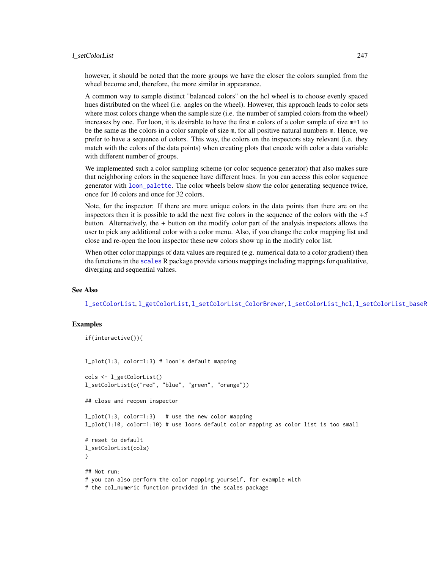#### l setColorList 247

however, it should be noted that the more groups we have the closer the colors sampled from the wheel become and, therefore, the more similar in appearance.

A common way to sample distinct "balanced colors" on the hcl wheel is to choose evenly spaced hues distributed on the wheel (i.e. angles on the wheel). However, this approach leads to color sets where most colors change when the sample size (i.e. the number of sampled colors from the wheel) increases by one. For loon, it is desirable to have the first m colors of a color sample of size m+1 to be the same as the colors in a color sample of size m, for all positive natural numbers m. Hence, we prefer to have a sequence of colors. This way, the colors on the inspectors stay relevant (i.e. they match with the colors of the data points) when creating plots that encode with color a data variable with different number of groups.

We implemented such a color sampling scheme (or color sequence generator) that also makes sure that neighboring colors in the sequence have different hues. In you can access this color sequence generator with [loon\\_palette](#page-28-0). The color wheels below show the color generating sequence twice, once for 16 colors and once for 32 colors.

Note, for the inspector: If there are more unique colors in the data points than there are on the inspectors then it is possible to add the next five colors in the sequence of the colors with the *+5* button. Alternatively, the *+* button on the modify color part of the analysis inspectors allows the user to pick any additional color with a color menu. Also, if you change the color mapping list and close and re-open the loon inspector these new colors show up in the modify color list.

When other color mappings of data values are required (e.g. numerical data to a color gradient) then the functions in the [scales](#page-0-0) R package provide various mappings including mappings for qualitative, diverging and sequential values.

#### See Also

[l\\_setColorList](#page-245-0), [l\\_getColorList](#page-76-0), [l\\_setColorList\\_ColorBrewer](#page-247-0), [l\\_setColorList\\_hcl](#page-249-0), [l\\_setColorList\\_baseR](#page-247-1)

#### Examples

```
if(interactive()){
l\_plot(1:3, color=1:3) # loon's default mapping
cols <- l_getColorList()
l_setColorList(c("red", "blue", "green", "orange"))
## close and reopen inspector
l.plot(1:3, color=1:3) # use the new color mapping
l_plot(1:10, color=1:10) # use loons default color mapping as color list is too small
# reset to default
l_setColorList(cols)
}
## Not run:
# you can also perform the color mapping yourself, for example with
# the col_numeric function provided in the scales package
```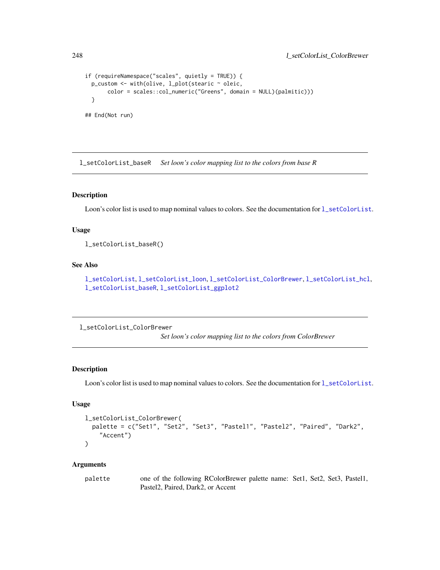```
if (requireNamespace("scales", quietly = TRUE)) {
 p_custom <- with(olive, l_plot(stearic ~ oleic,
      color = scales::col_numeric("Greens", domain = NULL)(palmitic)))
 }
```
## End(Not run)

<span id="page-247-1"></span>l\_setColorList\_baseR *Set loon's color mapping list to the colors from base R*

#### Description

Loon's color list is used to map nominal values to colors. See the documentation for [l\\_setColorList](#page-245-0).

#### Usage

l\_setColorList\_baseR()

### See Also

[l\\_setColorList](#page-245-0), [l\\_setColorList\\_loon](#page-249-1), [l\\_setColorList\\_ColorBrewer](#page-247-0), [l\\_setColorList\\_hcl](#page-249-0), [l\\_setColorList\\_baseR](#page-247-1), [l\\_setColorList\\_ggplot2](#page-248-0)

<span id="page-247-0"></span>l\_setColorList\_ColorBrewer

*Set loon's color mapping list to the colors from ColorBrewer*

### Description

Loon's color list is used to map nominal values to colors. See the documentation for  $l$ \_setColorList.

#### Usage

```
l_setColorList_ColorBrewer(
  palette = c("Set1", "Set2", "Set3", "Pastel1", "Pastel2", "Paired", "Dark2",
    "Accent")
\mathcal{L}
```
#### Arguments

```
palette one of the following RColorBrewer palette name: Set1, Set2, Set3, Pastel1,
                Pastel2, Paired, Dark2, or Accent
```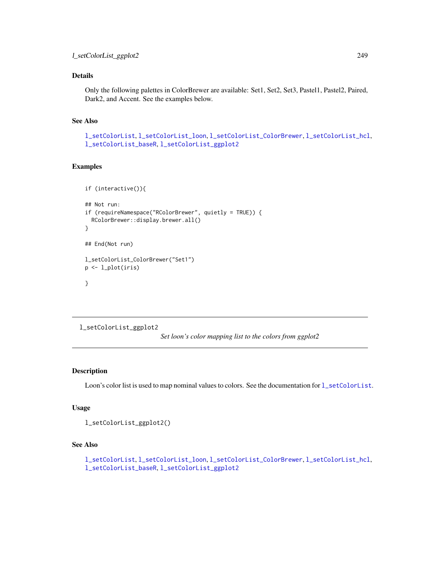# Details

Only the following palettes in ColorBrewer are available: Set1, Set2, Set3, Pastel1, Pastel2, Paired, Dark2, and Accent. See the examples below.

#### See Also

[l\\_setColorList](#page-245-0), [l\\_setColorList\\_loon](#page-249-1), [l\\_setColorList\\_ColorBrewer](#page-247-0), [l\\_setColorList\\_hcl](#page-249-0), [l\\_setColorList\\_baseR](#page-247-1), [l\\_setColorList\\_ggplot2](#page-248-0)

### Examples

```
if (interactive()){
## Not run:
if (requireNamespace("RColorBrewer", quietly = TRUE)) {
  RColorBrewer::display.brewer.all()
}
## End(Not run)
l_setColorList_ColorBrewer("Set1")
p <- l_plot(iris)
}
```
<span id="page-248-0"></span>l\_setColorList\_ggplot2

*Set loon's color mapping list to the colors from ggplot2*

#### Description

Loon's color list is used to map nominal values to colors. See the documentation for [l\\_setColorList](#page-245-0).

#### Usage

l\_setColorList\_ggplot2()

## See Also

```
l_setColorList, l_setColorList_loon, l_setColorList_ColorBrewer, l_setColorList_hcl,
l_setColorList_baseR, l_setColorList_ggplot2
```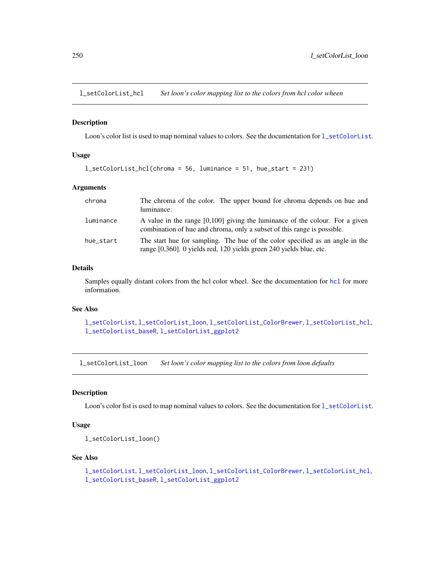<span id="page-249-0"></span>l\_setColorList\_hcl *Set loon's color mapping list to the colors from hcl color wheen*

### **Description**

Loon's color list is used to map nominal values to colors. See the documentation for  $l$ \_setColorList.

#### Usage

```
l_setColorList_hcl(chroma = 56, luminance = 51, hue_start = 231)
```
#### Arguments

| chroma    | The chroma of the color. The upper bound for chroma depends on hue and<br>luminance.                                                                      |
|-----------|-----------------------------------------------------------------------------------------------------------------------------------------------------------|
| luminance | A value in the range $[0,100]$ giving the luminance of the colour. For a given<br>combination of hue and chroma, only a subset of this range is possible. |
| hue_start | The start hue for sampling. The hue of the color specified as an angle in the<br>range [0,360]. 0 yields red, 120 yields green 240 yields blue, etc.      |

#### Details

Samples equally distant colors from the hcl color wheel. See the documentation for [hcl](#page-0-0) for more information.

### See Also

[l\\_setColorList](#page-245-0), [l\\_setColorList\\_loon](#page-249-1), [l\\_setColorList\\_ColorBrewer](#page-247-0), [l\\_setColorList\\_hcl](#page-249-0), [l\\_setColorList\\_baseR](#page-247-1), [l\\_setColorList\\_ggplot2](#page-248-0)

<span id="page-249-1"></span>l\_setColorList\_loon *Set loon's color mapping list to the colors from loon defaults*

#### Description

Loon's color list is used to map nominal values to colors. See the documentation for [l\\_setColorList](#page-245-0).

#### Usage

l\_setColorList\_loon()

#### See Also

[l\\_setColorList](#page-245-0), [l\\_setColorList\\_loon](#page-249-1), [l\\_setColorList\\_ColorBrewer](#page-247-0), [l\\_setColorList\\_hcl](#page-249-0), [l\\_setColorList\\_baseR](#page-247-1), [l\\_setColorList\\_ggplot2](#page-248-0)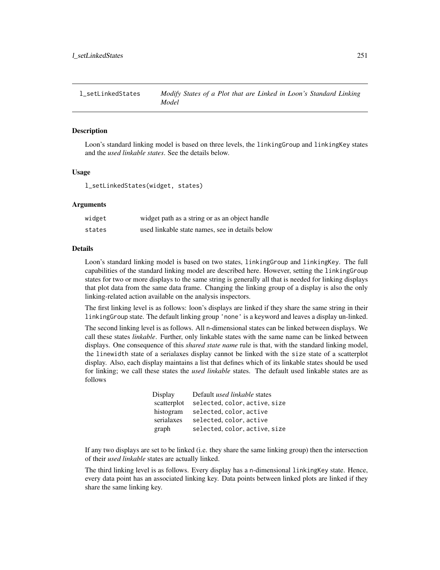<span id="page-250-0"></span>

#### Description

Loon's standard linking model is based on three levels, the linkingGroup and linkingKey states and the *used linkable states*. See the details below.

#### Usage

l\_setLinkedStates(widget, states)

#### Arguments

| widget | widget path as a string or as an object handle  |
|--------|-------------------------------------------------|
| states | used linkable state names, see in details below |

#### Details

Loon's standard linking model is based on two states, linkingGroup and linkingKey. The full capabilities of the standard linking model are described here. However, setting the linkingGroup states for two or more displays to the same string is generally all that is needed for linking displays that plot data from the same data frame. Changing the linking group of a display is also the only linking-related action available on the analysis inspectors.

The first linking level is as follows: loon's displays are linked if they share the same string in their linkingGroup state. The default linking group 'none' is a keyword and leaves a display un-linked.

The second linking level is as follows. All n-dimensional states can be linked between displays. We call these states *linkable*. Further, only linkable states with the same name can be linked between displays. One consequence of this *shared state name* rule is that, with the standard linking model, the linewidth state of a serialaxes display cannot be linked with the size state of a scatterplot display. Also, each display maintains a list that defines which of its linkable states should be used for linking; we call these states the *used linkable* states. The default used linkable states are as follows

| Display     | Default used linkable states  |
|-------------|-------------------------------|
| scatterplot | selected, color, active, size |
| histogram   | selected, color, active       |
| serialaxes  | selected, color, active       |
| graph       | selected, color, active, size |

If any two displays are set to be linked (i.e. they share the same linking group) then the intersection of their *used linkable* states are actually linked.

The third linking level is as follows. Every display has a n-dimensional linkingKey state. Hence, every data point has an associated linking key. Data points between linked plots are linked if they share the same linking key.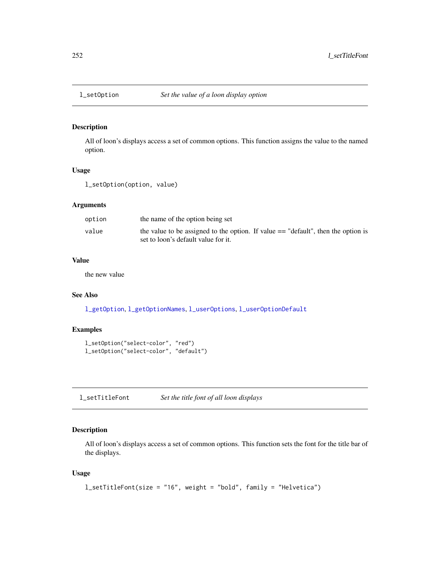## Description

All of loon's displays access a set of common options. This function assigns the value to the named option.

### Usage

l\_setOption(option, value)

#### Arguments

| option | the name of the option being set                                                    |
|--------|-------------------------------------------------------------------------------------|
| value  | the value to be assigned to the option. If value $==$ "default", then the option is |
|        | set to loon's default value for it.                                                 |

### Value

the new value

## See Also

[l\\_getOption](#page-80-0), [l\\_getOptionNames](#page-80-1), [l\\_userOptions](#page-256-0), [l\\_userOptionDefault](#page-256-1)

## Examples

```
l_setOption("select-color", "red")
l_setOption("select-color", "default")
```
l\_setTitleFont *Set the title font of all loon displays*

### Description

All of loon's displays access a set of common options. This function sets the font for the title bar of the displays.

#### Usage

```
l_setTitleFont(size = "16", weight = "bold", family = "Helvetica")
```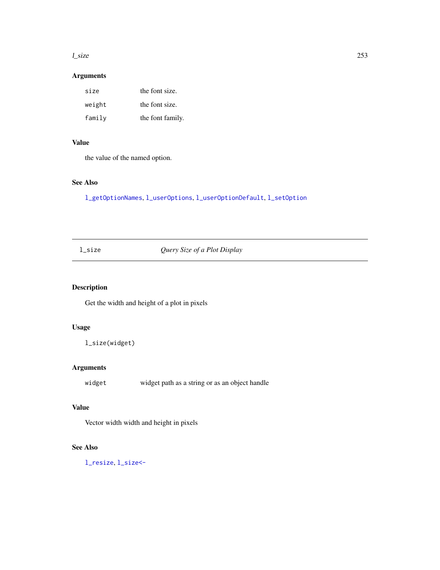#### <span id="page-252-1"></span>l\_size 253

# Arguments

| size   | the font size.   |
|--------|------------------|
| weight | the font size.   |
| family | the font family. |

# Value

the value of the named option.

# See Also

[l\\_getOptionNames](#page-80-0), [l\\_userOptions](#page-256-0), [l\\_userOptionDefault](#page-256-1), [l\\_setOption](#page-251-0)

<span id="page-252-0"></span>l\_size *Query Size of a Plot Display*

# Description

Get the width and height of a plot in pixels

# Usage

l\_size(widget)

# Arguments

widget widget path as a string or as an object handle

# Value

Vector width width and height in pixels

# See Also

[l\\_resize](#page-231-0), [l\\_size<-](#page-253-0)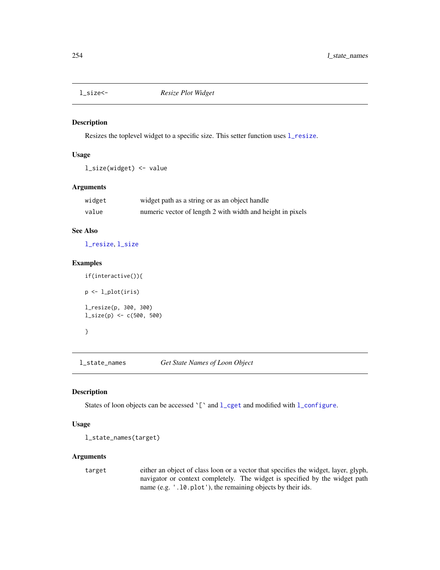<span id="page-253-2"></span><span id="page-253-0"></span>

Resizes the toplevel widget to a specific size. This setter function uses [l\\_resize](#page-231-0).

# Usage

l\_size(widget) <- value

#### Arguments

| widget | widget path as a string or as an object handle             |
|--------|------------------------------------------------------------|
| value  | numeric vector of length 2 with width and height in pixels |

# See Also

[l\\_resize](#page-231-0), [l\\_size](#page-252-0)

# Examples

if(interactive()){ p <- l\_plot(iris) l\_resize(p, 300, 300) l\_size(p) <- c(500, 500) }

<span id="page-253-1"></span>l\_state\_names *Get State Names of Loon Object*

# Description

States of loon objects can be accessed `[` and [l\\_cget](#page-58-0) and modified with [l\\_configure](#page-60-0).

# Usage

l\_state\_names(target)

#### Arguments

target either an object of class loon or a vector that specifies the widget, layer, glyph, navigator or context completely. The widget is specified by the widget path name (e.g. '.l0.plot'), the remaining objects by their ids.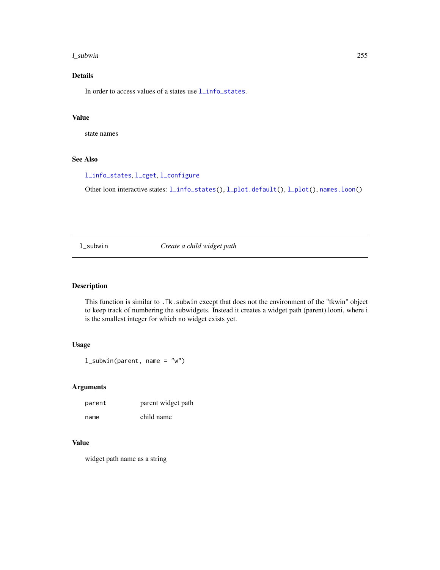#### <span id="page-254-0"></span>l\_subwin 255

# Details

In order to access values of a states use [l\\_info\\_states](#page-121-0).

#### Value

state names

# See Also

# [l\\_info\\_states](#page-121-0), [l\\_cget](#page-58-0), [l\\_configure](#page-60-0)

Other loon interactive states:  $l\_info\_states(), l\_plot.default(), l\_plot(), names.loon()$  $l\_info\_states(), l\_plot.default(), l\_plot(), names.loon()$  $l\_info\_states(), l\_plot.default(), l\_plot(), names.loon()$ 

l\_subwin *Create a child widget path*

# Description

This function is similar to .Tk.subwin except that does not the environment of the "tkwin" object to keep track of numbering the subwidgets. Instead it creates a widget path (parent).looni, where i is the smallest integer for which no widget exists yet.

# Usage

 $l\_subwin(parent, name = "w")$ 

# Arguments

| parent | parent widget path |
|--------|--------------------|
| name   | child name         |

# Value

widget path name as a string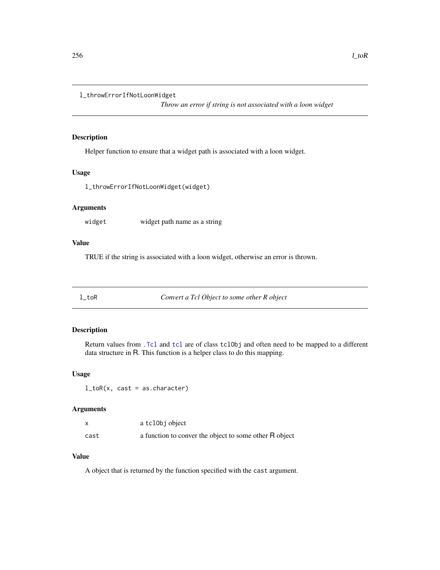#### <span id="page-255-0"></span>l\_throwErrorIfNotLoonWidget

*Throw an error if string is not associated with a loon widget*

# Description

Helper function to ensure that a widget path is associated with a loon widget.

#### Usage

l\_throwErrorIfNotLoonWidget(widget)

# Arguments

widget widget path name as a string

# Value

TRUE if the string is associated with a loon widget, otherwise an error is thrown.

l\_toR *Convert a Tcl Object to some other R object*

#### Description

Return values from [.Tcl](#page-0-0) and [tcl](#page-0-0) are of class tclObj and often need to be mapped to a different data structure in R. This function is a helper class to do this mapping.

#### Usage

 $l_ttoR(x, cast = as.character)$ 

#### Arguments

|      | a tcl0bj object                                        |
|------|--------------------------------------------------------|
| cast | a function to conver the object to some other R object |

# Value

A object that is returned by the function specified with the cast argument.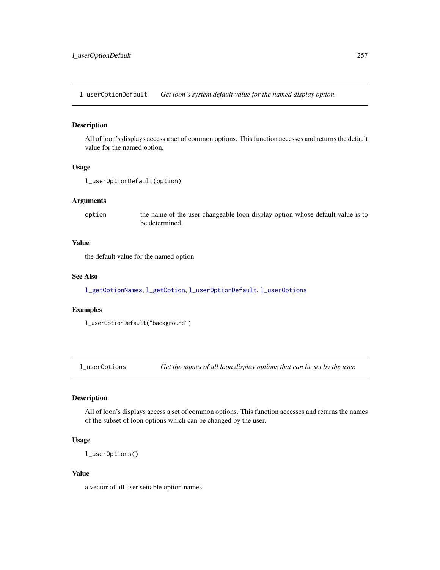<span id="page-256-2"></span><span id="page-256-1"></span>l\_userOptionDefault *Get loon's system default value for the named display option.*

#### Description

All of loon's displays access a set of common options. This function accesses and returns the default value for the named option.

#### Usage

```
l_userOptionDefault(option)
```
#### Arguments

option the name of the user changeable loon display option whose default value is to be determined.

# Value

the default value for the named option

#### See Also

[l\\_getOptionNames](#page-80-0), [l\\_getOption](#page-80-1), [l\\_userOptionDefault](#page-256-1), [l\\_userOptions](#page-256-0)

# Examples

l\_userOptionDefault("background")

<span id="page-256-0"></span>l\_userOptions *Get the names of all loon display options that can be set by the user.*

# Description

All of loon's displays access a set of common options. This function accesses and returns the names of the subset of loon options which can be changed by the user.

# Usage

```
l_userOptions()
```
# Value

a vector of all user settable option names.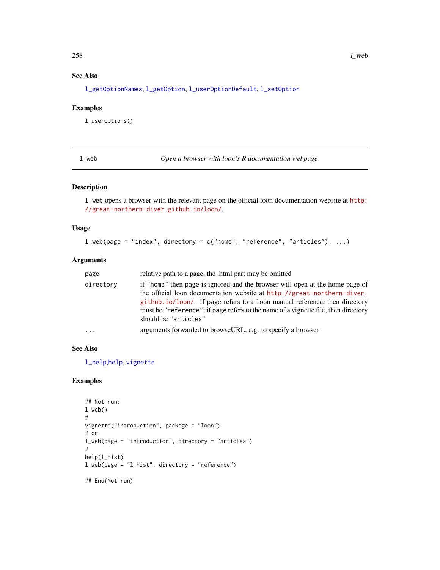# See Also

[l\\_getOptionNames](#page-80-0), [l\\_getOption](#page-80-1), [l\\_userOptionDefault](#page-256-1), [l\\_setOption](#page-251-0)

#### Examples

l\_userOptions()

l\_web *Open a browser with loon's R documentation webpage*

# Description

l\_web opens a browser with the relevant page on the official loon documentation website at [http:](http://great-northern-diver.github.io/loon/) [//great-northern-diver.github.io/loon/](http://great-northern-diver.github.io/loon/).

#### Usage

```
l_web(page = "index", directory = c("home", "reference", "articles"), ...)
```
#### Arguments

| page      | relative path to a page, the .html part may be omitted                                                                                                                                                                                                                                                                                              |
|-----------|-----------------------------------------------------------------------------------------------------------------------------------------------------------------------------------------------------------------------------------------------------------------------------------------------------------------------------------------------------|
| directory | if "home" then page is ignored and the browser will open at the home page of<br>the official loon documentation website at http://great-northern-diver.<br>github.io/loon/. If page refers to a loon manual reference, then directory<br>must be "reference"; if page refers to the name of a vignette file, then directory<br>should be "articles" |
| $\cdots$  | arguments forwarded to browseURL, e.g. to specify a browser                                                                                                                                                                                                                                                                                         |
|           |                                                                                                                                                                                                                                                                                                                                                     |

# See Also

[l\\_help](#page-112-0),[help](#page-0-0), [vignette](#page-0-0)

```
## Not run:
l_web()
#
vignette("introduction", package = "loon")
# or
l_web(page = "introduction", directory = "articles")
#
help(l_hist)
l_web(page = "l_hist", directory = "reference")
## End(Not run)
```
<span id="page-257-0"></span>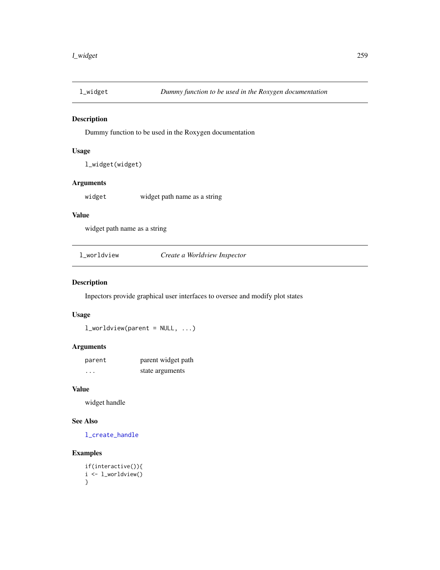<span id="page-258-0"></span>

Dummy function to be used in the Roxygen documentation

# Usage

```
l_widget(widget)
```
# Arguments

widget widget path name as a string

#### Value

widget path name as a string

l\_worldview *Create a Worldview Inspector*

#### Description

Inpectors provide graphical user interfaces to oversee and modify plot states

# Usage

l\_worldview(parent = NULL, ...)

# Arguments

| parent | parent widget path |
|--------|--------------------|
| .      | state arguments    |

# Value

widget handle

# See Also

[l\\_create\\_handle](#page-68-0)

```
if(interactive()){
i <- l_worldview()
}
```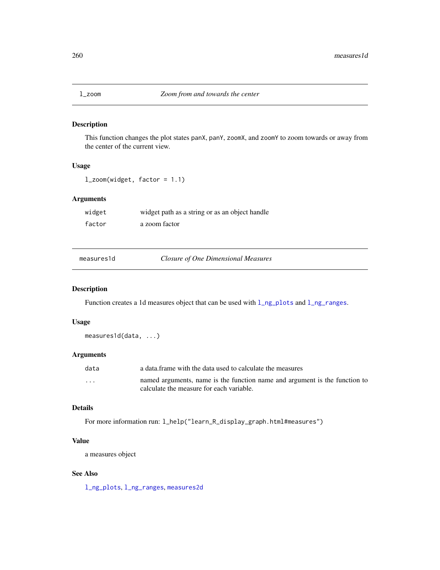<span id="page-259-0"></span>

This function changes the plot states panX, panY, zoomX, and zoomY to zoom towards or away from the center of the current view.

# Usage

l\_zoom(widget, factor = 1.1)

### Arguments

| widget | widget path as a string or as an object handle |
|--------|------------------------------------------------|
| factor | a zoom factor                                  |

measures1d *Closure of One Dimensional Measures*

## Description

Function creates a 1d measures object that can be used with  $l$ \_ng\_plots and  $l$ \_ng\_ranges.

# Usage

measures1d(data, ...)

#### Arguments

| data     | a data frame with the data used to calculate the measures                                                              |
|----------|------------------------------------------------------------------------------------------------------------------------|
| $\cdots$ | named arguments, name is the function name and argument is the function to<br>calculate the measure for each variable. |

# Details

For more information run: l\_help("learn\_R\_display\_graph.html#measures")

# Value

a measures object

# See Also

[l\\_ng\\_plots](#page-198-0), [l\\_ng\\_ranges](#page-203-0), [measures2d](#page-260-0)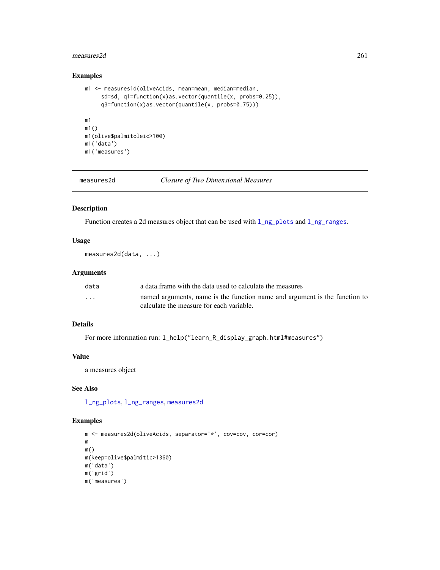#### <span id="page-260-1"></span>measures2d 261

# Examples

```
m1 <- measures1d(oliveAcids, mean=mean, median=median,
     sd=sd, q1=function(x)as.vector(quantile(x, probs=0.25)),
     q3=function(x)as.vector(quantile(x, probs=0.75)))
m1
m1()
m1(olive$palmitoleic>100)
m1('data')
m1('measures')
```
<span id="page-260-0"></span>

measures2d *Closure of Two Dimensional Measures*

# Description

Function creates a 2d measures object that can be used with  $l$ \_ng\_plots and  $l$ \_ng\_ranges.

# Usage

```
measures2d(data, ...)
```
# Arguments

| data                 | a data frame with the data used to calculate the measures                  |
|----------------------|----------------------------------------------------------------------------|
| $\ddot{\phantom{0}}$ | named arguments, name is the function name and argument is the function to |
|                      | calculate the measure for each variable.                                   |

# Details

For more information run: l\_help("learn\_R\_display\_graph.html#measures")

# Value

a measures object

# See Also

[l\\_ng\\_plots](#page-198-0), [l\\_ng\\_ranges](#page-203-0), [measures2d](#page-260-0)

```
m <- measures2d(oliveAcids, separator='*', cov=cov, cor=cor)
m
m()
m(keep=olive$palmitic>1360)
m('data')
m('grid')
m('measures')
```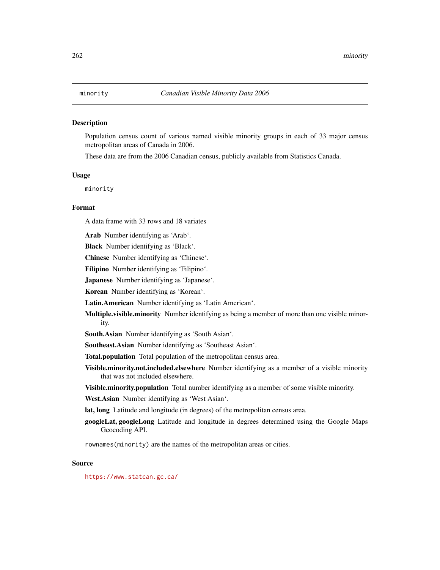<span id="page-261-0"></span>

Population census count of various named visible minority groups in each of 33 major census metropolitan areas of Canada in 2006.

These data are from the 2006 Canadian census, publicly available from Statistics Canada.

#### Usage

minority

#### Format

A data frame with 33 rows and 18 variates

Arab Number identifying as 'Arab'.

Black Number identifying as 'Black'.

Chinese Number identifying as 'Chinese'.

Filipino Number identifying as 'Filipino'.

Japanese Number identifying as 'Japanese'.

Korean Number identifying as 'Korean'.

Latin.American Number identifying as 'Latin American'.

Multiple.visible.minority Number identifying as being a member of more than one visible minority.

South.Asian Number identifying as 'South Asian'.

Southeast.Asian Number identifying as 'Southeast Asian'.

Total.population Total population of the metropolitan census area.

Visible.minority.not.included.elsewhere Number identifying as a member of a visible minority that was not included elsewhere.

Visible.minority.population Total number identifying as a member of some visible minority.

West.Asian Number identifying as 'West Asian'.

lat, long Latitude and longitude (in degrees) of the metropolitan census area.

googleLat, googleLong Latitude and longitude in degrees determined using the Google Maps Geocoding API.

rownames(minority) are the names of the metropolitan areas or cities.

#### Source

<https://www.statcan.gc.ca/>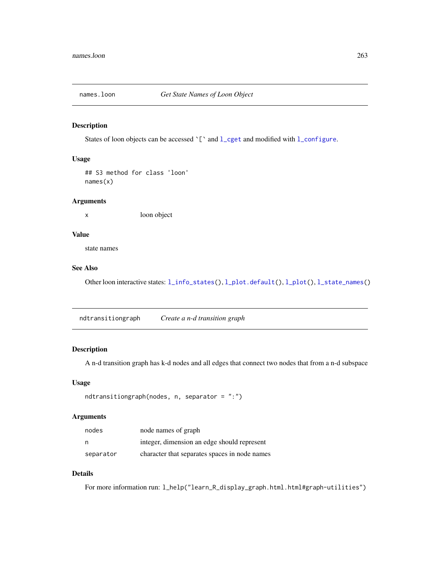<span id="page-262-1"></span><span id="page-262-0"></span>

States of loon objects can be accessed  $\Gamma$  and  $1_{\text{c}}$  and modified with  $1_{\text{c}}$  on figure.

# Usage

## S3 method for class 'loon' names(x)

# Arguments

x loon object

# Value

state names

#### See Also

Other loon interactive states: [l\\_info\\_states\(](#page-121-0)), [l\\_plot.default\(](#page-212-0)), [l\\_plot\(](#page-209-0)), [l\\_state\\_names\(](#page-253-1))

ndtransitiongraph *Create a n-d transition graph*

# Description

A n-d transition graph has k-d nodes and all edges that connect two nodes that from a n-d subspace

#### Usage

```
ndtransitiongraph(nodes, n, separator = ":")
```
# Arguments

| nodes     | node names of graph                           |
|-----------|-----------------------------------------------|
| n         | integer, dimension an edge should represent   |
| separator | character that separates spaces in node names |

# Details

For more information run: l\_help("learn\_R\_display\_graph.html.html#graph-utilities")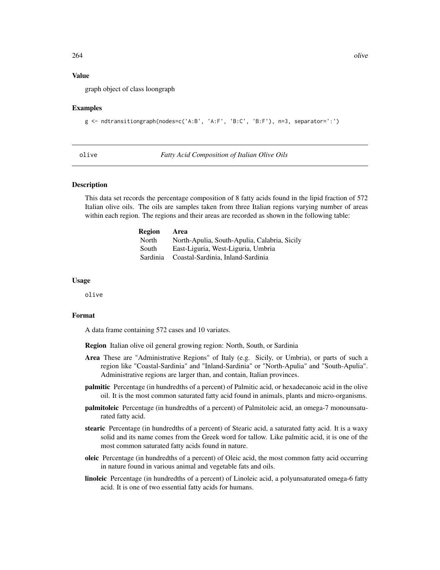#### <span id="page-263-1"></span>Value

graph object of class loongraph

#### Examples

```
g <- ndtransitiongraph(nodes=c('A:B', 'A:F', 'B:C', 'B:F'), n=3, separator=':')
```
<span id="page-263-0"></span>olive *Fatty Acid Composition of Italian Olive Oils*

#### Description

This data set records the percentage composition of 8 fatty acids found in the lipid fraction of 572 Italian olive oils. The oils are samples taken from three Italian regions varying number of areas within each region. The regions and their areas are recorded as shown in the following table:

| Region   | Area                                         |
|----------|----------------------------------------------|
| North    | North-Apulia, South-Apulia, Calabria, Sicily |
| South    | East-Liguria, West-Liguria, Umbria           |
| Sardinia | Coastal-Sardinia, Inland-Sardinia            |

#### Usage

olive

#### Format

A data frame containing 572 cases and 10 variates.

Region Italian olive oil general growing region: North, South, or Sardinia

- Area These are "Administrative Regions" of Italy (e.g. Sicily, or Umbria), or parts of such a region like "Coastal-Sardinia" and "Inland-Sardinia" or "North-Apulia" and "South-Apulia". Administrative regions are larger than, and contain, Italian provinces.
- palmitic Percentage (in hundredths of a percent) of Palmitic acid, or hexadecanoic acid in the olive oil. It is the most common saturated fatty acid found in animals, plants and micro-organisms.
- palmitoleic Percentage (in hundredths of a percent) of Palmitoleic acid, an omega-7 monounsaturated fatty acid.
- stearic Percentage (in hundredths of a percent) of Stearic acid, a saturated fatty acid. It is a waxy solid and its name comes from the Greek word for tallow. Like palmitic acid, it is one of the most common saturated fatty acids found in nature.
- oleic Percentage (in hundredths of a percent) of Oleic acid, the most common fatty acid occurring in nature found in various animal and vegetable fats and oils.
- linoleic Percentage (in hundredths of a percent) of Linoleic acid, a polyunsaturated omega-6 fatty acid. It is one of two essential fatty acids for humans.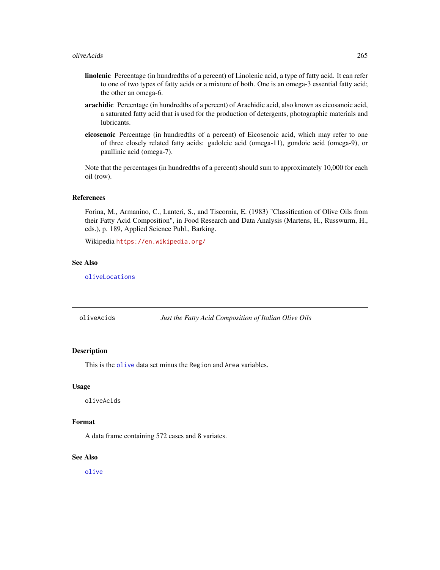- <span id="page-264-0"></span>linolenic Percentage (in hundredths of a percent) of Linolenic acid, a type of fatty acid. It can refer to one of two types of fatty acids or a mixture of both. One is an omega-3 essential fatty acid; the other an omega-6.
- arachidic Percentage (in hundredths of a percent) of Arachidic acid, also known as eicosanoic acid, a saturated fatty acid that is used for the production of detergents, photographic materials and lubricants.
- eicosenoic Percentage (in hundredths of a percent) of Eicosenoic acid, which may refer to one of three closely related fatty acids: gadoleic acid (omega-11), gondoic acid (omega-9), or paullinic acid (omega-7).

Note that the percentages (in hundredths of a percent) should sum to approximately 10,000 for each oil (row).

#### References

Forina, M., Armanino, C., Lanteri, S., and Tiscornia, E. (1983) "Classification of Olive Oils from their Fatty Acid Composition", in Food Research and Data Analysis (Martens, H., Russwurm, H., eds.), p. 189, Applied Science Publ., Barking.

Wikipedia <https://en.wikipedia.org/>

# See Also

[oliveLocations](#page-265-0)

oliveAcids *Just the Fatty Acid Composition of Italian Olive Oils*

#### Description

This is the [olive](#page-263-0) data set minus the Region and Area variables.

#### Usage

oliveAcids

#### Format

A data frame containing 572 cases and 8 variates.

#### See Also

[olive](#page-263-0)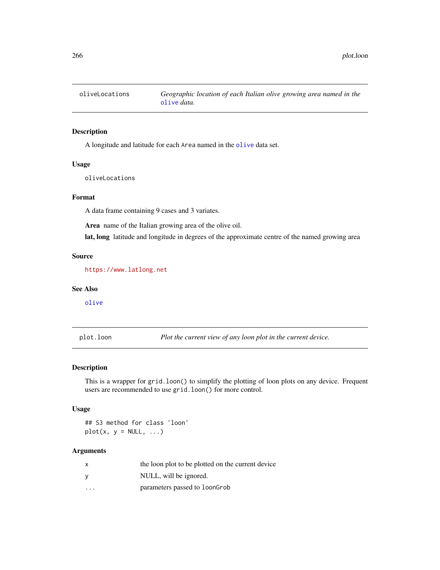<span id="page-265-1"></span><span id="page-265-0"></span>

A longitude and latitude for each Area named in the [olive](#page-263-0) data set.

#### Usage

oliveLocations

# Format

A data frame containing 9 cases and 3 variates.

Area name of the Italian growing area of the olive oil.

lat, long latitude and longitude in degrees of the approximate centre of the named growing area

#### Source

<https://www.latlong.net>

#### See Also

[olive](#page-263-0)

plot.loon *Plot the current view of any loon plot in the current device.*

# Description

This is a wrapper for grid.loon() to simplify the plotting of loon plots on any device. Frequent users are recommended to use grid.loon() for more control.

#### Usage

## S3 method for class 'loon'  $plot(x, y = NULL, ...)$ 

# Arguments

| X       | the loon plot to be plotted on the current device |
|---------|---------------------------------------------------|
| V       | NULL, will be ignored.                            |
| $\cdot$ | parameters passed to loonGrob                     |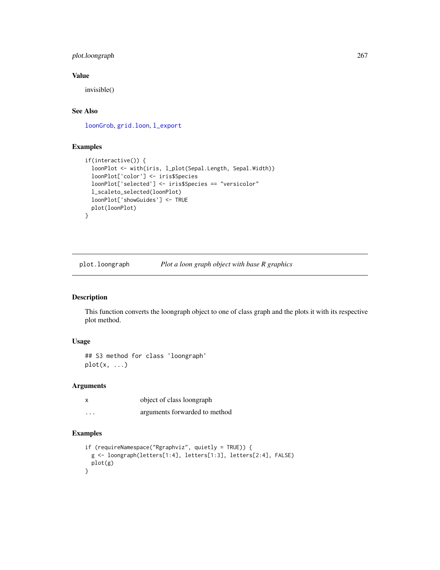# <span id="page-266-0"></span>plot.loongraph 267

# Value

invisible()

# See Also

[loonGrob](#page-23-0), [grid.loon](#page-17-0), [l\\_export](#page-71-0)

# Examples

```
if(interactive()) {
  loonPlot <- with(iris, l_plot(Sepal.Length, Sepal.Width))
  loonPlot['color'] <- iris$Species
  loonPlot['selected'] <- iris$Species == "versicolor"
  l_scaleto_selected(loonPlot)
  loonPlot['showGuides'] <- TRUE
  plot(loonPlot)
}
```
plot.loongraph *Plot a loon graph object with base R graphics*

### Description

This function converts the loongraph object to one of class graph and the plots it with its respective plot method.

# Usage

```
## S3 method for class 'loongraph'
plot(x, \ldots)
```
#### Arguments

|         | object of class loongraph     |
|---------|-------------------------------|
| $\cdot$ | arguments forwarded to method |

```
if (requireNamespace("Rgraphviz", quietly = TRUE)) {
 g <- loongraph(letters[1:4], letters[1:3], letters[2:4], FALSE)
 plot(g)
}
```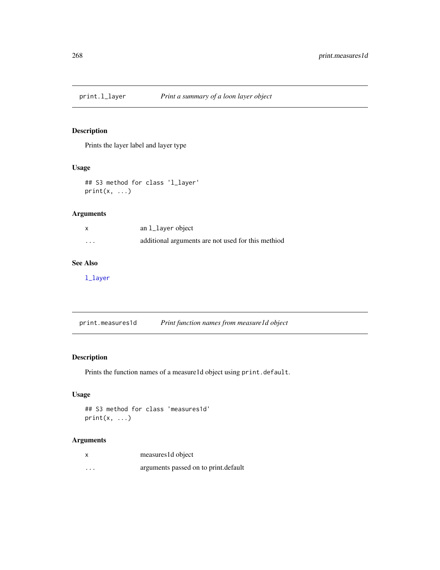<span id="page-267-0"></span>

Prints the layer label and layer type

# Usage

```
## S3 method for class 'l_layer'
print(x, \ldots)
```
# Arguments

|         | an 1_layer object                                  |
|---------|----------------------------------------------------|
| $\cdot$ | additional arguments are not used for this methiod |

# See Also

[l\\_layer](#page-122-0)

| print.measures1d | Print function names from measure1d object |  |
|------------------|--------------------------------------------|--|
|                  |                                            |  |

# Description

Prints the function names of a measure1d object using print.default.

#### Usage

```
## S3 method for class 'measures1d'
print(x, \ldots)
```
# Arguments

| X        | measures1d object                    |
|----------|--------------------------------------|
| $\cdots$ | arguments passed on to print.default |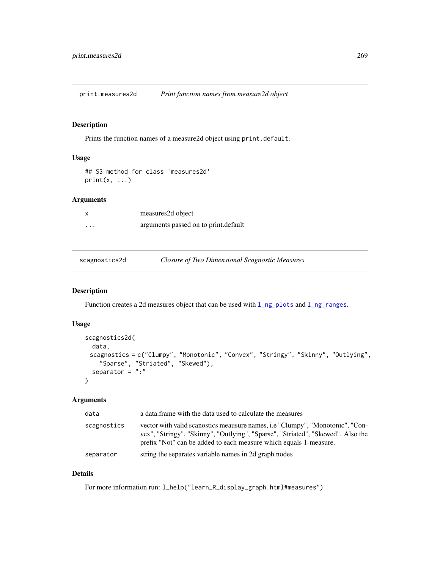<span id="page-268-0"></span>print.measures2d *Print function names from measure2d object*

# Description

Prints the function names of a measure2d object using print.default.

# Usage

```
## S3 method for class 'measures2d'
print(x, \ldots)
```
#### Arguments

|                   | measures2d object                    |
|-------------------|--------------------------------------|
| $\cdot\cdot\cdot$ | arguments passed on to print.default |

scagnostics2d *Closure of Two Dimensional Scagnostic Measures*

#### Description

Function creates a 2d measures object that can be used with  $l$ \_ng\_plots and  $l$ \_ng\_ranges.

#### Usage

```
scagnostics2d(
 data,
 scagnostics = c("Clumpy", "Monotonic", "Convex", "Stringy", "Skinny", "Outlying",
    "Sparse", "Striated", "Skewed"),
  separator = ":"
\mathcal{L}
```
# Arguments

| data        | a data. frame with the data used to calculate the measures                                                                                                                                                                                   |
|-------------|----------------------------------------------------------------------------------------------------------------------------------------------------------------------------------------------------------------------------------------------|
| scagnostics | vector with valid scanostics meausure names, <i>i.e</i> "Clumpy", "Monotonic", "Con-<br>vex", "Stringy", "Skinny", "Outlying", "Sparse", "Striated", "Skewed". Also the<br>prefix "Not" can be added to each measure which equals 1-measure. |
| separator   | string the separates variable names in 2d graph nodes                                                                                                                                                                                        |

# Details

For more information run: l\_help("learn\_R\_display\_graph.html#measures")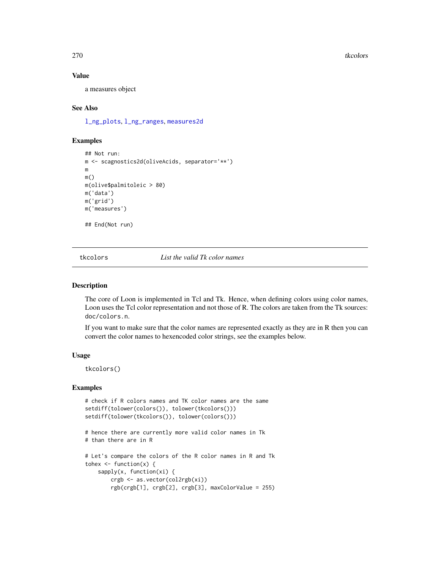#### 270 tkcolors and the state of the state of the state of the state of the state of the state of the state of the state of the state of the state of the state of the state of the state of the state of the state of the state

#### Value

a measures object

#### See Also

[l\\_ng\\_plots](#page-198-0), [l\\_ng\\_ranges](#page-203-0), [measures2d](#page-260-0)

### Examples

```
## Not run:
m <- scagnostics2d(oliveAcids, separator='**')
m
m()m(olive$palmitoleic > 80)
m('data')
m('grid')
m('measures')
## End(Not run)
```
tkcolors *List the valid Tk color names*

#### Description

The core of Loon is implemented in Tcl and Tk. Hence, when defining colors using color names, Loon uses the Tcl color representation and not those of R. The colors are taken from the Tk sources: doc/colors.n.

If you want to make sure that the color names are represented exactly as they are in R then you can convert the color names to hexencoded color strings, see the examples below.

# Usage

tkcolors()

```
# check if R colors names and TK color names are the same
setdiff(tolower(colors()), tolower(tkcolors()))
setdiff(tolower(tkcolors()), tolower(colors()))
```

```
# hence there are currently more valid color names in Tk
# than there are in R
```

```
# Let's compare the colors of the R color names in R and Tk
tohex \leq function(x) {
   sapply(x, function(xi) {
       crgb <- as.vector(col2rgb(xi))
       rgb(crgb[1], crgb[2], crgb[3], maxColorValue = 255)
```
<span id="page-269-0"></span>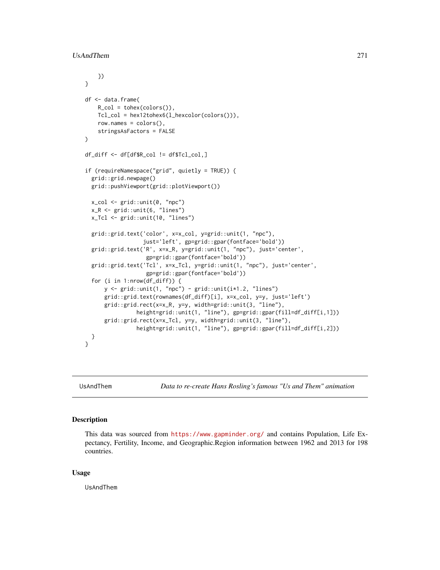```
})
}
df <- data.frame(
   R_col = tohex(colors()),
   Tcl_col = hex12tohex6(l_hexcolor(colors())),
   row.names = colors(),
    stringsAsFactors = FALSE
)
df_diff <- df[df$R_col != df$Tcl_col,]
if (requireNamespace("grid", quietly = TRUE)) {
 grid::grid.newpage()
 grid::pushViewport(grid::plotViewport())
 x_col <- grid::unit(0, "npc")
 x_R <- grid::unit(6, "lines")
 x_Tcl <- grid::unit(10, "lines")
 grid::grid.text('color', x=x_col, y=grid::unit(1, "npc"),
                  just='left', gp=grid::gpar(fontface='bold'))
 grid::grid.text('R', x=x_R, y=grid::unit(1, "npc"), just='center',
                   gp=grid::gpar(fontface='bold'))
 grid::grid.text('Tcl', x=x_Tcl, y=grid::unit(1, "npc"), just='center',
                   gp=grid::gpar(fontface='bold'))
 for (i in 1:nrow(df_diff)) {
     y <- grid::unit(1, "npc") - grid::unit(i*1.2, "lines")
      grid::grid.text(rownames(df_diff)[i], x=x_col, y=y, just='left')
     grid::grid.rect(x=x_R, y=y, width=grid::unit(3, "line"),
                height=grid::unit(1, "line"), gp=grid::gpar(fill=df_diff[i,1]))
      grid::grid.rect(x=x_Tcl, y=y, width=grid::unit(3, "line"),
                height=grid::unit(1, "line"), gp=grid::gpar(fill=df_diff[i,2]))
 }
}
```
UsAndThem *Data to re-create Hans Rosling's famous "Us and Them" animation*

#### Description

This data was sourced from <https://www.gapminder.org/> and contains Population, Life Expectancy, Fertility, Income, and Geographic.Region information between 1962 and 2013 for 198 countries.

#### Usage

UsAndThem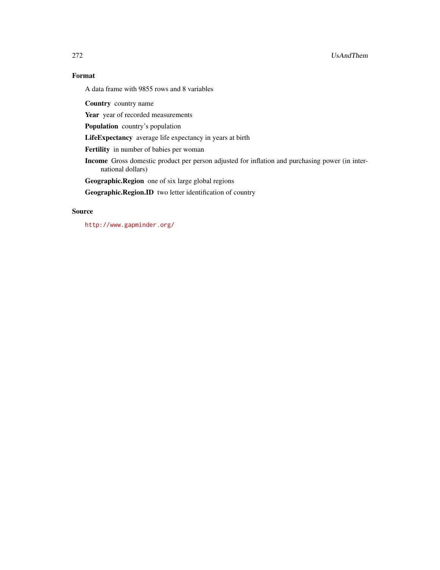# 272 UsAndThem

# Format

A data frame with 9855 rows and 8 variables

Country country name

Year year of recorded measurements

Population country's population

LifeExpectancy average life expectancy in years at birth

Fertility in number of babies per woman

Income Gross domestic product per person adjusted for inflation and purchasing power (in international dollars)

Geographic.Region one of six large global regions

Geographic.Region.ID two letter identification of country

# Source

<http://www.gapminder.org/>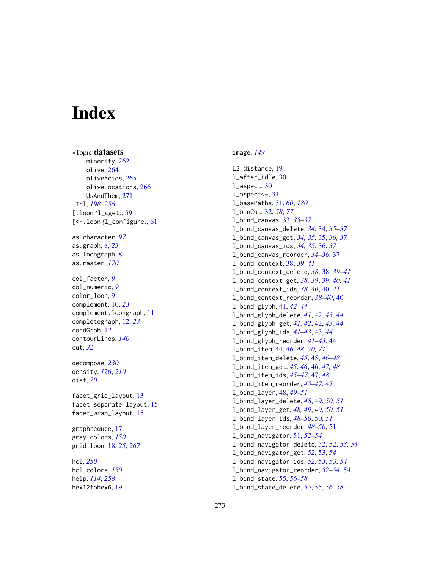# **Index**

∗Topic datasets minority, [262](#page-261-0) olive , [264](#page-263-1) oliveAcids , [265](#page-264-0) oliveLocations , [266](#page-265-1) UsAndThem , [271](#page-270-0) .Tcl , *[198](#page-197-0)* , *[256](#page-255-0)* [.loon *(*l\_cget *)* , [59](#page-58-1) [<-.loon *(*l\_configure *)* , [61](#page-60-1) as.character , *[97](#page-96-0)* as.graph , [8](#page-7-0) , *[23](#page-22-0)* as.loongraph, <mark>[8](#page-7-0)</mark> as.raster , *[170](#page-169-0)* col\_factor , *[9](#page-8-0)* col\_numeric , *[9](#page-8-0)* color\_loon , [9](#page-8-0) complement , [10](#page-9-0) , *[23](#page-22-0)* complement.loongraph , [11](#page-10-0) completegraph , [12](#page-11-0) , *[23](#page-22-0)* condGrob , [12](#page-11-0) contourLines , *[140](#page-139-0)* cut , *[32](#page-31-0)* decompose , *[230](#page-229-0)* density , *[126](#page-125-0)* , *[210](#page-209-1)* dist , *[20](#page-19-0)* facet\_grid\_layout , [13](#page-12-0) facet\_separate\_layout , [15](#page-14-0) facet\_wrap\_layout , [15](#page-14-0) graphreduce , [17](#page-16-0) gray.colors , *[150](#page-149-0)* grid.loon , [18](#page-17-1) , *[25](#page-24-0)* , *[267](#page-266-0)* hcl , *[250](#page-249-0)* hcl.colors , *[150](#page-149-0)*

help , *[114](#page-113-0)* , *[258](#page-257-0)* hex12tohex6 , [19](#page-18-0) image , *[149](#page-148-0)*

L2\_distance , [19](#page-18-0) l\_after\_idle , [30](#page-29-0) l\_aspect , [30](#page-29-0) l\_aspect<- , [31](#page-30-0) l\_basePaths , [31](#page-30-0) , *[60](#page-59-0)* , *[180](#page-179-0)* l\_binCut , [32](#page-31-0) , *[58](#page-57-0)* , *[77](#page-76-0)* l\_bind\_canvas , [33](#page-32-0) , *[35](#page-34-0) [–37](#page-36-0)* l\_bind\_canvas\_delete , *[34](#page-33-0)* , [34](#page-33-0) , *[35](#page-34-0) [–37](#page-36-0)* l\_bind\_canvas\_get , *[34](#page-33-0) , [35](#page-34-0)* , [35](#page-34-0) , *[36,](#page-35-0) [37](#page-36-0)* l\_bind\_canvas\_ids , *[34](#page-33-0) , [35](#page-34-0)* , [36](#page-35-0) , *[37](#page-36-0)* l\_bind\_canvas\_reorder , *[34](#page-33-0) [–36](#page-35-0)* , [37](#page-36-0) l\_bind\_context , [38](#page-37-0) , *[39](#page-38-0) [–41](#page-40-0)* l\_bind\_context\_delete , *[38](#page-37-0)* , [38](#page-37-0) , *[39](#page-38-0) [–41](#page-40-0)* l\_bind\_context\_get , *[38](#page-37-0) , [39](#page-38-0)* , [39](#page-38-0) , *[40](#page-39-0) , [41](#page-40-0)* l\_bind\_context\_ids , *[38](#page-37-0) [–40](#page-39-0)* , [40](#page-39-0) , *[41](#page-40-0)* l\_bind\_context\_reorder , *[38](#page-37-0) [–40](#page-39-0)* , [40](#page-39-0) l\_bind\_glyph , [41](#page-40-0) , *[42](#page-41-0) [–44](#page-43-0)* l\_bind\_glyph\_delete , *[41](#page-40-0)* , [42](#page-41-0) , *[43](#page-42-0) , [44](#page-43-0)* l\_bind\_glyph\_get , *[41](#page-40-0) , [42](#page-41-0)* , [42](#page-41-0) , *[43](#page-42-0) , [44](#page-43-0)* l\_bind\_glyph\_ids , *[41](#page-40-0) [–43](#page-42-0)* , [43](#page-42-0) , *[44](#page-43-0)* l\_bind\_glyph\_reorder , *[41](#page-40-0) [–43](#page-42-0)* , [44](#page-43-0) l\_bind\_item , [44](#page-43-0) , *[46](#page-45-0)[–48](#page-47-0)* , *[70](#page-69-0) , [71](#page-70-0)* l\_bind\_item\_delete , *[45](#page-44-0)* , [45](#page-44-0) , *[46](#page-45-0)[–48](#page-47-0)* l\_bind\_item\_get , *[45](#page-44-0) , [46](#page-45-0)* , [46](#page-45-0) , *[47,](#page-46-0) [48](#page-47-0)* l\_bind\_item\_ids , *[45](#page-44-0) [–47](#page-46-0)* , [47](#page-46-0) , *[48](#page-47-0)* l\_bind\_item\_reorder , *[45](#page-44-0) [–47](#page-46-0)* , [47](#page-46-0) l\_bind\_layer , [48](#page-47-0) , *[49](#page-48-0) [–51](#page-50-0)* l\_bind\_layer\_delete , *[48](#page-47-0)* , [49](#page-48-0) , *[50](#page-49-0) , [51](#page-50-0)* l\_bind\_layer\_get , *[48](#page-47-0) , [49](#page-48-0)* , [49](#page-48-0) , *[50](#page-49-0) , [51](#page-50-0)* l\_bind\_layer\_ids , *[48](#page-47-0) [–50](#page-49-0)* , [50](#page-49-0) , *[51](#page-50-0)* l\_bind\_layer\_reorder , *[48](#page-47-0) [–50](#page-49-0)* , [51](#page-50-0) l\_bind\_navigator , [51](#page-50-0) , *[52](#page-51-0) [–54](#page-53-0)* l\_bind\_navigator\_delete , *[52](#page-51-0)* , [52](#page-51-0) , *[53](#page-52-0) , [54](#page-53-0)* l\_bind\_navigator\_get , *[52](#page-51-0)* , [53](#page-52-0) , *[54](#page-53-0)* l\_bind\_navigator\_ids , *[52](#page-51-0) , [53](#page-52-0)* , [53](#page-52-0) , *[54](#page-53-0)* l\_bind\_navigator\_reorder , *[52](#page-51-0) [–54](#page-53-0)* , [54](#page-53-0) l\_bind\_state , [55](#page-54-0) , *[56](#page-55-0)[–58](#page-57-0)* l\_bind\_state\_delete , *[55](#page-54-0)* , [55](#page-54-0) , *[56](#page-55-0)[–58](#page-57-0)*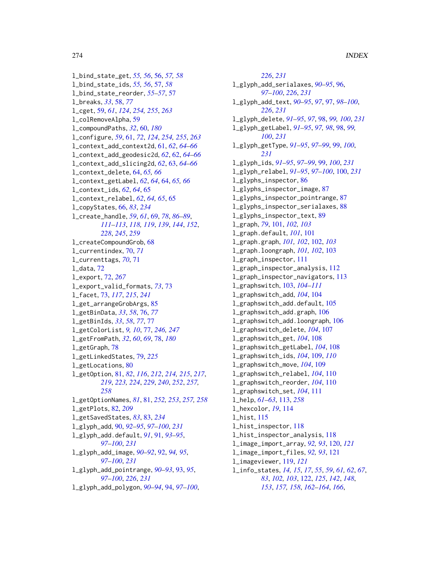```
l_bind_state_get, 55, 56, 56, 57, 58
l_bind_state_ids, 55, 56, 57, 58
l_bind_state_reorder, 55–57, 57
l_breaks, 33, 58, 77
l_cget, 59, 61, 124, 254, 255, 263
l_colRemoveAlpha, 59
l_compoundPaths, 32, 60, 180
l_configure, 59, 61, 72, 124, 254, 255, 263
l_context_add_context2d, 61, 62, 64–66
l_context_add_geodesic2d, 62, 62, 64–66
l_context_add_slicing2d, 62, 63, 64–66
l_context_delete, 64, 65, 66
l_context_getLabel, 62, 64, 64, 65, 66
l_context_ids, 62, 64, 65
l_context_relabel, 62, 64, 65, 65
l_copyStates, 66, 83, 234
l_create_handle, 59, 61, 69, 78, 86–89,
         111–113, 118, 119, 139, 144, 152,
         228, 245, 259
l_createCompoundGrob, 68
l_currentindex, 70, 71
l_currenttags, 70, 71
l_data, 72
l_export, 72, 267
l_export_valid_formats, 73, 73
l_facet, 73, 117, 215, 241
l_get_arrangeGrobArgs, 85
l_getBinData, 33, 58, 76, 77
l_getBinIds, 33, 58, 77, 77
l_getColorList, 9, 10, 77, 246, 247
l_getFromPath, 32, 60, 69, 78, 180
l_getGraph, 78
l_getLinkedStates, 79, 225
l_getLocations, 80
l_getOption, 81, 82, 116, 212, 214, 215, 217,
         219, 223, 224, 229, 240, 252, 257,
         258
l_getOptionNames, 81, 81, 252, 253, 257, 258
l_getPlots, 82, 209
l_getSavedStates, 83, 83, 234
l_glyph_add, 90, 92–95, 97–100, 231
l_glyph_add.default, 91, 91, 93–95,
         97–100, 231
l_glyph_add_image, 90–92, 92, 94, 95,
         97–100, 231
l_glyph_add_pointrange, 90–93, 93, 95,
         97–100, 226, 231
l_glyph_add_polygon, 90–94, 94, 97–100,
```

```
226, 231
l_glyph_add_serialaxes, 90–95, 96,
        97–100, 226, 231
l_glyph_add_text, 90–95, 97, 97, 98–100,
        226, 231
l_glyph_delete, 91–95, 97, 98, 99, 100, 231
l_glyph_getLabel, 91–95, 97, 98, 98, 99,
         100, 231
l_glyph_getType, 91–95, 97–99, 99, 100,
        231
l_glyph_ids, 91–95, 97–99, 99, 100, 231
l_glyph_relabel, 91–95, 97–100, 100, 231
l_glyphs_inspector, 86
l_glyphs_inspector_image, 87
l_glyphs_inspector_pointrange, 87
l_glyphs_inspector_serialaxes, 88
l_glyphs_inspector_text, 89
l_graph, 79, 101, 102, 103
l_graph.default, 101, 101
l_graph.graph, 101, 102, 102, 103
l_graph.loongraph, 101, 102, 103
l_graph_inspector, 111
l_graph_inspector_analysis, 112
l_graph_inspector_navigators, 113
l_graphswitch, 103, 104–111
l_graphswitch_add, 104, 104
l_graphswitch_add.default, 105
l_graphswitch_add.graph, 106
l_graphswitch_add.loongraph, 106
l_graphswitch_delete, 104, 107
l_graphswitch_get, 104, 108
l_graphswitch_getLabel, 104, 108
l_graphswitch_ids, 104, 109, 110
l_graphswitch_move, 104, 109
l_graphswitch_relabel, 104, 110
l_graphswitch_reorder, 104, 110
l_graphswitch_set, 104, 111
l_help, 61–63, 113, 258
l_hexcolor, 19, 114
l_hist, 115
l_hist_inspector, 118
l_hist_inspector_analysis, 118
l_image_import_array, 92, 93, 120, 121
l_image_import_files, 92, 93, 121
l_imageviewer, 119, 121
l_info_states, 14, 15, 17, 55, 59, 61, 62, 67,
        83, 102, 103, 122, 125, 142, 148,
        153, 157, 158, 162–164, 166,
```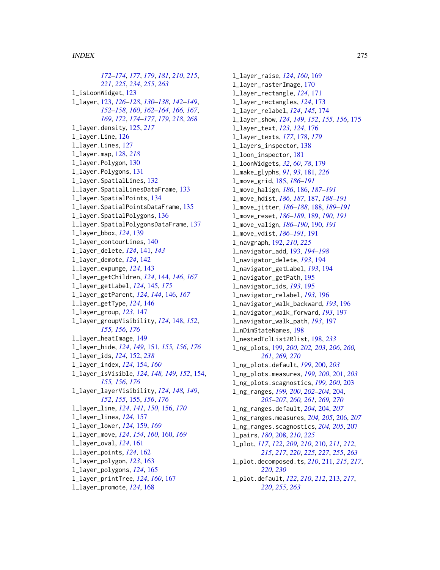*[172](#page-171-0)[–174](#page-173-0)*, *[177](#page-176-0)*, *[179](#page-178-0)*, *[181](#page-180-0)*, *[210](#page-209-1)*, *[215](#page-214-0)*, *[221](#page-220-0)*, *[225](#page-224-0)*, *[234](#page-233-0)*, *[255](#page-254-0)*, *[263](#page-262-1)* l\_isLoonWidget, [123](#page-122-1) l\_layer, [123,](#page-122-1) *[126](#page-125-0)[–128](#page-127-0)*, *[130–](#page-129-0)[138](#page-137-0)*, *[142–](#page-141-0)[149](#page-148-0)*, *[152](#page-151-0)[–158](#page-157-0)*, *[160](#page-159-0)*, *[162–](#page-161-0)[164](#page-163-0)*, *[166,](#page-165-0) [167](#page-166-0)*, *[169](#page-168-0)*, *[172](#page-171-0)*, *[174–](#page-173-0)[177](#page-176-0)*, *[179](#page-178-0)*, *[218](#page-217-0)*, *[268](#page-267-0)* l\_layer.density, [125,](#page-124-0) *[217](#page-216-0)* l\_layer.Line, [126](#page-125-0) l\_layer.Lines, [127](#page-126-0) l\_layer.map, [128,](#page-127-0) *[218](#page-217-0)* l\_layer.Polygon, [130](#page-129-0) l\_layer.Polygons, [131](#page-130-0) l\_layer.SpatialLines, [132](#page-131-0) l\_layer.SpatialLinesDataFrame, [133](#page-132-0) l\_layer.SpatialPoints, [134](#page-133-0) l\_layer.SpatialPointsDataFrame, [135](#page-134-0) l\_layer.SpatialPolygons, [136](#page-135-0) l\_layer.SpatialPolygonsDataFrame, [137](#page-136-0) l\_layer\_bbox, *[124](#page-123-0)*, [139](#page-138-0) l\_layer\_contourLines, [140](#page-139-0) l\_layer\_delete, *[124](#page-123-0)*, [141,](#page-140-0) *[143](#page-142-0)* l\_layer\_demote, *[124](#page-123-0)*, [142](#page-141-0) l\_layer\_expunge, *[124](#page-123-0)*, [143](#page-142-0) l\_layer\_getChildren, *[124](#page-123-0)*, [144,](#page-143-0) *[146](#page-145-0)*, *[167](#page-166-0)* l\_layer\_getLabel, *[124](#page-123-0)*, [145,](#page-144-0) *[175](#page-174-0)* l\_layer\_getParent, *[124](#page-123-0)*, *[144](#page-143-0)*, [146,](#page-145-0) *[167](#page-166-0)* l\_layer\_getType, *[124](#page-123-0)*, [146](#page-145-0) l\_layer\_group, *[123](#page-122-1)*, [147](#page-146-0) l\_layer\_groupVisibility, *[124](#page-123-0)*, [148,](#page-147-0) *[152](#page-151-0)*, *[155,](#page-154-0) [156](#page-155-0)*, *[176](#page-175-0)* l\_layer\_heatImage, [149](#page-148-0) l\_layer\_hide, *[124](#page-123-0)*, *[149](#page-148-0)*, [151,](#page-150-0) *[155,](#page-154-0) [156](#page-155-0)*, *[176](#page-175-0)* l\_layer\_ids, *[124](#page-123-0)*, [152,](#page-151-0) *[238](#page-237-0)* l\_layer\_index, *[124](#page-123-0)*, [154,](#page-153-0) *[160](#page-159-0)* l\_layer\_isVisible, *[124](#page-123-0)*, *[148,](#page-147-0) [149](#page-148-0)*, *[152](#page-151-0)*, [154,](#page-153-0) *[155,](#page-154-0) [156](#page-155-0)*, *[176](#page-175-0)* l\_layer\_layerVisibility, *[124](#page-123-0)*, *[148,](#page-147-0) [149](#page-148-0)*, *[152](#page-151-0)*, *[155](#page-154-0)*, [155,](#page-154-0) *[156](#page-155-0)*, *[176](#page-175-0)* l\_layer\_line, *[124](#page-123-0)*, *[141](#page-140-0)*, *[150](#page-149-0)*, [156,](#page-155-0) *[170](#page-169-0)* l\_layer\_lines, *[124](#page-123-0)*, [157](#page-156-0) l\_layer\_lower, *[124](#page-123-0)*, [159,](#page-158-0) *[169](#page-168-0)* l\_layer\_move, *[124](#page-123-0)*, *[154](#page-153-0)*, *[160](#page-159-0)*, [160,](#page-159-0) *[169](#page-168-0)* l\_layer\_oval, *[124](#page-123-0)*, [161](#page-160-0) l\_layer\_points, *[124](#page-123-0)*, [162](#page-161-0) l\_layer\_polygon, *[123](#page-122-1)*, [163](#page-162-0) l\_layer\_polygons, *[124](#page-123-0)*, [165](#page-164-0) l\_layer\_printTree, *[124](#page-123-0)*, *[160](#page-159-0)*, [167](#page-166-0) l\_layer\_promote, *[124](#page-123-0)*, [168](#page-167-0)

l\_layer\_raise, *[124](#page-123-0)*, *[160](#page-159-0)*, [169](#page-168-0) l\_layer\_rasterImage, [170](#page-169-0) l\_layer\_rectangle, *[124](#page-123-0)*, [171](#page-170-0) l\_layer\_rectangles, *[124](#page-123-0)*, [173](#page-172-0) l\_layer\_relabel, *[124](#page-123-0)*, *[145](#page-144-0)*, [174](#page-173-0) l\_layer\_show, *[124](#page-123-0)*, *[149](#page-148-0)*, *[152](#page-151-0)*, *[155,](#page-154-0) [156](#page-155-0)*, [175](#page-174-0) l\_layer\_text, *[123,](#page-122-1) [124](#page-123-0)*, [176](#page-175-0) l\_layer\_texts, *[177](#page-176-0)*, [178,](#page-177-0) *[179](#page-178-0)* l\_layers\_inspector, [138](#page-137-0) l\_loon\_inspector, [181](#page-180-0) l\_loonWidgets, *[32](#page-31-0)*, *[60](#page-59-0)*, *[78](#page-77-0)*, [179](#page-178-0) l\_make\_glyphs, *[91](#page-90-0)*, *[93](#page-92-0)*, [181,](#page-180-0) *[226](#page-225-0)* l\_move\_grid, [185,](#page-184-0) *[186](#page-185-0)[–191](#page-190-0)* l\_move\_halign, *[186](#page-185-0)*, [186,](#page-185-0) *[187](#page-186-0)[–191](#page-190-0)* l\_move\_hdist, *[186,](#page-185-0) [187](#page-186-0)*, [187,](#page-186-0) *[188](#page-187-0)[–191](#page-190-0)* l\_move\_jitter, *[186](#page-185-0)[–188](#page-187-0)*, [188,](#page-187-0) *[189](#page-188-0)[–191](#page-190-0)* l\_move\_reset, *[186](#page-185-0)[–189](#page-188-0)*, [189,](#page-188-0) *[190,](#page-189-0) [191](#page-190-0)* l\_move\_valign, *[186](#page-185-0)[–190](#page-189-0)*, [190,](#page-189-0) *[191](#page-190-0)* l\_move\_vdist, *[186](#page-185-0)[–191](#page-190-0)*, [191](#page-190-0) l\_navgraph, [192,](#page-191-0) *[210](#page-209-1)*, *[225](#page-224-0)* l\_navigator\_add, [193,](#page-192-0) *[194](#page-193-0)[–198](#page-197-0)* l\_navigator\_delete, *[193](#page-192-0)*, [194](#page-193-0) l\_navigator\_getLabel, *[193](#page-192-0)*, [194](#page-193-0) l\_navigator\_getPath, [195](#page-194-0) l\_navigator\_ids, *[193](#page-192-0)*, [195](#page-194-0) l\_navigator\_relabel, *[193](#page-192-0)*, [196](#page-195-0) l\_navigator\_walk\_backward, *[193](#page-192-0)*, [196](#page-195-0) l\_navigator\_walk\_forward, *[193](#page-192-0)*, [197](#page-196-0) l\_navigator\_walk\_path, *[193](#page-192-0)*, [197](#page-196-0) l\_nDimStateNames, [198](#page-197-0) l\_nestedTclList2Rlist, [198,](#page-197-0) *[233](#page-232-0)* l\_ng\_plots, [199,](#page-198-1) *[200](#page-199-0)*, *[202,](#page-201-0) [203](#page-202-0)*, *[206](#page-205-0)*, *[260,](#page-259-0) [261](#page-260-1)*, *[269,](#page-268-0) [270](#page-269-0)* l\_ng\_plots.default, *[199](#page-198-1)*, [200,](#page-199-0) *[203](#page-202-0)* l\_ng\_plots.measures, *[199,](#page-198-1) [200](#page-199-0)*, [201,](#page-200-0) *[203](#page-202-0)* l\_ng\_plots.scagnostics, *[199,](#page-198-1) [200](#page-199-0)*, [203](#page-202-0) l\_ng\_ranges, *[199,](#page-198-1) [200](#page-199-0)*, *[202](#page-201-0)[–204](#page-203-1)*, [204,](#page-203-1) *[205](#page-204-0)[–207](#page-206-0)*, *[260,](#page-259-0) [261](#page-260-1)*, *[269,](#page-268-0) [270](#page-269-0)* l\_ng\_ranges.default, *[204](#page-203-1)*, [204,](#page-203-1) *[207](#page-206-0)* l\_ng\_ranges.measures, *[204,](#page-203-1) [205](#page-204-0)*, [206,](#page-205-0) *[207](#page-206-0)* l\_ng\_ranges.scagnostics, *[204,](#page-203-1) [205](#page-204-0)*, [207](#page-206-0) l\_pairs, *[180](#page-179-0)*, [208,](#page-207-0) *[210](#page-209-1)*, *[225](#page-224-0)* l\_plot, *[117](#page-116-0)*, *[122](#page-121-1)*, *[209,](#page-208-0) [210](#page-209-1)*, [210,](#page-209-1) *[211,](#page-210-0) [212](#page-211-0)*, *[215](#page-214-0)*, *[217](#page-216-0)*, *[220](#page-219-0)*, *[225](#page-224-0)*, *[227](#page-226-0)*, *[255](#page-254-0)*, *[263](#page-262-1)* l\_plot.decomposed.ts, *[210](#page-209-1)*, [211,](#page-210-0) *[215](#page-214-0)*, *[217](#page-216-0)*, *[220](#page-219-0)*, *[230](#page-229-0)* l\_plot.default, *[122](#page-121-1)*, *[210](#page-209-1)*, *[212](#page-211-0)*, [213,](#page-212-1) *[217](#page-216-0)*, *[220](#page-219-0)*, *[255](#page-254-0)*, *[263](#page-262-1)*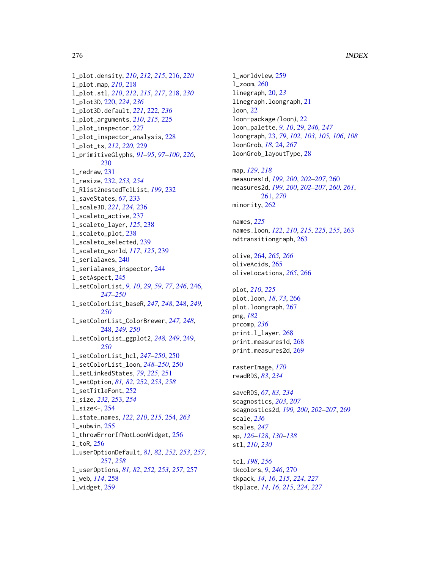276 **INDEX** 

l\_plot.density, *[210](#page-209-1)*, *[212](#page-211-0)*, *[215](#page-214-0)*, [216,](#page-215-0) *[220](#page-219-0)* l\_plot.map, *[210](#page-209-1)*, [218](#page-217-0) l\_plot.stl, *[210](#page-209-1)*, *[212](#page-211-0)*, *[215](#page-214-0)*, *[217](#page-216-0)*, [218,](#page-217-0) *[230](#page-229-0)* l\_plot3D, [220,](#page-219-0) *[224](#page-223-0)*, *[236](#page-235-0)* l\_plot3D.default, *[221](#page-220-0)*, [222,](#page-221-0) *[236](#page-235-0)* l\_plot\_arguments, *[210](#page-209-1)*, *[215](#page-214-0)*, [225](#page-224-0) l\_plot\_inspector, [227](#page-226-0) l\_plot\_inspector\_analysis, [228](#page-227-0) l\_plot\_ts, *[212](#page-211-0)*, *[220](#page-219-0)*, [229](#page-228-0) l\_primitiveGlyphs, *[91–](#page-90-0)[95](#page-94-0)*, *[97–](#page-96-0)[100](#page-99-0)*, *[226](#page-225-0)*, [230](#page-229-0) l\_redraw, [231](#page-230-0) l\_resize, [232,](#page-231-1) *[253,](#page-252-1) [254](#page-253-2)* l\_Rlist2nestedTclList, *[199](#page-198-1)*, [232](#page-231-1) l\_saveStates, *[67](#page-66-0)*, [233](#page-232-0) l\_scale3D, *[221](#page-220-0)*, *[224](#page-223-0)*, [236](#page-235-0) l\_scaleto\_active, [237](#page-236-0) l\_scaleto\_layer, *[125](#page-124-0)*, [238](#page-237-0) l\_scaleto\_plot, [238](#page-237-0) l\_scaleto\_selected, [239](#page-238-0) l\_scaleto\_world, *[117](#page-116-0)*, *[125](#page-124-0)*, [239](#page-238-0) l\_serialaxes, [240](#page-239-0) l\_serialaxes\_inspector, [244](#page-243-0) l\_setAspect, [245](#page-244-0) l\_setColorList, *[9,](#page-8-0) [10](#page-9-0)*, *[29](#page-28-0)*, *[59](#page-58-1)*, *[77](#page-76-0)*, *[246](#page-245-0)*, [246,](#page-245-0) *[247](#page-246-0)[–250](#page-249-0)* l\_setColorList\_baseR, *[247,](#page-246-0) [248](#page-247-0)*, [248,](#page-247-0) *[249,](#page-248-0) [250](#page-249-0)* l\_setColorList\_ColorBrewer, *[247,](#page-246-0) [248](#page-247-0)*, [248,](#page-247-0) *[249,](#page-248-0) [250](#page-249-0)* l\_setColorList\_ggplot2, *[248,](#page-247-0) [249](#page-248-0)*, [249,](#page-248-0) *[250](#page-249-0)* l\_setColorList\_hcl, *[247–](#page-246-0)[250](#page-249-0)*, [250](#page-249-0) l\_setColorList\_loon, *[248–](#page-247-0)[250](#page-249-0)*, [250](#page-249-0) l\_setLinkedStates, *[79](#page-78-0)*, *[225](#page-224-0)*, [251](#page-250-0) l\_setOption, *[81,](#page-80-2) [82](#page-81-0)*, [252,](#page-251-1) *[253](#page-252-1)*, *[258](#page-257-0)* l\_setTitleFont, [252](#page-251-1) l\_size, *[232](#page-231-1)*, [253,](#page-252-1) *[254](#page-253-2)* l\_size<-, [254](#page-253-2) l\_state\_names, *[122](#page-121-1)*, *[210](#page-209-1)*, *[215](#page-214-0)*, [254,](#page-253-2) *[263](#page-262-1)* l\_subwin, [255](#page-254-0) l\_throwErrorIfNotLoonWidget, [256](#page-255-0) l\_toR, [256](#page-255-0) l\_userOptionDefault, *[81,](#page-80-2) [82](#page-81-0)*, *[252,](#page-251-1) [253](#page-252-1)*, *[257](#page-256-2)*, [257,](#page-256-2) *[258](#page-257-0)* l\_userOptions, *[81,](#page-80-2) [82](#page-81-0)*, *[252,](#page-251-1) [253](#page-252-1)*, *[257](#page-256-2)*, [257](#page-256-2) l\_web, *[114](#page-113-0)*, [258](#page-257-0) l\_widget, [259](#page-258-0)

l\_worldview, [259](#page-258-0) l\_zoom, [260](#page-259-0) linegraph, [20,](#page-19-0) *[23](#page-22-0)* linegraph.loongraph, [21](#page-20-0) loon, [22](#page-21-0) loon-package *(*loon*)*, [22](#page-21-0) loon\_palette, *[9,](#page-8-0) [10](#page-9-0)*, [29,](#page-28-0) *[246,](#page-245-0) [247](#page-246-0)* loongraph, [23,](#page-22-0) *[79](#page-78-0)*, *[102,](#page-101-0) [103](#page-102-0)*, *[105,](#page-104-0) [106](#page-105-0)*, *[108](#page-107-0)* loonGrob, *[18](#page-17-1)*, [24,](#page-23-1) *[267](#page-266-0)* loonGrob\_layoutType, [28](#page-27-0) map, *[129](#page-128-0)*, *[218](#page-217-0)* measures1d, *[199,](#page-198-1) [200](#page-199-0)*, *[202](#page-201-0)[–207](#page-206-0)*, [260](#page-259-0) measures2d, *[199,](#page-198-1) [200](#page-199-0)*, *[202](#page-201-0)[–207](#page-206-0)*, *[260,](#page-259-0) [261](#page-260-1)*, [261,](#page-260-1) *[270](#page-269-0)* minority, [262](#page-261-0) names, *[225](#page-224-0)* names.loon, *[122](#page-121-1)*, *[210](#page-209-1)*, *[215](#page-214-0)*, *[225](#page-224-0)*, *[255](#page-254-0)*, [263](#page-262-1) ndtransitiongraph, [263](#page-262-1) olive, [264,](#page-263-1) *[265,](#page-264-0) [266](#page-265-1)* oliveAcids, [265](#page-264-0) oliveLocations, *[265](#page-264-0)*, [266](#page-265-1) plot, *[210](#page-209-1)*, *[225](#page-224-0)* plot.loon, *[18](#page-17-1)*, *[73](#page-72-0)*, [266](#page-265-1) plot.loongraph, [267](#page-266-0) png, *[182](#page-181-0)* prcomp, *[236](#page-235-0)* print.l\_layer, [268](#page-267-0) print.measures1d, [268](#page-267-0) print.measures2d, [269](#page-268-0) rasterImage, *[170](#page-169-0)* readRDS, *[83](#page-82-0)*, *[234](#page-233-0)* saveRDS, *[67](#page-66-0)*, *[83](#page-82-0)*, *[234](#page-233-0)* scagnostics, *[203](#page-202-0)*, *[207](#page-206-0)* scagnostics2d, *[199,](#page-198-1) [200](#page-199-0)*, *[202](#page-201-0)[–207](#page-206-0)*, [269](#page-268-0) scale, *[236](#page-235-0)* scales, *[247](#page-246-0)* sp, *[126–](#page-125-0)[128](#page-127-0)*, *[130](#page-129-0)[–138](#page-137-0)* stl, *[210](#page-209-1)*, *[230](#page-229-0)* tcl, *[198](#page-197-0)*, *[256](#page-255-0)* tkcolors, *[9](#page-8-0)*, *[246](#page-245-0)*, [270](#page-269-0) tkpack, *[14](#page-13-0)*, *[16](#page-15-0)*, *[215](#page-214-0)*, *[224](#page-223-0)*, *[227](#page-226-0)* tkplace, *[14](#page-13-0)*, *[16](#page-15-0)*, *[215](#page-214-0)*, *[224](#page-223-0)*, *[227](#page-226-0)*